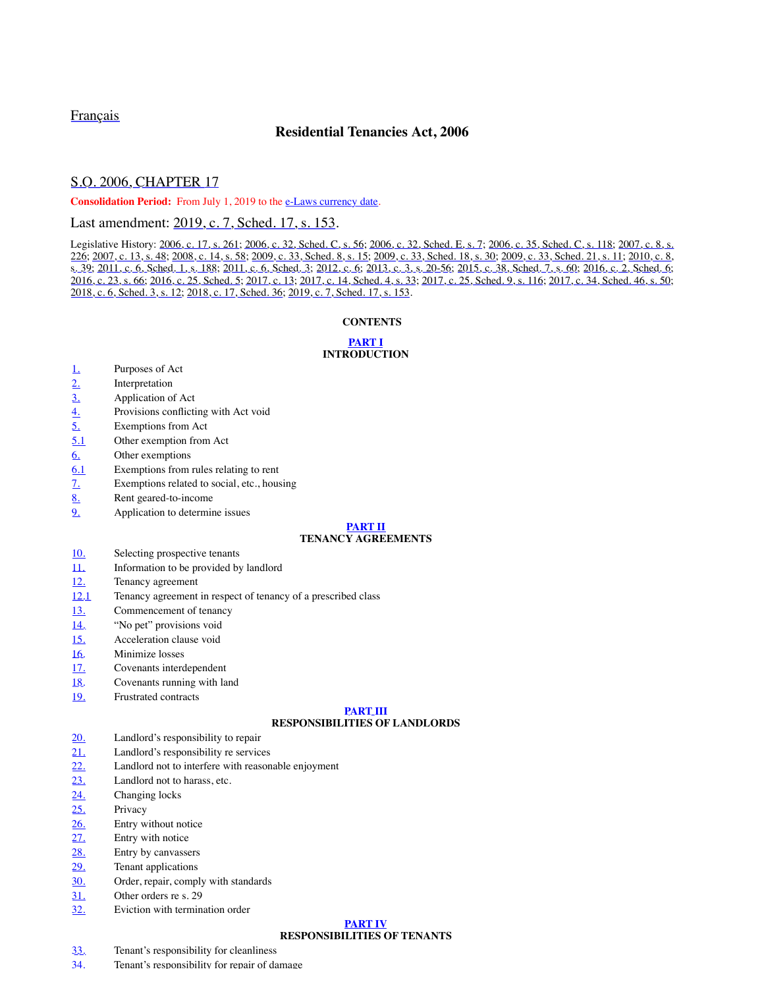Français

#### **Residential Tenancies Act, 2006**

#### S.O. 2006, CHAPTER 17

**Consolidation Period:** From July 1, 2019 to the e-Laws currency date.

Last amendment: 2019, c. 7, Sched. 17, s. 153.

Legislative History: 2006, c. 17, s. 261; 2006, c. 32, Sched. C, s. 56; 2006, c. 32, Sched. E, s. 7; 2006, c. 35, Sched. C, s. 118; 2007, c. 8, s. 226; 2007, c. 13, s. 48; 2008, c. 14, s. 58; 2009, c. 33, Sched. 8, s. 15; 2009, c. 33, Sched. 18, s. 30; 2009, c. 33, Sched. 21, s. 11; 2010, c. 8, s. 39; 2011, c. 6, Sched. 1, s. 188; 2011, c. 6, Sched. 3; 2012, c. 6; 2013, c. 3, s. 20-56; 2015, c. 38, Sched. 7, s. 60; 2016, c. 2, Sched. 6; 2016, c. 23, s. 66; 2016, c. 25, Sched. 5; 2017, c. 13; 2017, c. 14, Sched. 4, s. 33; 2017, c. 25, Sched. 9, s. 116; 2017, c. 34, Sched. 46, s. 50; 2018, c. 6, Sched. 3, s. 12; 2018, c. 17, Sched. 36; 2019, c. 7, Sched. 17, s. 153.

#### **CONTENTS**

#### **PART I**

#### **INTRODUCTION**

- 
- **Interpretation**
- $\frac{2}{3}$  Purposes of Act<br>
Interpretation<br>
3. Application of A
- $\frac{3.}{4.}$  Application of Act  $\frac{4.}{4.}$  $\frac{4}{5}$  Provisions conflicting with Act void<br>Exemptions from Act
- 5. Exemptions from Act<br>5.1 Other exemption from
- Other exemption from Act
- 6. Other exemptions
- $6.1$  Exemptions from rules relating to rent
- 7. Exemptions related to social, etc., housing
- 8. Rent geared-to-income
- 9. Application to determine issues

#### **PART II**

#### **TENANCY AGREEMENTS**

- 10. Selecting prospective tenants
- 11. Information to be provided by landlord
- 12. Tenancy agreement
- 12.1 Tenancy agreement in respect of tenancy of a prescribed class
- 13. Commencement of tenancy
- 14. "No pet" provisions void
- 15. Acceleration clause void
- 16. Minimize losses
- 17. Covenants interdependent
- 18. Covenants running with land
- 19. Frustrated contracts

#### **PART III**

#### **RESPONSIBILITIES OF LANDLORDS**

- 20. Landlord's responsibility to repair
- 21. Landlord's responsibility re services
- $\frac{22}{23}$  Landlord not to interfere with reasonable enjoyment Landlord not to harass, etc.
- 23. Landlord not to harass, etc.<br>
24. Changing locks<br>
25. Privacy
- Changing locks
- Privacy
- 26. Entry without notice
- 27. Entry with notice
- 28. Entry by canvassers
- 29. Tenant applications
- 30. Order, repair, comply with standards
- 31. Other orders re s. 29
- 32. Eviction with termination order

#### **PART IV**

#### **RESPONSIBILITIES OF TENANTS**

- 33. Tenant's responsibility for cleanliness
- 34. Tenant's responsibility for repair of damage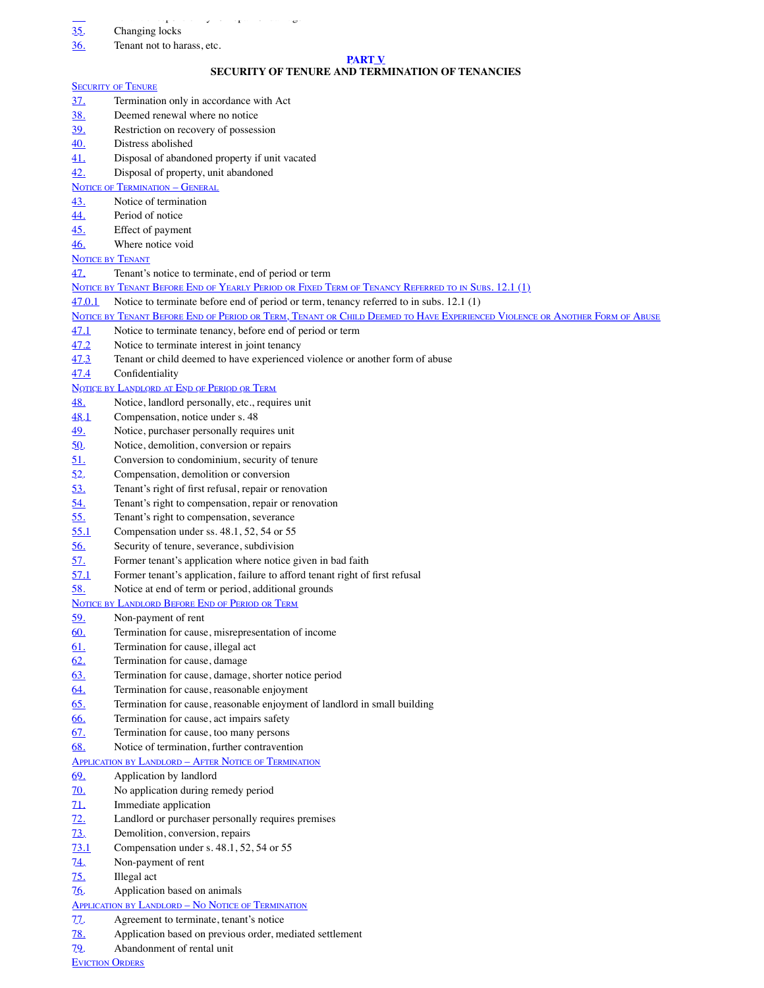- 34. Tenant's responsibility for repair of damage
- 35. Changing locks
- 36. Tenant not to harass, etc.

#### **PART V**

#### **SECURITY OF TENURE AND TERMINATION OF TENANCIES**

#### **SECURITY OF TENURE**

- 37. Termination only in accordance with Act
- $\frac{38.}{39.}$  Deemed renewal where no notice  $\frac{38.}{39.}$  Restriction on recovery of possess
- Restriction on recovery of possession
- 40. Distress abolished
- 41. Disposal of abandoned property if unit vacated
- 42. Disposal of property, unit abandoned

NOTICE OF TERMINATION – GENERAL

- 43. Notice of termination
- 44. Period of notice
- 45. Effect of payment
- 46. Where notice void

**NOTICE BY TENANT** 

- 47. Tenant's notice to terminate, end of period or term
- NOTICE BY TENANT BEFORE END OF YEARLY PERIOD OR FIXED TERM OF TENANCY REFERRED TO IN SUBS. 12.1 (1)
- 47.0.1 Notice to terminate before end of period or term, tenancy referred to in subs. 12.1 (1)
- NOTICE BY TENANT BEFORE END OF PERIOD OR TERM, TENANT OR CHILD DEEMED TO HAVE EXPERIENCED VIOLENCE OR ANOTHER FORM OF ABUSE
- 47.1 Notice to terminate tenancy, before end of period or term
- 47.2 Notice to terminate interest in joint tenancy
- 47.3 Tenant or child deemed to have experienced violence or another form of abuse
- 47.4 Confidentiality

#### NOTICE BY LANDLORD AT END OF PERIOD OR TERM

- 48. Notice, landlord personally, etc., requires unit
- 48.1 Compensation, notice under s. 48
- 49. Notice, purchaser personally requires unit
- 50. Notice, demolition, conversion or repairs
- 51. Conversion to condominium, security of tenure
- 52. Compensation, demolition or conversion
- 53. Tenant's right of first refusal, repair or renovation
- 54. Tenant's right to compensation, repair or renovation
- 55. Tenant's right to compensation, severance
- 55.1 Compensation under ss. 48.1, 52, 54 or 55
- 56. Security of tenure, severance, subdivision
- 57. Former tenant's application where notice given in bad faith
- 57.1 Former tenant's application, failure to afford tenant right of first refusal
- 58. Notice at end of term or period, additional grounds
- NOTICE BY LANDLORD BEFORE END OF PERIOD OR TERM
- 59. Non-payment of rent
- 60. Termination for cause, misrepresentation of income
- 61. Termination for cause, illegal act
- 62. Termination for cause, damage
- 63. Termination for cause, damage, shorter notice period
- 64. Termination for cause, reasonable enjoyment
- 65. Termination for cause, reasonable enjoyment of landlord in small building 66. Termination for cause, act impairs safety
- Termination for cause, act impairs safety
- 67. Termination for cause, too many persons
- 68. Notice of termination, further contravention

#### APPLICATION BY LANDLORD – AFTER NOTICE OF TERMINATION

- 69. Application by landlord
- 70. No application during remedy period
- 71. Immediate application
- 72. Landlord or purchaser personally requires premises
- 73. Demolition, conversion, repairs
- 73.1 Compensation under s. 48.1, 52, 54 or 55
- 74. Non-payment of rent
- 75. Illegal act
- 76. Application based on animals
- APPLICATION BY LANDLORD NO NOTICE OF TERMINATION
- 77. Agreement to terminate, tenant's notice
- 78. Application based on previous order, mediated settlement
- 79. Abandonment of rental unit
- EVICTION ORDERS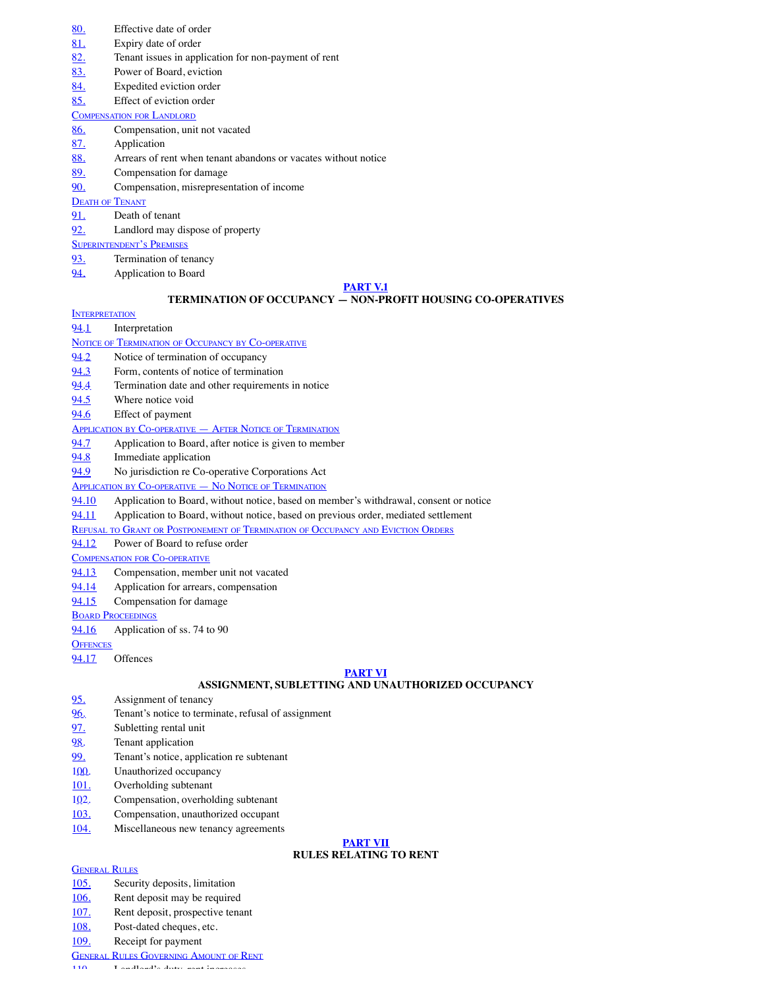- 80. Effective date of order
- 81. Expiry date of order
- 82. Tenant issues in application for non-payment of rent
- 83. Power of Board, eviction
- 84. Expedited eviction order
- 85. Effect of eviction order
- COMPENSATION FOR LANDLORD
- 86. Compensation, unit not vacated
- 87. Application
- 88. Arrears of rent when tenant abandons or vacates without notice
- 89. Compensation for damage
- 90. Compensation, misrepresentation of income
- DEATH OF TENANT
- 91. Death of tenant
- 92. Landlord may dispose of property
- SUPERINTENDENT'S PREMISES
- 93. Termination of tenancy
- 94. Application to Board

#### **PART V.1**

#### **TERMINATION OF OCCUPANCY — NON-PROFIT HOUSING CO-OPERATIVES**

**INTERPRETATION** 

94.1 Interpretation

#### NOTICE OF TERMINATION OF OCCUPANCY BY CO-OPERATIVE

- 94.2 Notice of termination of occupancy
- 94.3 Form, contents of notice of termination
- 94.4 Termination date and other requirements in notice
- 94.5 Where notice void
- 94.6 Effect of payment

#### APPLICATION BY CO-OPERATIVE — AFTER NOTICE OF TERMINATION

- 94.7 Application to Board, after notice is given to member
- 94.8 Immediate application
- 94.9 No jurisdiction re Co-operative Corporations Act
- APPLICATION BY CO-OPERATIVE NO NOTICE OF TERMINATION
- 94.10 Application to Board, without notice, based on member's withdrawal, consent or notice
- 94.11 Application to Board, without notice, based on previous order, mediated settlement
- REFUSAL TO GRANT OR POSTPONEMENT OF TERMINATION OF OCCUPANCY AND EVICTION ORDERS
- 94.12 Power of Board to refuse order

#### COMPENSATION FOR CO-OPERATIVE

- 94.13 Compensation, member unit not vacated
- 94.14 Application for arrears, compensation
- 94.15 Compensation for damage
- **BOARD PROCEEDINGS**

94.16 Application of ss. 74 to 90

**OFFENCES** 

94.17 Offences

#### **PART VI**

#### **ASSIGNMENT, SUBLETTING AND UNAUTHORIZED OCCUPANCY**

- 95. Assignment of tenancy
- 96. Tenant's notice to terminate, refusal of assignment
- 97. Subletting rental unit
- 98. Tenant application
- 99. Tenant's notice, application re subtenant
- 100. Unauthorized occupancy
- 101. Overholding subtenant
- 102. Compensation, overholding subtenant
- 103. Compensation, unauthorized occupant
- 104. Miscellaneous new tenancy agreements

#### **PART VII**

#### **RULES RELATING TO RENT**

#### **GENERAL RULES**

- 105. Security deposits, limitation
- 106. Rent deposit may be required
- 107. Rent deposit, prospective tenant
- 108. Post-dated cheques, etc.
- 109. Receipt for payment

#### GENERAL RULES GOVERNING AMOUNT OF RENT

 $110$ . Landlord's duty, rent increases seems in contract in contract in  $\Gamma$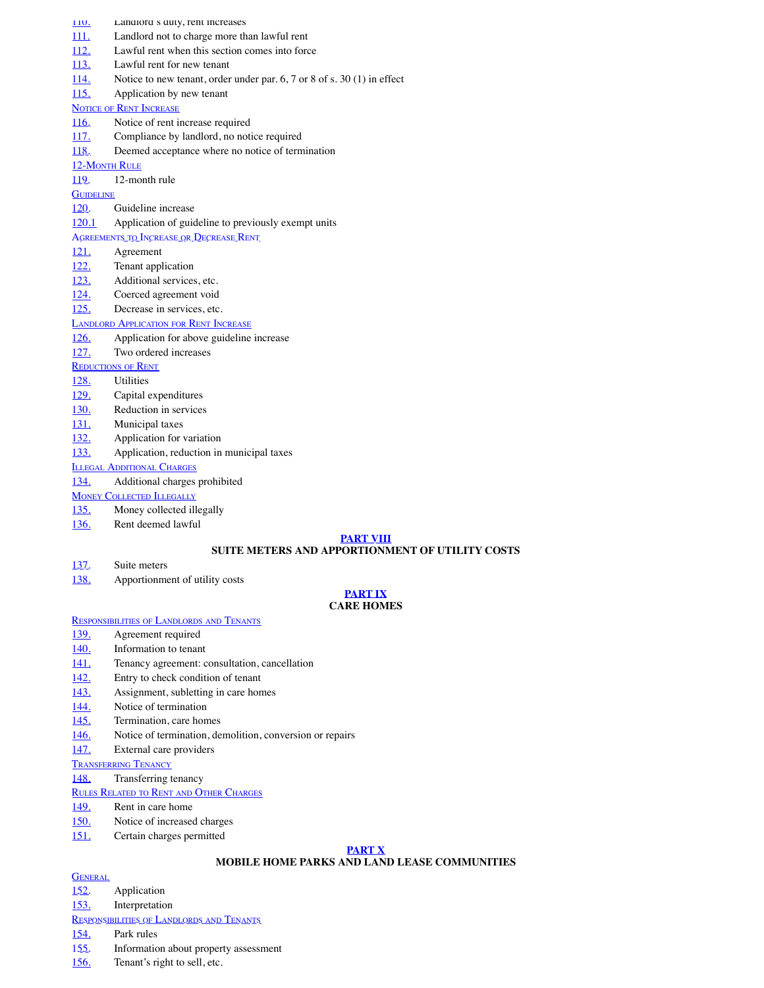| 110.                                          | Landlord s duty, rent increases                                               |
|-----------------------------------------------|-------------------------------------------------------------------------------|
| 111.                                          | Landlord not to charge more than lawful rent                                  |
| <u>112.</u>                                   | Lawful rent when this section comes into force                                |
| 113.                                          | Lawful rent for new tenant                                                    |
| 114.                                          | Notice to new tenant, order under par. $6, 7$ or $8$ of s. $30$ (1) in effect |
| 115.                                          | Application by new tenant                                                     |
| <b>NOTICE OF RENT INCREASE</b>                |                                                                               |
| 116.                                          | Notice of rent increase required                                              |
| <u>117.</u>                                   | Compliance by landlord, no notice required                                    |
| 118.                                          | Deemed acceptance where no notice of termination                              |
| <b>12-MONTH RULE</b>                          |                                                                               |
| 119.                                          | 12-month rule                                                                 |
| <b>GUIDELINE</b>                              |                                                                               |
| 120.                                          | Guideline increase                                                            |
| <u>120.1</u>                                  | Application of guideline to previously exempt units                           |
| AGREEMENTS TO INCREASE OR DECREASE RENT       |                                                                               |
| 121.                                          | Agreement                                                                     |
| 122.                                          | Tenant application                                                            |
| 123.                                          | Additional services, etc.                                                     |
| 124.                                          | Coerced agreement void                                                        |
| 125.                                          | Decrease in services, etc.                                                    |
| <b>LANDLORD APPLICATION FOR RENT INCREASE</b> |                                                                               |
| 126.                                          | Application for above guideline increase                                      |
| 127.                                          | Two ordered increases                                                         |
| <b>REDUCTIONS OF RENT</b>                     |                                                                               |
| 128.                                          | <b>Utilities</b>                                                              |
| 129.                                          | Capital expenditures                                                          |
| <u>130.</u>                                   | Reduction in services                                                         |
| 131.                                          | Municipal taxes                                                               |
| <u>132.</u>                                   | Application for variation                                                     |
| 133.                                          | Application, reduction in municipal taxes                                     |
| <b>ILLEGAL ADDITIONAL CHARGES</b>             |                                                                               |
| 134.                                          | Additional charges prohibited                                                 |
| <b>MONEY COLLECTED ILLEGALLY</b>              |                                                                               |
| 135.                                          | Money collected illegally                                                     |
| 136.                                          | Rent deemed lawful                                                            |

#### **PART VIII**

#### **SUITE METERS AND APPORTIONMENT OF UTILITY COSTS**

137. Suite meters

138. Apportionment of utility costs

#### **PART IX CARE HOMES**

#### RESPONSIBILITIES OF LANDLORDS AND TENANTS

- 139. Agreement required
- 140. Information to tenant
- 141. Tenancy agreement: consultation, cancellation
- 142. Entry to check condition of tenant
- 143. Assignment, subletting in care homes
- 
- 144. Notice of termination<br>145. Termination, care hon Termination, care homes
- 146. Notice of termination, demolition, conversion or repairs
- 147. External care providers
- TRANSFERRING TENANCY

148. Transferring tenancy

#### RULES RELATED TO RENT AND OTHER CHARGES

- 149. Rent in care home
- 150. Notice of increased charges
- 151. Certain charges permitted

#### **PART X**

#### **MOBILE HOME PARKS AND LAND LEASE COMMUNITIES**

#### **GENERAL**

152. Application

153. Interpretation

RESPONSIBILITIES OF LANDLORDS AND TENANTS<br>154. Park rules

Park rules

- 155. Information about property assessment<br>156. Tenant's right to sell, etc.
- Tenant's right to sell, etc.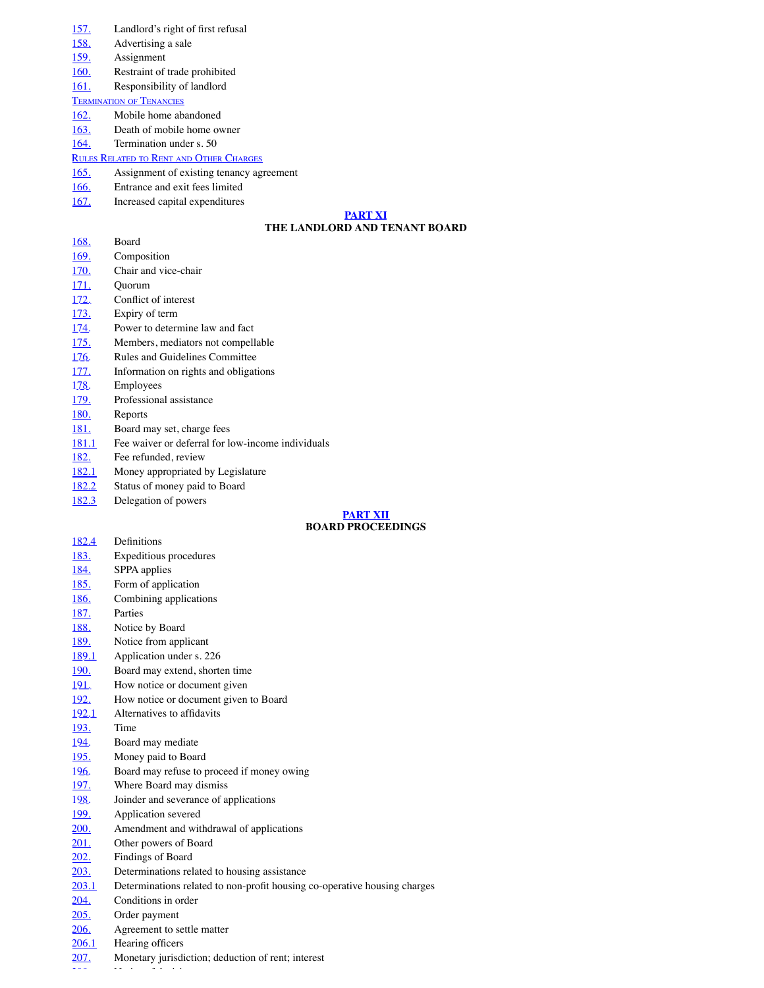157. Landlord's right of first refusal

- 158. Advertising a sale
- 159. Assignment
- 160. Restraint of trade prohibited
- 161. Responsibility of landlord

**TERMINATION OF TENANCIES** 

- 162. Mobile home abandoned
- 163. Death of mobile home owner
- 164. Termination under s. 50
- RULES RELATED TO RENT AND OTHER CHARGES
- 165. Assignment of existing tenancy agreement
- 166. Entrance and exit fees limited
- 167. Increased capital expenditures

#### **PART XI**

#### **THE LANDLORD AND TENANT BOARD**

- 168. Board
- 169. Composition
- 170. Chair and vice-chair
- 171. Quorum
- 172. Conflict of interest
- 173. Expiry of term
- 174. Power to determine law and fact
- 175. Members, mediators not compellable
- 176. Rules and Guidelines Committee
- 177. Information on rights and obligations
- 178. Employees
- 179. Professional assistance
- 180. Reports
- 181. Board may set, charge fees
- 181.1 Fee waiver or deferral for low-income individuals
- 182. Fee refunded, review
- 
- $\frac{182.1}{182.2}$  Money appropriated by Legislature<br>182.2 Status of money paid to Board Status of money paid to Board
- 182.3 Delegation of powers

#### **PART XII BOARD PROCEEDINGS**

- 182.4 Definitions
- 183. Expeditious procedures
- 184. SPPA applies
- 185. Form of application
- 186. Combining applications
- 187. Parties
- 188. Notice by Board
- 189. Notice from applicant
- 189.1 Application under s. 226
- 190. Board may extend, shorten time
- 191. How notice or document given
- 192. How notice or document given to Board
- 192.1 Alternatives to affidavits
- 193. Time
- 194. Board may mediate
- 195. Money paid to Board
- 196. Board may refuse to proceed if money owing
- 197. Where Board may dismiss
- 198. Joinder and severance of applications
- 199. Application severed
- 200. Amendment and withdrawal of applications
- 201. Other powers of Board
- $\frac{202}{203}$  Findings of Board<br>Determinations rel
- Determinations related to housing assistance
- 203.1 Determinations related to non-profit housing co-operative housing charges
- 204. Conditions in order
- 205. Order payment
- 206. Agreement to settle matter
- 206.1 Hearing officers

208. Notice of decision

207. Monetary jurisdiction; deduction of rent; interest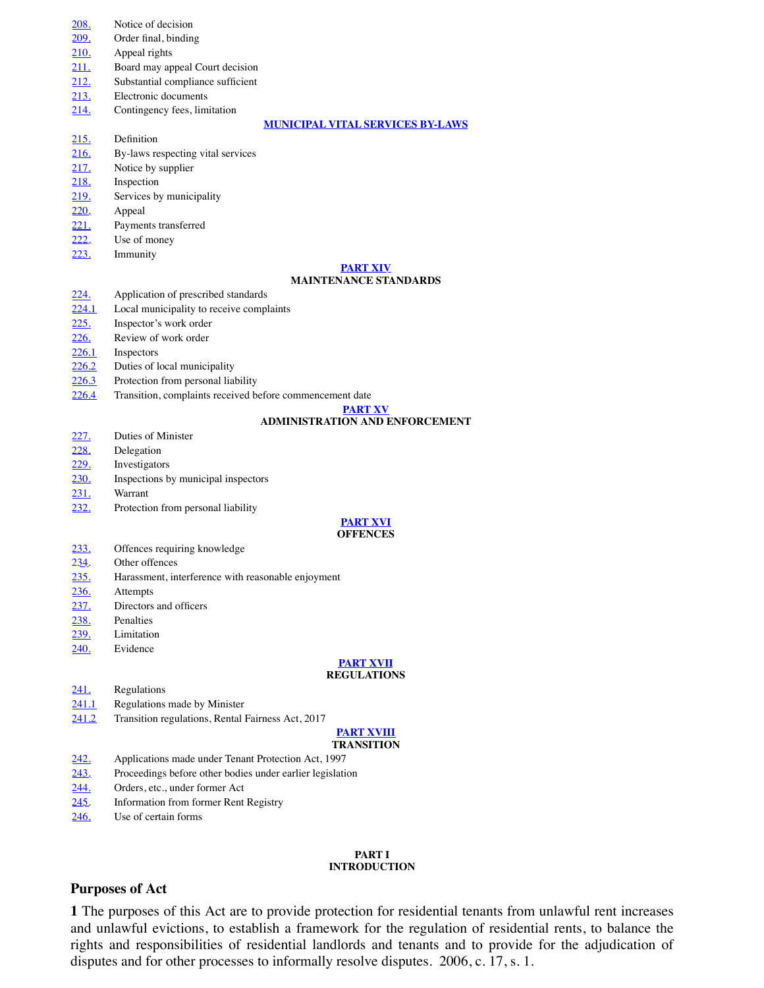- 208. Notice of decision
- 209. Order final, binding
- 210. Appeal rights
- 211. Board may appeal Court decision
- 212. Substantial compliance sufficient
- 213. Electronic documents
- 214. Contingency fees, limitation

#### **MUNICIPAL VITAL SERVICES BY-LAWS**

- 215. Definition
- 216. By-laws respecting vital services
- 217. Notice by supplier
- 218. Inspection
- 219. Services by municipality
- 220. Appeal
- 221. Payments transferred
- 222. Use of money
- 223. Immunity

#### **PART XIV**

#### **MAINTENANCE STANDARDS**

- $\frac{224}{224.1}$  Application of prescribed standards<br> $\frac{224.1}{224.1}$  Local municipality to receive comp
- Local municipality to receive complaints
- 225. Inspector's work order
- 226. Review of work order
- 226.1 Inspectors
- 226.2 Duties of local municipality
- 226.3 Protection from personal liability
- 226.4 Transition, complaints received before commencement date

#### **PART XV**

#### **ADMINISTRATION AND ENFORCEMENT**

- 227. Duties of Minister
- 228. Delegation
- 229. Investigators
- 230. Inspections by municipal inspectors
- 231. Warrant
- 232. Protection from personal liability

#### **PART XVI OFFENCES**

- 233. Offences requiring knowledge
- 234. Other offences
- 235. Harassment, interference with reasonable enjoyment
- 236. Attempts
- 237. Directors and officers
- 238. Penalties
- 239. Limitation
- 240. Evidence

# **PART XVII**

#### **REGULATIONS**

- 241. Regulations 241.1 Regulations made by Minister
- 
- 241.2 Transition regulations, Rental Fairness Act, 2017

# **PART XVIII**

# **TRANSITION**

- 242. Applications made under Tenant Protection Act, 1997
- 243. Proceedings before other bodies under earlier legislation
- 244. Orders, etc., under former Act
- 245. Information from former Rent Registry
- 246. Use of certain forms

#### **PART I INTRODUCTION**

#### **Purposes of Act**

**1** The purposes of this Act are to provide protection for residential tenants from unlawful rent increases and unlawful evictions, to establish a framework for the regulation of residential rents, to balance the rights and responsibilities of residential landlords and tenants and to provide for the adjudication of disputes and for other processes to informally resolve disputes. 2006, c. 17, s. 1.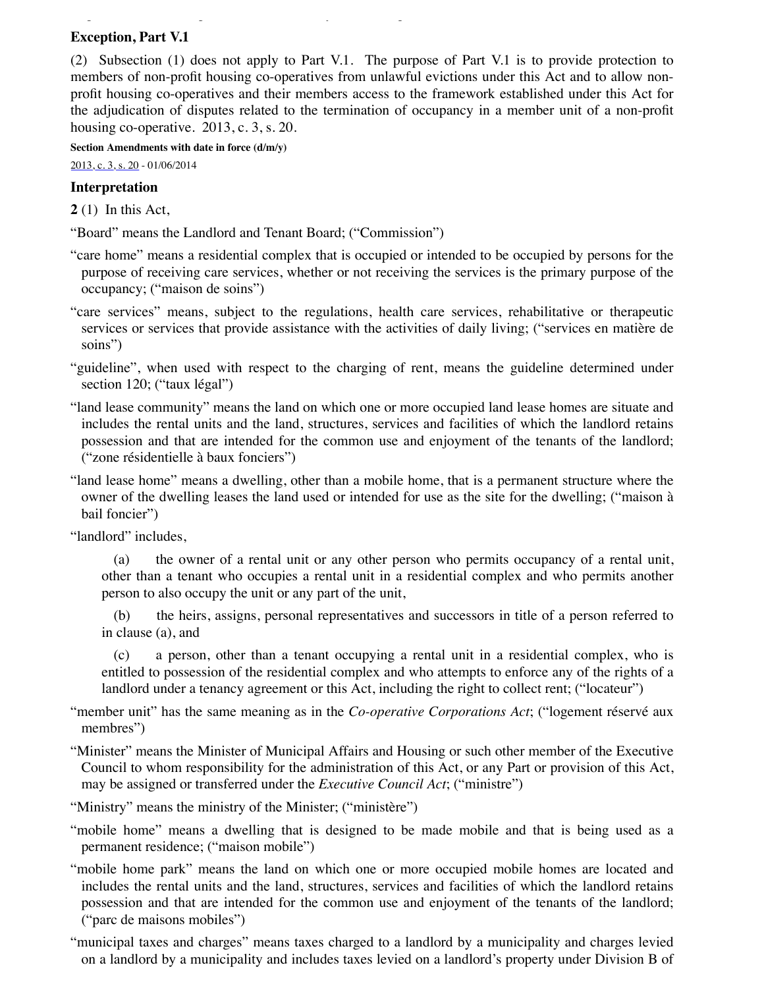# **Exception, Part V.1**

(2) Subsection (1) does not apply to Part V.1. The purpose of Part V.1 is to provide protection to members of non-profit housing co-operatives from unlawful evictions under this Act and to allow nonprofit housing co-operatives and their members access to the framework established under this Act for the adjudication of disputes related to the termination of occupancy in a member unit of a non-profit housing co-operative. 2013, c. 3, s. 20.

disputes and for other processes to informally resolve disputes. 2006, c. 17, s. 1.

**Section Amendments with date in force (d/m/y)**

2013, c. 3, s. 20 - 01/06/2014

### **Interpretation**

**2** (1) In this Act,

"Board" means the Landlord and Tenant Board; ("Commission")

- "care home" means a residential complex that is occupied or intended to be occupied by persons for the purpose of receiving care services, whether or not receiving the services is the primary purpose of the occupancy; ("maison de soins")
- "care services" means, subject to the regulations, health care services, rehabilitative or therapeutic services or services that provide assistance with the activities of daily living; ("services en matière de soins")
- "guideline", when used with respect to the charging of rent, means the guideline determined under section 120; ("taux légal")
- "land lease community" means the land on which one or more occupied land lease homes are situate and includes the rental units and the land, structures, services and facilities of which the landlord retains possession and that are intended for the common use and enjoyment of the tenants of the landlord; ("zone résidentielle à baux fonciers")
- "land lease home" means a dwelling, other than a mobile home, that is a permanent structure where the owner of the dwelling leases the land used or intended for use as the site for the dwelling; ("maison à bail foncier")

"landlord" includes,

- (a) the owner of a rental unit or any other person who permits occupancy of a rental unit, other than a tenant who occupies a rental unit in a residential complex and who permits another person to also occupy the unit or any part of the unit,
- (b) the heirs, assigns, personal representatives and successors in title of a person referred to in clause (a), and
- (c) a person, other than a tenant occupying a rental unit in a residential complex, who is entitled to possession of the residential complex and who attempts to enforce any of the rights of a landlord under a tenancy agreement or this Act, including the right to collect rent; ("locateur")
- "member unit" has the same meaning as in the *Co-operative Corporations Act*; ("logement réservé aux membres")
- "Minister" means the Minister of Municipal Affairs and Housing or such other member of the Executive Council to whom responsibility for the administration of this Act, or any Part or provision of this Act, may be assigned or transferred under the *Executive Council Act*; ("ministre")
- "Ministry" means the ministry of the Minister; ("ministère")
- "mobile home" means a dwelling that is designed to be made mobile and that is being used as a permanent residence; ("maison mobile")
- "mobile home park" means the land on which one or more occupied mobile homes are located and includes the rental units and the land, structures, services and facilities of which the landlord retains possession and that are intended for the common use and enjoyment of the tenants of the landlord; ("parc de maisons mobiles")
- "municipal taxes and charges" means taxes charged to a landlord by a municipality and charges levied on a landlord by a municipality and includes taxes levied on a landlord's property under Division B of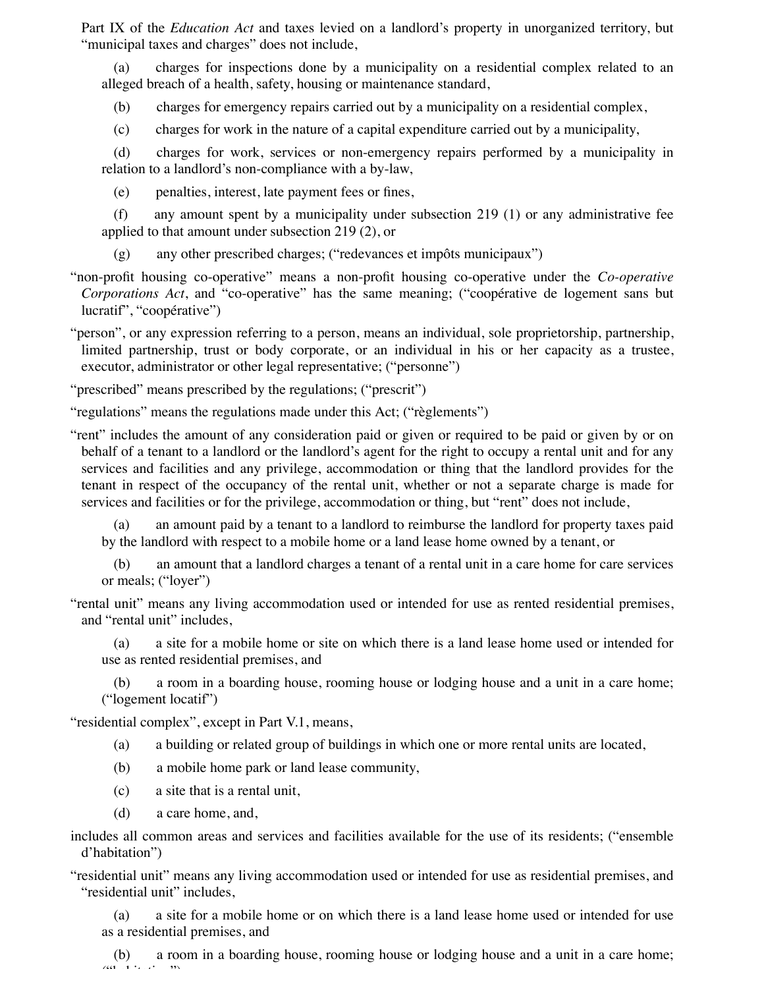Part IX of the *Education Act* and taxes levied on a landlord's property in unorganized territory, but "municipal taxes and charges" does not include,

(a) charges for inspections done by a municipality on a residential complex related to an alleged breach of a health, safety, housing or maintenance standard,

(b) charges for emergency repairs carried out by a municipality on a residential complex,

(c) charges for work in the nature of a capital expenditure carried out by a municipality,

(d) charges for work, services or non-emergency repairs performed by a municipality in relation to a landlord's non-compliance with a by-law,

(e) penalties, interest, late payment fees or fines,

(f) any amount spent by a municipality under subsection 219 (1) or any administrative fee applied to that amount under subsection 219 (2), or

(g) any other prescribed charges; ("redevances et impôts municipaux")

"non-profit housing co-operative" means a non-profit housing co-operative under the *Co-operative Corporations Act*, and "co-operative" has the same meaning; ("coopérative de logement sans but lucratif", "coopérative")

"person", or any expression referring to a person, means an individual, sole proprietorship, partnership, limited partnership, trust or body corporate, or an individual in his or her capacity as a trustee, executor, administrator or other legal representative; ("personne")

"prescribed" means prescribed by the regulations; ("prescrit")

"regulations" means the regulations made under this Act; ("règlements")

"rent" includes the amount of any consideration paid or given or required to be paid or given by or on behalf of a tenant to a landlord or the landlord's agent for the right to occupy a rental unit and for any services and facilities and any privilege, accommodation or thing that the landlord provides for the tenant in respect of the occupancy of the rental unit, whether or not a separate charge is made for services and facilities or for the privilege, accommodation or thing, but "rent" does not include,

(a) an amount paid by a tenant to a landlord to reimburse the landlord for property taxes paid by the landlord with respect to a mobile home or a land lease home owned by a tenant, or

(b) an amount that a landlord charges a tenant of a rental unit in a care home for care services or meals; ("loyer")

"rental unit" means any living accommodation used or intended for use as rented residential premises, and "rental unit" includes,

(a) a site for a mobile home or site on which there is a land lease home used or intended for use as rented residential premises, and

(b) a room in a boarding house, rooming house or lodging house and a unit in a care home; ("logement locatif")

"residential complex", except in Part V.1, means,

(a) a building or related group of buildings in which one or more rental units are located,

(b) a mobile home park or land lease community,

- (c) a site that is a rental unit,
- (d) a care home, and,

includes all common areas and services and facilities available for the use of its residents; ("ensemble d'habitation")

"residential unit" means any living accommodation used or intended for use as residential premises, and "residential unit" includes,

(a) a site for a mobile home or on which there is a land lease home used or intended for use as a residential premises, and

(b) a room in a boarding house, rooming house or lodging house and a unit in a care home;  $\left( \frac{1}{n} \right)$  ( $\left( \frac{1}{n} \right)$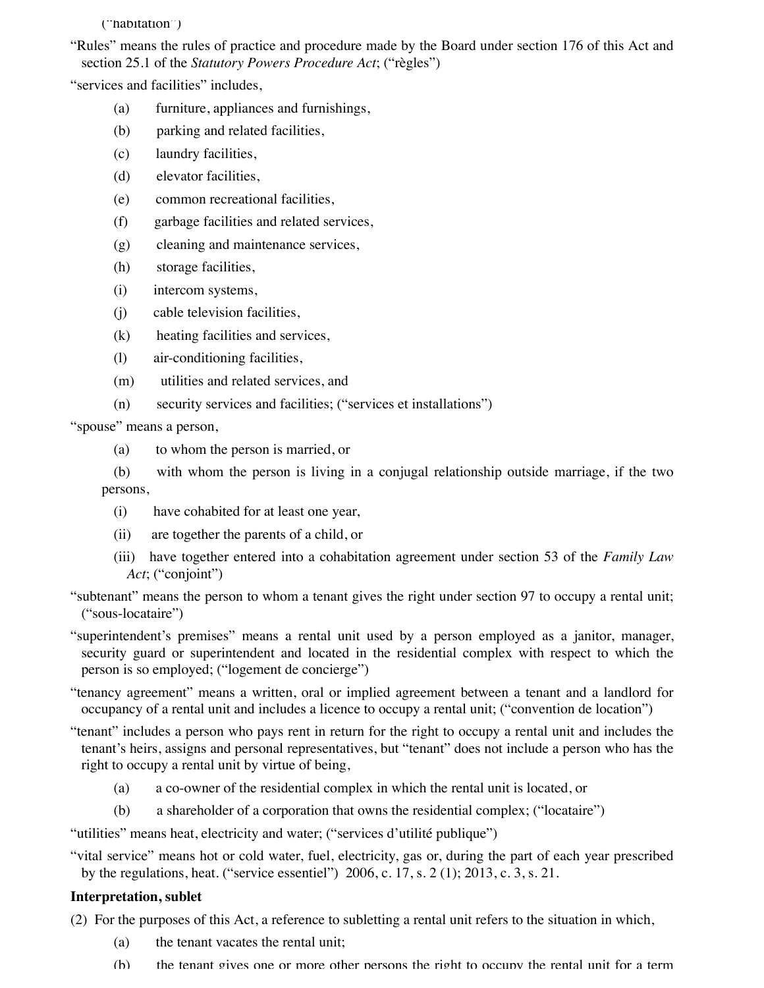("habitation")

"Rules" means the rules of practice and procedure made by the Board under section 176 of this Act and section 25.1 of the *Statutory Powers Procedure Act*; ("règles")

"services and facilities" includes,

- (a) furniture, appliances and furnishings,
- (b) parking and related facilities,
- (c) laundry facilities,
- (d) elevator facilities,
- (e) common recreational facilities,
- (f) garbage facilities and related services,
- (g) cleaning and maintenance services,
- (h) storage facilities,
- (i) intercom systems,
- (j) cable television facilities,
- (k) heating facilities and services,
- (l) air-conditioning facilities,
- (m) utilities and related services, and
- (n) security services and facilities; ("services et installations")

"spouse" means a person,

- (a) to whom the person is married, or
- (b) with whom the person is living in a conjugal relationship outside marriage, if the two persons,
	- (i) have cohabited for at least one year,
	- (ii) are together the parents of a child, or
	- (iii) have together entered into a cohabitation agreement under section 53 of the *Family Law Act*; ("conjoint")
- "subtenant" means the person to whom a tenant gives the right under section 97 to occupy a rental unit; ("sous-locataire")
- "superintendent's premises" means a rental unit used by a person employed as a janitor, manager, security guard or superintendent and located in the residential complex with respect to which the person is so employed; ("logement de concierge")
- "tenancy agreement" means a written, oral or implied agreement between a tenant and a landlord for occupancy of a rental unit and includes a licence to occupy a rental unit; ("convention de location")
- "tenant" includes a person who pays rent in return for the right to occupy a rental unit and includes the tenant's heirs, assigns and personal representatives, but "tenant" does not include a person who has the right to occupy a rental unit by virtue of being,
	- (a) a co-owner of the residential complex in which the rental unit is located, or
	- (b) a shareholder of a corporation that owns the residential complex; ("locataire")

"utilities" means heat, electricity and water; ("services d'utilité publique")

"vital service" means hot or cold water, fuel, electricity, gas or, during the part of each year prescribed by the regulations, heat. ("service essentiel")  $2006$ , c.  $17$ , s.  $2(1)$ ;  $2013$ , c.  $3$ , s.  $21$ .

### **Interpretation, sublet**

(2) For the purposes of this Act, a reference to subletting a rental unit refers to the situation in which,

- (a) the tenant vacates the rental unit;
- (b) the tenant gives one or more other persons the right to occupy the rental unit for a term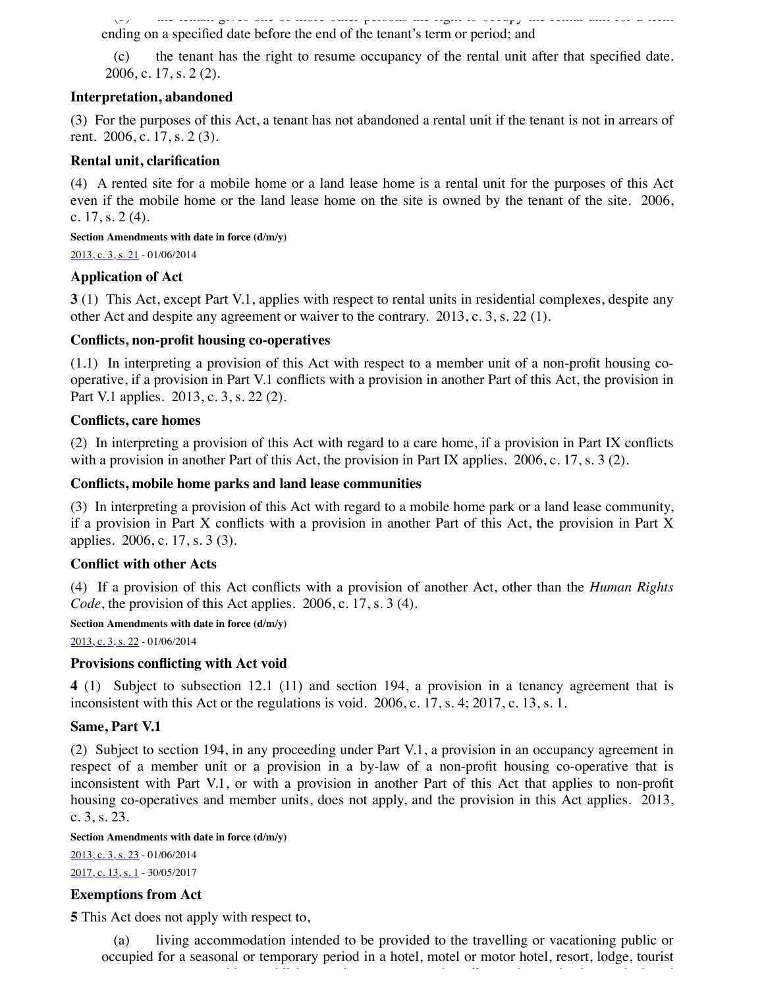(b) the tenant gives one or more other persons the right to occupy the rental unit for a term ending on a specified date before the end of the tenant's term or period; and

(c) the tenant has the right to resume occupancy of the rental unit after that specified date. 2006, c. 17, s. 2 (2).

### **Interpretation, abandoned**

(3) For the purposes of this Act, a tenant has not abandoned a rental unit if the tenant is not in arrears of rent. 2006, c. 17, s. 2 (3).

### **Rental unit, clarification**

(4) A rented site for a mobile home or a land lease home is a rental unit for the purposes of this Act even if the mobile home or the land lease home on the site is owned by the tenant of the site. 2006, c. 17, s. 2 (4).

**Section Amendments with date in force (d/m/y)**

2013, c. 3, s. 21 - 01/06/2014

### **Application of Act**

**3** (1) This Act, except Part V.1, applies with respect to rental units in residential complexes, despite any other Act and despite any agreement or waiver to the contrary. 2013, c. 3, s. 22 (1).

### **Conflicts, non-profit housing co-operatives**

(1.1) In interpreting a provision of this Act with respect to a member unit of a non-profit housing cooperative, if a provision in Part V.1 conflicts with a provision in another Part of this Act, the provision in Part V.1 applies. 2013, c. 3, s. 22 (2).

### **Conflicts, care homes**

(2) In interpreting a provision of this Act with regard to a care home, if a provision in Part IX conflicts with a provision in another Part of this Act, the provision in Part IX applies.  $2006$ , c. 17, s. 3 (2).

### **Conflicts, mobile home parks and land lease communities**

(3) In interpreting a provision of this Act with regard to a mobile home park or a land lease community, if a provision in Part X conflicts with a provision in another Part of this Act, the provision in Part X applies. 2006, c. 17, s. 3 (3).

### **Conflict with other Acts**

(4) If a provision of this Act conflicts with a provision of another Act, other than the *Human Rights Code*, the provision of this Act applies. 2006, c. 17, s. 3 (4).

**Section Amendments with date in force (d/m/y)**

2013, c. 3, s. 22 - 01/06/2014

### **Provisions conflicting with Act void**

**4** (1) Subject to subsection 12.1 (11) and section 194, a provision in a tenancy agreement that is inconsistent with this Act or the regulations is void. 2006, c. 17, s. 4; 2017, c. 13, s. 1.

### **Same, Part V.1**

(2) Subject to section 194, in any proceeding under Part V.1, a provision in an occupancy agreement in respect of a member unit or a provision in a by-law of a non-profit housing co-operative that is inconsistent with Part V.1, or with a provision in another Part of this Act that applies to non-profit housing co-operatives and member units, does not apply, and the provision in this Act applies. 2013, c. 3, s. 23.

**Section Amendments with date in force (d/m/y)**

```
2013, c. 3, s. 23 - 01/06/2014
2017, c. 13, s. 1 - 30/05/2017
```
### **Exemptions from Act**

**5** This Act does not apply with respect to,

(a) living accommodation intended to be provided to the travelling or vacationing public or occupied for a seasonal or temporary period in a hotel, motel or motor hotel, resort, lodge, tourist

camp, cottage or cabin establishment, inn, campground, trailer park, tourist home, bed and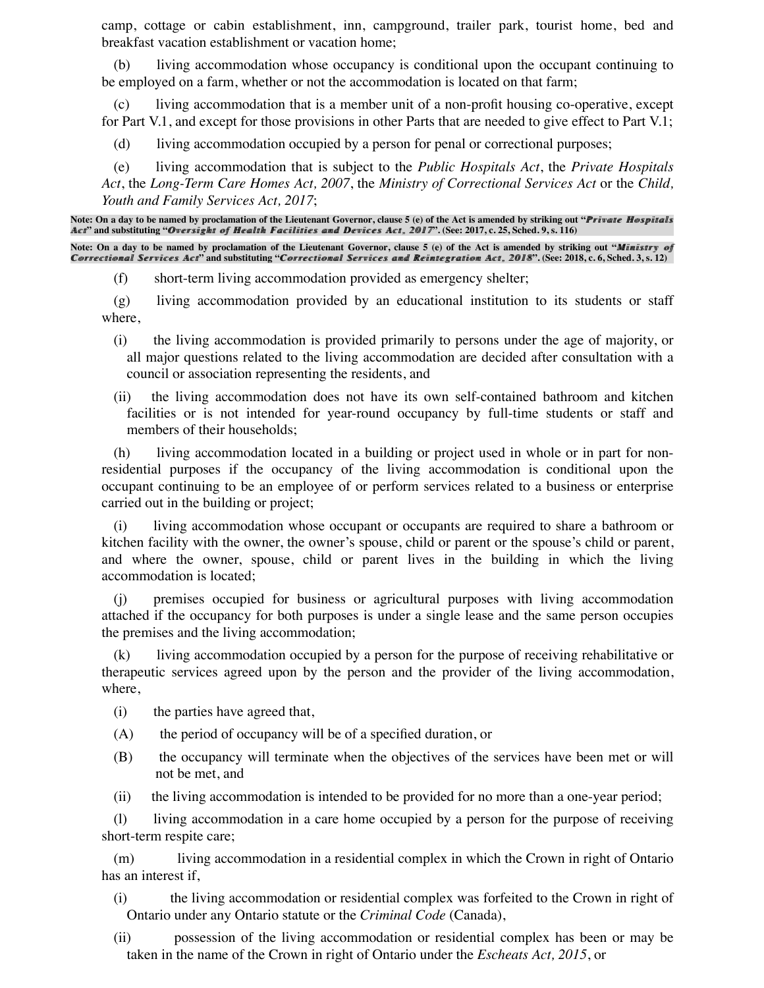camp, cottage or cabin establishment, inn, campground, trailer park, tourist home, bed and breakfast vacation establishment or vacation home;

(b) living accommodation whose occupancy is conditional upon the occupant continuing to be employed on a farm, whether or not the accommodation is located on that farm;

(c) living accommodation that is a member unit of a non-profit housing co-operative, except for Part V.1, and except for those provisions in other Parts that are needed to give effect to Part V.1;

(d) living accommodation occupied by a person for penal or correctional purposes;

(e) living accommodation that is subject to the *Public Hospitals Act*, the *Private Hospitals Act*, the *Long-Term Care Homes Act, 2007*, the *Ministry of Correctional Services Act* or the *Child, Youth and Family Services Act, 2017*;

**Note: On a day to be named by proclamation of the Lieutenant Governor, clause 5 (e) of the Act is amended by striking out "***Private Hospitals Private Hospitals* Act<sup>*r*</sup> and substituting "*Oversight of Health Facilities and Devices Act, 2017*". (See: 2017, c. 25, Sched. 9, s. 116)

Note: On a day to be named by proclamation of the Lieutenant Governor, clause 5 (e) of the Act is amended by striking out "*Ministry of* Correctional Services Act" and substituting "Correctional Services and Reintegration Act, 2018". (See: 2018, c. 6, Sched. 3, s. 12)

(f) short-term living accommodation provided as emergency shelter;

(g) living accommodation provided by an educational institution to its students or staff where,

- (i) the living accommodation is provided primarily to persons under the age of majority, or all major questions related to the living accommodation are decided after consultation with a council or association representing the residents, and
- (ii) the living accommodation does not have its own self-contained bathroom and kitchen facilities or is not intended for year-round occupancy by full-time students or staff and members of their households;

(h) living accommodation located in a building or project used in whole or in part for nonresidential purposes if the occupancy of the living accommodation is conditional upon the occupant continuing to be an employee of or perform services related to a business or enterprise carried out in the building or project;

(i) living accommodation whose occupant or occupants are required to share a bathroom or kitchen facility with the owner, the owner's spouse, child or parent or the spouse's child or parent, and where the owner, spouse, child or parent lives in the building in which the living accommodation is located;

(j) premises occupied for business or agricultural purposes with living accommodation attached if the occupancy for both purposes is under a single lease and the same person occupies the premises and the living accommodation;

living accommodation occupied by a person for the purpose of receiving rehabilitative or therapeutic services agreed upon by the person and the provider of the living accommodation, where,

(i) the parties have agreed that,

- (A) the period of occupancy will be of a specified duration, or
- (B) the occupancy will terminate when the objectives of the services have been met or will not be met, and
- (ii) the living accommodation is intended to be provided for no more than a one-year period;

(l) living accommodation in a care home occupied by a person for the purpose of receiving short-term respite care;

(m) living accommodation in a residential complex in which the Crown in right of Ontario has an interest if,

(i) the living accommodation or residential complex was forfeited to the Crown in right of Ontario under any Ontario statute or the *Criminal Code* (Canada),

(ii) possession of the living accommodation or residential complex has been or may be taken in the name of the Crown in right of Ontario under the *Escheats Act, 2015*, or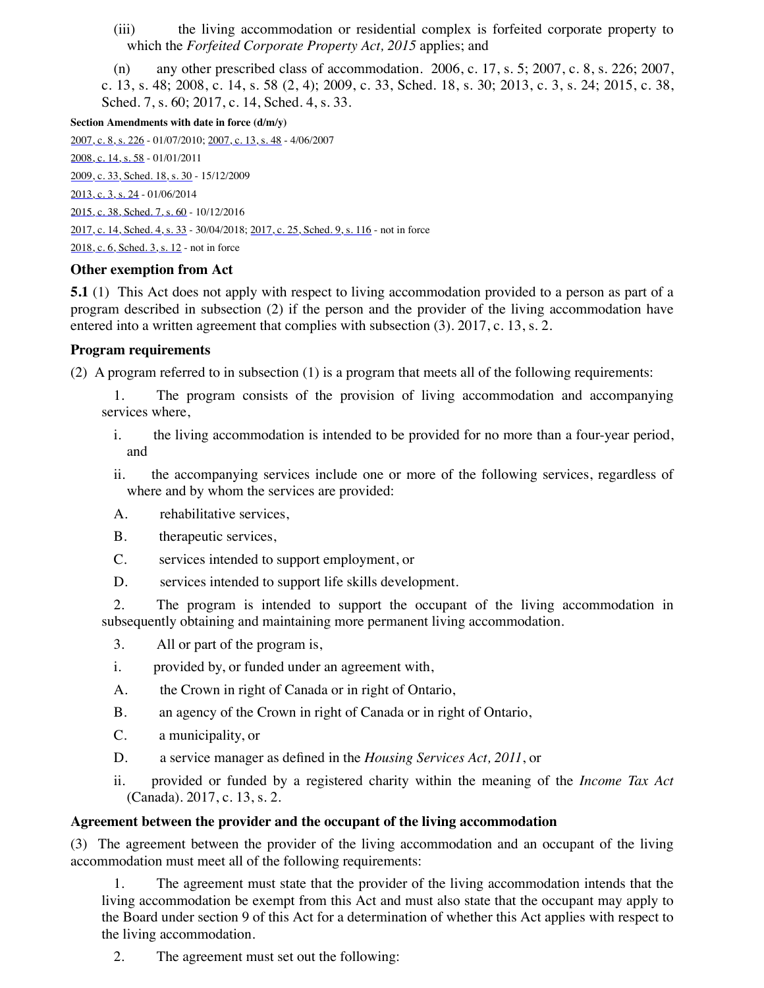(iii) the living accommodation or residential complex is forfeited corporate property to which the *Forfeited Corporate Property Act, 2015* applies; and

(n) any other prescribed class of accommodation. 2006, c. 17, s. 5; 2007, c. 8, s. 226; 2007, c. 13, s. 48; 2008, c. 14, s. 58 (2, 4); 2009, c. 33, Sched. 18, s. 30; 2013, c. 3, s. 24; 2015, c. 38, Sched. 7, s. 60; 2017, c. 14, Sched. 4, s. 33.

**Section Amendments with date in force (d/m/y)**

2007, c. 8, s. 226 - 01/07/2010; 2007, c. 13, s. 48 - 4/06/2007 2008, c. 14, s. 58 - 01/01/2011 2009, c. 33, Sched. 18, s. 30 - 15/12/2009 2013, c. 3, s. 24 - 01/06/2014 2015, c. 38, Sched. 7, s. 60 - 10/12/2016 2017, c. 14, Sched. 4, s. 33 - 30/04/2018; 2017, c. 25, Sched. 9, s. 116 - not in force 2018, c. 6, Sched. 3, s. 12 - not in force

### **Other exemption from Act**

**5.1** (1) This Act does not apply with respect to living accommodation provided to a person as part of a program described in subsection (2) if the person and the provider of the living accommodation have entered into a written agreement that complies with subsection (3). 2017, c. 13, s. 2.

# **Program requirements**

(2) A program referred to in subsection (1) is a program that meets all of the following requirements:

1. The program consists of the provision of living accommodation and accompanying services where,

- i. the living accommodation is intended to be provided for no more than a four-year period, and
- ii. the accompanying services include one or more of the following services, regardless of where and by whom the services are provided:
- A. rehabilitative services,
- B. therapeutic services,
- C. services intended to support employment, or
- D. services intended to support life skills development.

2. The program is intended to support the occupant of the living accommodation in subsequently obtaining and maintaining more permanent living accommodation.

- 3. All or part of the program is,
- i. provided by, or funded under an agreement with,
- A. the Crown in right of Canada or in right of Ontario,
- B. an agency of the Crown in right of Canada or in right of Ontario,
- C. a municipality, or
- D. a service manager as defined in the *Housing Services Act, 2011*, or
- ii. provided or funded by a registered charity within the meaning of the *Income Tax Act* (Canada). 2017, c. 13, s. 2.

### **Agreement between the provider and the occupant of the living accommodation**

(3) The agreement between the provider of the living accommodation and an occupant of the living accommodation must meet all of the following requirements:

1. The agreement must state that the provider of the living accommodation intends that the living accommodation be exempt from this Act and must also state that the occupant may apply to the Board under section 9 of this Act for a determination of whether this Act applies with respect to the living accommodation.

2. The agreement must set out the following: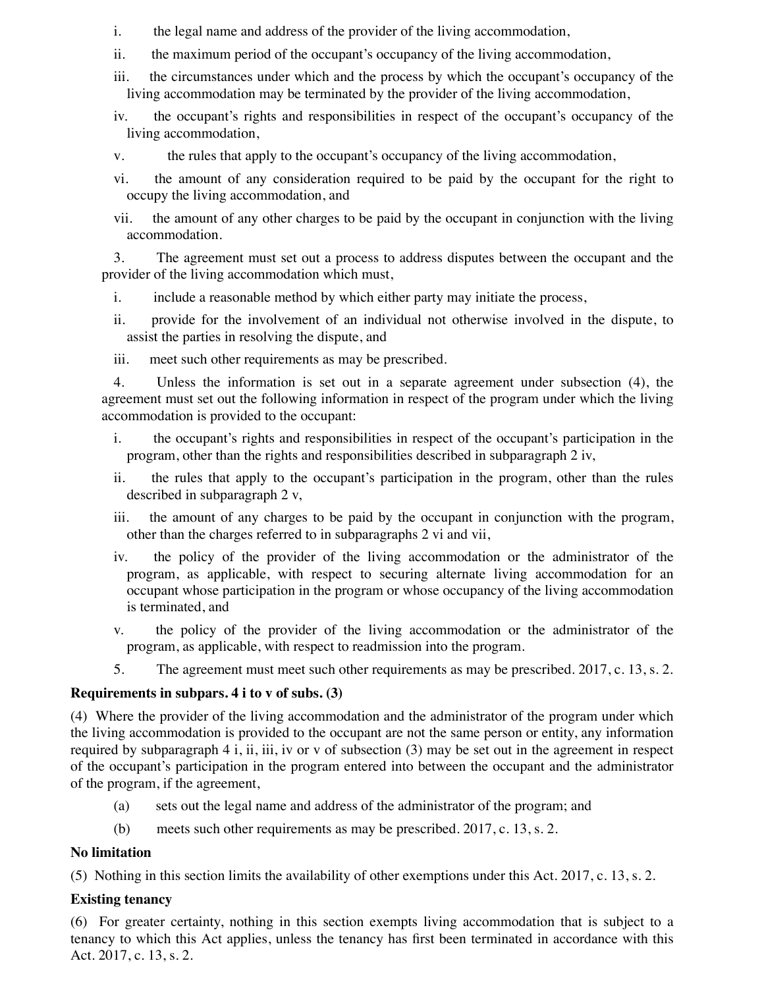- i. the legal name and address of the provider of the living accommodation,
- ii. the maximum period of the occupant's occupancy of the living accommodation,
- iii. the circumstances under which and the process by which the occupant's occupancy of the living accommodation may be terminated by the provider of the living accommodation,
- iv. the occupant's rights and responsibilities in respect of the occupant's occupancy of the living accommodation,
- v. the rules that apply to the occupant's occupancy of the living accommodation,
- vi. the amount of any consideration required to be paid by the occupant for the right to occupy the living accommodation, and
- vii. the amount of any other charges to be paid by the occupant in conjunction with the living accommodation.

3. The agreement must set out a process to address disputes between the occupant and the provider of the living accommodation which must,

- i. include a reasonable method by which either party may initiate the process,
- ii. provide for the involvement of an individual not otherwise involved in the dispute, to assist the parties in resolving the dispute, and
- iii. meet such other requirements as may be prescribed.

4. Unless the information is set out in a separate agreement under subsection (4), the agreement must set out the following information in respect of the program under which the living accommodation is provided to the occupant:

- i. the occupant's rights and responsibilities in respect of the occupant's participation in the program, other than the rights and responsibilities described in subparagraph 2 iv,
- ii. the rules that apply to the occupant's participation in the program, other than the rules described in subparagraph 2 v,
- iii. the amount of any charges to be paid by the occupant in conjunction with the program, other than the charges referred to in subparagraphs 2 vi and vii,
- iv. the policy of the provider of the living accommodation or the administrator of the program, as applicable, with respect to securing alternate living accommodation for an occupant whose participation in the program or whose occupancy of the living accommodation is terminated, and
- v. the policy of the provider of the living accommodation or the administrator of the program, as applicable, with respect to readmission into the program.
- 5. The agreement must meet such other requirements as may be prescribed. 2017, c. 13, s. 2.

### **Requirements in subpars. 4 i to v of subs. (3)**

(4) Where the provider of the living accommodation and the administrator of the program under which the living accommodation is provided to the occupant are not the same person or entity, any information required by subparagraph 4 i, ii, iii, iv or v of subsection (3) may be set out in the agreement in respect of the occupant's participation in the program entered into between the occupant and the administrator of the program, if the agreement,

- (a) sets out the legal name and address of the administrator of the program; and
- (b) meets such other requirements as may be prescribed. 2017, c. 13, s. 2.

### **No limitation**

(5) Nothing in this section limits the availability of other exemptions under this Act. 2017, c. 13, s. 2.

### **Existing tenancy**

(6) For greater certainty, nothing in this section exempts living accommodation that is subject to a tenancy to which this Act applies, unless the tenancy has first been terminated in accordance with this Act. 2017, c. 13, s. 2.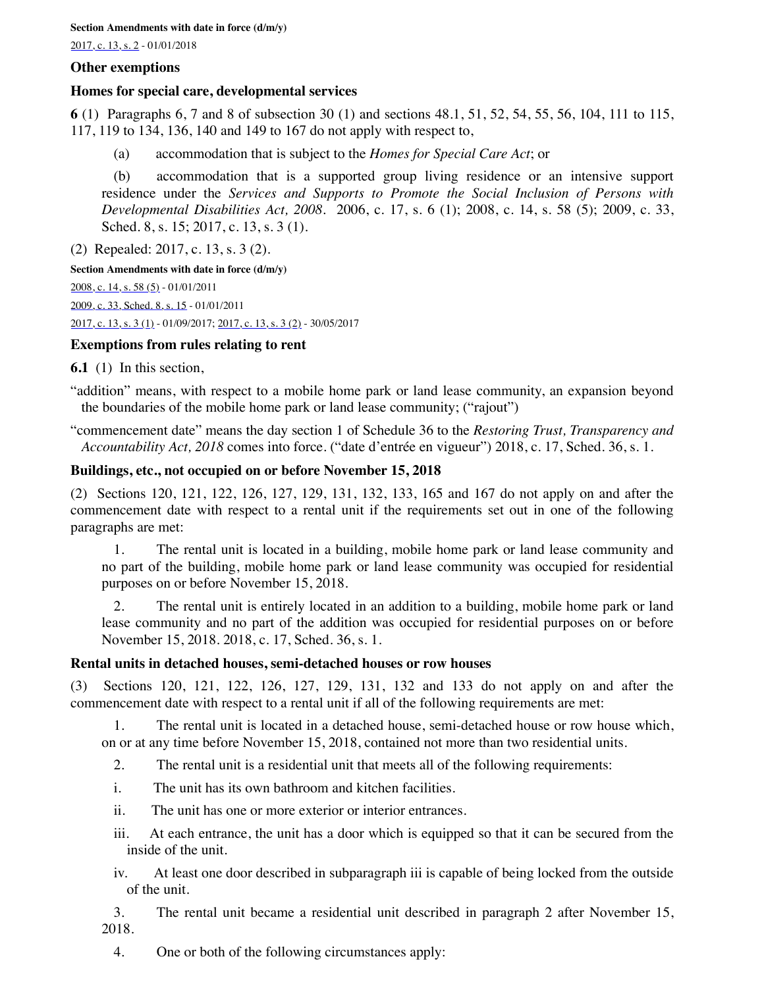2017, c. 13, s. 2 - 01/01/2018

#### **Other exemptions**

### **Homes for special care, developmental services**

**6** (1) Paragraphs 6, 7 and 8 of subsection 30 (1) and sections 48.1, 51, 52, 54, 55, 56, 104, 111 to 115, 117, 119 to 134, 136, 140 and 149 to 167 do not apply with respect to,

(a) accommodation that is subject to the *Homes for Special Care Act*; or

(b) accommodation that is a supported group living residence or an intensive support residence under the *Services and Supports to Promote the Social Inclusion of Persons with Developmental Disabilities Act, 2008*. 2006, c. 17, s. 6 (1); 2008, c. 14, s. 58 (5); 2009, c. 33, Sched. 8, s. 15; 2017, c. 13, s. 3 (1).

(2) Repealed: 2017, c. 13, s. 3 (2).

**Section Amendments with date in force (d/m/y)** 2008, c. 14, s. 58 (5) - 01/01/2011 2009, c. 33, Sched. 8, s. 15 - 01/01/2011

2017, c. 13, s. 3 (1) - 01/09/2017; 2017, c. 13, s. 3 (2) - 30/05/2017

### **Exemptions from rules relating to rent**

**6.1** (1) In this section,

"addition" means, with respect to a mobile home park or land lease community, an expansion beyond the boundaries of the mobile home park or land lease community; ("rajout")

"commencement date" means the day section 1 of Schedule 36 to the *Restoring Trust, Transparency and Accountability Act, 2018* comes into force. ("date d'entrée en vigueur") 2018, c. 17, Sched. 36, s. 1.

### **Buildings, etc., not occupied on or before November 15, 2018**

(2) Sections 120, 121, 122, 126, 127, 129, 131, 132, 133, 165 and 167 do not apply on and after the commencement date with respect to a rental unit if the requirements set out in one of the following paragraphs are met:

1. The rental unit is located in a building, mobile home park or land lease community and no part of the building, mobile home park or land lease community was occupied for residential purposes on or before November 15, 2018.

2. The rental unit is entirely located in an addition to a building, mobile home park or land lease community and no part of the addition was occupied for residential purposes on or before November 15, 2018. 2018, c. 17, Sched. 36, s. 1.

### **Rental units in detached houses, semi-detached houses or row houses**

(3) Sections 120, 121, 122, 126, 127, 129, 131, 132 and 133 do not apply on and after the commencement date with respect to a rental unit if all of the following requirements are met:

1. The rental unit is located in a detached house, semi-detached house or row house which, on or at any time before November 15, 2018, contained not more than two residential units.

- 2. The rental unit is a residential unit that meets all of the following requirements:
- i. The unit has its own bathroom and kitchen facilities.
- ii. The unit has one or more exterior or interior entrances.
- iii. At each entrance, the unit has a door which is equipped so that it can be secured from the inside of the unit.
- iv. At least one door described in subparagraph iii is capable of being locked from the outside of the unit.

3. The rental unit became a residential unit described in paragraph 2 after November 15, 2018.

4. One or both of the following circumstances apply: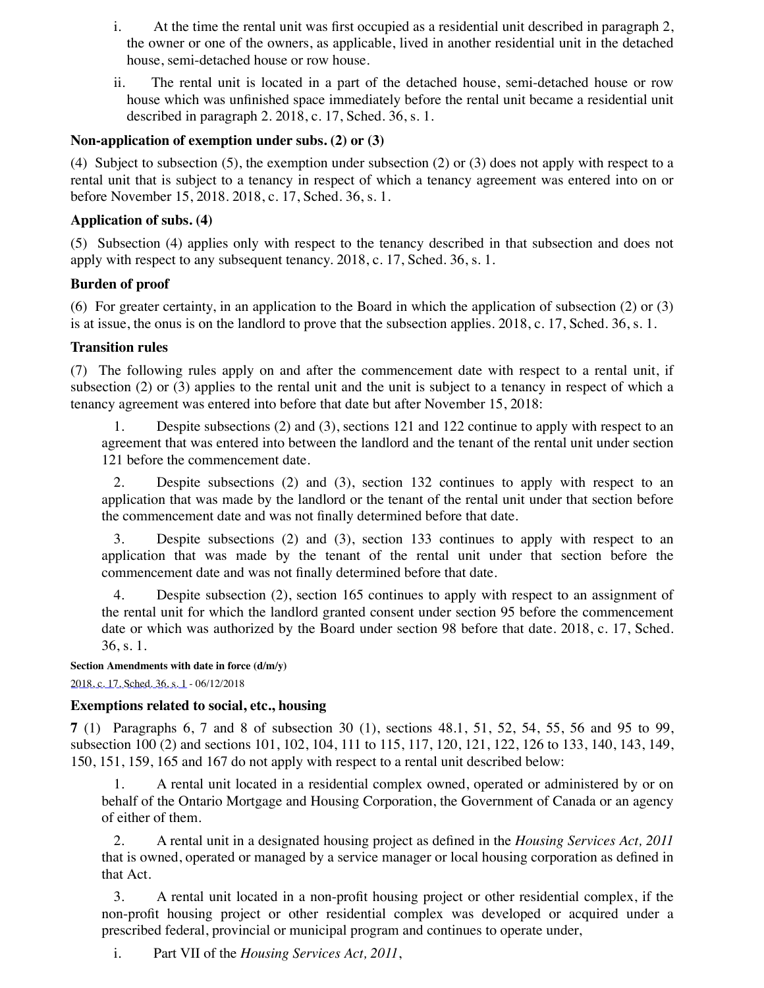- i. At the time the rental unit was first occupied as a residential unit described in paragraph 2, the owner or one of the owners, as applicable, lived in another residential unit in the detached house, semi-detached house or row house.
- ii. The rental unit is located in a part of the detached house, semi-detached house or row house which was unfinished space immediately before the rental unit became a residential unit described in paragraph 2. 2018, c. 17, Sched. 36, s. 1.

### **Non-application of exemption under subs. (2) or (3)**

(4) Subject to subsection (5), the exemption under subsection (2) or (3) does not apply with respect to a rental unit that is subject to a tenancy in respect of which a tenancy agreement was entered into on or before November 15, 2018. 2018, c. 17, Sched. 36, s. 1.

### **Application of subs. (4)**

(5) Subsection (4) applies only with respect to the tenancy described in that subsection and does not apply with respect to any subsequent tenancy. 2018, c. 17, Sched. 36, s. 1.

# **Burden of proof**

(6) For greater certainty, in an application to the Board in which the application of subsection (2) or (3) is at issue, the onus is on the landlord to prove that the subsection applies. 2018, c. 17, Sched. 36, s. 1.

### **Transition rules**

(7) The following rules apply on and after the commencement date with respect to a rental unit, if subsection (2) or (3) applies to the rental unit and the unit is subject to a tenancy in respect of which a tenancy agreement was entered into before that date but after November 15, 2018:

1. Despite subsections (2) and (3), sections 121 and 122 continue to apply with respect to an agreement that was entered into between the landlord and the tenant of the rental unit under section 121 before the commencement date.

2. Despite subsections (2) and (3), section 132 continues to apply with respect to an application that was made by the landlord or the tenant of the rental unit under that section before the commencement date and was not finally determined before that date.

3. Despite subsections (2) and (3), section 133 continues to apply with respect to an application that was made by the tenant of the rental unit under that section before the commencement date and was not finally determined before that date.

4. Despite subsection (2), section 165 continues to apply with respect to an assignment of the rental unit for which the landlord granted consent under section 95 before the commencement date or which was authorized by the Board under section 98 before that date. 2018, c. 17, Sched. 36, s. 1.

### **Section Amendments with date in force (d/m/y)**

2018, c. 17, Sched. 36, s. 1 - 06/12/2018

### **Exemptions related to social, etc., housing**

**7** (1) Paragraphs 6, 7 and 8 of subsection 30 (1), sections 48.1, 51, 52, 54, 55, 56 and 95 to 99, subsection 100 (2) and sections 101, 102, 104, 111 to 115, 117, 120, 121, 122, 126 to 133, 140, 143, 149, 150, 151, 159, 165 and 167 do not apply with respect to a rental unit described below:

1. A rental unit located in a residential complex owned, operated or administered by or on behalf of the Ontario Mortgage and Housing Corporation, the Government of Canada or an agency of either of them.

2. A rental unit in a designated housing project as defined in the *Housing Services Act, 2011* that is owned, operated or managed by a service manager or local housing corporation as defined in that Act.

3. A rental unit located in a non-profit housing project or other residential complex, if the non-profit housing project or other residential complex was developed or acquired under a prescribed federal, provincial or municipal program and continues to operate under,

i. Part VII of the *Housing Services Act, 2011*,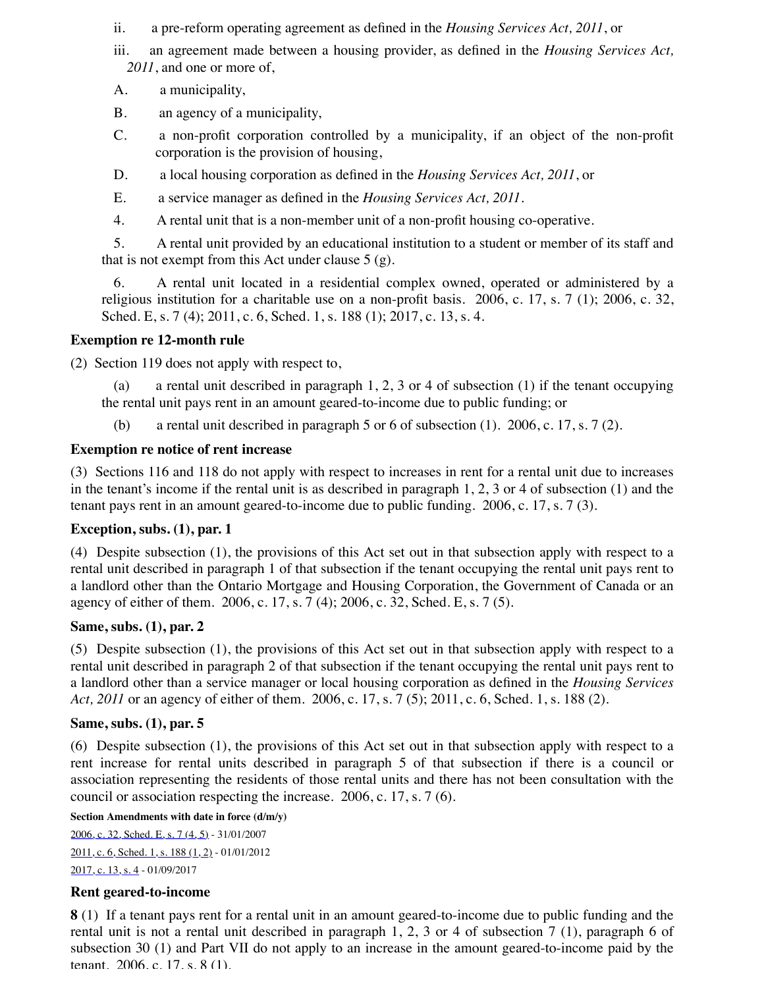- ii. a pre-reform operating agreement as defined in the *Housing Services Act, 2011*, or
- iii. an agreement made between a housing provider, as defined in the *Housing Services Act, 2011*, and one or more of,
- A. a municipality,
- B. an agency of a municipality,
- C. a non-profit corporation controlled by a municipality, if an object of the non-profit corporation is the provision of housing,
- D. a local housing corporation as defined in the *Housing Services Act, 2011*, or
- E. a service manager as defined in the *Housing Services Act, 2011*.
- 4. A rental unit that is a non-member unit of a non-profit housing co-operative.

5. A rental unit provided by an educational institution to a student or member of its staff and that is not exempt from this Act under clause  $5(g)$ .

6. A rental unit located in a residential complex owned, operated or administered by a religious institution for a charitable use on a non-profit basis. 2006, c. 17, s. 7 (1); 2006, c. 32, Sched. E, s. 7 (4); 2011, c. 6, Sched. 1, s. 188 (1); 2017, c. 13, s. 4.

# **Exemption re 12-month rule**

(2) Section 119 does not apply with respect to,

(a) a rental unit described in paragraph  $1, 2, 3$  or 4 of subsection (1) if the tenant occupying the rental unit pays rent in an amount geared-to-income due to public funding; or

(b) a rental unit described in paragraph 5 or 6 of subsection  $(1)$ . 2006, c. 17, s. 7  $(2)$ .

# **Exemption re notice of rent increase**

(3) Sections 116 and 118 do not apply with respect to increases in rent for a rental unit due to increases in the tenant's income if the rental unit is as described in paragraph 1, 2, 3 or 4 of subsection (1) and the tenant pays rent in an amount geared-to-income due to public funding. 2006, c. 17, s. 7 (3).

# **Exception, subs. (1), par. 1**

(4) Despite subsection (1), the provisions of this Act set out in that subsection apply with respect to a rental unit described in paragraph 1 of that subsection if the tenant occupying the rental unit pays rent to a landlord other than the Ontario Mortgage and Housing Corporation, the Government of Canada or an agency of either of them. 2006, c. 17, s. 7 (4); 2006, c. 32, Sched. E, s. 7 (5).

### **Same, subs. (1), par. 2**

(5) Despite subsection (1), the provisions of this Act set out in that subsection apply with respect to a rental unit described in paragraph 2 of that subsection if the tenant occupying the rental unit pays rent to a landlord other than a service manager or local housing corporation as defined in the *Housing Services Act, 2011* or an agency of either of them. 2006, c. 17, s. 7 (5); 2011, c. 6, Sched. 1, s. 188 (2).

# **Same, subs. (1), par. 5**

(6) Despite subsection (1), the provisions of this Act set out in that subsection apply with respect to a rent increase for rental units described in paragraph 5 of that subsection if there is a council or association representing the residents of those rental units and there has not been consultation with the council or association respecting the increase. 2006, c. 17, s. 7 (6).

**Section Amendments with date in force (d/m/y)**

2006, c. 32, Sched. E, s. 7 (4, 5) - 31/01/2007 2011, c. 6, Sched. 1, s. 188 (1, 2) - 01/01/2012 2017, c. 13, s. 4 - 01/09/2017

# **Rent geared-to-income**

**8** (1) If a tenant pays rent for a rental unit in an amount geared-to-income due to public funding and the rental unit is not a rental unit described in paragraph 1, 2, 3 or 4 of subsection 7 (1), paragraph 6 of subsection 30 (1) and Part VII do not apply to an increase in the amount geared-to-income paid by the tenant. 2006, c. 17, s. 8 (1).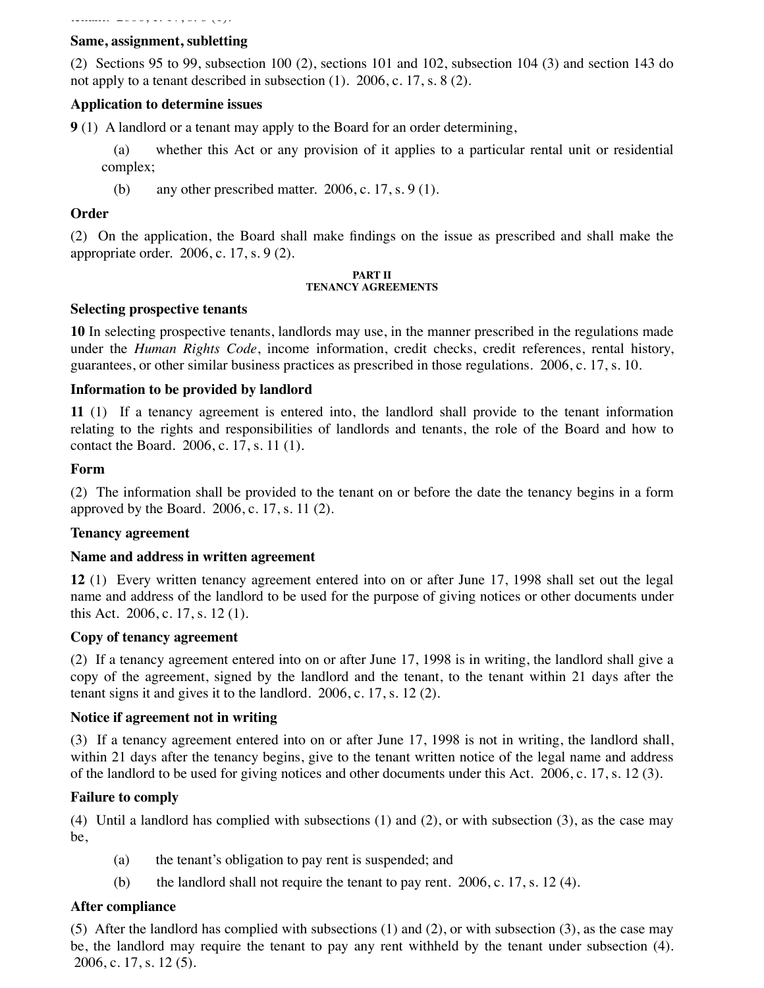tenant. 2000, et 27, s. 8 (2).

### **Same, assignment, subletting**

(2) Sections 95 to 99, subsection 100 (2), sections 101 and 102, subsection 104 (3) and section 143 do not apply to a tenant described in subsection (1). 2006, c. 17, s. 8 (2).

### **Application to determine issues**

**9** (1) A landlord or a tenant may apply to the Board for an order determining,

(a) whether this Act or any provision of it applies to a particular rental unit or residential complex;

(b) any other prescribed matter.  $2006$ , c. 17, s. 9 (1).

### **Order**

(2) On the application, the Board shall make findings on the issue as prescribed and shall make the appropriate order. 2006, c. 17, s. 9 (2).

#### **PART II TENANCY AGREEMENTS**

### **Selecting prospective tenants**

**10** In selecting prospective tenants, landlords may use, in the manner prescribed in the regulations made under the *Human Rights Code*, income information, credit checks, credit references, rental history, guarantees, or other similar business practices as prescribed in those regulations. 2006, c. 17, s. 10.

### **Information to be provided by landlord**

**11** (1) If a tenancy agreement is entered into, the landlord shall provide to the tenant information relating to the rights and responsibilities of landlords and tenants, the role of the Board and how to contact the Board. 2006, c. 17, s. 11 (1).

### **Form**

(2) The information shall be provided to the tenant on or before the date the tenancy begins in a form approved by the Board. 2006, c. 17, s. 11 (2).

### **Tenancy agreement**

### **Name and address in written agreement**

**12** (1) Every written tenancy agreement entered into on or after June 17, 1998 shall set out the legal name and address of the landlord to be used for the purpose of giving notices or other documents under this Act. 2006, c. 17, s. 12 (1).

### **Copy of tenancy agreement**

(2) If a tenancy agreement entered into on or after June 17, 1998 is in writing, the landlord shall give a copy of the agreement, signed by the landlord and the tenant, to the tenant within 21 days after the tenant signs it and gives it to the landlord. 2006, c. 17, s. 12 (2).

### **Notice if agreement not in writing**

(3) If a tenancy agreement entered into on or after June 17, 1998 is not in writing, the landlord shall, within 21 days after the tenancy begins, give to the tenant written notice of the legal name and address of the landlord to be used for giving notices and other documents under this Act. 2006, c. 17, s. 12 (3).

### **Failure to comply**

(4) Until a landlord has complied with subsections (1) and (2), or with subsection (3), as the case may be,

- (a) the tenant's obligation to pay rent is suspended; and
- (b) the landlord shall not require the tenant to pay rent.  $2006$ , c. 17, s. 12 (4).

### **After compliance**

(5) After the landlord has complied with subsections (1) and (2), or with subsection (3), as the case may be, the landlord may require the tenant to pay any rent withheld by the tenant under subsection (4). 2006, c. 17, s. 12 (5).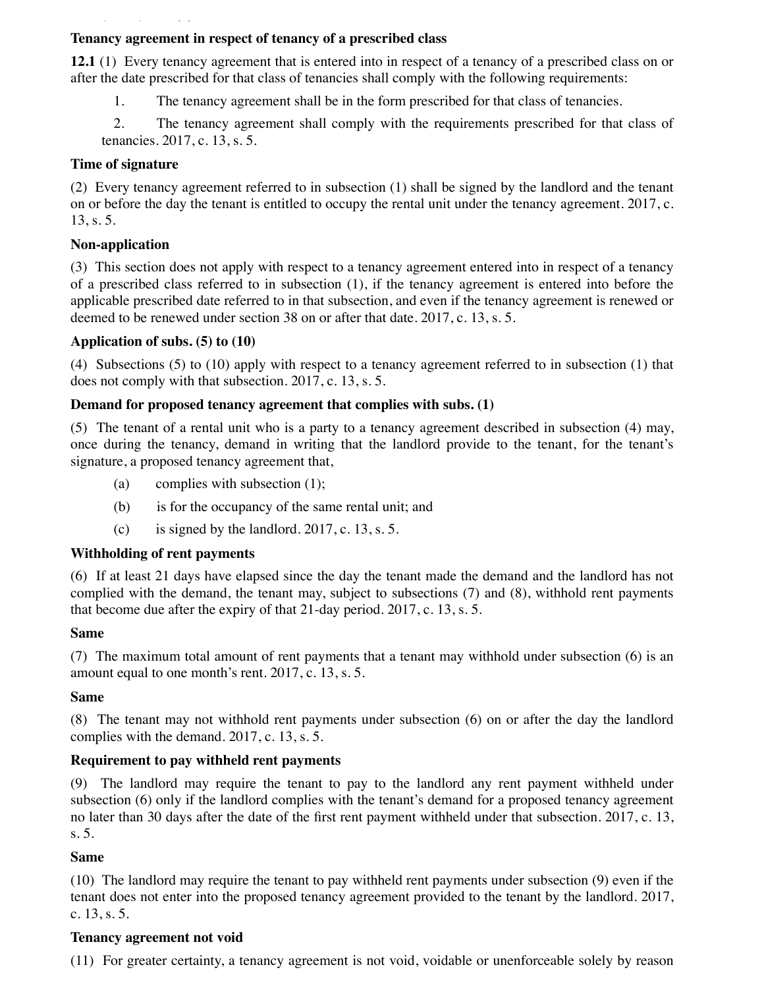# **Tenancy agreement in respect of tenancy of a prescribed class**

**12.1** (1) Every tenancy agreement that is entered into in respect of a tenancy of a prescribed class on or after the date prescribed for that class of tenancies shall comply with the following requirements:

1. The tenancy agreement shall be in the form prescribed for that class of tenancies.

2. The tenancy agreement shall comply with the requirements prescribed for that class of tenancies. 2017, c. 13, s. 5.

### **Time of signature**

2006, c. 17, s. 17, s. 17, s. 17, s. 17, s. 17, s. 17, s. 17, s. 17, s. 17, s. 17, s. 17, s. 17, s. 17, s. 17,

(2) Every tenancy agreement referred to in subsection (1) shall be signed by the landlord and the tenant on or before the day the tenant is entitled to occupy the rental unit under the tenancy agreement. 2017, c. 13, s. 5.

# **Non-application**

(3) This section does not apply with respect to a tenancy agreement entered into in respect of a tenancy of a prescribed class referred to in subsection (1), if the tenancy agreement is entered into before the applicable prescribed date referred to in that subsection, and even if the tenancy agreement is renewed or deemed to be renewed under section 38 on or after that date. 2017, c. 13, s. 5.

# **Application of subs. (5) to (10)**

(4) Subsections (5) to (10) apply with respect to a tenancy agreement referred to in subsection (1) that does not comply with that subsection. 2017, c. 13, s. 5.

# **Demand for proposed tenancy agreement that complies with subs. (1)**

(5) The tenant of a rental unit who is a party to a tenancy agreement described in subsection (4) may, once during the tenancy, demand in writing that the landlord provide to the tenant, for the tenant's signature, a proposed tenancy agreement that,

- (a) complies with subsection (1);
- (b) is for the occupancy of the same rental unit; and
- (c) is signed by the landlord.  $2017$ , c. 13, s. 5.

### **Withholding of rent payments**

(6) If at least 21 days have elapsed since the day the tenant made the demand and the landlord has not complied with the demand, the tenant may, subject to subsections (7) and (8), withhold rent payments that become due after the expiry of that 21-day period. 2017, c. 13, s. 5.

### **Same**

(7) The maximum total amount of rent payments that a tenant may withhold under subsection (6) is an amount equal to one month's rent. 2017, c. 13, s. 5.

### **Same**

(8) The tenant may not withhold rent payments under subsection (6) on or after the day the landlord complies with the demand. 2017, c. 13, s. 5.

# **Requirement to pay withheld rent payments**

(9) The landlord may require the tenant to pay to the landlord any rent payment withheld under subsection (6) only if the landlord complies with the tenant's demand for a proposed tenancy agreement no later than 30 days after the date of the first rent payment withheld under that subsection. 2017, c. 13, s. 5.

# **Same**

(10) The landlord may require the tenant to pay withheld rent payments under subsection (9) even if the tenant does not enter into the proposed tenancy agreement provided to the tenant by the landlord. 2017, c. 13, s. 5.

### **Tenancy agreement not void**

(11) For greater certainty, a tenancy agreement is not void, voidable or unenforceable solely by reason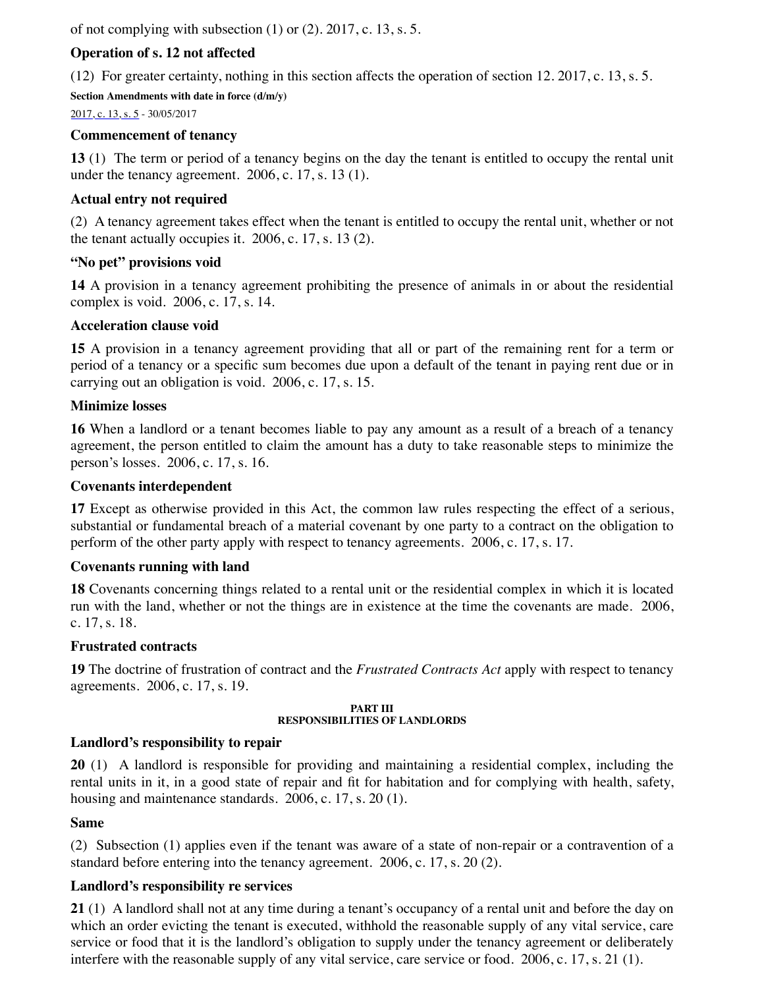of not complying with subsection  $(1)$  or  $(2)$ . 2017, c. 13, s. 5.

# **Operation of s. 12 not affected**

(12) For greater certainty, nothing in this section affects the operation of section 12. 2017, c. 13, s. 5.

**Section Amendments with date in force (d/m/y)**

2017, c. 13, s. 5 - 30/05/2017

### **Commencement of tenancy**

**13** (1) The term or period of a tenancy begins on the day the tenant is entitled to occupy the rental unit under the tenancy agreement. 2006, c. 17, s. 13 (1).

### **Actual entry not required**

(2) A tenancy agreement takes effect when the tenant is entitled to occupy the rental unit, whether or not the tenant actually occupies it. 2006, c. 17, s. 13 (2).

### **"No pet" provisions void**

**14** A provision in a tenancy agreement prohibiting the presence of animals in or about the residential complex is void. 2006, c. 17, s. 14.

### **Acceleration clause void**

**15** A provision in a tenancy agreement providing that all or part of the remaining rent for a term or period of a tenancy or a specific sum becomes due upon a default of the tenant in paying rent due or in carrying out an obligation is void. 2006, c. 17, s. 15.

### **Minimize losses**

**16** When a landlord or a tenant becomes liable to pay any amount as a result of a breach of a tenancy agreement, the person entitled to claim the amount has a duty to take reasonable steps to minimize the person's losses. 2006, c. 17, s. 16.

# **Covenants interdependent**

**17** Except as otherwise provided in this Act, the common law rules respecting the effect of a serious, substantial or fundamental breach of a material covenant by one party to a contract on the obligation to perform of the other party apply with respect to tenancy agreements. 2006, c. 17, s. 17.

### **Covenants running with land**

**18** Covenants concerning things related to a rental unit or the residential complex in which it is located run with the land, whether or not the things are in existence at the time the covenants are made. 2006, c. 17, s. 18.

### **Frustrated contracts**

**19** The doctrine of frustration of contract and the *Frustrated Contracts Act* apply with respect to tenancy agreements. 2006, c. 17, s. 19.

#### **PART III RESPONSIBILITIES OF LANDLORDS**

# **Landlord's responsibility to repair**

**20** (1) A landlord is responsible for providing and maintaining a residential complex, including the rental units in it, in a good state of repair and fit for habitation and for complying with health, safety, housing and maintenance standards. 2006, c. 17, s. 20 (1).

### **Same**

(2) Subsection (1) applies even if the tenant was aware of a state of non-repair or a contravention of a standard before entering into the tenancy agreement. 2006, c. 17, s. 20 (2).

# **Landlord's responsibility re services**

**21** (1) A landlord shall not at any time during a tenant's occupancy of a rental unit and before the day on which an order evicting the tenant is executed, withhold the reasonable supply of any vital service, care service or food that it is the landlord's obligation to supply under the tenancy agreement or deliberately interfere with the reasonable supply of any vital service, care service or food. 2006, c. 17, s. 21 (1).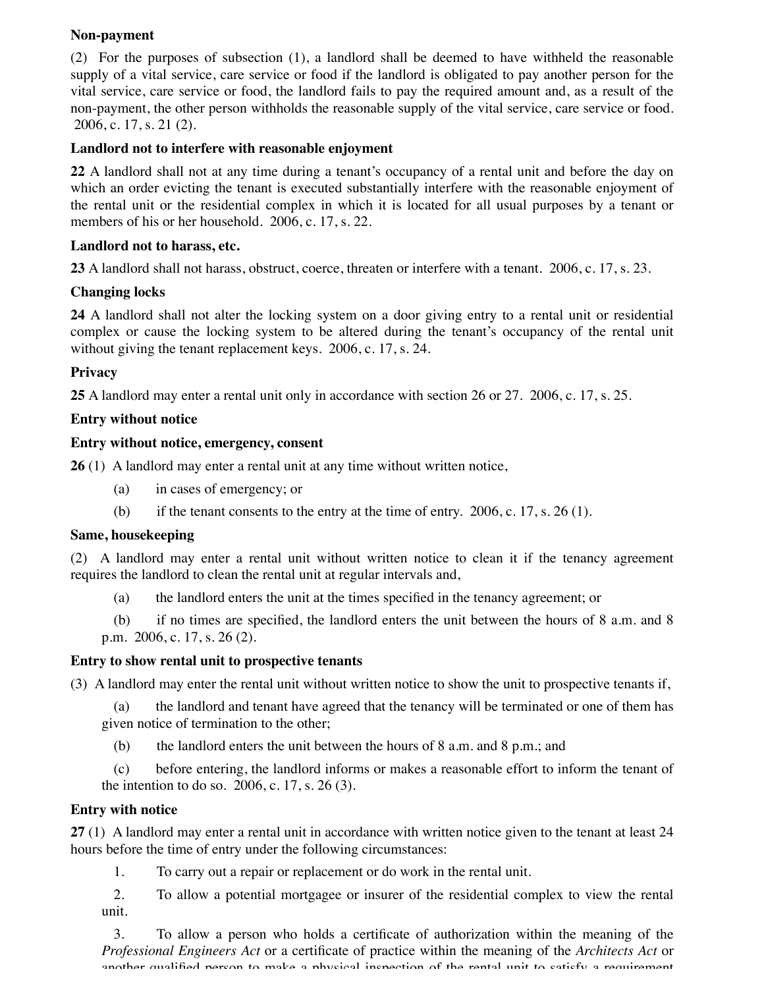# **Non-payment**

(2) For the purposes of subsection (1), a landlord shall be deemed to have withheld the reasonable supply of a vital service, care service or food if the landlord is obligated to pay another person for the vital service, care service or food, the landlord fails to pay the required amount and, as a result of the non-payment, the other person withholds the reasonable supply of the vital service, care service or food. 2006, c. 17, s. 21 (2).

### **Landlord not to interfere with reasonable enjoyment**

**22** A landlord shall not at any time during a tenant's occupancy of a rental unit and before the day on which an order evicting the tenant is executed substantially interfere with the reasonable enjoyment of the rental unit or the residential complex in which it is located for all usual purposes by a tenant or members of his or her household. 2006, c. 17, s. 22.

### **Landlord not to harass, etc.**

**23** A landlord shall not harass, obstruct, coerce, threaten or interfere with a tenant. 2006, c. 17, s. 23.

# **Changing locks**

**24** A landlord shall not alter the locking system on a door giving entry to a rental unit or residential complex or cause the locking system to be altered during the tenant's occupancy of the rental unit without giving the tenant replacement keys. 2006, c. 17, s. 24.

# **Privacy**

**25** A landlord may enter a rental unit only in accordance with section 26 or 27. 2006, c. 17, s. 25.

# **Entry without notice**

### **Entry without notice, emergency, consent**

**26** (1) A landlord may enter a rental unit at any time without written notice,

- (a) in cases of emergency; or
- (b) if the tenant consents to the entry at the time of entry.  $2006$ , c. 17, s. 26 (1).

### **Same, housekeeping**

(2) A landlord may enter a rental unit without written notice to clean it if the tenancy agreement requires the landlord to clean the rental unit at regular intervals and,

- (a) the landlord enters the unit at the times specified in the tenancy agreement; or
- (b) if no times are specified, the landlord enters the unit between the hours of 8 a.m. and 8 p.m. 2006, c. 17, s. 26 (2).

### **Entry to show rental unit to prospective tenants**

(3) A landlord may enter the rental unit without written notice to show the unit to prospective tenants if,

(a) the landlord and tenant have agreed that the tenancy will be terminated or one of them has given notice of termination to the other;

(b) the landlord enters the unit between the hours of 8 a.m. and 8 p.m.; and

(c) before entering, the landlord informs or makes a reasonable effort to inform the tenant of the intention to do so. 2006, c. 17, s. 26 (3).

### **Entry with notice**

**27** (1) A landlord may enter a rental unit in accordance with written notice given to the tenant at least 24 hours before the time of entry under the following circumstances:

1. To carry out a repair or replacement or do work in the rental unit.

2. To allow a potential mortgagee or insurer of the residential complex to view the rental unit.

3. To allow a person who holds a certificate of authorization within the meaning of the *Professional Engineers Act* or a certificate of practice within the meaning of the *Architects Act* or another qualified person to make a physical inspection of the rental unit to satisfy a requirement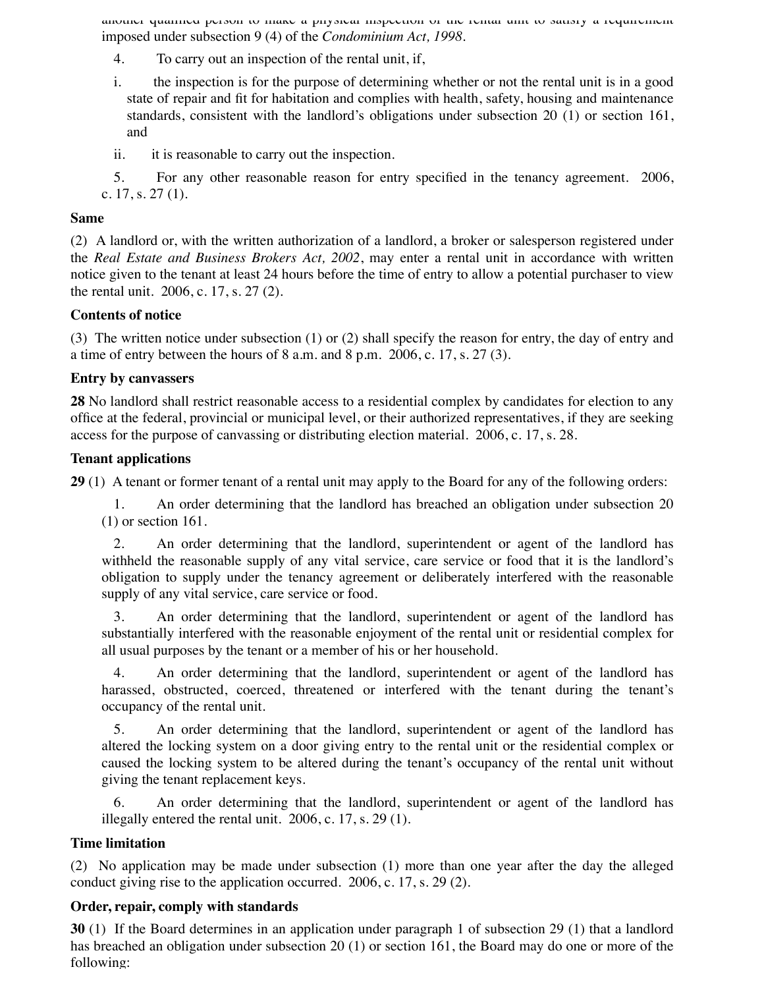another qualified person to make a physical inspection of the rental unit to satisfy a requirement imposed under subsection 9 (4) of the *Condominium Act, 1998*.

- 4. To carry out an inspection of the rental unit, if,
- i. the inspection is for the purpose of determining whether or not the rental unit is in a good state of repair and fit for habitation and complies with health, safety, housing and maintenance standards, consistent with the landlord's obligations under subsection 20 (1) or section 161, and
- ii. it is reasonable to carry out the inspection.
- 5. For any other reasonable reason for entry specified in the tenancy agreement. 2006, c. 17, s. 27 (1).

#### **Same**

(2) A landlord or, with the written authorization of a landlord, a broker or salesperson registered under the *Real Estate and Business Brokers Act, 2002*, may enter a rental unit in accordance with written notice given to the tenant at least 24 hours before the time of entry to allow a potential purchaser to view the rental unit. 2006, c. 17, s. 27 (2).

#### **Contents of notice**

(3) The written notice under subsection (1) or (2) shall specify the reason for entry, the day of entry and a time of entry between the hours of 8 a.m. and 8 p.m. 2006, c. 17, s. 27 (3).

#### **Entry by canvassers**

**28** No landlord shall restrict reasonable access to a residential complex by candidates for election to any office at the federal, provincial or municipal level, or their authorized representatives, if they are seeking access for the purpose of canvassing or distributing election material. 2006, c. 17, s. 28.

#### **Tenant applications**

**29** (1) A tenant or former tenant of a rental unit may apply to the Board for any of the following orders:

1. An order determining that the landlord has breached an obligation under subsection 20 (1) or section 161.

2. An order determining that the landlord, superintendent or agent of the landlord has withheld the reasonable supply of any vital service, care service or food that it is the landlord's obligation to supply under the tenancy agreement or deliberately interfered with the reasonable supply of any vital service, care service or food.

3. An order determining that the landlord, superintendent or agent of the landlord has substantially interfered with the reasonable enjoyment of the rental unit or residential complex for all usual purposes by the tenant or a member of his or her household.

4. An order determining that the landlord, superintendent or agent of the landlord has harassed, obstructed, coerced, threatened or interfered with the tenant during the tenant's occupancy of the rental unit.

5. An order determining that the landlord, superintendent or agent of the landlord has altered the locking system on a door giving entry to the rental unit or the residential complex or caused the locking system to be altered during the tenant's occupancy of the rental unit without giving the tenant replacement keys.

6. An order determining that the landlord, superintendent or agent of the landlord has illegally entered the rental unit. 2006, c. 17, s. 29 (1).

### **Time limitation**

(2) No application may be made under subsection (1) more than one year after the day the alleged conduct giving rise to the application occurred. 2006, c. 17, s. 29 (2).

### **Order, repair, comply with standards**

**30** (1) If the Board determines in an application under paragraph 1 of subsection 29 (1) that a landlord has breached an obligation under subsection 20 (1) or section 161, the Board may do one or more of the following: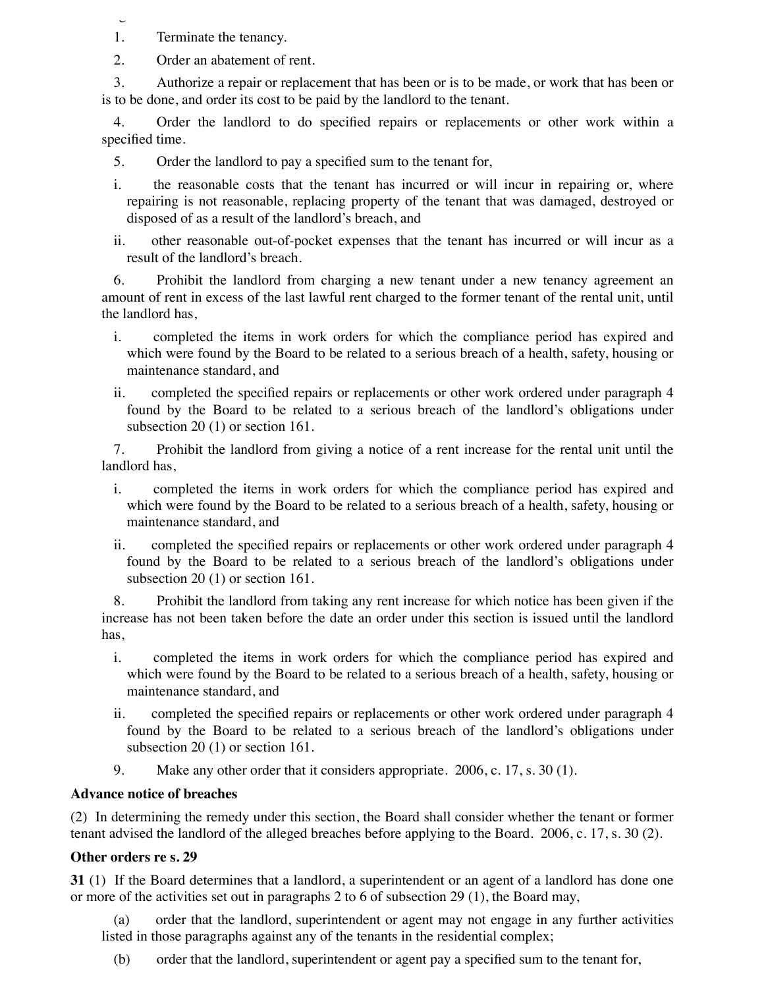1. Terminate the tenancy.

 $\mathcal{L}$ 

2. Order an abatement of rent.

3. Authorize a repair or replacement that has been or is to be made, or work that has been or is to be done, and order its cost to be paid by the landlord to the tenant.

4. Order the landlord to do specified repairs or replacements or other work within a specified time.

5. Order the landlord to pay a specified sum to the tenant for,

- i. the reasonable costs that the tenant has incurred or will incur in repairing or, where repairing is not reasonable, replacing property of the tenant that was damaged, destroyed or disposed of as a result of the landlord's breach, and
- ii. other reasonable out-of-pocket expenses that the tenant has incurred or will incur as a result of the landlord's breach.

6. Prohibit the landlord from charging a new tenant under a new tenancy agreement an amount of rent in excess of the last lawful rent charged to the former tenant of the rental unit, until the landlord has,

- i. completed the items in work orders for which the compliance period has expired and which were found by the Board to be related to a serious breach of a health, safety, housing or maintenance standard, and
- ii. completed the specified repairs or replacements or other work ordered under paragraph 4 found by the Board to be related to a serious breach of the landlord's obligations under subsection 20 (1) or section 161.

7. Prohibit the landlord from giving a notice of a rent increase for the rental unit until the landlord has,

- i. completed the items in work orders for which the compliance period has expired and which were found by the Board to be related to a serious breach of a health, safety, housing or maintenance standard, and
- ii. completed the specified repairs or replacements or other work ordered under paragraph 4 found by the Board to be related to a serious breach of the landlord's obligations under subsection 20 (1) or section 161.

8. Prohibit the landlord from taking any rent increase for which notice has been given if the increase has not been taken before the date an order under this section is issued until the landlord has,

- i. completed the items in work orders for which the compliance period has expired and which were found by the Board to be related to a serious breach of a health, safety, housing or maintenance standard, and
- ii. completed the specified repairs or replacements or other work ordered under paragraph 4 found by the Board to be related to a serious breach of the landlord's obligations under subsection 20 (1) or section 161.
- 9. Make any other order that it considers appropriate. 2006, c. 17, s. 30 (1).

### **Advance notice of breaches**

(2) In determining the remedy under this section, the Board shall consider whether the tenant or former tenant advised the landlord of the alleged breaches before applying to the Board. 2006, c. 17, s. 30 (2).

# **Other orders re s. 29**

**31** (1) If the Board determines that a landlord, a superintendent or an agent of a landlord has done one or more of the activities set out in paragraphs 2 to 6 of subsection 29 (1), the Board may,

(a) order that the landlord, superintendent or agent may not engage in any further activities listed in those paragraphs against any of the tenants in the residential complex;

(b) order that the landlord, superintendent or agent pay a specified sum to the tenant for,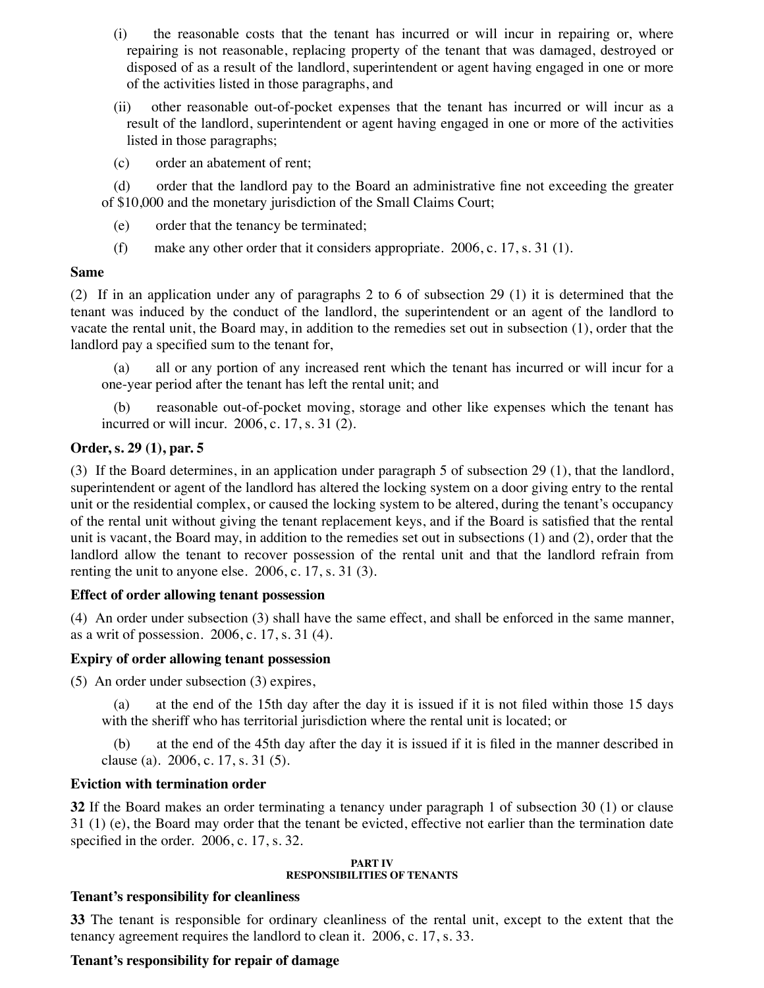- (i) the reasonable costs that the tenant has incurred or will incur in repairing or, where repairing is not reasonable, replacing property of the tenant that was damaged, destroyed or disposed of as a result of the landlord, superintendent or agent having engaged in one or more of the activities listed in those paragraphs, and
- (ii) other reasonable out-of-pocket expenses that the tenant has incurred or will incur as a result of the landlord, superintendent or agent having engaged in one or more of the activities listed in those paragraphs;
- (c) order an abatement of rent;

(d) order that the landlord pay to the Board an administrative fine not exceeding the greater of \$10,000 and the monetary jurisdiction of the Small Claims Court;

- (e) order that the tenancy be terminated;
- (f) make any other order that it considers appropriate. 2006, c. 17, s. 31 (1).

### **Same**

(2) If in an application under any of paragraphs 2 to 6 of subsection 29 (1) it is determined that the tenant was induced by the conduct of the landlord, the superintendent or an agent of the landlord to vacate the rental unit, the Board may, in addition to the remedies set out in subsection (1), order that the landlord pay a specified sum to the tenant for,

(a) all or any portion of any increased rent which the tenant has incurred or will incur for a one-year period after the tenant has left the rental unit; and

(b) reasonable out-of-pocket moving, storage and other like expenses which the tenant has incurred or will incur. 2006, c. 17, s. 31 (2).

### **Order, s. 29 (1), par. 5**

(3) If the Board determines, in an application under paragraph 5 of subsection 29 (1), that the landlord, superintendent or agent of the landlord has altered the locking system on a door giving entry to the rental unit or the residential complex, or caused the locking system to be altered, during the tenant's occupancy of the rental unit without giving the tenant replacement keys, and if the Board is satisfied that the rental unit is vacant, the Board may, in addition to the remedies set out in subsections (1) and (2), order that the landlord allow the tenant to recover possession of the rental unit and that the landlord refrain from renting the unit to anyone else. 2006, c. 17, s. 31 (3).

### **Effect of order allowing tenant possession**

(4) An order under subsection (3) shall have the same effect, and shall be enforced in the same manner, as a writ of possession. 2006, c. 17, s. 31 (4).

### **Expiry of order allowing tenant possession**

(5) An order under subsection (3) expires,

(a) at the end of the 15th day after the day it is issued if it is not filed within those 15 days with the sheriff who has territorial jurisdiction where the rental unit is located; or

(b) at the end of the 45th day after the day it is issued if it is filed in the manner described in clause (a). 2006, c. 17, s. 31 (5).

### **Eviction with termination order**

**32** If the Board makes an order terminating a tenancy under paragraph 1 of subsection 30 (1) or clause 31 (1) (e), the Board may order that the tenant be evicted, effective not earlier than the termination date specified in the order. 2006, c. 17, s. 32.

#### **PART IV RESPONSIBILITIES OF TENANTS**

### **Tenant's responsibility for cleanliness**

**33** The tenant is responsible for ordinary cleanliness of the rental unit, except to the extent that the tenancy agreement requires the landlord to clean it. 2006, c. 17, s. 33.

### **Tenant's responsibility for repair of damage**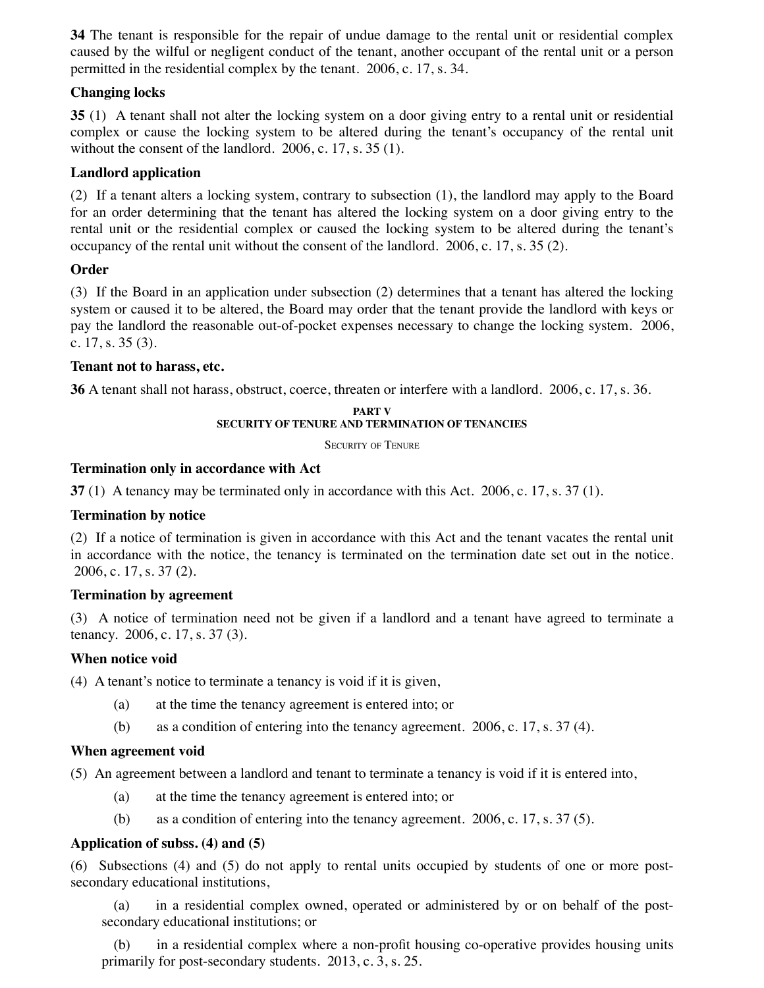**34** The tenant is responsible for the repair of undue damage to the rental unit or residential complex caused by the wilful or negligent conduct of the tenant, another occupant of the rental unit or a person permitted in the residential complex by the tenant. 2006, c. 17, s. 34.

# **Changing locks**

**35** (1) A tenant shall not alter the locking system on a door giving entry to a rental unit or residential complex or cause the locking system to be altered during the tenant's occupancy of the rental unit without the consent of the landlord. 2006, c. 17, s. 35 (1).

### **Landlord application**

(2) If a tenant alters a locking system, contrary to subsection (1), the landlord may apply to the Board for an order determining that the tenant has altered the locking system on a door giving entry to the rental unit or the residential complex or caused the locking system to be altered during the tenant's occupancy of the rental unit without the consent of the landlord. 2006, c. 17, s. 35 (2).

# **Order**

(3) If the Board in an application under subsection (2) determines that a tenant has altered the locking system or caused it to be altered, the Board may order that the tenant provide the landlord with keys or pay the landlord the reasonable out-of-pocket expenses necessary to change the locking system. 2006, c. 17, s. 35 (3).

### **Tenant not to harass, etc.**

**36** A tenant shall not harass, obstruct, coerce, threaten or interfere with a landlord. 2006, c. 17, s. 36.

#### **PART V SECURITY OF TENURE AND TERMINATION OF TENANCIES**

**SECURITY OF TENURE** 

### **Termination only in accordance with Act**

**37** (1) A tenancy may be terminated only in accordance with this Act. 2006, c. 17, s. 37 (1).

### **Termination by notice**

(2) If a notice of termination is given in accordance with this Act and the tenant vacates the rental unit in accordance with the notice, the tenancy is terminated on the termination date set out in the notice. 2006, c. 17, s. 37 (2).

### **Termination by agreement**

(3) A notice of termination need not be given if a landlord and a tenant have agreed to terminate a tenancy. 2006, c. 17, s. 37 (3).

### **When notice void**

(4) A tenant's notice to terminate a tenancy is void if it is given,

- (a) at the time the tenancy agreement is entered into; or
- (b) as a condition of entering into the tenancy agreement. 2006, c. 17, s. 37 (4).

### **When agreement void**

(5) An agreement between a landlord and tenant to terminate a tenancy is void if it is entered into,

- (a) at the time the tenancy agreement is entered into; or
- (b) as a condition of entering into the tenancy agreement.  $2006$ , c. 17, s. 37 (5).

### **Application of subss. (4) and (5)**

(6) Subsections (4) and (5) do not apply to rental units occupied by students of one or more postsecondary educational institutions,

(a) in a residential complex owned, operated or administered by or on behalf of the postsecondary educational institutions; or

in a residential complex where a non-profit housing co-operative provides housing units primarily for post-secondary students. 2013, c. 3, s. 25.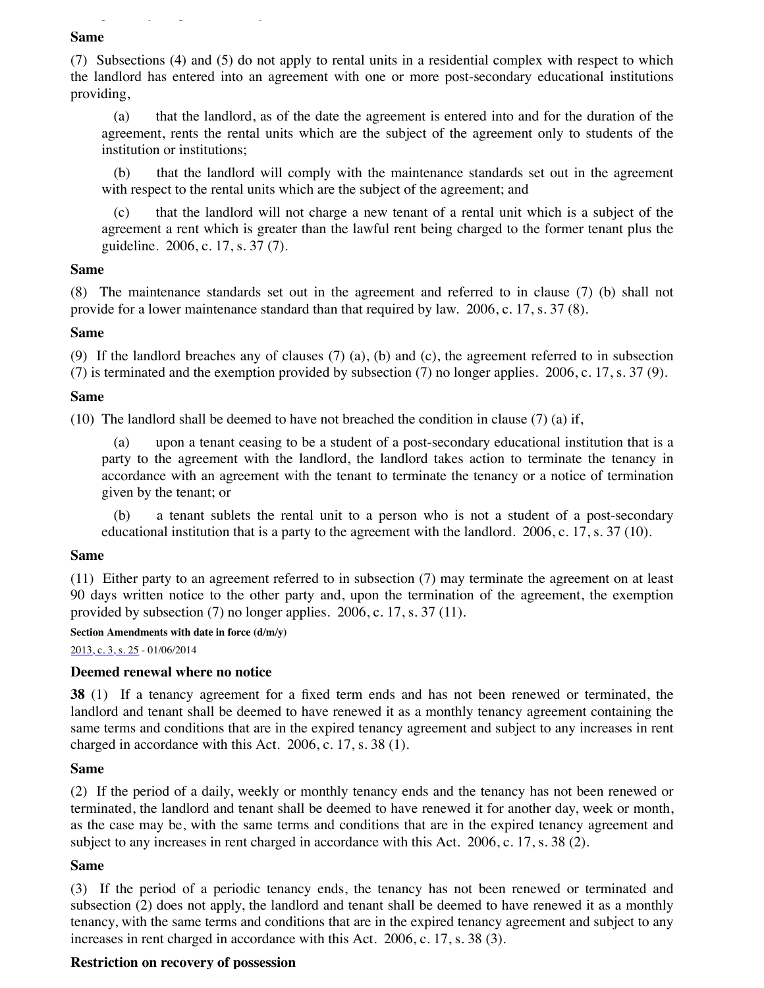#### **Same**

(7) Subsections (4) and (5) do not apply to rental units in a residential complex with respect to which the landlord has entered into an agreement with one or more post-secondary educational institutions providing,

primarily for post-secondary students. 2013, c. 3, s. 25.

(a) that the landlord, as of the date the agreement is entered into and for the duration of the agreement, rents the rental units which are the subject of the agreement only to students of the institution or institutions;

(b) that the landlord will comply with the maintenance standards set out in the agreement with respect to the rental units which are the subject of the agreement; and

(c) that the landlord will not charge a new tenant of a rental unit which is a subject of the agreement a rent which is greater than the lawful rent being charged to the former tenant plus the guideline. 2006, c. 17, s. 37 (7).

#### **Same**

(8) The maintenance standards set out in the agreement and referred to in clause (7) (b) shall not provide for a lower maintenance standard than that required by law. 2006, c. 17, s. 37 (8).

#### **Same**

(9) If the landlord breaches any of clauses  $(7)$  (a), (b) and (c), the agreement referred to in subsection (7) is terminated and the exemption provided by subsection (7) no longer applies. 2006, c. 17, s. 37 (9).

#### **Same**

(10) The landlord shall be deemed to have not breached the condition in clause (7) (a) if,

(a) upon a tenant ceasing to be a student of a post-secondary educational institution that is a party to the agreement with the landlord, the landlord takes action to terminate the tenancy in accordance with an agreement with the tenant to terminate the tenancy or a notice of termination given by the tenant; or

(b) a tenant sublets the rental unit to a person who is not a student of a post-secondary educational institution that is a party to the agreement with the landlord. 2006, c. 17, s. 37 (10).

#### **Same**

(11) Either party to an agreement referred to in subsection (7) may terminate the agreement on at least 90 days written notice to the other party and, upon the termination of the agreement, the exemption provided by subsection (7) no longer applies. 2006, c. 17, s. 37 (11).

**Section Amendments with date in force (d/m/y)** 2013, c. 3, s. 25 - 01/06/2014

### **Deemed renewal where no notice**

**38** (1) If a tenancy agreement for a fixed term ends and has not been renewed or terminated, the landlord and tenant shall be deemed to have renewed it as a monthly tenancy agreement containing the same terms and conditions that are in the expired tenancy agreement and subject to any increases in rent charged in accordance with this Act. 2006, c. 17, s. 38 (1).

#### **Same**

(2) If the period of a daily, weekly or monthly tenancy ends and the tenancy has not been renewed or terminated, the landlord and tenant shall be deemed to have renewed it for another day, week or month, as the case may be, with the same terms and conditions that are in the expired tenancy agreement and subject to any increases in rent charged in accordance with this Act. 2006, c. 17, s. 38 (2).

#### **Same**

(3) If the period of a periodic tenancy ends, the tenancy has not been renewed or terminated and subsection (2) does not apply, the landlord and tenant shall be deemed to have renewed it as a monthly tenancy, with the same terms and conditions that are in the expired tenancy agreement and subject to any increases in rent charged in accordance with this Act. 2006, c. 17, s. 38 (3).

### **Restriction on recovery of possession**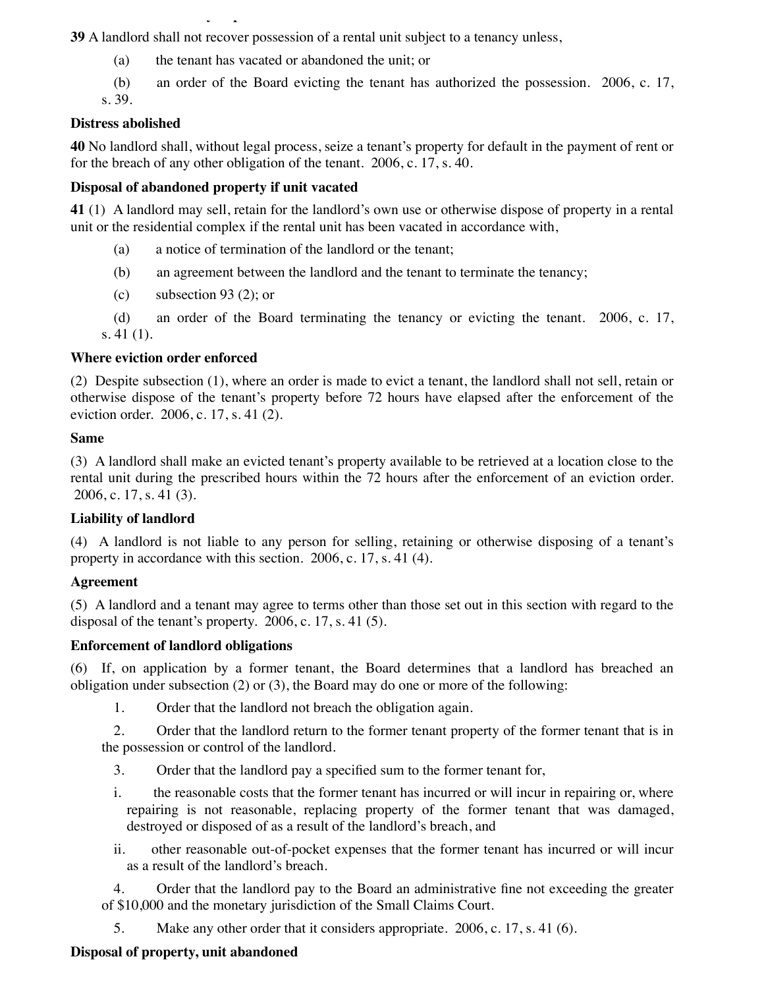**Restriction on recovery of possession**

**39** A landlord shall not recover possession of a rental unit subject to a tenancy unless,

(a) the tenant has vacated or abandoned the unit; or

(b) an order of the Board evicting the tenant has authorized the possession. 2006, c. 17, s. 39.

### **Distress abolished**

**40** No landlord shall, without legal process, seize a tenant's property for default in the payment of rent or for the breach of any other obligation of the tenant. 2006, c. 17, s. 40.

### **Disposal of abandoned property if unit vacated**

**41** (1) A landlord may sell, retain for the landlord's own use or otherwise dispose of property in a rental unit or the residential complex if the rental unit has been vacated in accordance with,

- (a) a notice of termination of the landlord or the tenant;
- (b) an agreement between the landlord and the tenant to terminate the tenancy;
- (c) subsection 93 (2); or

(d) an order of the Board terminating the tenancy or evicting the tenant. 2006, c. 17, s. 41 (1).

### **Where eviction order enforced**

(2) Despite subsection (1), where an order is made to evict a tenant, the landlord shall not sell, retain or otherwise dispose of the tenant's property before 72 hours have elapsed after the enforcement of the eviction order. 2006, c. 17, s. 41 (2).

### **Same**

(3) A landlord shall make an evicted tenant's property available to be retrieved at a location close to the rental unit during the prescribed hours within the 72 hours after the enforcement of an eviction order. 2006, c. 17, s. 41 (3).

### **Liability of landlord**

(4) A landlord is not liable to any person for selling, retaining or otherwise disposing of a tenant's property in accordance with this section. 2006, c. 17, s. 41 (4).

### **Agreement**

(5) A landlord and a tenant may agree to terms other than those set out in this section with regard to the disposal of the tenant's property. 2006, c. 17, s. 41 (5).

### **Enforcement of landlord obligations**

(6) If, on application by a former tenant, the Board determines that a landlord has breached an obligation under subsection  $(2)$  or  $(3)$ , the Board may do one or more of the following:

1. Order that the landlord not breach the obligation again.

2. Order that the landlord return to the former tenant property of the former tenant that is in the possession or control of the landlord.

- 3. Order that the landlord pay a specified sum to the former tenant for,
- i. the reasonable costs that the former tenant has incurred or will incur in repairing or, where repairing is not reasonable, replacing property of the former tenant that was damaged, destroyed or disposed of as a result of the landlord's breach, and
- ii. other reasonable out-of-pocket expenses that the former tenant has incurred or will incur as a result of the landlord's breach.

4. Order that the landlord pay to the Board an administrative fine not exceeding the greater of \$10,000 and the monetary jurisdiction of the Small Claims Court.

5. Make any other order that it considers appropriate. 2006, c. 17, s. 41 (6).

### **Disposal of property, unit abandoned**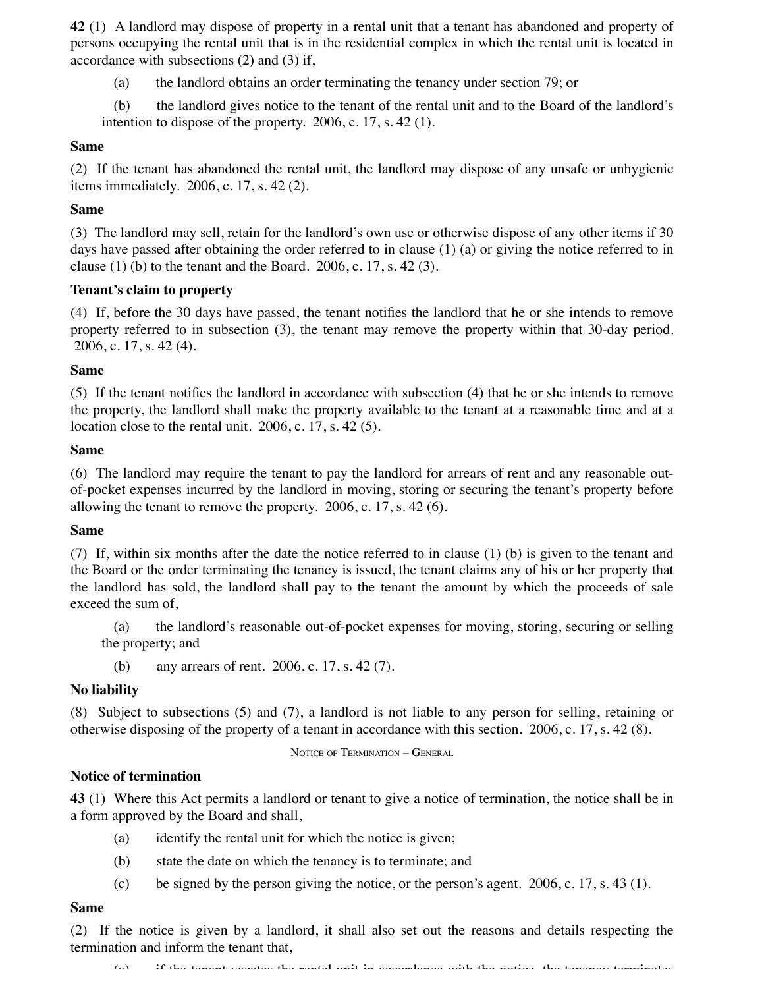**42** (1) A landlord may dispose of property in a rental unit that a tenant has abandoned and property of persons occupying the rental unit that is in the residential complex in which the rental unit is located in accordance with subsections (2) and (3) if,

(a) the landlord obtains an order terminating the tenancy under section 79; or

(b) the landlord gives notice to the tenant of the rental unit and to the Board of the landlord's intention to dispose of the property. 2006, c. 17, s. 42 (1).

### **Same**

(2) If the tenant has abandoned the rental unit, the landlord may dispose of any unsafe or unhygienic items immediately. 2006, c. 17, s. 42 (2).

# **Same**

(3) The landlord may sell, retain for the landlord's own use or otherwise dispose of any other items if 30 days have passed after obtaining the order referred to in clause (1) (a) or giving the notice referred to in clause  $(1)$  (b) to the tenant and the Board. 2006, c. 17, s. 42  $(3)$ .

# **Tenant's claim to property**

(4) If, before the 30 days have passed, the tenant notifies the landlord that he or she intends to remove property referred to in subsection (3), the tenant may remove the property within that 30-day period. 2006, c. 17, s. 42 (4).

### **Same**

(5) If the tenant notifies the landlord in accordance with subsection (4) that he or she intends to remove the property, the landlord shall make the property available to the tenant at a reasonable time and at a location close to the rental unit. 2006, c. 17, s. 42 (5).

# **Same**

(6) The landlord may require the tenant to pay the landlord for arrears of rent and any reasonable outof-pocket expenses incurred by the landlord in moving, storing or securing the tenant's property before allowing the tenant to remove the property. 2006, c. 17, s. 42 (6).

### **Same**

(7) If, within six months after the date the notice referred to in clause (1) (b) is given to the tenant and the Board or the order terminating the tenancy is issued, the tenant claims any of his or her property that the landlord has sold, the landlord shall pay to the tenant the amount by which the proceeds of sale exceed the sum of,

(a) the landlord's reasonable out-of-pocket expenses for moving, storing, securing or selling the property; and

(b) any arrears of rent. 2006, c. 17, s. 42 (7).

# **No liability**

(8) Subject to subsections (5) and (7), a landlord is not liable to any person for selling, retaining or otherwise disposing of the property of a tenant in accordance with this section. 2006, c. 17, s. 42 (8).

NOTICE OF TERMINATION – GENERAL

# **Notice of termination**

**43** (1) Where this Act permits a landlord or tenant to give a notice of termination, the notice shall be in a form approved by the Board and shall,

- (a) identify the rental unit for which the notice is given;
- (b) state the date on which the tenancy is to terminate; and
- (c) be signed by the person giving the notice, or the person's agent. 2006, c. 17, s. 43 (1).

# **Same**

(2) If the notice is given by a landlord, it shall also set out the reasons and details respecting the termination and inform the tenant that,

(a)  $\hbar$  if the tenant vacates the notice with in accordance with the notice, the tenancy tennisates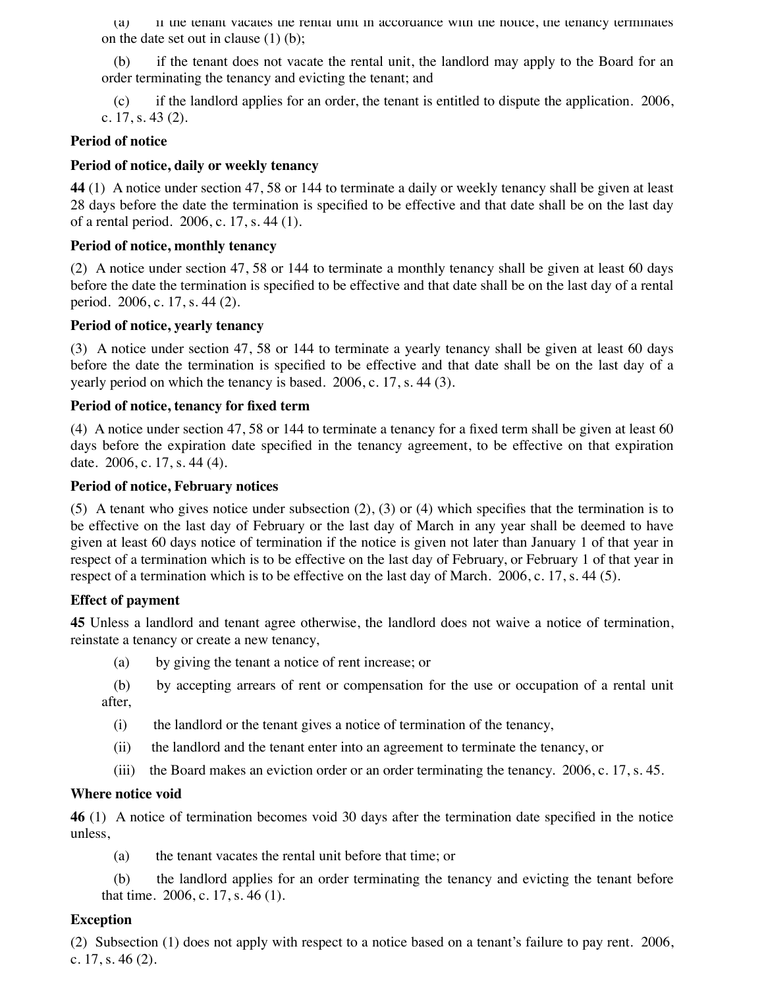(a) if the tenant vacates the rental unit in accordance with the notice, the tenancy terminates on the date set out in clause (1) (b);

(b) if the tenant does not vacate the rental unit, the landlord may apply to the Board for an order terminating the tenancy and evicting the tenant; and

(c) if the landlord applies for an order, the tenant is entitled to dispute the application. 2006, c. 17, s. 43 (2).

#### **Period of notice**

#### **Period of notice, daily or weekly tenancy**

**44** (1) A notice under section 47, 58 or 144 to terminate a daily or weekly tenancy shall be given at least 28 days before the date the termination is specified to be effective and that date shall be on the last day of a rental period. 2006, c. 17, s. 44 (1).

# **Period of notice, monthly tenancy**

(2) A notice under section 47, 58 or 144 to terminate a monthly tenancy shall be given at least 60 days before the date the termination is specified to be effective and that date shall be on the last day of a rental period. 2006, c. 17, s. 44 (2).

#### **Period of notice, yearly tenancy**

(3) A notice under section 47, 58 or 144 to terminate a yearly tenancy shall be given at least 60 days before the date the termination is specified to be effective and that date shall be on the last day of a yearly period on which the tenancy is based. 2006, c. 17, s. 44 (3).

#### **Period of notice, tenancy for fixed term**

(4) A notice under section 47, 58 or 144 to terminate a tenancy for a fixed term shall be given at least 60 days before the expiration date specified in the tenancy agreement, to be effective on that expiration date. 2006, c. 17, s. 44 (4).

### **Period of notice, February notices**

(5) A tenant who gives notice under subsection  $(2)$ ,  $(3)$  or  $(4)$  which specifies that the termination is to be effective on the last day of February or the last day of March in any year shall be deemed to have given at least 60 days notice of termination if the notice is given not later than January 1 of that year in respect of a termination which is to be effective on the last day of February, or February 1 of that year in respect of a termination which is to be effective on the last day of March. 2006, c. 17, s. 44 (5).

#### **Effect of payment**

**45** Unless a landlord and tenant agree otherwise, the landlord does not waive a notice of termination, reinstate a tenancy or create a new tenancy,

- (a) by giving the tenant a notice of rent increase; or
- (b) by accepting arrears of rent or compensation for the use or occupation of a rental unit after,
	- (i) the landlord or the tenant gives a notice of termination of the tenancy,
	- (ii) the landlord and the tenant enter into an agreement to terminate the tenancy, or
	- (iii) the Board makes an eviction order or an order terminating the tenancy. 2006, c. 17, s. 45.

#### **Where notice void**

**46** (1) A notice of termination becomes void 30 days after the termination date specified in the notice unless,

(a) the tenant vacates the rental unit before that time; or

(b) the landlord applies for an order terminating the tenancy and evicting the tenant before that time. 2006, c. 17, s. 46 (1).

#### **Exception**

(2) Subsection (1) does not apply with respect to a notice based on a tenant's failure to pay rent. 2006, c. 17, s. 46 (2).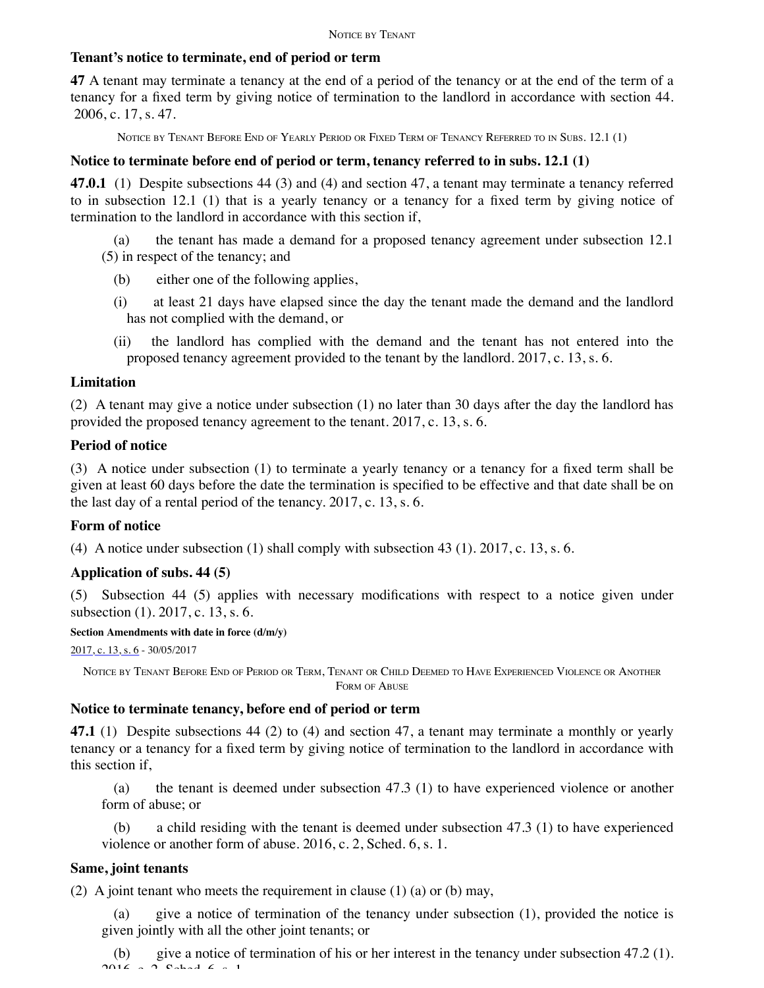### **Tenant's notice to terminate, end of period or term**

**47** A tenant may terminate a tenancy at the end of a period of the tenancy or at the end of the term of a tenancy for a fixed term by giving notice of termination to the landlord in accordance with section 44. 2006, c. 17, s. 47.

NOTICE BY TENANT BEFORE END OF YEARLY PERIOD OR FIXED TERM OF TENANCY REFERRED TO IN SUBS. 12.1 (1)

### **Notice to terminate before end of period or term, tenancy referred to in subs. 12.1 (1)**

**47.0.1** (1) Despite subsections 44 (3) and (4) and section 47, a tenant may terminate a tenancy referred to in subsection 12.1 (1) that is a yearly tenancy or a tenancy for a fixed term by giving notice of termination to the landlord in accordance with this section if,

- (a) the tenant has made a demand for a proposed tenancy agreement under subsection 12.1 (5) in respect of the tenancy; and
	- (b) either one of the following applies,
	- (i) at least 21 days have elapsed since the day the tenant made the demand and the landlord has not complied with the demand, or
	- (ii) the landlord has complied with the demand and the tenant has not entered into the proposed tenancy agreement provided to the tenant by the landlord. 2017, c. 13, s. 6.

### **Limitation**

(2) A tenant may give a notice under subsection (1) no later than 30 days after the day the landlord has provided the proposed tenancy agreement to the tenant. 2017, c. 13, s. 6.

### **Period of notice**

(3) A notice under subsection (1) to terminate a yearly tenancy or a tenancy for a fixed term shall be given at least 60 days before the date the termination is specified to be effective and that date shall be on the last day of a rental period of the tenancy. 2017, c. 13, s. 6.

### **Form of notice**

(4) A notice under subsection (1) shall comply with subsection 43 (1). 2017, c. 13, s. 6.

### **Application of subs. 44 (5)**

(5) Subsection 44 (5) applies with necessary modifications with respect to a notice given under subsection (1). 2017, c. 13, s. 6.

#### **Section Amendments with date in force (d/m/y)**

2017, c. 13, s. 6 - 30/05/2017

NOTICE BY TENANT BEFORE END OF PERIOD OR TERM, TENANT OR CHILD DEEMED TO HAVE EXPERIENCED VIOLENCE OR ANOTHER FORM OF ABUSE

### **Notice to terminate tenancy, before end of period or term**

**47.1** (1) Despite subsections 44 (2) to (4) and section 47, a tenant may terminate a monthly or yearly tenancy or a tenancy for a fixed term by giving notice of termination to the landlord in accordance with this section if,

(a) the tenant is deemed under subsection 47.3 (1) to have experienced violence or another form of abuse; or

(b) a child residing with the tenant is deemed under subsection 47.3 (1) to have experienced violence or another form of abuse. 2016, c. 2, Sched. 6, s. 1.

### **Same, joint tenants**

(2) A joint tenant who meets the requirement in clause  $(1)$  (a) or (b) may,

(a) give a notice of termination of the tenancy under subsection (1), provided the notice is given jointly with all the other joint tenants; or

(b) give a notice of termination of his or her interest in the tenancy under subsection 47.2 (1).  $2016 \times 2 \times 2 \times 1.$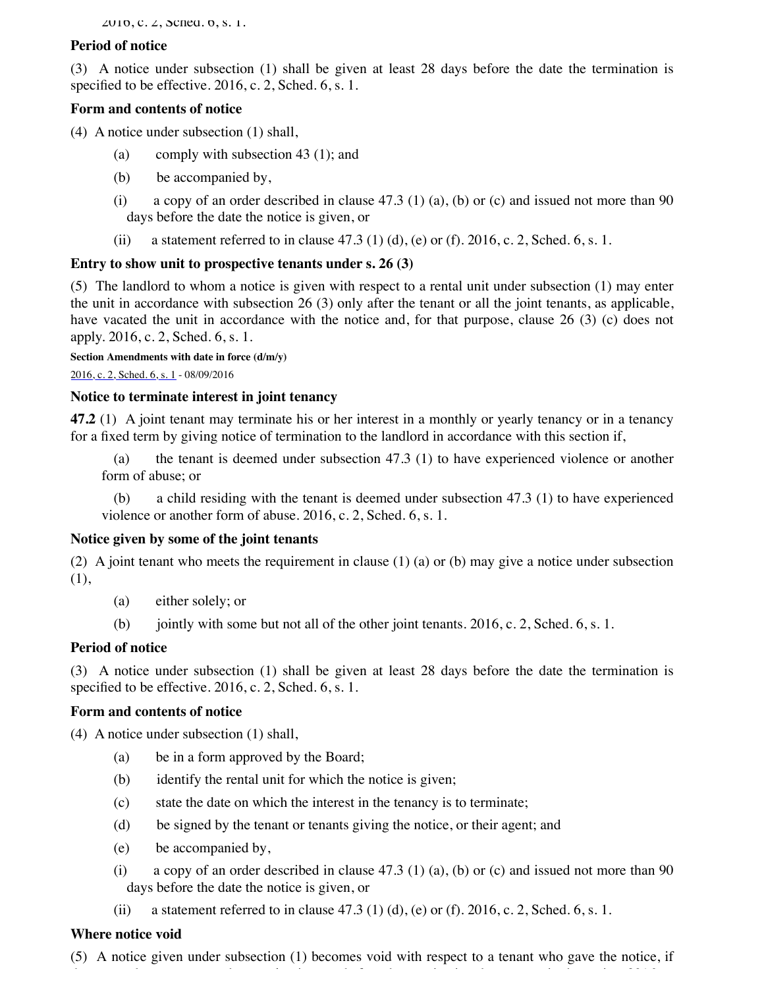#### **Period of notice**

(3) A notice under subsection (1) shall be given at least 28 days before the date the termination is specified to be effective. 2016, c. 2, Sched. 6, s. 1.

### **Form and contents of notice**

(4) A notice under subsection (1) shall,

- (a) comply with subsection 43 (1); and
- (b) be accompanied by,
- (i) a copy of an order described in clause  $47.3$  (1) (a), (b) or (c) and issued not more than 90 days before the date the notice is given, or
- (ii) a statement referred to in clause  $47.3$  (1) (d), (e) or (f). 2016, c. 2, Sched. 6, s. 1.

### **Entry to show unit to prospective tenants under s. 26 (3)**

(5) The landlord to whom a notice is given with respect to a rental unit under subsection (1) may enter the unit in accordance with subsection 26 (3) only after the tenant or all the joint tenants, as applicable, have vacated the unit in accordance with the notice and, for that purpose, clause 26 (3) (c) does not apply. 2016, c. 2, Sched. 6, s. 1.

**Section Amendments with date in force (d/m/y)**

2016, c. 2, Sched. 6, s. 1 - 08/09/2016

#### **Notice to terminate interest in joint tenancy**

**47.2** (1) A joint tenant may terminate his or her interest in a monthly or yearly tenancy or in a tenancy for a fixed term by giving notice of termination to the landlord in accordance with this section if,

(a) the tenant is deemed under subsection 47.3 (1) to have experienced violence or another form of abuse; or

(b) a child residing with the tenant is deemed under subsection 47.3 (1) to have experienced violence or another form of abuse. 2016, c. 2, Sched. 6, s. 1.

#### **Notice given by some of the joint tenants**

(2) A joint tenant who meets the requirement in clause (1) (a) or (b) may give a notice under subsection (1),

- (a) either solely; or
- (b) jointly with some but not all of the other joint tenants.  $2016$ , c. 2, Sched. 6, s. 1.

#### **Period of notice**

(3) A notice under subsection (1) shall be given at least 28 days before the date the termination is specified to be effective. 2016, c. 2, Sched. 6, s. 1.

#### **Form and contents of notice**

(4) A notice under subsection (1) shall,

- (a) be in a form approved by the Board;
- (b) identify the rental unit for which the notice is given;
- (c) state the date on which the interest in the tenancy is to terminate;
- (d) be signed by the tenant or tenants giving the notice, or their agent; and
- (e) be accompanied by,
- (i) a copy of an order described in clause  $47.3$  (1) (a), (b) or (c) and issued not more than 90 days before the date the notice is given, or
- (ii) a statement referred to in clause  $47.3 \text{ (1) (d), (e) or (f). } 2016, c. 2$ , Sched. 6, s. 1.

### **Where notice void**

(5) A notice given under subsection (1) becomes void with respect to a tenant who gave the notice, if the tenant does not vacate the rental unit on or before the termination date set out in the notice. 2016, c.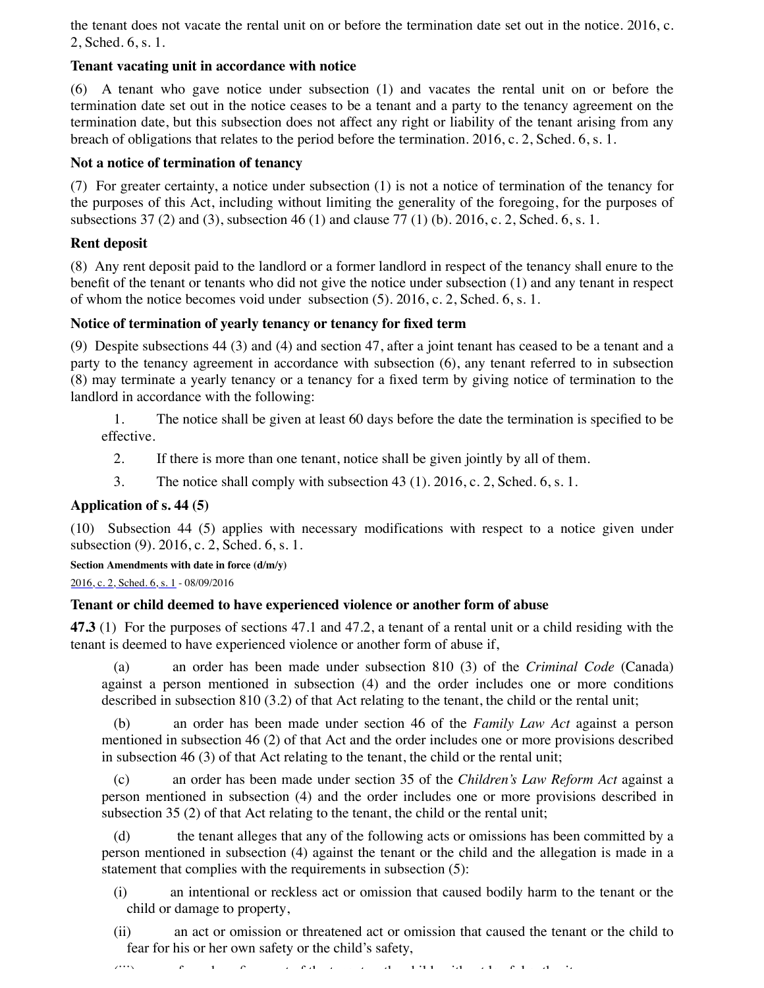the tenant does not vacate the rental unit on or before the termination date set out in the notice. 2016, c. 2, Sched. 6, s. 1.

### **Tenant vacating unit in accordance with notice**

(6) A tenant who gave notice under subsection (1) and vacates the rental unit on or before the termination date set out in the notice ceases to be a tenant and a party to the tenancy agreement on the termination date, but this subsection does not affect any right or liability of the tenant arising from any breach of obligations that relates to the period before the termination. 2016, c. 2, Sched. 6, s. 1.

### **Not a notice of termination of tenancy**

(7) For greater certainty, a notice under subsection (1) is not a notice of termination of the tenancy for the purposes of this Act, including without limiting the generality of the foregoing, for the purposes of subsections 37 (2) and (3), subsection 46 (1) and clause 77 (1) (b). 2016, c. 2, Sched. 6, s. 1.

### **Rent deposit**

(8) Any rent deposit paid to the landlord or a former landlord in respect of the tenancy shall enure to the benefit of the tenant or tenants who did not give the notice under subsection (1) and any tenant in respect of whom the notice becomes void under subsection (5). 2016, c. 2, Sched. 6, s. 1.

### **Notice of termination of yearly tenancy or tenancy for fixed term**

(9) Despite subsections 44 (3) and (4) and section 47, after a joint tenant has ceased to be a tenant and a party to the tenancy agreement in accordance with subsection (6), any tenant referred to in subsection (8) may terminate a yearly tenancy or a tenancy for a fixed term by giving notice of termination to the landlord in accordance with the following:

1. The notice shall be given at least 60 days before the date the termination is specified to be effective.

2. If there is more than one tenant, notice shall be given jointly by all of them.

3. The notice shall comply with subsection 43 (1). 2016, c. 2, Sched. 6, s. 1.

### **Application of s. 44 (5)**

(10) Subsection 44 (5) applies with necessary modifications with respect to a notice given under subsection (9). 2016, c. 2, Sched. 6, s. 1.

**Section Amendments with date in force (d/m/y)**

2016, c. 2, Sched. 6, s. 1 - 08/09/2016

### **Tenant or child deemed to have experienced violence or another form of abuse**

**47.3** (1) For the purposes of sections 47.1 and 47.2, a tenant of a rental unit or a child residing with the tenant is deemed to have experienced violence or another form of abuse if,

(a) an order has been made under subsection 810 (3) of the *Criminal Code* (Canada) against a person mentioned in subsection (4) and the order includes one or more conditions described in subsection 810 (3.2) of that Act relating to the tenant, the child or the rental unit;

(b) an order has been made under section 46 of the *Family Law Act* against a person mentioned in subsection 46 (2) of that Act and the order includes one or more provisions described in subsection 46 (3) of that Act relating to the tenant, the child or the rental unit;

(c) an order has been made under section 35 of the *Children's Law Reform Act* against a person mentioned in subsection (4) and the order includes one or more provisions described in subsection 35 (2) of that Act relating to the tenant, the child or the rental unit;

(d) the tenant alleges that any of the following acts or omissions has been committed by a person mentioned in subsection (4) against the tenant or the child and the allegation is made in a statement that complies with the requirements in subsection (5):

(i) an intentional or reckless act or omission that caused bodily harm to the tenant or the child or damage to property,

(ii) an act or omission or threatened act or omission that caused the tenant or the child to fear for his or her own safety or the child's safety,

 $\langle i\bar{i}\bar{j}\bar{k}\rangle = \langle i\bar{j}\bar{k}\rangle = \langle i\bar{j}\bar{k}\rangle = \langle i\bar{j}\bar{k}\rangle$  and  $\langle i\bar{j}\bar{k}\rangle = \langle i\bar{j}\bar{k}\rangle = \langle i\bar{j}\bar{k}\rangle = \langle i\bar{k}\bar{k}\rangle$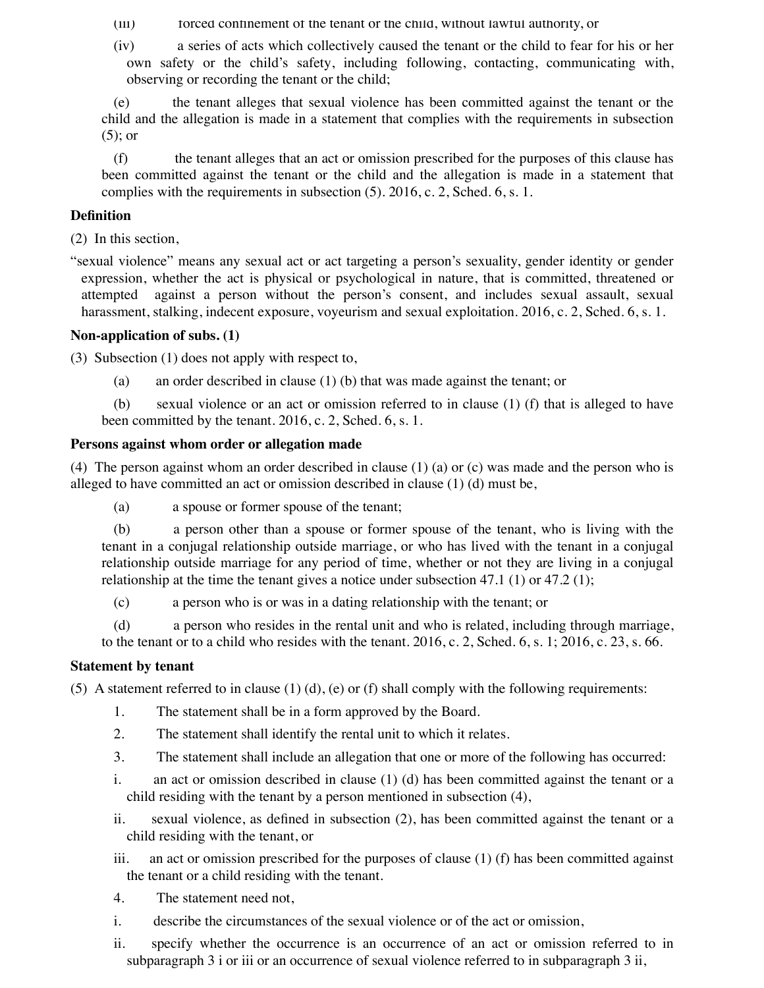(iii) forced confinement of the tenant or the child, without lawful authority, or

(iv) a series of acts which collectively caused the tenant or the child to fear for his or her own safety or the child's safety, including following, contacting, communicating with, observing or recording the tenant or the child;

(e) the tenant alleges that sexual violence has been committed against the tenant or the child and the allegation is made in a statement that complies with the requirements in subsection (5); or

(f) the tenant alleges that an act or omission prescribed for the purposes of this clause has been committed against the tenant or the child and the allegation is made in a statement that complies with the requirements in subsection (5). 2016, c. 2, Sched. 6, s. 1.

### **Definition**

(2) In this section,

"sexual violence" means any sexual act or act targeting a person's sexuality, gender identity or gender expression, whether the act is physical or psychological in nature, that is committed, threatened or attempted against a person without the person's consent, and includes sexual assault, sexual harassment, stalking, indecent exposure, voyeurism and sexual exploitation. 2016, c. 2, Sched. 6, s. 1.

### **Non-application of subs. (1)**

(3) Subsection (1) does not apply with respect to,

(a) an order described in clause (1) (b) that was made against the tenant; or

(b) sexual violence or an act or omission referred to in clause (1) (f) that is alleged to have been committed by the tenant. 2016, c. 2, Sched. 6, s. 1.

### **Persons against whom order or allegation made**

(4) The person against whom an order described in clause (1) (a) or (c) was made and the person who is alleged to have committed an act or omission described in clause (1) (d) must be,

(a) a spouse or former spouse of the tenant;

(b) a person other than a spouse or former spouse of the tenant, who is living with the tenant in a conjugal relationship outside marriage, or who has lived with the tenant in a conjugal relationship outside marriage for any period of time, whether or not they are living in a conjugal relationship at the time the tenant gives a notice under subsection  $47.1$  (1) or  $47.2$  (1);

(c) a person who is or was in a dating relationship with the tenant; or

(d) a person who resides in the rental unit and who is related, including through marriage, to the tenant or to a child who resides with the tenant.  $2016$ , c. 2, Sched. 6, s. 1;  $2016$ , c. 23, s. 66.

### **Statement by tenant**

(5) A statement referred to in clause (1) (d), (e) or (f) shall comply with the following requirements:

- 1. The statement shall be in a form approved by the Board.
- 2. The statement shall identify the rental unit to which it relates.
- 3. The statement shall include an allegation that one or more of the following has occurred:
- i. an act or omission described in clause (1) (d) has been committed against the tenant or a child residing with the tenant by a person mentioned in subsection (4),
- ii. sexual violence, as defined in subsection (2), has been committed against the tenant or a child residing with the tenant, or
- iii. an act or omission prescribed for the purposes of clause (1) (f) has been committed against the tenant or a child residing with the tenant.
- 4. The statement need not,
- i. describe the circumstances of the sexual violence or of the act or omission,
- ii. specify whether the occurrence is an occurrence of an act or omission referred to in subparagraph 3 i or iii or an occurrence of sexual violence referred to in subparagraph 3 ii,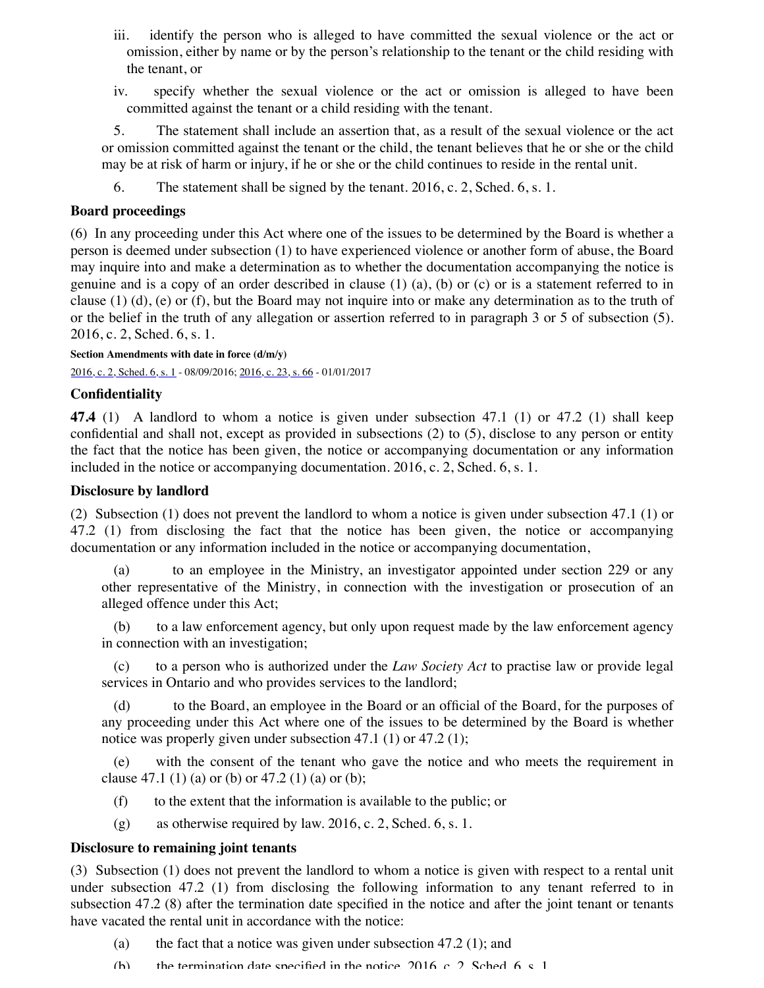- iii. identify the person who is alleged to have committed the sexual violence or the act or omission, either by name or by the person's relationship to the tenant or the child residing with the tenant, or
- iv. specify whether the sexual violence or the act or omission is alleged to have been committed against the tenant or a child residing with the tenant.

5. The statement shall include an assertion that, as a result of the sexual violence or the act or omission committed against the tenant or the child, the tenant believes that he or she or the child may be at risk of harm or injury, if he or she or the child continues to reside in the rental unit.

6. The statement shall be signed by the tenant. 2016, c. 2, Sched. 6, s. 1.

# **Board proceedings**

(6) In any proceeding under this Act where one of the issues to be determined by the Board is whether a person is deemed under subsection (1) to have experienced violence or another form of abuse, the Board may inquire into and make a determination as to whether the documentation accompanying the notice is genuine and is a copy of an order described in clause  $(1)$   $(a)$ ,  $(b)$  or  $(c)$  or is a statement referred to in clause (1) (d), (e) or (f), but the Board may not inquire into or make any determination as to the truth of or the belief in the truth of any allegation or assertion referred to in paragraph 3 or 5 of subsection (5). 2016, c. 2, Sched. 6, s. 1.

**Section Amendments with date in force (d/m/y)** 2016, c. 2, Sched. 6, s. 1 - 08/09/2016; 2016, c. 23, s. 66 - 01/01/2017

# **Confidentiality**

**47.4** (1) A landlord to whom a notice is given under subsection 47.1 (1) or 47.2 (1) shall keep confidential and shall not, except as provided in subsections (2) to (5), disclose to any person or entity the fact that the notice has been given, the notice or accompanying documentation or any information included in the notice or accompanying documentation. 2016, c. 2, Sched. 6, s. 1.

### **Disclosure by landlord**

(2) Subsection (1) does not prevent the landlord to whom a notice is given under subsection 47.1 (1) or 47.2 (1) from disclosing the fact that the notice has been given, the notice or accompanying documentation or any information included in the notice or accompanying documentation,

(a) to an employee in the Ministry, an investigator appointed under section 229 or any other representative of the Ministry, in connection with the investigation or prosecution of an alleged offence under this Act;

(b) to a law enforcement agency, but only upon request made by the law enforcement agency in connection with an investigation;

(c) to a person who is authorized under the *Law Society Act* to practise law or provide legal services in Ontario and who provides services to the landlord;

(d) to the Board, an employee in the Board or an official of the Board, for the purposes of any proceeding under this Act where one of the issues to be determined by the Board is whether notice was properly given under subsection 47.1 (1) or 47.2 (1);

(e) with the consent of the tenant who gave the notice and who meets the requirement in clause 47.1 (1) (a) or (b) or 47.2 (1) (a) or (b);

- (f) to the extent that the information is available to the public; or
- (g) as otherwise required by law.  $2016$ , c. 2, Sched. 6, s. 1.

### **Disclosure to remaining joint tenants**

(3) Subsection (1) does not prevent the landlord to whom a notice is given with respect to a rental unit under subsection 47.2 (1) from disclosing the following information to any tenant referred to in subsection 47.2 (8) after the termination date specified in the notice and after the joint tenant or tenants have vacated the rental unit in accordance with the notice:

- (a) the fact that a notice was given under subsection  $47.2$  (1); and
- (b) the termination date specified in the notice. 2016, c. 2, Sched. 6, s. 1.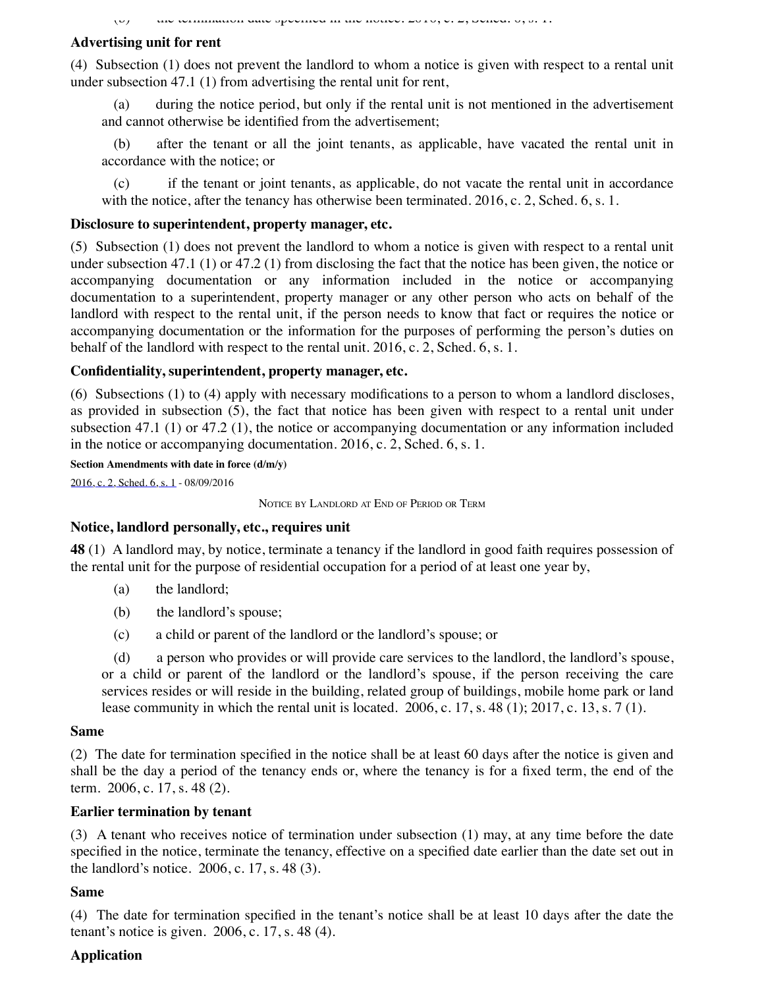$(v)$  the termination date specified in the notice. 2016, c. 2, Sched. 6, s. 1.

#### **Advertising unit for rent**

(4) Subsection (1) does not prevent the landlord to whom a notice is given with respect to a rental unit under subsection 47.1 (1) from advertising the rental unit for rent,

(a) during the notice period, but only if the rental unit is not mentioned in the advertisement and cannot otherwise be identified from the advertisement;

(b) after the tenant or all the joint tenants, as applicable, have vacated the rental unit in accordance with the notice; or

(c) if the tenant or joint tenants, as applicable, do not vacate the rental unit in accordance with the notice, after the tenancy has otherwise been terminated. 2016, c. 2, Sched. 6, s. 1.

#### **Disclosure to superintendent, property manager, etc.**

(5) Subsection (1) does not prevent the landlord to whom a notice is given with respect to a rental unit under subsection 47.1 (1) or 47.2 (1) from disclosing the fact that the notice has been given, the notice or accompanying documentation or any information included in the notice or accompanying documentation to a superintendent, property manager or any other person who acts on behalf of the landlord with respect to the rental unit, if the person needs to know that fact or requires the notice or accompanying documentation or the information for the purposes of performing the person's duties on behalf of the landlord with respect to the rental unit. 2016, c. 2, Sched. 6, s. 1.

### **Confidentiality, superintendent, property manager, etc.**

(6) Subsections (1) to (4) apply with necessary modifications to a person to whom a landlord discloses, as provided in subsection (5), the fact that notice has been given with respect to a rental unit under subsection 47.1 (1) or 47.2 (1), the notice or accompanying documentation or any information included in the notice or accompanying documentation. 2016, c. 2, Sched. 6, s. 1.

**Section Amendments with date in force (d/m/y)**

2016, c. 2, Sched. 6, s. 1 - 08/09/2016

NOTICE BY LANDLORD AT END OF PERIOD OR TERM

### **Notice, landlord personally, etc., requires unit**

**48** (1) A landlord may, by notice, terminate a tenancy if the landlord in good faith requires possession of the rental unit for the purpose of residential occupation for a period of at least one year by,

- (a) the landlord;
- (b) the landlord's spouse;
- (c) a child or parent of the landlord or the landlord's spouse; or

(d) a person who provides or will provide care services to the landlord, the landlord's spouse, or a child or parent of the landlord or the landlord's spouse, if the person receiving the care services resides or will reside in the building, related group of buildings, mobile home park or land lease community in which the rental unit is located.  $2006$ , c. 17, s. 48 (1); 2017, c. 13, s. 7 (1).

### **Same**

(2) The date for termination specified in the notice shall be at least 60 days after the notice is given and shall be the day a period of the tenancy ends or, where the tenancy is for a fixed term, the end of the term. 2006, c. 17, s. 48 (2).

### **Earlier termination by tenant**

(3) A tenant who receives notice of termination under subsection (1) may, at any time before the date specified in the notice, terminate the tenancy, effective on a specified date earlier than the date set out in the landlord's notice. 2006, c. 17, s. 48 (3).

### **Same**

(4) The date for termination specified in the tenant's notice shall be at least 10 days after the date the tenant's notice is given. 2006, c. 17, s. 48 (4).

### **Application**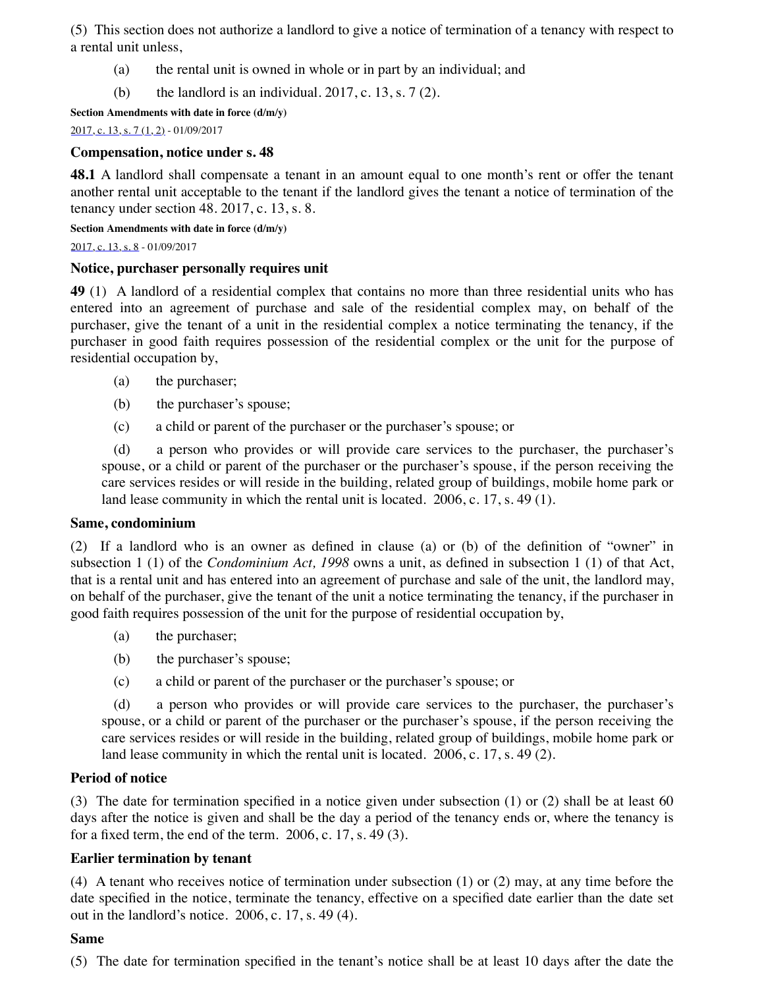(5) This section does not authorize a landlord to give a notice of termination of a tenancy with respect to a rental unit unless,

- (a) the rental unit is owned in whole or in part by an individual; and
- (b) the landlord is an individual.  $2017$ , c. 13, s.  $7(2)$ .

**Section Amendments with date in force (d/m/y)**

 $2017, c. 13, s. 7 (1, 2) - 01/09/2017$ 

### **Compensation, notice under s. 48**

**48.1** A landlord shall compensate a tenant in an amount equal to one month's rent or offer the tenant another rental unit acceptable to the tenant if the landlord gives the tenant a notice of termination of the tenancy under section 48. 2017, c. 13, s. 8.

**Section Amendments with date in force (d/m/y)**

2017, c. 13, s. 8 - 01/09/2017

### **Notice, purchaser personally requires unit**

**49** (1) A landlord of a residential complex that contains no more than three residential units who has entered into an agreement of purchase and sale of the residential complex may, on behalf of the purchaser, give the tenant of a unit in the residential complex a notice terminating the tenancy, if the purchaser in good faith requires possession of the residential complex or the unit for the purpose of residential occupation by,

- (a) the purchaser;
- (b) the purchaser's spouse;
- (c) a child or parent of the purchaser or the purchaser's spouse; or

(d) a person who provides or will provide care services to the purchaser, the purchaser's spouse, or a child or parent of the purchaser or the purchaser's spouse, if the person receiving the care services resides or will reside in the building, related group of buildings, mobile home park or land lease community in which the rental unit is located. 2006, c. 17, s. 49 (1).

### **Same, condominium**

(2) If a landlord who is an owner as defined in clause (a) or (b) of the definition of "owner" in subsection 1 (1) of the *Condominium Act, 1998* owns a unit, as defined in subsection 1 (1) of that Act, that is a rental unit and has entered into an agreement of purchase and sale of the unit, the landlord may, on behalf of the purchaser, give the tenant of the unit a notice terminating the tenancy, if the purchaser in good faith requires possession of the unit for the purpose of residential occupation by,

- (a) the purchaser;
- (b) the purchaser's spouse;
- (c) a child or parent of the purchaser or the purchaser's spouse; or

(d) a person who provides or will provide care services to the purchaser, the purchaser's spouse, or a child or parent of the purchaser or the purchaser's spouse, if the person receiving the care services resides or will reside in the building, related group of buildings, mobile home park or land lease community in which the rental unit is located. 2006, c. 17, s. 49 (2).

### **Period of notice**

(3) The date for termination specified in a notice given under subsection (1) or (2) shall be at least 60 days after the notice is given and shall be the day a period of the tenancy ends or, where the tenancy is for a fixed term, the end of the term. 2006, c. 17, s. 49 (3).

### **Earlier termination by tenant**

(4) A tenant who receives notice of termination under subsection (1) or (2) may, at any time before the date specified in the notice, terminate the tenancy, effective on a specified date earlier than the date set out in the landlord's notice. 2006, c. 17, s. 49 (4).

### **Same**

(5) The date for termination specified in the tenant's notice shall be at least 10 days after the date the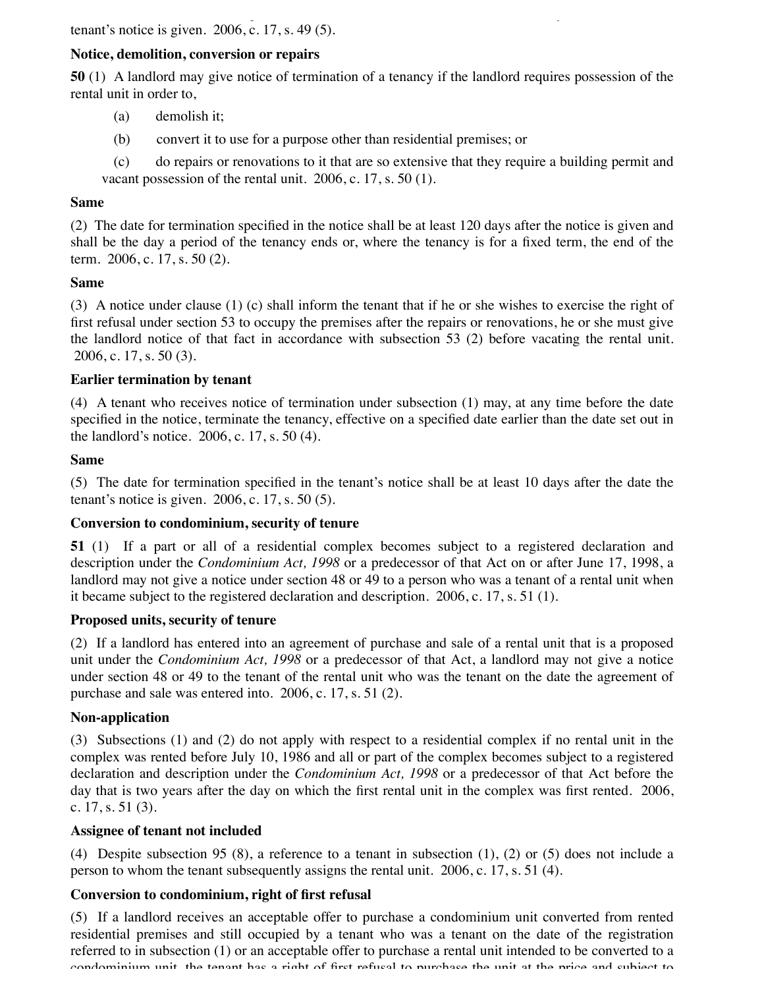$\mathcal{L}_{\mathcal{A}}$  The date for termination specified in the tenant's notice shall be at least 10 days after the date the date the date the date the date the date the date the date the date the date the date the date the date tenant's notice is given.  $2006$ , c. 17, s. 49 (5).

### **Notice, demolition, conversion or repairs**

**50** (1) A landlord may give notice of termination of a tenancy if the landlord requires possession of the rental unit in order to,

- (a) demolish it;
- (b) convert it to use for a purpose other than residential premises; or

(c) do repairs or renovations to it that are so extensive that they require a building permit and vacant possession of the rental unit. 2006, c. 17, s. 50 (1).

### **Same**

(2) The date for termination specified in the notice shall be at least 120 days after the notice is given and shall be the day a period of the tenancy ends or, where the tenancy is for a fixed term, the end of the term. 2006, c. 17, s. 50 (2).

### **Same**

(3) A notice under clause (1) (c) shall inform the tenant that if he or she wishes to exercise the right of first refusal under section 53 to occupy the premises after the repairs or renovations, he or she must give the landlord notice of that fact in accordance with subsection 53 (2) before vacating the rental unit. 2006, c. 17, s. 50 (3).

### **Earlier termination by tenant**

(4) A tenant who receives notice of termination under subsection (1) may, at any time before the date specified in the notice, terminate the tenancy, effective on a specified date earlier than the date set out in the landlord's notice. 2006, c. 17, s. 50 (4).

### **Same**

(5) The date for termination specified in the tenant's notice shall be at least 10 days after the date the tenant's notice is given. 2006, c. 17, s. 50 (5).

### **Conversion to condominium, security of tenure**

**51** (1) If a part or all of a residential complex becomes subject to a registered declaration and description under the *Condominium Act, 1998* or a predecessor of that Act on or after June 17, 1998, a landlord may not give a notice under section 48 or 49 to a person who was a tenant of a rental unit when it became subject to the registered declaration and description. 2006, c. 17, s. 51 (1).

### **Proposed units, security of tenure**

(2) If a landlord has entered into an agreement of purchase and sale of a rental unit that is a proposed unit under the *Condominium Act, 1998* or a predecessor of that Act, a landlord may not give a notice under section 48 or 49 to the tenant of the rental unit who was the tenant on the date the agreement of purchase and sale was entered into. 2006, c. 17, s. 51 (2).

### **Non-application**

(3) Subsections (1) and (2) do not apply with respect to a residential complex if no rental unit in the complex was rented before July 10, 1986 and all or part of the complex becomes subject to a registered declaration and description under the *Condominium Act, 1998* or a predecessor of that Act before the day that is two years after the day on which the first rental unit in the complex was first rented. 2006, c. 17, s. 51 (3).

### **Assignee of tenant not included**

(4) Despite subsection 95 (8), a reference to a tenant in subsection (1), (2) or (5) does not include a person to whom the tenant subsequently assigns the rental unit. 2006, c. 17, s. 51 (4).

# **Conversion to condominium, right of first refusal**

(5) If a landlord receives an acceptable offer to purchase a condominium unit converted from rented residential premises and still occupied by a tenant who was a tenant on the date of the registration referred to in subsection (1) or an acceptable offer to purchase a rental unit intended to be converted to a condominium unit, the tenant has a right of first refusal to purchase the unit at the price and subject to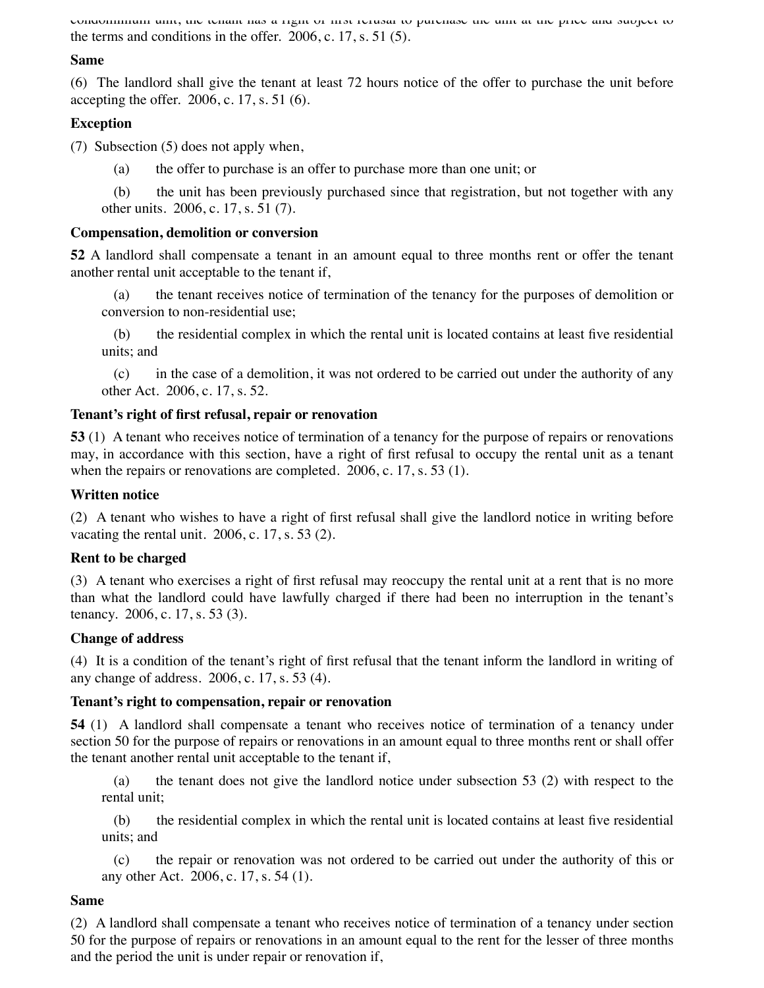condominium unit, the tenant has a right of first refusal to purchase the unit at the price and subject to the terms and conditions in the offer. 2006, c. 17, s. 51 (5).

#### **Same**

(6) The landlord shall give the tenant at least 72 hours notice of the offer to purchase the unit before accepting the offer. 2006, c. 17, s. 51 (6).

## **Exception**

(7) Subsection (5) does not apply when,

(a) the offer to purchase is an offer to purchase more than one unit; or

(b) the unit has been previously purchased since that registration, but not together with any other units. 2006, c. 17, s. 51 (7).

## **Compensation, demolition or conversion**

**52** A landlord shall compensate a tenant in an amount equal to three months rent or offer the tenant another rental unit acceptable to the tenant if,

(a) the tenant receives notice of termination of the tenancy for the purposes of demolition or conversion to non-residential use;

(b) the residential complex in which the rental unit is located contains at least five residential units; and

(c) in the case of a demolition, it was not ordered to be carried out under the authority of any other Act. 2006, c. 17, s. 52.

## **Tenant's right of first refusal, repair or renovation**

**53** (1) A tenant who receives notice of termination of a tenancy for the purpose of repairs or renovations may, in accordance with this section, have a right of first refusal to occupy the rental unit as a tenant when the repairs or renovations are completed. 2006, c. 17, s. 53 (1).

#### **Written notice**

(2) A tenant who wishes to have a right of first refusal shall give the landlord notice in writing before vacating the rental unit. 2006, c. 17, s. 53 (2).

## **Rent to be charged**

(3) A tenant who exercises a right of first refusal may reoccupy the rental unit at a rent that is no more than what the landlord could have lawfully charged if there had been no interruption in the tenant's tenancy. 2006, c. 17, s. 53 (3).

## **Change of address**

(4) It is a condition of the tenant's right of first refusal that the tenant inform the landlord in writing of any change of address. 2006, c. 17, s. 53 (4).

## **Tenant's right to compensation, repair or renovation**

**54** (1) A landlord shall compensate a tenant who receives notice of termination of a tenancy under section 50 for the purpose of repairs or renovations in an amount equal to three months rent or shall offer the tenant another rental unit acceptable to the tenant if,

(a) the tenant does not give the landlord notice under subsection 53 (2) with respect to the rental unit;

(b) the residential complex in which the rental unit is located contains at least five residential units; and

(c) the repair or renovation was not ordered to be carried out under the authority of this or any other Act. 2006, c. 17, s. 54 (1).

#### **Same**

(2) A landlord shall compensate a tenant who receives notice of termination of a tenancy under section 50 for the purpose of repairs or renovations in an amount equal to the rent for the lesser of three months and the period the unit is under repair or renovation if,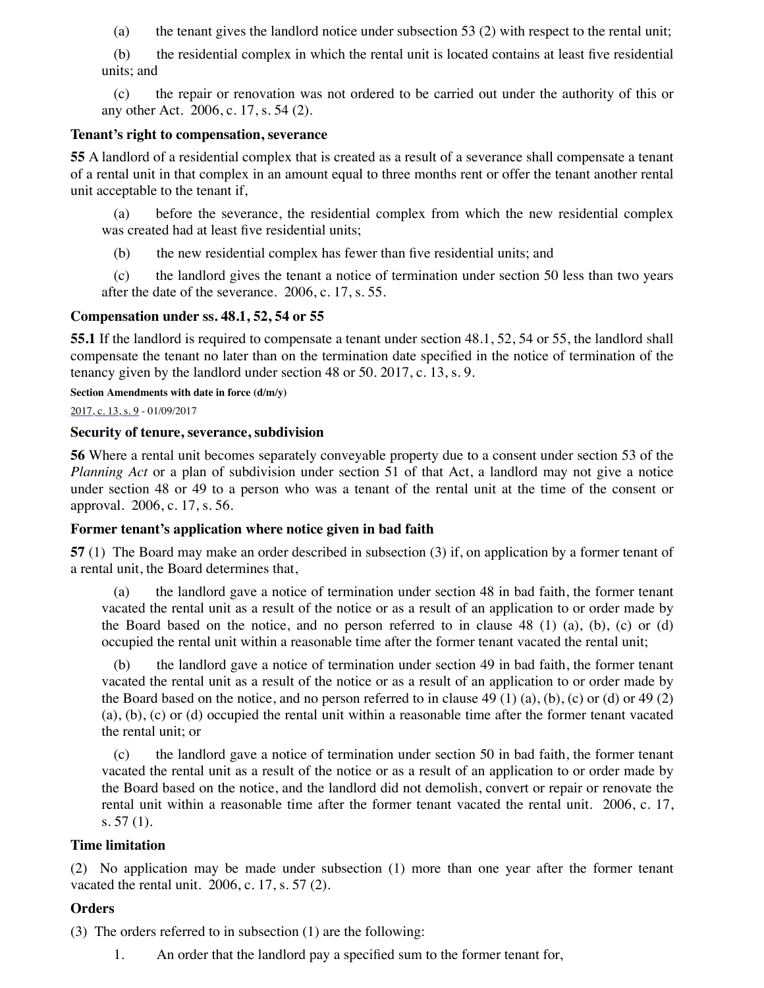(a) the tenant gives the landlord notice under subsection 53 (2) with respect to the rental unit;

(b) the residential complex in which the rental unit is located contains at least five residential units; and

(c) the repair or renovation was not ordered to be carried out under the authority of this or any other Act. 2006, c. 17, s. 54 (2).

#### **Tenant's right to compensation, severance**

**55** A landlord of a residential complex that is created as a result of a severance shall compensate a tenant of a rental unit in that complex in an amount equal to three months rent or offer the tenant another rental unit acceptable to the tenant if,

(a) before the severance, the residential complex from which the new residential complex was created had at least five residential units;

(b) the new residential complex has fewer than five residential units; and

(c) the landlord gives the tenant a notice of termination under section 50 less than two years after the date of the severance. 2006, c. 17, s. 55.

#### **Compensation under ss. 48.1, 52, 54 or 55**

**55.1** If the landlord is required to compensate a tenant under section 48.1, 52, 54 or 55, the landlord shall compensate the tenant no later than on the termination date specified in the notice of termination of the tenancy given by the landlord under section 48 or 50. 2017, c. 13, s. 9.

**Section Amendments with date in force (d/m/y)** 2017, c. 13, s. 9 - 01/09/2017

#### **Security of tenure, severance, subdivision**

**56** Where a rental unit becomes separately conveyable property due to a consent under section 53 of the *Planning Act* or a plan of subdivision under section 51 of that Act, a landlord may not give a notice under section 48 or 49 to a person who was a tenant of the rental unit at the time of the consent or approval. 2006, c. 17, s. 56.

#### **Former tenant's application where notice given in bad faith**

**57** (1) The Board may make an order described in subsection (3) if, on application by a former tenant of a rental unit, the Board determines that,

(a) the landlord gave a notice of termination under section 48 in bad faith, the former tenant vacated the rental unit as a result of the notice or as a result of an application to or order made by the Board based on the notice, and no person referred to in clause 48  $(1)$   $(a)$ ,  $(b)$ ,  $(c)$  or  $(d)$ occupied the rental unit within a reasonable time after the former tenant vacated the rental unit;

(b) the landlord gave a notice of termination under section 49 in bad faith, the former tenant vacated the rental unit as a result of the notice or as a result of an application to or order made by the Board based on the notice, and no person referred to in clause  $49(1)(a)$ , (b), (c) or (d) or  $49(2)$ (a), (b), (c) or (d) occupied the rental unit within a reasonable time after the former tenant vacated the rental unit; or

(c) the landlord gave a notice of termination under section 50 in bad faith, the former tenant vacated the rental unit as a result of the notice or as a result of an application to or order made by the Board based on the notice, and the landlord did not demolish, convert or repair or renovate the rental unit within a reasonable time after the former tenant vacated the rental unit. 2006, c. 17, s. 57 (1).

#### **Time limitation**

(2) No application may be made under subsection (1) more than one year after the former tenant vacated the rental unit. 2006, c. 17, s. 57 (2).

#### **Orders**

(3) The orders referred to in subsection (1) are the following:

1. An order that the landlord pay a specified sum to the former tenant for,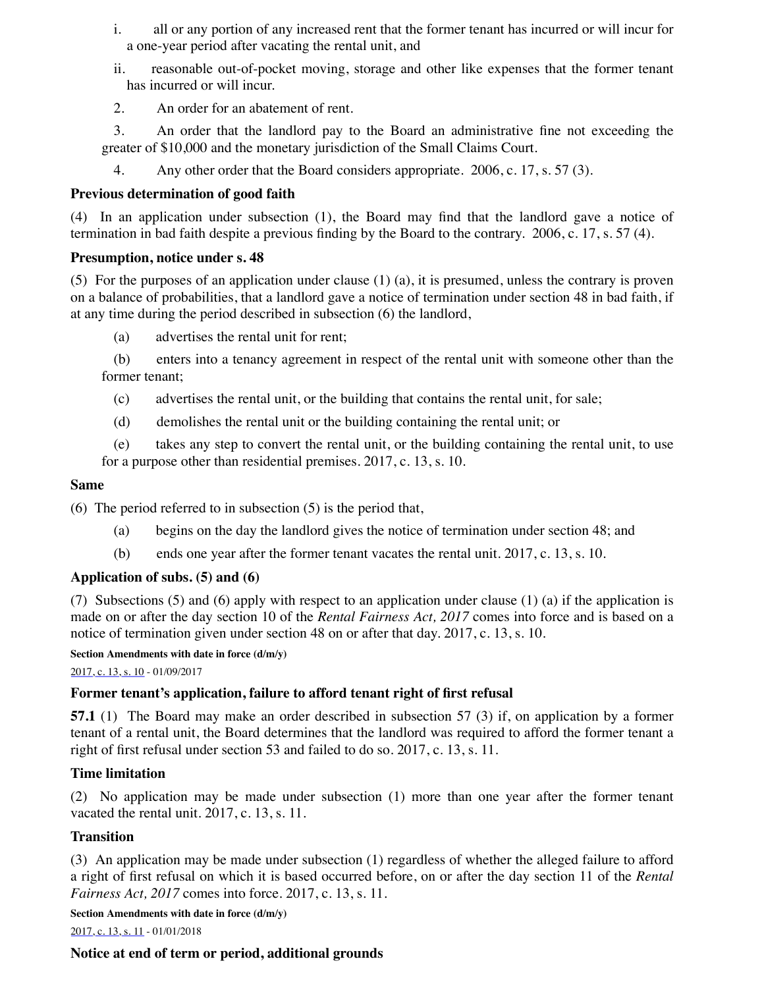- i. all or any portion of any increased rent that the former tenant has incurred or will incur for a one-year period after vacating the rental unit, and
- ii. reasonable out-of-pocket moving, storage and other like expenses that the former tenant has incurred or will incur.
- 2. An order for an abatement of rent.

3. An order that the landlord pay to the Board an administrative fine not exceeding the greater of \$10,000 and the monetary jurisdiction of the Small Claims Court.

4. Any other order that the Board considers appropriate. 2006, c. 17, s. 57 (3).

## **Previous determination of good faith**

(4) In an application under subsection (1), the Board may find that the landlord gave a notice of termination in bad faith despite a previous finding by the Board to the contrary. 2006, c. 17, s. 57 (4).

## **Presumption, notice under s. 48**

(5) For the purposes of an application under clause (1) (a), it is presumed, unless the contrary is proven on a balance of probabilities, that a landlord gave a notice of termination under section 48 in bad faith, if at any time during the period described in subsection (6) the landlord,

(a) advertises the rental unit for rent;

(b) enters into a tenancy agreement in respect of the rental unit with someone other than the former tenant;

- (c) advertises the rental unit, or the building that contains the rental unit, for sale;
- (d) demolishes the rental unit or the building containing the rental unit; or

(e) takes any step to convert the rental unit, or the building containing the rental unit, to use for a purpose other than residential premises. 2017, c. 13, s. 10.

#### **Same**

(6) The period referred to in subsection (5) is the period that,

- (a) begins on the day the landlord gives the notice of termination under section 48; and
- (b) ends one year after the former tenant vacates the rental unit. 2017, c. 13, s. 10.

## **Application of subs. (5) and (6)**

(7) Subsections (5) and (6) apply with respect to an application under clause (1) (a) if the application is made on or after the day section 10 of the *Rental Fairness Act, 2017* comes into force and is based on a notice of termination given under section 48 on or after that day. 2017, c. 13, s. 10.

**Section Amendments with date in force (d/m/y)**

2017, c. 13, s. 10 - 01/09/2017

## **Former tenant's application, failure to afford tenant right of first refusal**

**57.1** (1) The Board may make an order described in subsection 57 (3) if, on application by a former tenant of a rental unit, the Board determines that the landlord was required to afford the former tenant a right of first refusal under section 53 and failed to do so. 2017, c. 13, s. 11.

#### **Time limitation**

(2) No application may be made under subsection (1) more than one year after the former tenant vacated the rental unit. 2017, c. 13, s. 11.

## **Transition**

(3) An application may be made under subsection (1) regardless of whether the alleged failure to afford a right of first refusal on which it is based occurred before, on or after the day section 11 of the *Rental Fairness Act, 2017* comes into force. 2017, c. 13, s. 11.

**Section Amendments with date in force (d/m/y)**

2017, c. 13, s. 11 - 01/01/2018

## **Notice at end of term or period, additional grounds**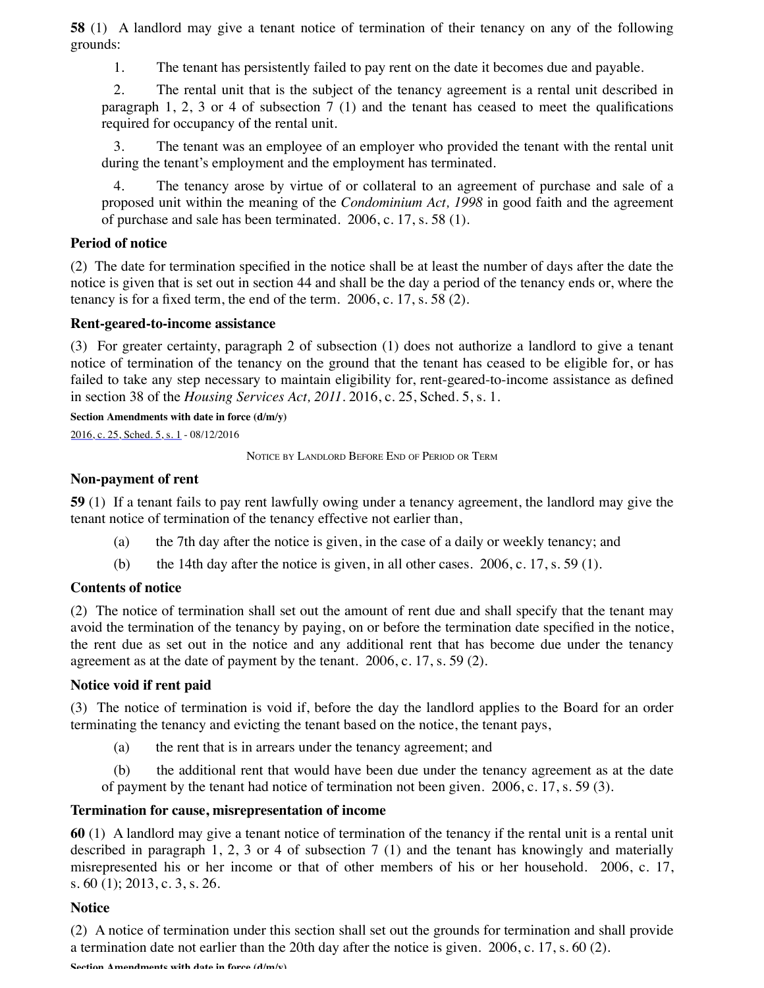**58** (1) A landlord may give a tenant notice of termination of their tenancy on any of the following grounds:

1. The tenant has persistently failed to pay rent on the date it becomes due and payable.

2. The rental unit that is the subject of the tenancy agreement is a rental unit described in paragraph  $1, 2, 3$  or  $4$  of subsection  $7(1)$  and the tenant has ceased to meet the qualifications required for occupancy of the rental unit.

3. The tenant was an employee of an employer who provided the tenant with the rental unit during the tenant's employment and the employment has terminated.

4. The tenancy arose by virtue of or collateral to an agreement of purchase and sale of a proposed unit within the meaning of the *Condominium Act, 1998* in good faith and the agreement of purchase and sale has been terminated. 2006, c. 17, s. 58 (1).

# **Period of notice**

(2) The date for termination specified in the notice shall be at least the number of days after the date the notice is given that is set out in section 44 and shall be the day a period of the tenancy ends or, where the tenancy is for a fixed term, the end of the term. 2006, c. 17, s. 58 (2).

# **Rent-geared-to-income assistance**

(3) For greater certainty, paragraph 2 of subsection (1) does not authorize a landlord to give a tenant notice of termination of the tenancy on the ground that the tenant has ceased to be eligible for, or has failed to take any step necessary to maintain eligibility for, rent-geared-to-income assistance as defined in section 38 of the *Housing Services Act, 2011*. 2016, c. 25, Sched. 5, s. 1.

**Section Amendments with date in force (d/m/y)** 2016, c. 25, Sched. 5, s. 1 - 08/12/2016

NOTICE BY LANDLORD BEFORE END OF PERIOD OR TERM

# **Non-payment of rent**

**59** (1) If a tenant fails to pay rent lawfully owing under a tenancy agreement, the landlord may give the tenant notice of termination of the tenancy effective not earlier than,

- (a) the 7th day after the notice is given, in the case of a daily or weekly tenancy; and
- (b) the 14th day after the notice is given, in all other cases.  $2006$ , c. 17, s. 59 (1).

# **Contents of notice**

(2) The notice of termination shall set out the amount of rent due and shall specify that the tenant may avoid the termination of the tenancy by paying, on or before the termination date specified in the notice, the rent due as set out in the notice and any additional rent that has become due under the tenancy agreement as at the date of payment by the tenant. 2006, c. 17, s. 59 (2).

## **Notice void if rent paid**

(3) The notice of termination is void if, before the day the landlord applies to the Board for an order terminating the tenancy and evicting the tenant based on the notice, the tenant pays,

(a) the rent that is in arrears under the tenancy agreement; and

(b) the additional rent that would have been due under the tenancy agreement as at the date of payment by the tenant had notice of termination not been given. 2006, c. 17, s. 59 (3).

## **Termination for cause, misrepresentation of income**

**60** (1) A landlord may give a tenant notice of termination of the tenancy if the rental unit is a rental unit described in paragraph 1, 2, 3 or 4 of subsection 7 (1) and the tenant has knowingly and materially misrepresented his or her income or that of other members of his or her household. 2006, c. 17, s. 60 (1); 2013, c. 3, s. 26.

# **Notice**

(2) A notice of termination under this section shall set out the grounds for termination and shall provide a termination date not earlier than the 20th day after the notice is given. 2006, c. 17, s. 60 (2).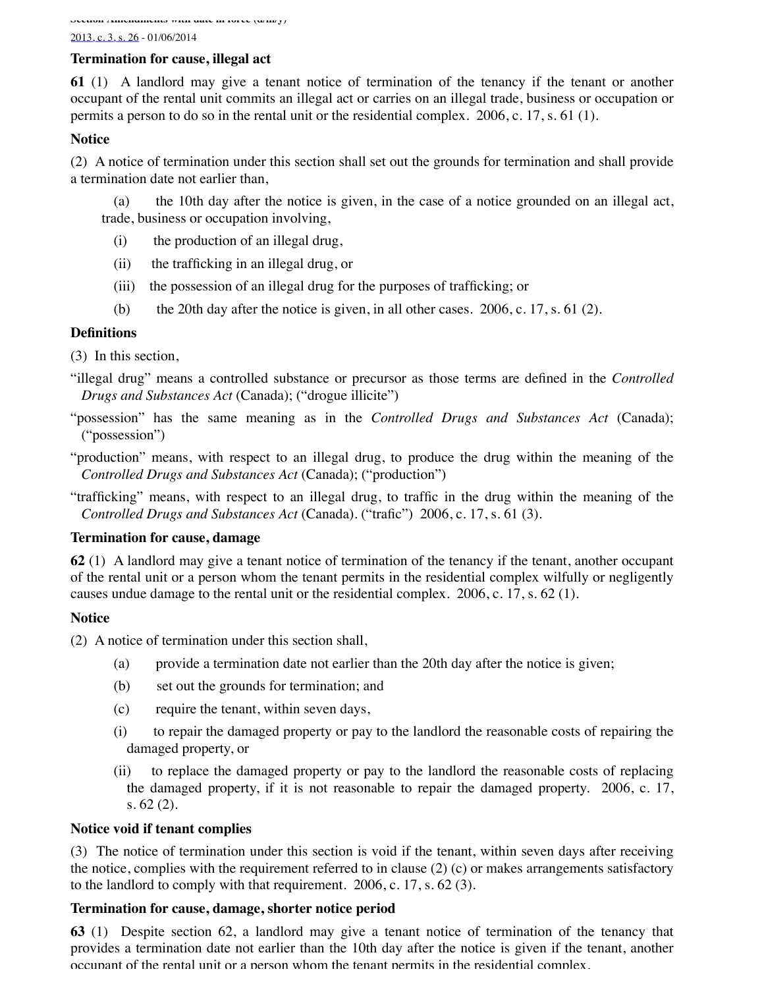## **Termination for cause, illegal act**

**61** (1) A landlord may give a tenant notice of termination of the tenancy if the tenant or another occupant of the rental unit commits an illegal act or carries on an illegal trade, business or occupation or permits a person to do so in the rental unit or the residential complex. 2006, c. 17, s. 61 (1).

#### **Notice**

(2) A notice of termination under this section shall set out the grounds for termination and shall provide a termination date not earlier than,

(a) the 10th day after the notice is given, in the case of a notice grounded on an illegal act, trade, business or occupation involving,

- (i) the production of an illegal drug,
- (ii) the trafficking in an illegal drug, or
- (iii) the possession of an illegal drug for the purposes of trafficking; or
- (b) the 20th day after the notice is given, in all other cases.  $2006$ , c. 17, s. 61 (2).

## **Definitions**

(3) In this section,

"illegal drug" means a controlled substance or precursor as those terms are defined in the *Controlled Drugs and Substances Act* (Canada); ("drogue illicite")

"possession" has the same meaning as in the *Controlled Drugs and Substances Act* (Canada); ("possession")

"production" means, with respect to an illegal drug, to produce the drug within the meaning of the *Controlled Drugs and Substances Act* (Canada); ("production")

"trafficking" means, with respect to an illegal drug, to traffic in the drug within the meaning of the *Controlled Drugs and Substances Act* (Canada). ("trafic") 2006, c. 17, s. 61 (3).

#### **Termination for cause, damage**

**62** (1) A landlord may give a tenant notice of termination of the tenancy if the tenant, another occupant of the rental unit or a person whom the tenant permits in the residential complex wilfully or negligently causes undue damage to the rental unit or the residential complex. 2006, c. 17, s. 62 (1).

#### **Notice**

(2) A notice of termination under this section shall,

- (a) provide a termination date not earlier than the 20th day after the notice is given;
- (b) set out the grounds for termination; and
- (c) require the tenant, within seven days,
- (i) to repair the damaged property or pay to the landlord the reasonable costs of repairing the damaged property, or
- (ii) to replace the damaged property or pay to the landlord the reasonable costs of replacing the damaged property, if it is not reasonable to repair the damaged property. 2006, c. 17, s. 62 (2).

#### **Notice void if tenant complies**

(3) The notice of termination under this section is void if the tenant, within seven days after receiving the notice, complies with the requirement referred to in clause  $(2)$  (c) or makes arrangements satisfactory to the landlord to comply with that requirement. 2006, c. 17, s. 62 (3).

## **Termination for cause, damage, shorter notice period**

**63** (1) Despite section 62, a landlord may give a tenant notice of termination of the tenancy that provides a termination date not earlier than the 10th day after the notice is given if the tenant, another occupant of the rental unit or a person whom the tenant permits in the residential complex,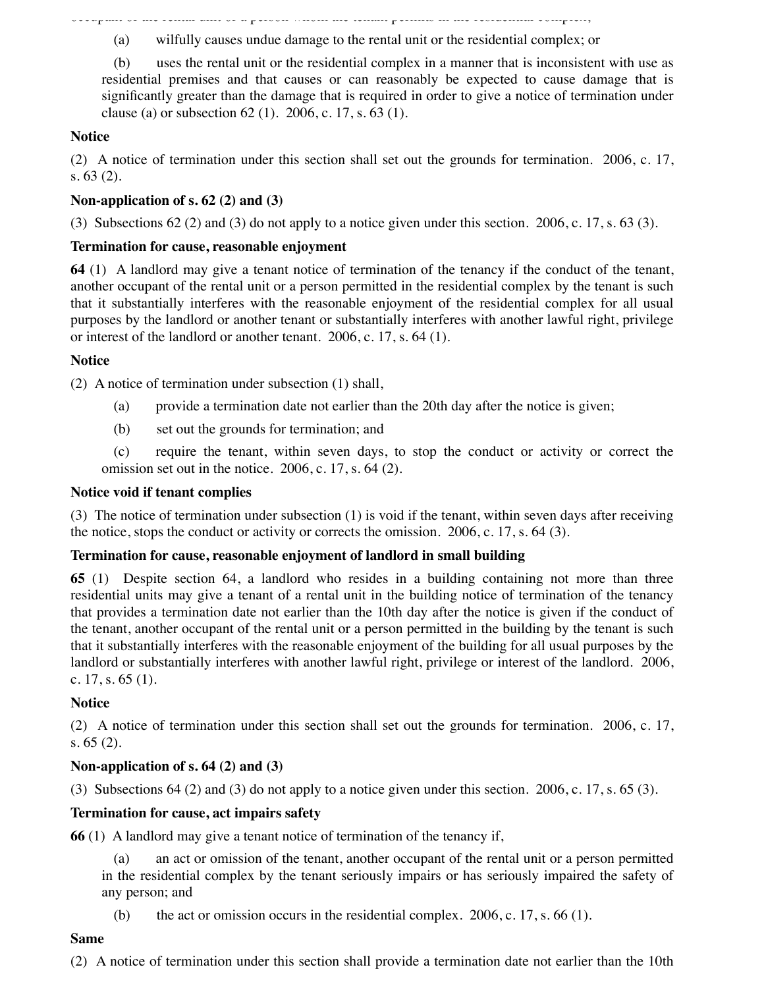occupant of the rental unit or a person whom the tenant permits in the residential complex,

(a) wilfully causes undue damage to the rental unit or the residential complex; or

(b) uses the rental unit or the residential complex in a manner that is inconsistent with use as residential premises and that causes or can reasonably be expected to cause damage that is significantly greater than the damage that is required in order to give a notice of termination under clause (a) or subsection 62 (1). 2006, c. 17, s. 63 (1).

## **Notice**

(2) A notice of termination under this section shall set out the grounds for termination. 2006, c. 17, s. 63 (2).

## **Non-application of s. 62 (2) and (3)**

(3) Subsections 62 (2) and (3) do not apply to a notice given under this section. 2006, c. 17, s. 63 (3).

#### **Termination for cause, reasonable enjoyment**

**64** (1) A landlord may give a tenant notice of termination of the tenancy if the conduct of the tenant, another occupant of the rental unit or a person permitted in the residential complex by the tenant is such that it substantially interferes with the reasonable enjoyment of the residential complex for all usual purposes by the landlord or another tenant or substantially interferes with another lawful right, privilege or interest of the landlord or another tenant. 2006, c. 17, s. 64 (1).

## **Notice**

(2) A notice of termination under subsection (1) shall,

- (a) provide a termination date not earlier than the 20th day after the notice is given;
- (b) set out the grounds for termination; and

(c) require the tenant, within seven days, to stop the conduct or activity or correct the omission set out in the notice. 2006, c. 17, s. 64 (2).

#### **Notice void if tenant complies**

(3) The notice of termination under subsection (1) is void if the tenant, within seven days after receiving the notice, stops the conduct or activity or corrects the omission. 2006, c. 17, s. 64 (3).

#### **Termination for cause, reasonable enjoyment of landlord in small building**

**65** (1) Despite section 64, a landlord who resides in a building containing not more than three residential units may give a tenant of a rental unit in the building notice of termination of the tenancy that provides a termination date not earlier than the 10th day after the notice is given if the conduct of the tenant, another occupant of the rental unit or a person permitted in the building by the tenant is such that it substantially interferes with the reasonable enjoyment of the building for all usual purposes by the landlord or substantially interferes with another lawful right, privilege or interest of the landlord. 2006, c. 17, s. 65 (1).

#### **Notice**

(2) A notice of termination under this section shall set out the grounds for termination. 2006, c. 17, s. 65 (2).

## **Non-application of s. 64 (2) and (3)**

(3) Subsections 64 (2) and (3) do not apply to a notice given under this section. 2006, c. 17, s. 65 (3).

#### **Termination for cause, act impairs safety**

**66** (1) A landlord may give a tenant notice of termination of the tenancy if,

an act or omission of the tenant, another occupant of the rental unit or a person permitted in the residential complex by the tenant seriously impairs or has seriously impaired the safety of any person; and

(b) the act or omission occurs in the residential complex.  $2006$ , c. 17, s. 66 (1).

#### **Same**

(2) A notice of termination under this section shall provide a termination date not earlier than the 10th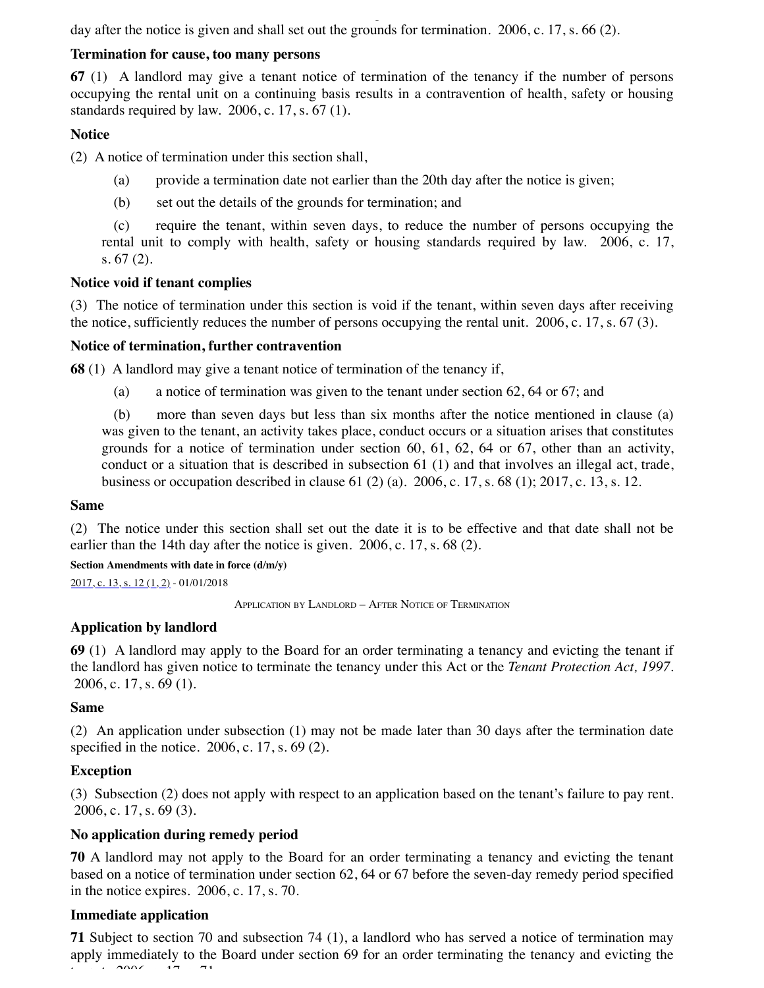$\mathcal{L}(\mathcal{L})$  a notice of termination shall provide a termination shall provide a termination date not earlier than the 10th shall provide a termination date not earlier than the 10th shall provide a termination of the 1 day after the notice is given and shall set out the grounds for termination. 2006, c. 17, s. 66 (2).

## **Termination for cause, too many persons**

**67** (1) A landlord may give a tenant notice of termination of the tenancy if the number of persons occupying the rental unit on a continuing basis results in a contravention of health, safety or housing standards required by law. 2006, c. 17, s. 67 (1).

#### **Notice**

(2) A notice of termination under this section shall,

- (a) provide a termination date not earlier than the 20th day after the notice is given;
- (b) set out the details of the grounds for termination; and

(c) require the tenant, within seven days, to reduce the number of persons occupying the rental unit to comply with health, safety or housing standards required by law. 2006, c. 17, s. 67 (2).

## **Notice void if tenant complies**

(3) The notice of termination under this section is void if the tenant, within seven days after receiving the notice, sufficiently reduces the number of persons occupying the rental unit. 2006, c. 17, s. 67 (3).

## **Notice of termination, further contravention**

**68** (1) A landlord may give a tenant notice of termination of the tenancy if,

(a) a notice of termination was given to the tenant under section 62, 64 or 67; and

(b) more than seven days but less than six months after the notice mentioned in clause (a) was given to the tenant, an activity takes place, conduct occurs or a situation arises that constitutes grounds for a notice of termination under section 60, 61, 62, 64 or 67, other than an activity, conduct or a situation that is described in subsection 61 (1) and that involves an illegal act, trade, business or occupation described in clause 61 (2) (a). 2006, c. 17, s. 68 (1); 2017, c. 13, s. 12.

#### **Same**

(2) The notice under this section shall set out the date it is to be effective and that date shall not be earlier than the 14th day after the notice is given. 2006, c. 17, s. 68 (2).

**Section Amendments with date in force (d/m/y)**

2017, c. 13, s. 12 (1, 2) - 01/01/2018

APPLICATION BY LANDLORD – AFTER NOTICE OF TERMINATION

## **Application by landlord**

**69** (1) A landlord may apply to the Board for an order terminating a tenancy and evicting the tenant if the landlord has given notice to terminate the tenancy under this Act or the *Tenant Protection Act, 1997*. 2006, c. 17, s. 69 (1).

#### **Same**

(2) An application under subsection (1) may not be made later than 30 days after the termination date specified in the notice. 2006, c. 17, s. 69 (2).

## **Exception**

(3) Subsection (2) does not apply with respect to an application based on the tenant's failure to pay rent. 2006, c. 17, s. 69 (3).

## **No application during remedy period**

**70** A landlord may not apply to the Board for an order terminating a tenancy and evicting the tenant based on a notice of termination under section 62, 64 or 67 before the seven-day remedy period specified in the notice expires. 2006, c. 17, s. 70.

## **Immediate application**

**71** Subject to section 70 and subsection 74 (1), a landlord who has served a notice of termination may apply immediately to the Board under section 69 for an order terminating the tenancy and evicting the  $\frac{1}{200}$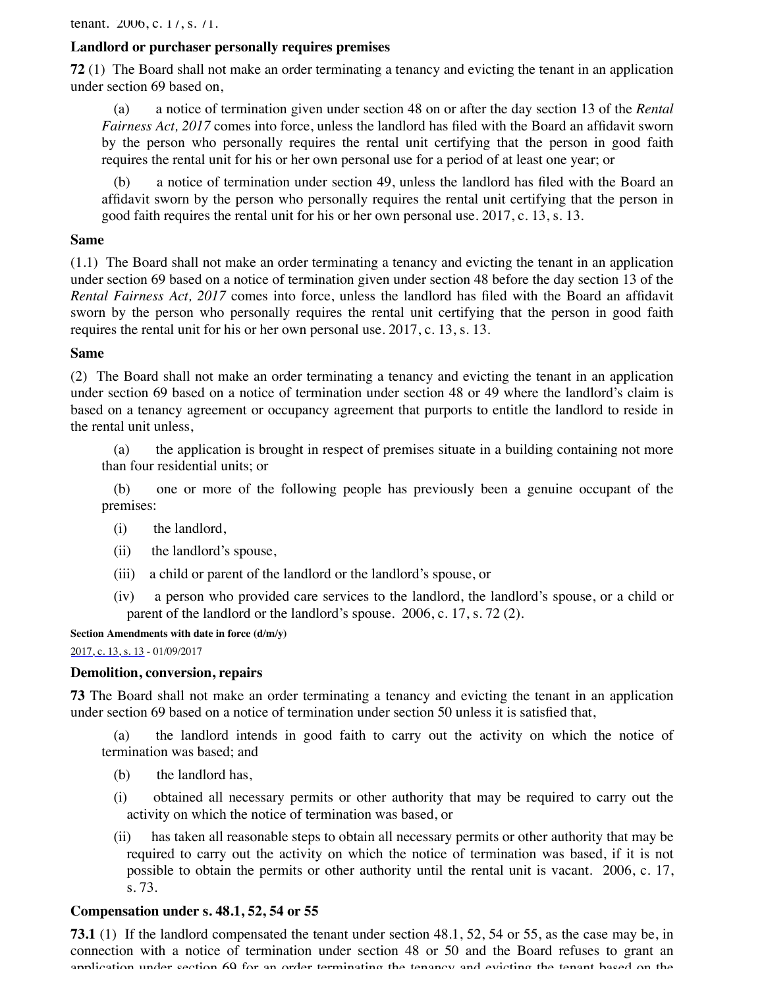tenant. 2006, c. 17, s. 71.

# **Landlord or purchaser personally requires premises**

**72** (1) The Board shall not make an order terminating a tenancy and evicting the tenant in an application under section 69 based on,

(a) a notice of termination given under section 48 on or after the day section 13 of the *Rental Fairness Act, 2017* comes into force, unless the landlord has filed with the Board an affidavit sworn by the person who personally requires the rental unit certifying that the person in good faith requires the rental unit for his or her own personal use for a period of at least one year; or

(b) a notice of termination under section 49, unless the landlord has filed with the Board an affidavit sworn by the person who personally requires the rental unit certifying that the person in good faith requires the rental unit for his or her own personal use. 2017, c. 13, s. 13.

## **Same**

(1.1) The Board shall not make an order terminating a tenancy and evicting the tenant in an application under section 69 based on a notice of termination given under section 48 before the day section 13 of the *Rental Fairness Act, 2017* comes into force, unless the landlord has filed with the Board an affidavit sworn by the person who personally requires the rental unit certifying that the person in good faith requires the rental unit for his or her own personal use. 2017, c. 13, s. 13.

## **Same**

(2) The Board shall not make an order terminating a tenancy and evicting the tenant in an application under section 69 based on a notice of termination under section 48 or 49 where the landlord's claim is based on a tenancy agreement or occupancy agreement that purports to entitle the landlord to reside in the rental unit unless,

(a) the application is brought in respect of premises situate in a building containing not more than four residential units; or

(b) one or more of the following people has previously been a genuine occupant of the premises:

- (i) the landlord,
- (ii) the landlord's spouse,
- (iii) a child or parent of the landlord or the landlord's spouse, or
- (iv) a person who provided care services to the landlord, the landlord's spouse, or a child or parent of the landlord or the landlord's spouse. 2006, c. 17, s. 72 (2).

**Section Amendments with date in force (d/m/y)**

2017, c. 13, s. 13 - 01/09/2017

## **Demolition, conversion, repairs**

**73** The Board shall not make an order terminating a tenancy and evicting the tenant in an application under section 69 based on a notice of termination under section 50 unless it is satisfied that,

(a) the landlord intends in good faith to carry out the activity on which the notice of termination was based; and

- (b) the landlord has,
- (i) obtained all necessary permits or other authority that may be required to carry out the activity on which the notice of termination was based, or
- (ii) has taken all reasonable steps to obtain all necessary permits or other authority that may be required to carry out the activity on which the notice of termination was based, if it is not possible to obtain the permits or other authority until the rental unit is vacant. 2006, c. 17, s. 73.

## **Compensation under s. 48.1, 52, 54 or 55**

**73.1** (1) If the landlord compensated the tenant under section 48.1, 52, 54 or 55, as the case may be, in connection with a notice of termination under section 48 or 50 and the Board refuses to grant an application under section 60 for an order terminating the tenancy and evicting the tenant based on the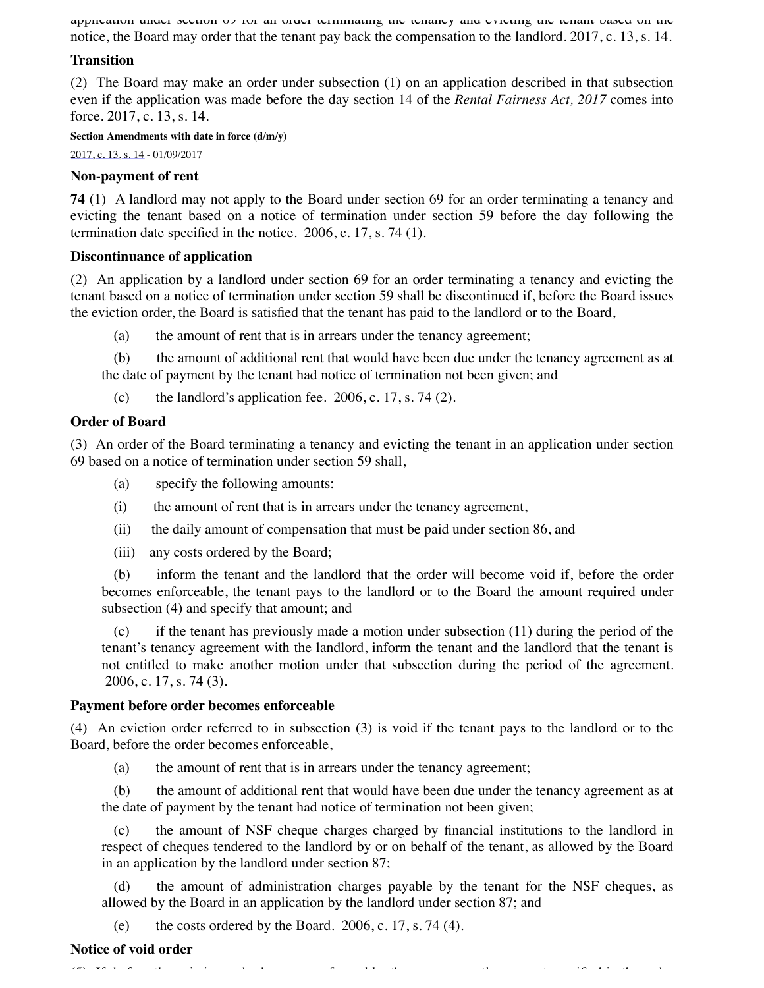application under section 69 for an order terminating the tenancy and evicting the tenant based on the notice, the Board may order that the tenant pay back the compensation to the landlord. 2017, c. 13, s. 14.

#### **Transition**

(2) The Board may make an order under subsection (1) on an application described in that subsection even if the application was made before the day section 14 of the *Rental Fairness Act, 2017* comes into force. 2017, c. 13, s. 14.

**Section Amendments with date in force (d/m/y)**

2017, c. 13, s. 14 - 01/09/2017

#### **Non-payment of rent**

**74** (1) A landlord may not apply to the Board under section 69 for an order terminating a tenancy and evicting the tenant based on a notice of termination under section 59 before the day following the termination date specified in the notice. 2006, c. 17, s. 74 (1).

#### **Discontinuance of application**

(2) An application by a landlord under section 69 for an order terminating a tenancy and evicting the tenant based on a notice of termination under section 59 shall be discontinued if, before the Board issues the eviction order, the Board is satisfied that the tenant has paid to the landlord or to the Board,

(a) the amount of rent that is in arrears under the tenancy agreement;

(b) the amount of additional rent that would have been due under the tenancy agreement as at the date of payment by the tenant had notice of termination not been given; and

(c) the landlord's application fee.  $2006$ , c. 17, s. 74 (2).

#### **Order of Board**

(3) An order of the Board terminating a tenancy and evicting the tenant in an application under section 69 based on a notice of termination under section 59 shall,

- (a) specify the following amounts:
- (i) the amount of rent that is in arrears under the tenancy agreement,
- (ii) the daily amount of compensation that must be paid under section 86, and
- (iii) any costs ordered by the Board;

(b) inform the tenant and the landlord that the order will become void if, before the order becomes enforceable, the tenant pays to the landlord or to the Board the amount required under subsection (4) and specify that amount; and

(c) if the tenant has previously made a motion under subsection (11) during the period of the tenant's tenancy agreement with the landlord, inform the tenant and the landlord that the tenant is not entitled to make another motion under that subsection during the period of the agreement. 2006, c. 17, s. 74 (3).

#### **Payment before order becomes enforceable**

(4) An eviction order referred to in subsection (3) is void if the tenant pays to the landlord or to the Board, before the order becomes enforceable,

(a) the amount of rent that is in arrears under the tenancy agreement;

(b) the amount of additional rent that would have been due under the tenancy agreement as at the date of payment by the tenant had notice of termination not been given;

(c) the amount of NSF cheque charges charged by financial institutions to the landlord in respect of cheques tendered to the landlord by or on behalf of the tenant, as allowed by the Board in an application by the landlord under section 87;

(d) the amount of administration charges payable by the tenant for the NSF cheques, as allowed by the Board in an application by the landlord under section 87; and

(5) If, before the eviction order becomes enforceable, the tenant pays the amount specified in the order

(e) the costs ordered by the Board.  $2006$ , c. 17, s. 74 (4).

#### **Notice of void order**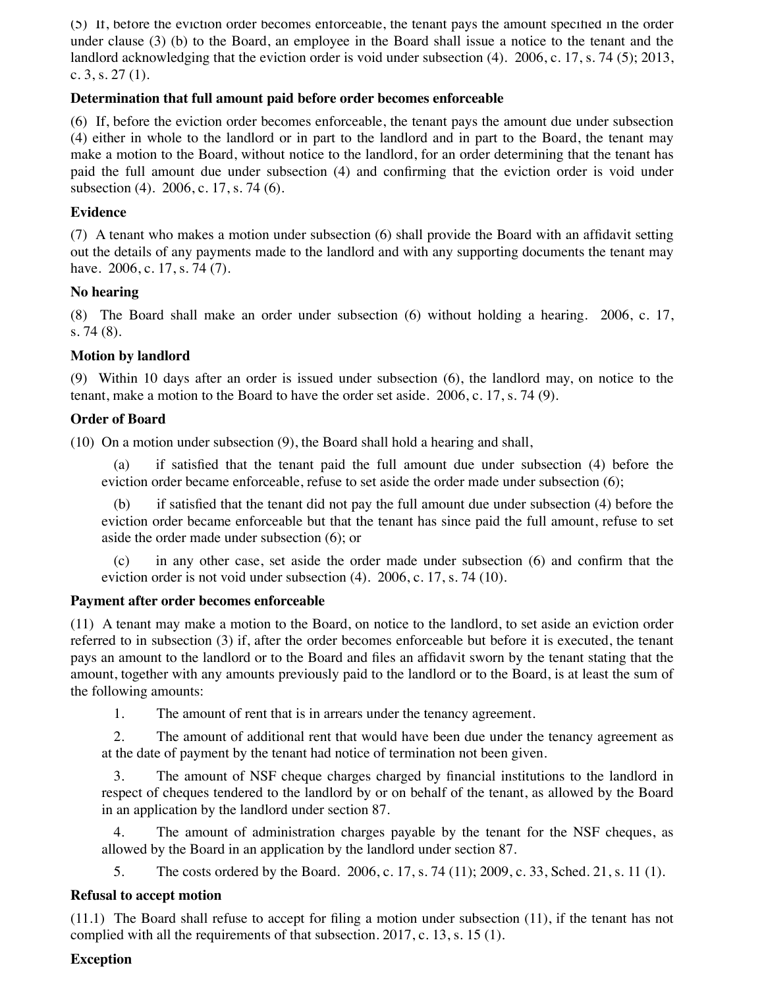(5) If, before the eviction order becomes enforceable, the tenant pays the amount specified in the order under clause (3) (b) to the Board, an employee in the Board shall issue a notice to the tenant and the landlord acknowledging that the eviction order is void under subsection (4). 2006, c. 17, s. 74 (5); 2013,  $c. 3, s. 27 (1).$ 

#### **Determination that full amount paid before order becomes enforceable**

(6) If, before the eviction order becomes enforceable, the tenant pays the amount due under subsection (4) either in whole to the landlord or in part to the landlord and in part to the Board, the tenant may make a motion to the Board, without notice to the landlord, for an order determining that the tenant has paid the full amount due under subsection (4) and confirming that the eviction order is void under subsection (4). 2006, c. 17, s. 74 (6).

## **Evidence**

(7) A tenant who makes a motion under subsection (6) shall provide the Board with an affidavit setting out the details of any payments made to the landlord and with any supporting documents the tenant may have. 2006, c. 17, s. 74 (7).

## **No hearing**

(8) The Board shall make an order under subsection (6) without holding a hearing. 2006, c. 17, s. 74 (8).

## **Motion by landlord**

(9) Within 10 days after an order is issued under subsection (6), the landlord may, on notice to the tenant, make a motion to the Board to have the order set aside. 2006, c. 17, s. 74 (9).

## **Order of Board**

(10) On a motion under subsection (9), the Board shall hold a hearing and shall,

(a) if satisfied that the tenant paid the full amount due under subsection (4) before the eviction order became enforceable, refuse to set aside the order made under subsection (6);

(b) if satisfied that the tenant did not pay the full amount due under subsection (4) before the eviction order became enforceable but that the tenant has since paid the full amount, refuse to set aside the order made under subsection (6); or

(c) in any other case, set aside the order made under subsection (6) and confirm that the eviction order is not void under subsection (4). 2006, c. 17, s. 74 (10).

## **Payment after order becomes enforceable**

(11) A tenant may make a motion to the Board, on notice to the landlord, to set aside an eviction order referred to in subsection (3) if, after the order becomes enforceable but before it is executed, the tenant pays an amount to the landlord or to the Board and files an affidavit sworn by the tenant stating that the amount, together with any amounts previously paid to the landlord or to the Board, is at least the sum of the following amounts:

1. The amount of rent that is in arrears under the tenancy agreement.

2. The amount of additional rent that would have been due under the tenancy agreement as at the date of payment by the tenant had notice of termination not been given.

3. The amount of NSF cheque charges charged by financial institutions to the landlord in respect of cheques tendered to the landlord by or on behalf of the tenant, as allowed by the Board in an application by the landlord under section 87.

4. The amount of administration charges payable by the tenant for the NSF cheques, as allowed by the Board in an application by the landlord under section 87.

5. The costs ordered by the Board. 2006, c. 17, s. 74 (11); 2009, c. 33, Sched. 21, s. 11 (1).

## **Refusal to accept motion**

(11.1) The Board shall refuse to accept for filing a motion under subsection (11), if the tenant has not complied with all the requirements of that subsection. 2017, c. 13, s. 15 (1).

#### **Exception**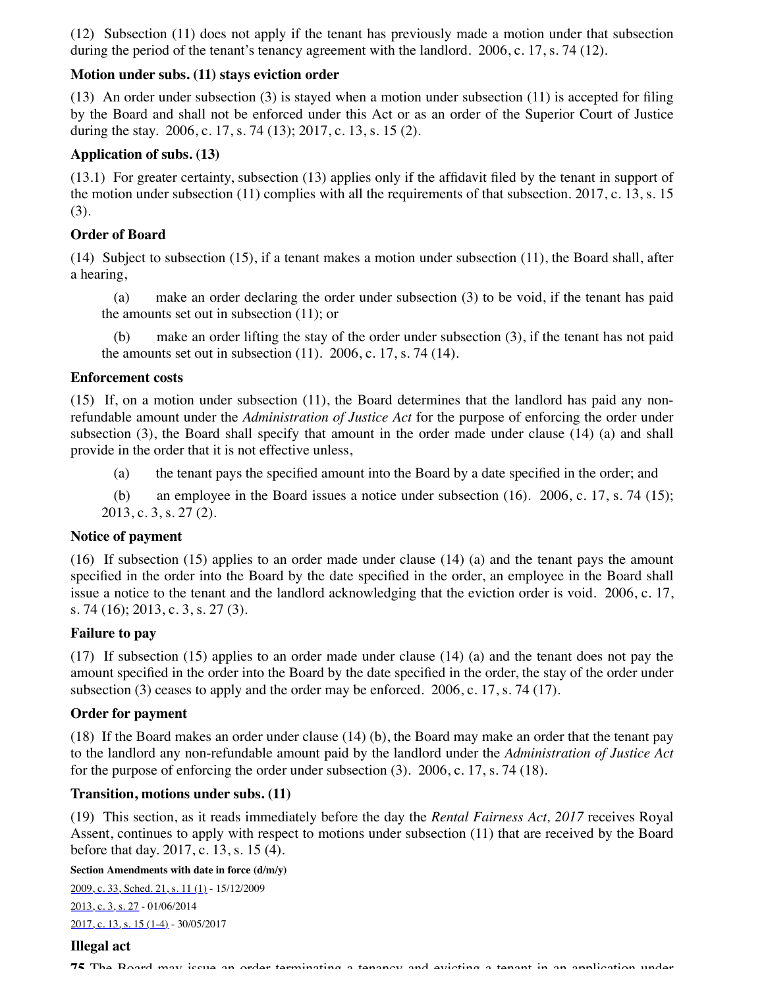(12) Subsection (11) does not apply if the tenant has previously made a motion under that subsection during the period of the tenant's tenancy agreement with the landlord. 2006, c. 17, s. 74 (12).

### **Motion under subs. (11) stays eviction order**

(13) An order under subsection (3) is stayed when a motion under subsection (11) is accepted for filing by the Board and shall not be enforced under this Act or as an order of the Superior Court of Justice during the stay. 2006, c. 17, s. 74 (13); 2017, c. 13, s. 15 (2).

## **Application of subs. (13)**

(13.1) For greater certainty, subsection (13) applies only if the affidavit filed by the tenant in support of the motion under subsection (11) complies with all the requirements of that subsection. 2017, c. 13, s. 15 (3).

#### **Order of Board**

(14) Subject to subsection (15), if a tenant makes a motion under subsection (11), the Board shall, after a hearing,

(a) make an order declaring the order under subsection (3) to be void, if the tenant has paid the amounts set out in subsection (11); or

(b) make an order lifting the stay of the order under subsection (3), if the tenant has not paid the amounts set out in subsection  $(11)$ . 2006, c. 17, s. 74  $(14)$ .

#### **Enforcement costs**

(15) If, on a motion under subsection (11), the Board determines that the landlord has paid any nonrefundable amount under the *Administration of Justice Act* for the purpose of enforcing the order under subsection (3), the Board shall specify that amount in the order made under clause (14) (a) and shall provide in the order that it is not effective unless,

(a) the tenant pays the specified amount into the Board by a date specified in the order; and

(b) an employee in the Board issues a notice under subsection  $(16)$ . 2006, c. 17, s. 74  $(15)$ ; 2013, c. 3, s. 27 (2).

#### **Notice of payment**

(16) If subsection (15) applies to an order made under clause (14) (a) and the tenant pays the amount specified in the order into the Board by the date specified in the order, an employee in the Board shall issue a notice to the tenant and the landlord acknowledging that the eviction order is void. 2006, c. 17, s. 74 (16); 2013, c. 3, s. 27 (3).

#### **Failure to pay**

(17) If subsection (15) applies to an order made under clause (14) (a) and the tenant does not pay the amount specified in the order into the Board by the date specified in the order, the stay of the order under subsection (3) ceases to apply and the order may be enforced. 2006, c. 17, s. 74 (17).

#### **Order for payment**

(18) If the Board makes an order under clause (14) (b), the Board may make an order that the tenant pay to the landlord any non-refundable amount paid by the landlord under the *Administration of Justice Act* for the purpose of enforcing the order under subsection (3). 2006, c. 17, s. 74 (18).

#### **Transition, motions under subs. (11)**

(19) This section, as it reads immediately before the day the *Rental Fairness Act, 2017* receives Royal Assent, continues to apply with respect to motions under subsection (11) that are received by the Board before that day. 2017, c. 13, s. 15 (4).

**Section Amendments with date in force (d/m/y)**

2009, c. 33, Sched. 21, s. 11 (1) - 15/12/2009 2013, c. 3, s. 27 - 01/06/2014

2017, c. 13, s. 15 (1-4) - 30/05/2017

#### **Illegal act**

**75** The Deerd may issue an order terminating a tenancy and evicting a tenant in an annlication under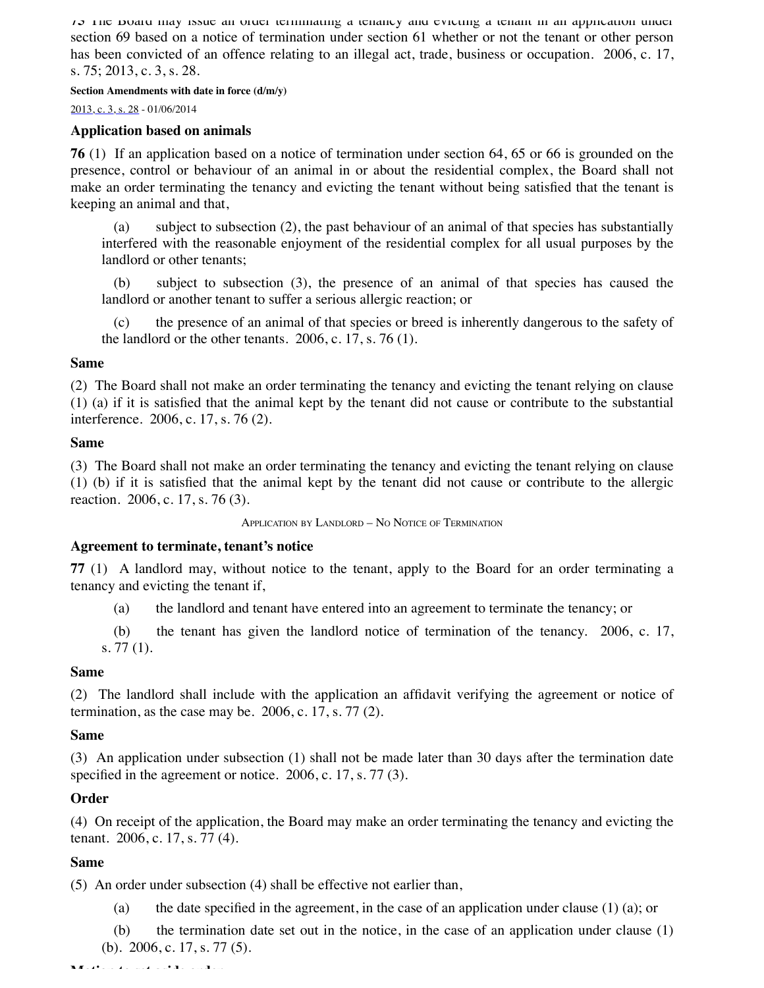**75** The Board may issue an order terminating a tenancy and evicting a tenant in an application under section 69 based on a notice of termination under section 61 whether or not the tenant or other person has been convicted of an offence relating to an illegal act, trade, business or occupation. 2006, c. 17, s. 75; 2013, c. 3, s. 28.

**Section Amendments with date in force (d/m/y)**

2013, c. 3, s. 28 - 01/06/2014

## **Application based on animals**

**76** (1) If an application based on a notice of termination under section 64, 65 or 66 is grounded on the presence, control or behaviour of an animal in or about the residential complex, the Board shall not make an order terminating the tenancy and evicting the tenant without being satisfied that the tenant is keeping an animal and that,

(a) subject to subsection (2), the past behaviour of an animal of that species has substantially interfered with the reasonable enjoyment of the residential complex for all usual purposes by the landlord or other tenants;

(b) subject to subsection (3), the presence of an animal of that species has caused the landlord or another tenant to suffer a serious allergic reaction; or

(c) the presence of an animal of that species or breed is inherently dangerous to the safety of the landlord or the other tenants.  $2006$ , c. 17, s. 76 (1).

#### **Same**

(2) The Board shall not make an order terminating the tenancy and evicting the tenant relying on clause (1) (a) if it is satisfied that the animal kept by the tenant did not cause or contribute to the substantial interference. 2006, c. 17, s. 76 (2).

#### **Same**

(3) The Board shall not make an order terminating the tenancy and evicting the tenant relying on clause (1) (b) if it is satisfied that the animal kept by the tenant did not cause or contribute to the allergic reaction. 2006, c. 17, s. 76 (3).

APPLICATION BY LANDLORD – NO NOTICE OF TERMINATION

#### **Agreement to terminate, tenant's notice**

**77** (1) A landlord may, without notice to the tenant, apply to the Board for an order terminating a tenancy and evicting the tenant if,

(a) the landlord and tenant have entered into an agreement to terminate the tenancy; or

(b) the tenant has given the landlord notice of termination of the tenancy. 2006, c. 17, s. 77 (1).

#### **Same**

(2) The landlord shall include with the application an affidavit verifying the agreement or notice of termination, as the case may be.  $2006$ , c. 17, s. 77 (2).

#### **Same**

(3) An application under subsection (1) shall not be made later than 30 days after the termination date specified in the agreement or notice. 2006, c. 17, s. 77 (3).

#### **Order**

(4) On receipt of the application, the Board may make an order terminating the tenancy and evicting the tenant. 2006, c. 17, s. 77 (4).

#### **Same**

(5) An order under subsection (4) shall be effective not earlier than,

(a) the date specified in the agreement, in the case of an application under clause  $(1)$  (a); or

(b) the termination date set out in the notice, in the case of an application under clause (1) (b). 2006, c. 17, s. 77 (5).

**Motion to set aside order**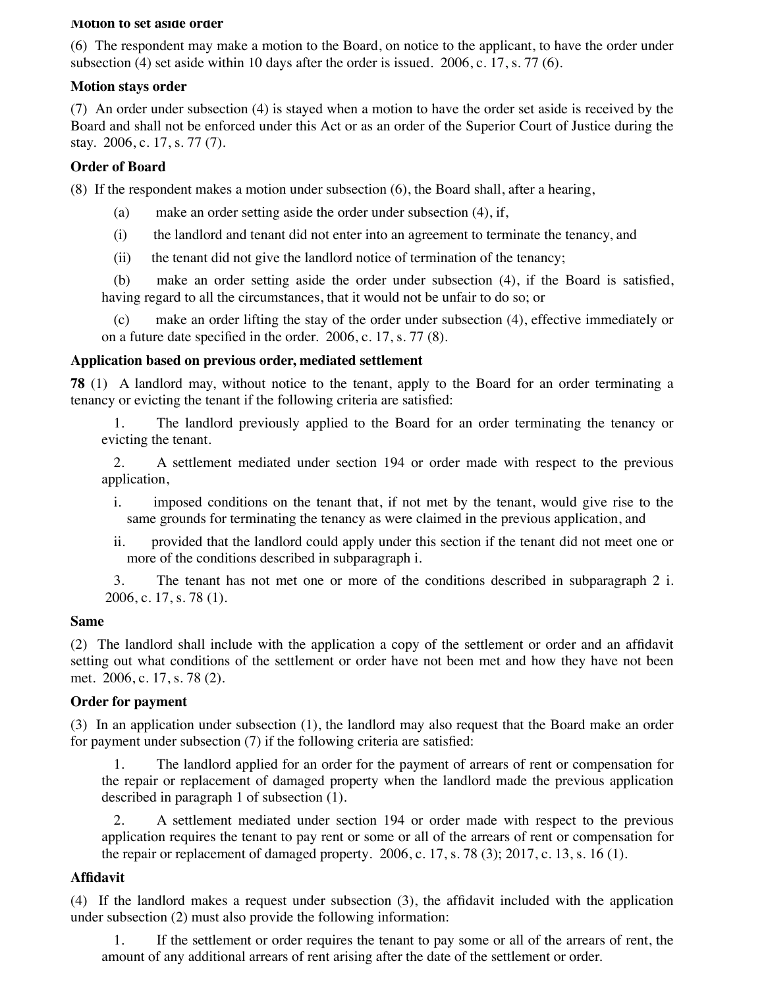#### **Motion to set aside order**

(6) The respondent may make a motion to the Board, on notice to the applicant, to have the order under subsection (4) set aside within 10 days after the order is issued. 2006, c. 17, s. 77 (6).

#### **Motion stays order**

(7) An order under subsection (4) is stayed when a motion to have the order set aside is received by the Board and shall not be enforced under this Act or as an order of the Superior Court of Justice during the stay. 2006, c. 17, s. 77 (7).

#### **Order of Board**

(8) If the respondent makes a motion under subsection (6), the Board shall, after a hearing,

- (a) make an order setting aside the order under subsection (4), if,
- (i) the landlord and tenant did not enter into an agreement to terminate the tenancy, and
- (ii) the tenant did not give the landlord notice of termination of the tenancy;

(b) make an order setting aside the order under subsection (4), if the Board is satisfied, having regard to all the circumstances, that it would not be unfair to do so; or

(c) make an order lifting the stay of the order under subsection (4), effective immediately or on a future date specified in the order. 2006, c. 17, s. 77 (8).

#### **Application based on previous order, mediated settlement**

**78** (1) A landlord may, without notice to the tenant, apply to the Board for an order terminating a tenancy or evicting the tenant if the following criteria are satisfied:

1. The landlord previously applied to the Board for an order terminating the tenancy or evicting the tenant.

2. A settlement mediated under section 194 or order made with respect to the previous application,

- i. imposed conditions on the tenant that, if not met by the tenant, would give rise to the same grounds for terminating the tenancy as were claimed in the previous application, and
- ii. provided that the landlord could apply under this section if the tenant did not meet one or more of the conditions described in subparagraph i.

3. The tenant has not met one or more of the conditions described in subparagraph 2 i. 2006, c. 17, s. 78 (1).

#### **Same**

(2) The landlord shall include with the application a copy of the settlement or order and an affidavit setting out what conditions of the settlement or order have not been met and how they have not been met. 2006, c. 17, s. 78 (2).

#### **Order for payment**

(3) In an application under subsection (1), the landlord may also request that the Board make an order for payment under subsection (7) if the following criteria are satisfied:

1. The landlord applied for an order for the payment of arrears of rent or compensation for the repair or replacement of damaged property when the landlord made the previous application described in paragraph 1 of subsection (1).

2. A settlement mediated under section 194 or order made with respect to the previous application requires the tenant to pay rent or some or all of the arrears of rent or compensation for the repair or replacement of damaged property. 2006, c. 17, s. 78 (3); 2017, c. 13, s. 16 (1).

#### **Affidavit**

(4) If the landlord makes a request under subsection (3), the affidavit included with the application under subsection (2) must also provide the following information:

1. If the settlement or order requires the tenant to pay some or all of the arrears of rent, the amount of any additional arrears of rent arising after the date of the settlement or order.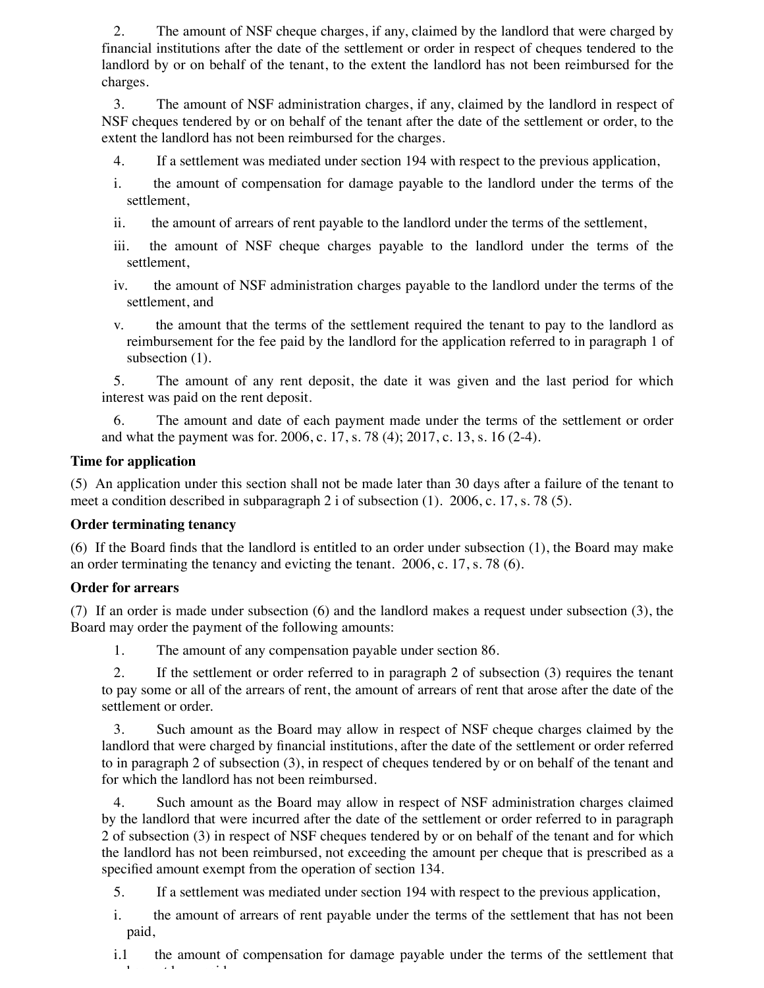2. The amount of NSF cheque charges, if any, claimed by the landlord that were charged by financial institutions after the date of the settlement or order in respect of cheques tendered to the landlord by or on behalf of the tenant, to the extent the landlord has not been reimbursed for the charges.

3. The amount of NSF administration charges, if any, claimed by the landlord in respect of NSF cheques tendered by or on behalf of the tenant after the date of the settlement or order, to the extent the landlord has not been reimbursed for the charges.

4. If a settlement was mediated under section 194 with respect to the previous application,

- i. the amount of compensation for damage payable to the landlord under the terms of the settlement,
- ii. the amount of arrears of rent payable to the landlord under the terms of the settlement,
- iii. the amount of NSF cheque charges payable to the landlord under the terms of the settlement,
- iv. the amount of NSF administration charges payable to the landlord under the terms of the settlement, and
- v. the amount that the terms of the settlement required the tenant to pay to the landlord as reimbursement for the fee paid by the landlord for the application referred to in paragraph 1 of subsection  $(1)$ .

5. The amount of any rent deposit, the date it was given and the last period for which interest was paid on the rent deposit.

6. The amount and date of each payment made under the terms of the settlement or order and what the payment was for. 2006, c. 17, s. 78 (4); 2017, c. 13, s. 16 (2-4).

## **Time for application**

(5) An application under this section shall not be made later than 30 days after a failure of the tenant to meet a condition described in subparagraph 2 i of subsection (1). 2006, c. 17, s. 78 (5).

## **Order terminating tenancy**

(6) If the Board finds that the landlord is entitled to an order under subsection (1), the Board may make an order terminating the tenancy and evicting the tenant. 2006, c. 17, s. 78 (6).

## **Order for arrears**

(7) If an order is made under subsection (6) and the landlord makes a request under subsection (3), the Board may order the payment of the following amounts:

1. The amount of any compensation payable under section 86.

2. If the settlement or order referred to in paragraph 2 of subsection (3) requires the tenant to pay some or all of the arrears of rent, the amount of arrears of rent that arose after the date of the settlement or order.

3. Such amount as the Board may allow in respect of NSF cheque charges claimed by the landlord that were charged by financial institutions, after the date of the settlement or order referred to in paragraph 2 of subsection (3), in respect of cheques tendered by or on behalf of the tenant and for which the landlord has not been reimbursed.

4. Such amount as the Board may allow in respect of NSF administration charges claimed by the landlord that were incurred after the date of the settlement or order referred to in paragraph 2 of subsection (3) in respect of NSF cheques tendered by or on behalf of the tenant and for which the landlord has not been reimbursed, not exceeding the amount per cheque that is prescribed as a specified amount exempt from the operation of section 134.

5. If a settlement was mediated under section 194 with respect to the previous application,

i. the amount of arrears of rent payable under the terms of the settlement that has not been paid,

i.1 the amount of compensation for damage payable under the terms of the settlement that has not been paid,  $\mathbf{r}$  and  $\mathbf{r}$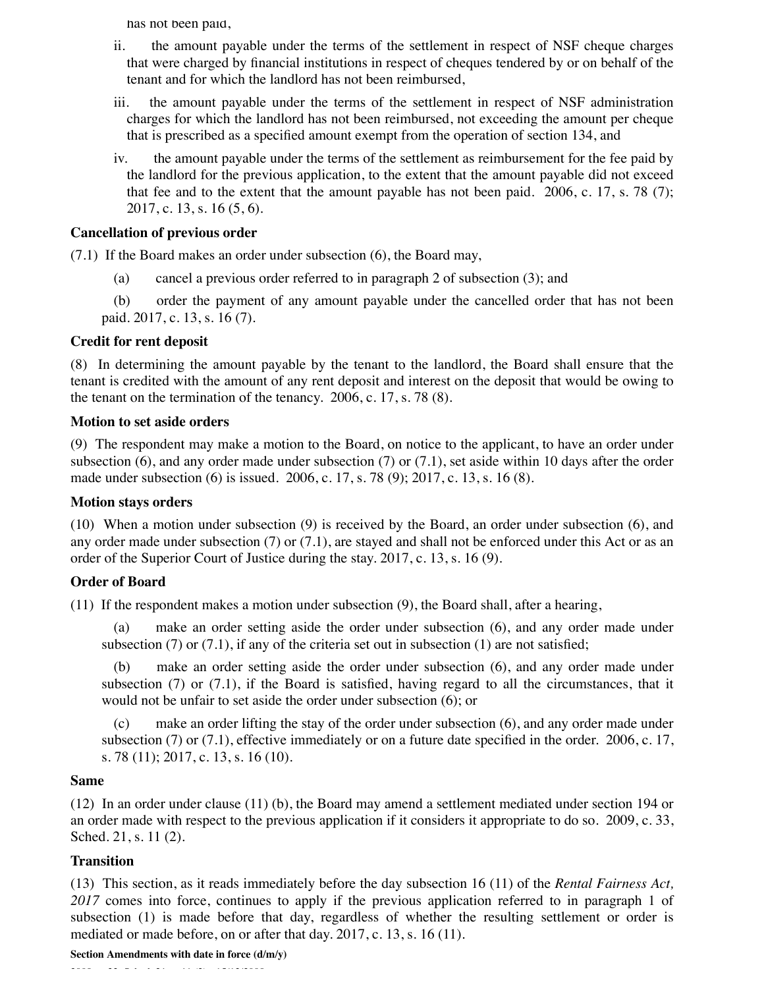has not been paid,

- ii. the amount payable under the terms of the settlement in respect of NSF cheque charges that were charged by financial institutions in respect of cheques tendered by or on behalf of the tenant and for which the landlord has not been reimbursed,
- iii. the amount payable under the terms of the settlement in respect of NSF administration charges for which the landlord has not been reimbursed, not exceeding the amount per cheque that is prescribed as a specified amount exempt from the operation of section 134, and
- iv. the amount payable under the terms of the settlement as reimbursement for the fee paid by the landlord for the previous application, to the extent that the amount payable did not exceed that fee and to the extent that the amount payable has not been paid. 2006, c. 17, s. 78 (7); 2017, c. 13, s. 16 (5, 6).

## **Cancellation of previous order**

(7.1) If the Board makes an order under subsection (6), the Board may,

- (a) cancel a previous order referred to in paragraph 2 of subsection (3); and
- (b) order the payment of any amount payable under the cancelled order that has not been paid. 2017, c. 13, s. 16 (7).

## **Credit for rent deposit**

(8) In determining the amount payable by the tenant to the landlord, the Board shall ensure that the tenant is credited with the amount of any rent deposit and interest on the deposit that would be owing to the tenant on the termination of the tenancy. 2006, c. 17, s. 78 (8).

#### **Motion to set aside orders**

(9) The respondent may make a motion to the Board, on notice to the applicant, to have an order under subsection (6), and any order made under subsection (7) or (7.1), set aside within 10 days after the order made under subsection (6) is issued. 2006, c. 17, s. 78 (9); 2017, c. 13, s. 16 (8).

#### **Motion stays orders**

(10) When a motion under subsection (9) is received by the Board, an order under subsection (6), and any order made under subsection (7) or (7.1), are stayed and shall not be enforced under this Act or as an order of the Superior Court of Justice during the stay. 2017, c. 13, s. 16 (9).

#### **Order of Board**

(11) If the respondent makes a motion under subsection (9), the Board shall, after a hearing,

(a) make an order setting aside the order under subsection (6), and any order made under subsection  $(7)$  or  $(7.1)$ , if any of the criteria set out in subsection  $(1)$  are not satisfied;

(b) make an order setting aside the order under subsection (6), and any order made under subsection (7) or (7.1), if the Board is satisfied, having regard to all the circumstances, that it would not be unfair to set aside the order under subsection (6); or

(c) make an order lifting the stay of the order under subsection (6), and any order made under subsection (7) or (7.1), effective immediately or on a future date specified in the order. 2006, c. 17, s. 78 (11); 2017, c. 13, s. 16 (10).

#### **Same**

(12) In an order under clause (11) (b), the Board may amend a settlement mediated under section 194 or an order made with respect to the previous application if it considers it appropriate to do so. 2009, c. 33, Sched. 21, s. 11 (2).

#### **Transition**

(13) This section, as it reads immediately before the day subsection 16 (11) of the *Rental Fairness Act, 2017* comes into force, continues to apply if the previous application referred to in paragraph 1 of subsection (1) is made before that day, regardless of whether the resulting settlement or order is mediated or made before, on or after that day. 2017, c. 13, s. 16 (11).

**Section Amendments with date in force (d/m/y)**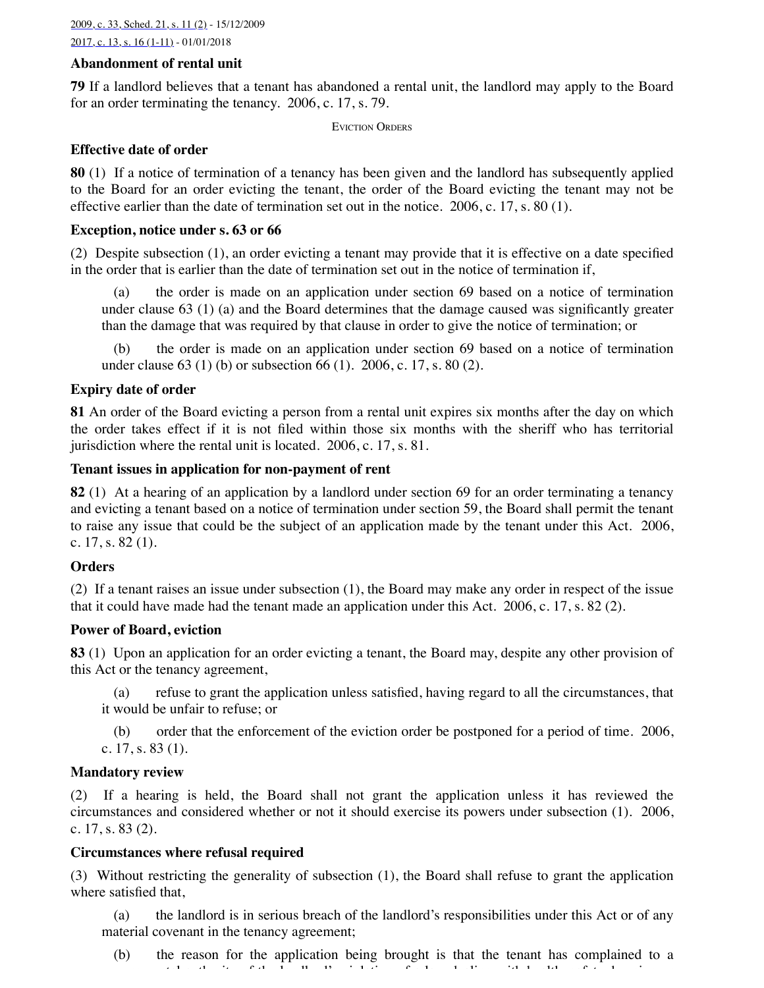#### **Abandonment of rental unit**

**79** If a landlord believes that a tenant has abandoned a rental unit, the landlord may apply to the Board for an order terminating the tenancy. 2006, c. 17, s. 79.

EVICTION ORDERS

#### **Effective date of order**

**80** (1) If a notice of termination of a tenancy has been given and the landlord has subsequently applied to the Board for an order evicting the tenant, the order of the Board evicting the tenant may not be effective earlier than the date of termination set out in the notice. 2006, c. 17, s. 80 (1).

#### **Exception, notice under s. 63 or 66**

(2) Despite subsection (1), an order evicting a tenant may provide that it is effective on a date specified in the order that is earlier than the date of termination set out in the notice of termination if,

(a) the order is made on an application under section 69 based on a notice of termination under clause 63 (1) (a) and the Board determines that the damage caused was significantly greater than the damage that was required by that clause in order to give the notice of termination; or

(b) the order is made on an application under section 69 based on a notice of termination under clause 63 (1) (b) or subsection 66 (1). 2006, c. 17, s. 80 (2).

## **Expiry date of order**

**81** An order of the Board evicting a person from a rental unit expires six months after the day on which the order takes effect if it is not filed within those six months with the sheriff who has territorial jurisdiction where the rental unit is located. 2006, c. 17, s. 81.

#### **Tenant issues in application for non-payment of rent**

**82** (1) At a hearing of an application by a landlord under section 69 for an order terminating a tenancy and evicting a tenant based on a notice of termination under section 59, the Board shall permit the tenant to raise any issue that could be the subject of an application made by the tenant under this Act. 2006, c. 17, s. 82 (1).

#### **Orders**

(2) If a tenant raises an issue under subsection (1), the Board may make any order in respect of the issue that it could have made had the tenant made an application under this Act. 2006, c. 17, s. 82 (2).

#### **Power of Board, eviction**

**83** (1) Upon an application for an order evicting a tenant, the Board may, despite any other provision of this Act or the tenancy agreement,

(a) refuse to grant the application unless satisfied, having regard to all the circumstances, that it would be unfair to refuse; or

(b) order that the enforcement of the eviction order be postponed for a period of time. 2006, c. 17, s. 83 (1).

#### **Mandatory review**

(2) If a hearing is held, the Board shall not grant the application unless it has reviewed the circumstances and considered whether or not it should exercise its powers under subsection (1). 2006, c. 17, s. 83 (2).

#### **Circumstances where refusal required**

(3) Without restricting the generality of subsection (1), the Board shall refuse to grant the application where satisfied that,

(a) the landlord is in serious breach of the landlord's responsibilities under this Act or of any material covenant in the tenancy agreement;

(b) the reason for the application being brought is that the tenant has complained to a governmental authority of the landlord's violation of a law dealing with health, safety, housing or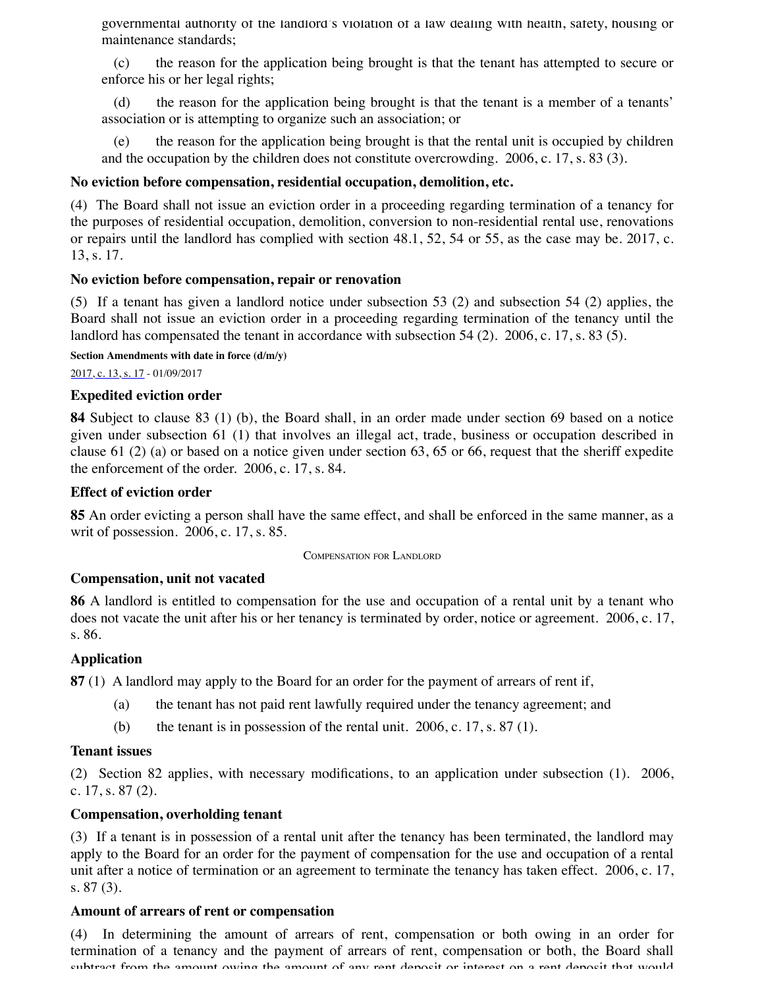governmental authority of the landlord's violation of a law dealing with health, safety, housing or maintenance standards;

(c) the reason for the application being brought is that the tenant has attempted to secure or enforce his or her legal rights;

(d) the reason for the application being brought is that the tenant is a member of a tenants' association or is attempting to organize such an association; or

(e) the reason for the application being brought is that the rental unit is occupied by children and the occupation by the children does not constitute overcrowding. 2006, c. 17, s. 83 (3).

## **No eviction before compensation, residential occupation, demolition, etc.**

(4) The Board shall not issue an eviction order in a proceeding regarding termination of a tenancy for the purposes of residential occupation, demolition, conversion to non-residential rental use, renovations or repairs until the landlord has complied with section 48.1, 52, 54 or 55, as the case may be. 2017, c. 13, s. 17.

## **No eviction before compensation, repair or renovation**

(5) If a tenant has given a landlord notice under subsection 53 (2) and subsection 54 (2) applies, the Board shall not issue an eviction order in a proceeding regarding termination of the tenancy until the landlord has compensated the tenant in accordance with subsection 54 (2). 2006, c. 17, s. 83 (5).

**Section Amendments with date in force (d/m/y)** 2017, c. 13, s. 17 - 01/09/2017

## **Expedited eviction order**

**84** Subject to clause 83 (1) (b), the Board shall, in an order made under section 69 based on a notice given under subsection 61 (1) that involves an illegal act, trade, business or occupation described in clause 61 (2) (a) or based on a notice given under section 63, 65 or 66, request that the sheriff expedite the enforcement of the order. 2006, c. 17, s. 84.

#### **Effect of eviction order**

**85** An order evicting a person shall have the same effect, and shall be enforced in the same manner, as a writ of possession. 2006, c. 17, s. 85.

COMPENSATION FOR LANDLORD

#### **Compensation, unit not vacated**

**86** A landlord is entitled to compensation for the use and occupation of a rental unit by a tenant who does not vacate the unit after his or her tenancy is terminated by order, notice or agreement. 2006, c. 17, s. 86.

## **Application**

**87** (1) A landlord may apply to the Board for an order for the payment of arrears of rent if,

- (a) the tenant has not paid rent lawfully required under the tenancy agreement; and
- (b) the tenant is in possession of the rental unit.  $2006$ , c. 17, s.  $87$  (1).

#### **Tenant issues**

(2) Section 82 applies, with necessary modifications, to an application under subsection (1). 2006, c. 17, s. 87 (2).

#### **Compensation, overholding tenant**

(3) If a tenant is in possession of a rental unit after the tenancy has been terminated, the landlord may apply to the Board for an order for the payment of compensation for the use and occupation of a rental unit after a notice of termination or an agreement to terminate the tenancy has taken effect. 2006, c. 17, s. 87 (3).

#### **Amount of arrears of rent or compensation**

(4) In determining the amount of arrears of rent, compensation or both owing in an order for termination of a tenancy and the payment of arrears of rent, compensation or both, the Board shall subtract from the amount owing the amount of any rent deposit or interest on a rent deposit that would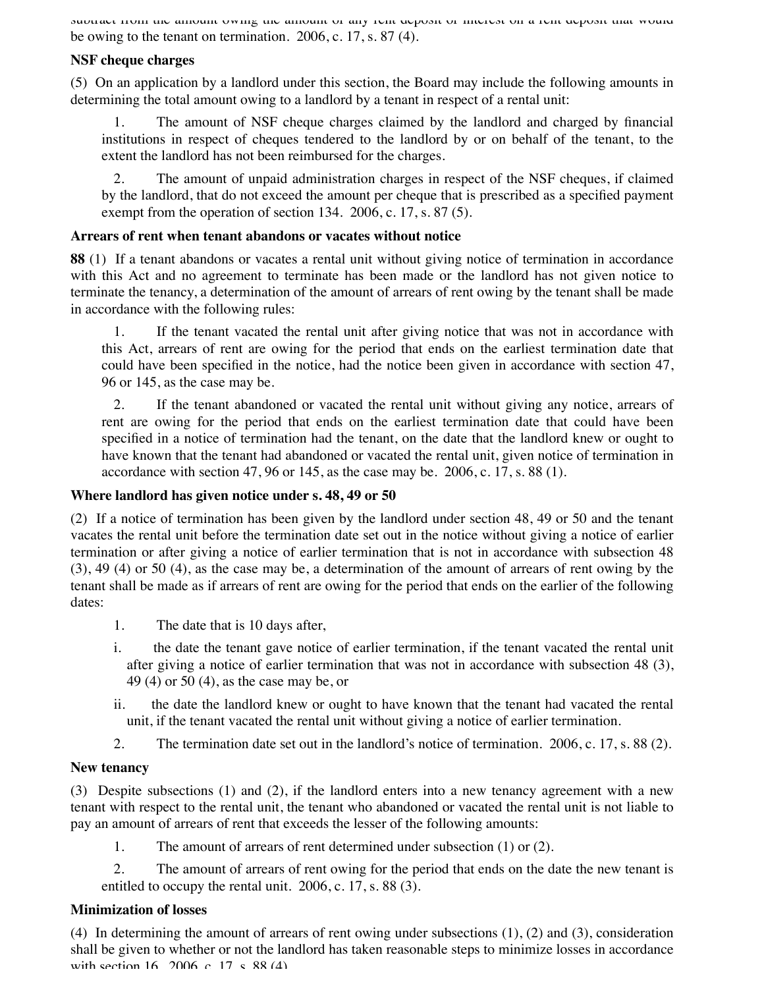subtract from the amount owing the amount of any rent deposit or interest on a rent deposit that would be owing to the tenant on termination. 2006, c. 17, s. 87 (4).

## **NSF cheque charges**

(5) On an application by a landlord under this section, the Board may include the following amounts in determining the total amount owing to a landlord by a tenant in respect of a rental unit:

1. The amount of NSF cheque charges claimed by the landlord and charged by financial institutions in respect of cheques tendered to the landlord by or on behalf of the tenant, to the extent the landlord has not been reimbursed for the charges.

2. The amount of unpaid administration charges in respect of the NSF cheques, if claimed by the landlord, that do not exceed the amount per cheque that is prescribed as a specified payment exempt from the operation of section 134. 2006, c. 17, s. 87 (5).

## **Arrears of rent when tenant abandons or vacates without notice**

**88** (1) If a tenant abandons or vacates a rental unit without giving notice of termination in accordance with this Act and no agreement to terminate has been made or the landlord has not given notice to terminate the tenancy, a determination of the amount of arrears of rent owing by the tenant shall be made in accordance with the following rules:

1. If the tenant vacated the rental unit after giving notice that was not in accordance with this Act, arrears of rent are owing for the period that ends on the earliest termination date that could have been specified in the notice, had the notice been given in accordance with section 47, 96 or 145, as the case may be.

2. If the tenant abandoned or vacated the rental unit without giving any notice, arrears of rent are owing for the period that ends on the earliest termination date that could have been specified in a notice of termination had the tenant, on the date that the landlord knew or ought to have known that the tenant had abandoned or vacated the rental unit, given notice of termination in accordance with section 47, 96 or 145, as the case may be.  $2006$ , c. 17, s. 88 (1).

#### **Where landlord has given notice under s. 48, 49 or 50**

(2) If a notice of termination has been given by the landlord under section 48, 49 or 50 and the tenant vacates the rental unit before the termination date set out in the notice without giving a notice of earlier termination or after giving a notice of earlier termination that is not in accordance with subsection 48 (3), 49 (4) or 50 (4), as the case may be, a determination of the amount of arrears of rent owing by the tenant shall be made as if arrears of rent are owing for the period that ends on the earlier of the following dates:

- 1. The date that is 10 days after,
- i. the date the tenant gave notice of earlier termination, if the tenant vacated the rental unit after giving a notice of earlier termination that was not in accordance with subsection 48 (3), 49 (4) or 50 (4), as the case may be, or
- ii. the date the landlord knew or ought to have known that the tenant had vacated the rental unit, if the tenant vacated the rental unit without giving a notice of earlier termination.
- 2. The termination date set out in the landlord's notice of termination. 2006, c. 17, s. 88 (2).

#### **New tenancy**

(3) Despite subsections (1) and (2), if the landlord enters into a new tenancy agreement with a new tenant with respect to the rental unit, the tenant who abandoned or vacated the rental unit is not liable to pay an amount of arrears of rent that exceeds the lesser of the following amounts:

1. The amount of arrears of rent determined under subsection (1) or (2).

2. The amount of arrears of rent owing for the period that ends on the date the new tenant is entitled to occupy the rental unit. 2006, c. 17, s. 88 (3).

#### **Minimization of losses**

(4) In determining the amount of arrears of rent owing under subsections (1), (2) and (3), consideration shall be given to whether or not the landlord has taken reasonable steps to minimize losses in accordance with section  $16.2006$  c.  $17.88$  (4).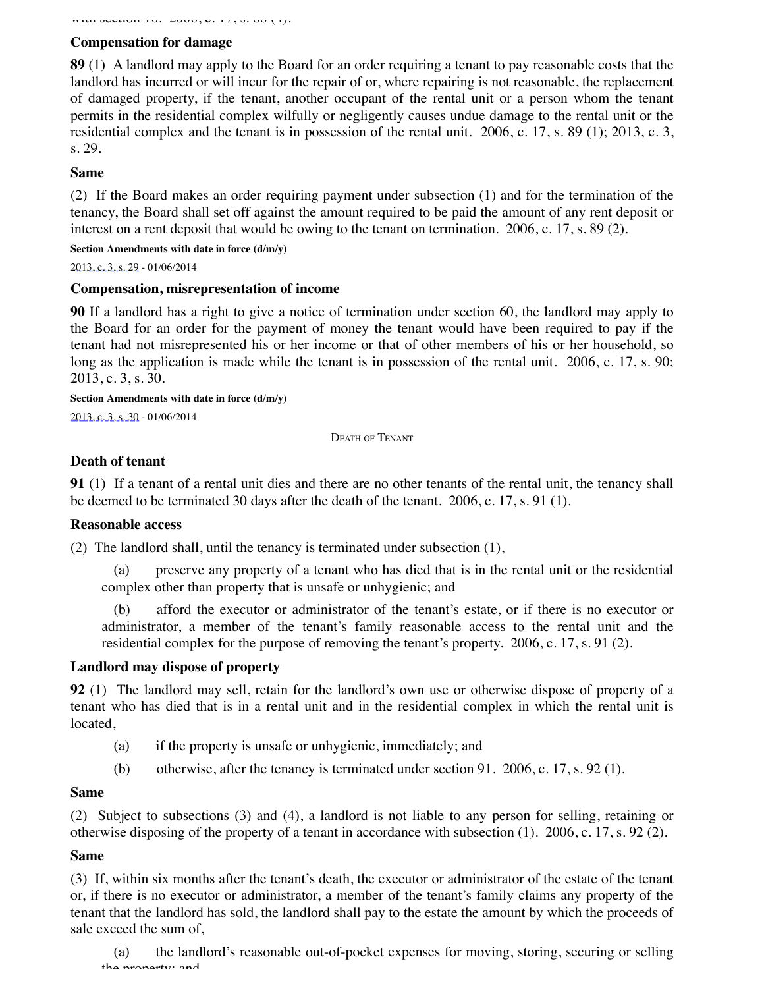with section 10. 2000, c. 11, s. 80 (7).

#### **Compensation for damage**

**89** (1) A landlord may apply to the Board for an order requiring a tenant to pay reasonable costs that the landlord has incurred or will incur for the repair of or, where repairing is not reasonable, the replacement of damaged property, if the tenant, another occupant of the rental unit or a person whom the tenant permits in the residential complex wilfully or negligently causes undue damage to the rental unit or the residential complex and the tenant is in possession of the rental unit. 2006, c. 17, s. 89 (1); 2013, c. 3, s. 29.

#### **Same**

(2) If the Board makes an order requiring payment under subsection (1) and for the termination of the tenancy, the Board shall set off against the amount required to be paid the amount of any rent deposit or interest on a rent deposit that would be owing to the tenant on termination. 2006, c. 17, s. 89 (2).

**Section Amendments with date in force (d/m/y)** 2013, c. 3, s. 29 - 01/06/2014

#### **Compensation, misrepresentation of income**

**90** If a landlord has a right to give a notice of termination under section 60, the landlord may apply to the Board for an order for the payment of money the tenant would have been required to pay if the tenant had not misrepresented his or her income or that of other members of his or her household, so long as the application is made while the tenant is in possession of the rental unit. 2006, c. 17, s. 90; 2013, c. 3, s. 30.

**Section Amendments with date in force (d/m/y)** 2013, c. 3, s. 30 - 01/06/2014

DEATH OF TENANT

#### **Death of tenant**

**91** (1) If a tenant of a rental unit dies and there are no other tenants of the rental unit, the tenancy shall be deemed to be terminated 30 days after the death of the tenant. 2006, c. 17, s. 91 (1).

#### **Reasonable access**

(2) The landlord shall, until the tenancy is terminated under subsection (1),

(a) preserve any property of a tenant who has died that is in the rental unit or the residential complex other than property that is unsafe or unhygienic; and

(b) afford the executor or administrator of the tenant's estate, or if there is no executor or administrator, a member of the tenant's family reasonable access to the rental unit and the residential complex for the purpose of removing the tenant's property. 2006, c. 17, s. 91 (2).

### **Landlord may dispose of property**

**92** (1) The landlord may sell, retain for the landlord's own use or otherwise dispose of property of a tenant who has died that is in a rental unit and in the residential complex in which the rental unit is located,

- (a) if the property is unsafe or unhygienic, immediately; and
- (b) otherwise, after the tenancy is terminated under section 91. 2006, c. 17, s. 92 (1).

#### **Same**

(2) Subject to subsections (3) and (4), a landlord is not liable to any person for selling, retaining or otherwise disposing of the property of a tenant in accordance with subsection (1). 2006, c. 17, s. 92 (2).

#### **Same**

(3) If, within six months after the tenant's death, the executor or administrator of the estate of the tenant or, if there is no executor or administrator, a member of the tenant's family claims any property of the tenant that the landlord has sold, the landlord shall pay to the estate the amount by which the proceeds of sale exceed the sum of,

(a) the landlord's reasonable out-of-pocket expenses for moving, storing, securing or selling the property; and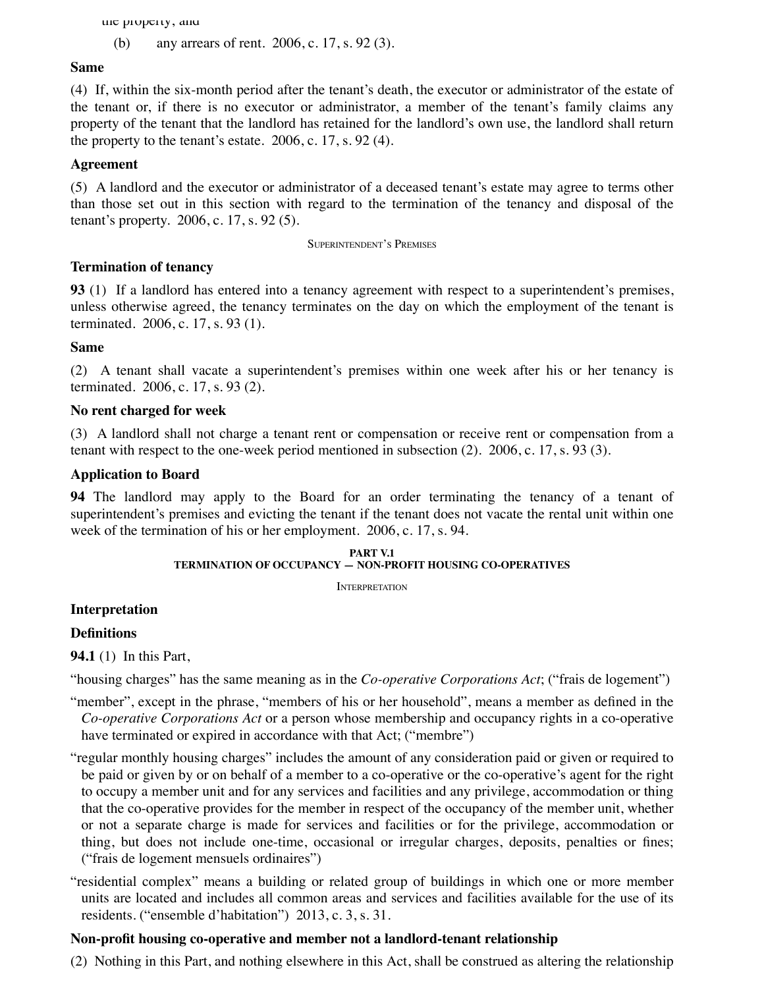the property; and

(b) any arrears of rent. 2006, c. 17, s. 92 (3).

#### **Same**

(4) If, within the six-month period after the tenant's death, the executor or administrator of the estate of the tenant or, if there is no executor or administrator, a member of the tenant's family claims any property of the tenant that the landlord has retained for the landlord's own use, the landlord shall return the property to the tenant's estate.  $2006$ , c. 17, s. 92 (4).

#### **Agreement**

(5) A landlord and the executor or administrator of a deceased tenant's estate may agree to terms other than those set out in this section with regard to the termination of the tenancy and disposal of the tenant's property. 2006, c. 17, s. 92 (5).

SUPERINTENDENT'S PREMISES

#### **Termination of tenancy**

**93** (1) If a landlord has entered into a tenancy agreement with respect to a superintendent's premises, unless otherwise agreed, the tenancy terminates on the day on which the employment of the tenant is terminated. 2006, c. 17, s. 93 (1).

#### **Same**

(2) A tenant shall vacate a superintendent's premises within one week after his or her tenancy is terminated. 2006, c. 17, s. 93 (2).

#### **No rent charged for week**

(3) A landlord shall not charge a tenant rent or compensation or receive rent or compensation from a tenant with respect to the one-week period mentioned in subsection (2). 2006, c. 17, s. 93 (3).

#### **Application to Board**

**94** The landlord may apply to the Board for an order terminating the tenancy of a tenant of superintendent's premises and evicting the tenant if the tenant does not vacate the rental unit within one week of the termination of his or her employment. 2006, c. 17, s. 94.

#### **PART V.1 TERMINATION OF OCCUPANCY — NON-PROFIT HOUSING CO-OPERATIVES**

**INTERPRETATION** 

#### **Interpretation**

#### **Definitions**

**94.1** (1) In this Part,

"housing charges" has the same meaning as in the *Co-operative Corporations Act*; ("frais de logement")

"member", except in the phrase, "members of his or her household", means a member as defined in the *Co-operative Corporations Act* or a person whose membership and occupancy rights in a co-operative have terminated or expired in accordance with that Act; ("membre")

- "regular monthly housing charges" includes the amount of any consideration paid or given or required to be paid or given by or on behalf of a member to a co-operative or the co-operative's agent for the right to occupy a member unit and for any services and facilities and any privilege, accommodation or thing that the co-operative provides for the member in respect of the occupancy of the member unit, whether or not a separate charge is made for services and facilities or for the privilege, accommodation or thing, but does not include one-time, occasional or irregular charges, deposits, penalties or fines; ("frais de logement mensuels ordinaires")
- "residential complex" means a building or related group of buildings in which one or more member units are located and includes all common areas and services and facilities available for the use of its residents. ("ensemble d'habitation") 2013, c. 3, s. 31.

#### **Non-profit housing co-operative and member not a landlord-tenant relationship**

(2) Nothing in this Part, and nothing elsewhere in this Act, shall be construed as altering the relationship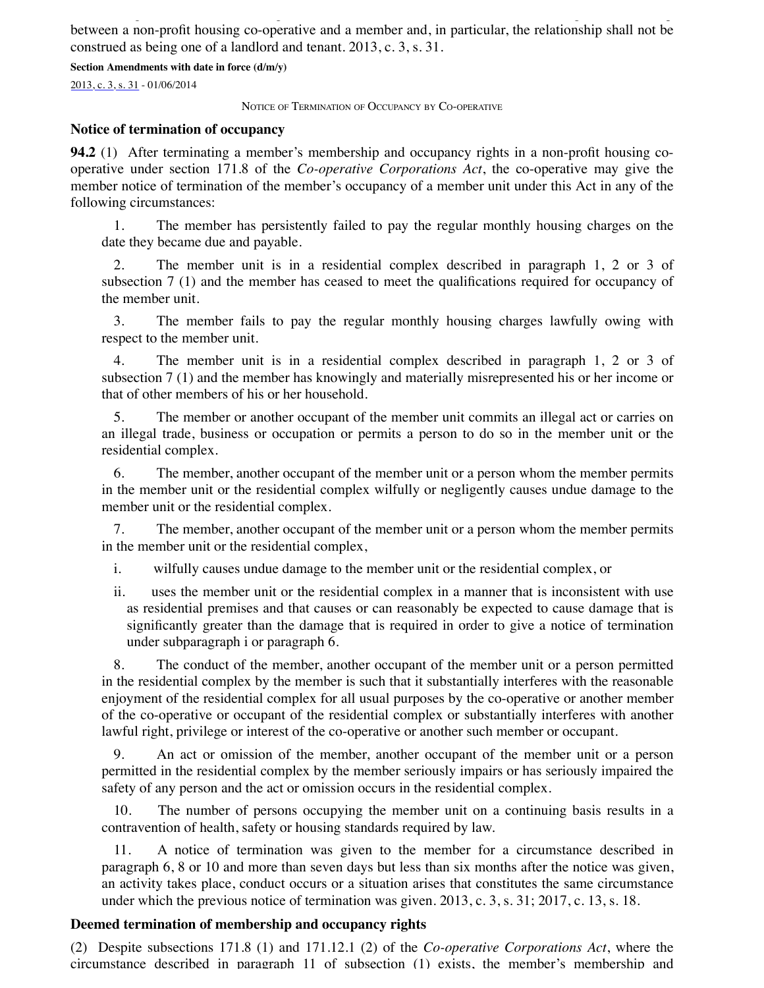(2) Nothing in this Part, and nothing elsewhere in this Act, shall be construed as altering the relationship between a non-profit housing co-operative and a member and, in particular, the relationship shall not be construed as being one of a landlord and tenant. 2013, c. 3, s. 31.

**Section Amendments with date in force (d/m/y)**

2013, c. 3, s. 31 - 01/06/2014

NOTICE OF TERMINATION OF OCCUPANCY BY CO-OPERATIVE

#### **Notice of termination of occupancy**

**94.2** (1) After terminating a member's membership and occupancy rights in a non-profit housing cooperative under section 171.8 of the *Co-operative Corporations Act*, the co-operative may give the member notice of termination of the member's occupancy of a member unit under this Act in any of the following circumstances:

1. The member has persistently failed to pay the regular monthly housing charges on the date they became due and payable.

2. The member unit is in a residential complex described in paragraph 1, 2 or 3 of subsection 7 (1) and the member has ceased to meet the qualifications required for occupancy of the member unit.

3. The member fails to pay the regular monthly housing charges lawfully owing with respect to the member unit.

4. The member unit is in a residential complex described in paragraph 1, 2 or 3 of subsection 7 (1) and the member has knowingly and materially misrepresented his or her income or that of other members of his or her household.

5. The member or another occupant of the member unit commits an illegal act or carries on an illegal trade, business or occupation or permits a person to do so in the member unit or the residential complex.

6. The member, another occupant of the member unit or a person whom the member permits in the member unit or the residential complex wilfully or negligently causes undue damage to the member unit or the residential complex.

7. The member, another occupant of the member unit or a person whom the member permits in the member unit or the residential complex,

i. wilfully causes undue damage to the member unit or the residential complex, or

ii. uses the member unit or the residential complex in a manner that is inconsistent with use as residential premises and that causes or can reasonably be expected to cause damage that is significantly greater than the damage that is required in order to give a notice of termination under subparagraph i or paragraph 6.

8. The conduct of the member, another occupant of the member unit or a person permitted in the residential complex by the member is such that it substantially interferes with the reasonable enjoyment of the residential complex for all usual purposes by the co-operative or another member of the co-operative or occupant of the residential complex or substantially interferes with another lawful right, privilege or interest of the co-operative or another such member or occupant.

9. An act or omission of the member, another occupant of the member unit or a person permitted in the residential complex by the member seriously impairs or has seriously impaired the safety of any person and the act or omission occurs in the residential complex.

10. The number of persons occupying the member unit on a continuing basis results in a contravention of health, safety or housing standards required by law.

11. A notice of termination was given to the member for a circumstance described in paragraph 6, 8 or 10 and more than seven days but less than six months after the notice was given, an activity takes place, conduct occurs or a situation arises that constitutes the same circumstance under which the previous notice of termination was given. 2013, c. 3, s. 31; 2017, c. 13, s. 18.

#### **Deemed termination of membership and occupancy rights**

(2) Despite subsections 171.8 (1) and 171.12.1 (2) of the *Co-operative Corporations Act*, where the circumstance described in paragraph 11 of subsection (1) exists, the member's membership and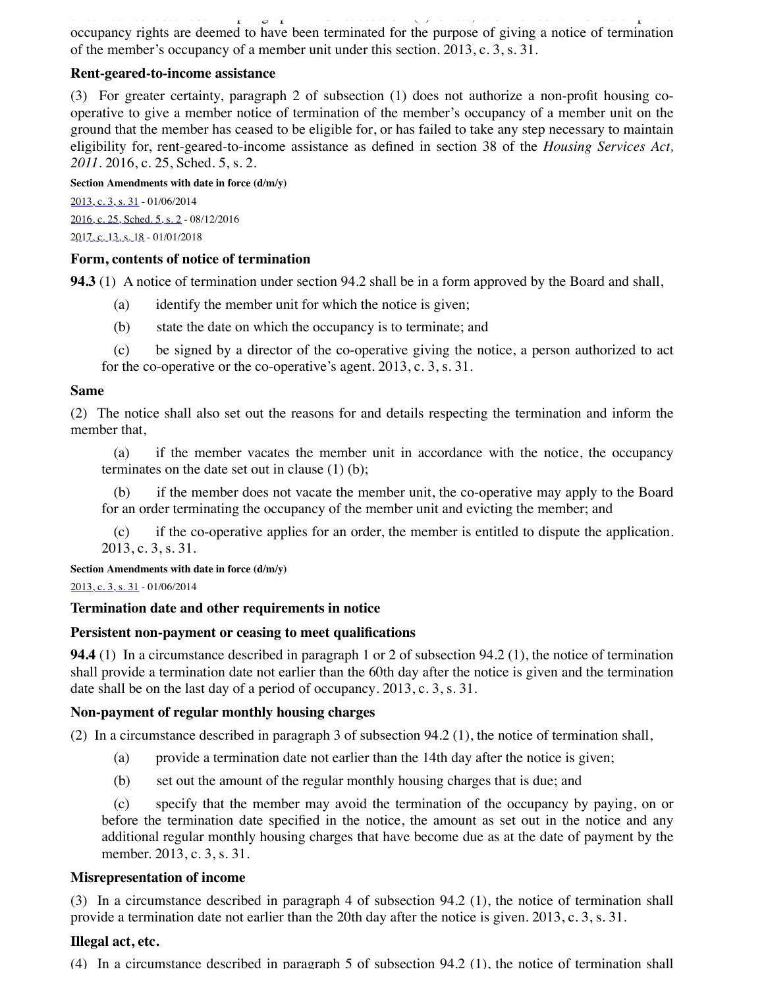circumstance described in paragraph 11 of subsection (1) exists, the membership membership and occupancy rights are deemed to have been terminated for the purpose of giving a notice of termination of the member's occupancy of a member unit under this section. 2013, c. 3, s. 31.

## **Rent-geared-to-income assistance**

(3) For greater certainty, paragraph 2 of subsection (1) does not authorize a non-profit housing cooperative to give a member notice of termination of the member's occupancy of a member unit on the ground that the member has ceased to be eligible for, or has failed to take any step necessary to maintain eligibility for, rent-geared-to-income assistance as defined in section 38 of the *Housing Services Act, 2011*. 2016, c. 25, Sched. 5, s. 2.

**Section Amendments with date in force (d/m/y)** 2013, c. 3, s. 31 - 01/06/2014 2016, c. 25, Sched. 5, s. 2 - 08/12/2016 2017, c. 13, s. 18 - 01/01/2018

#### **Form, contents of notice of termination**

**94.3** (1) A notice of termination under section 94.2 shall be in a form approved by the Board and shall,

- (a) identify the member unit for which the notice is given;
- (b) state the date on which the occupancy is to terminate; and
- (c) be signed by a director of the co-operative giving the notice, a person authorized to act for the co-operative or the co-operative's agent. 2013, c. 3, s. 31.

#### **Same**

(2) The notice shall also set out the reasons for and details respecting the termination and inform the member that,

(a) if the member vacates the member unit in accordance with the notice, the occupancy terminates on the date set out in clause (1) (b);

(b) if the member does not vacate the member unit, the co-operative may apply to the Board for an order terminating the occupancy of the member unit and evicting the member; and

(c) if the co-operative applies for an order, the member is entitled to dispute the application. 2013, c. 3, s. 31.

#### **Section Amendments with date in force (d/m/y)**

2013, c. 3, s. 31 - 01/06/2014

## **Termination date and other requirements in notice**

#### **Persistent non-payment or ceasing to meet qualifications**

**94.4** (1) In a circumstance described in paragraph 1 or 2 of subsection 94.2 (1), the notice of termination shall provide a termination date not earlier than the 60th day after the notice is given and the termination date shall be on the last day of a period of occupancy. 2013, c. 3, s. 31.

## **Non-payment of regular monthly housing charges**

(2) In a circumstance described in paragraph 3 of subsection 94.2 (1), the notice of termination shall,

- (a) provide a termination date not earlier than the 14th day after the notice is given;
- (b) set out the amount of the regular monthly housing charges that is due; and

(c) specify that the member may avoid the termination of the occupancy by paying, on or before the termination date specified in the notice, the amount as set out in the notice and any additional regular monthly housing charges that have become due as at the date of payment by the member. 2013, c. 3, s. 31.

#### **Misrepresentation of income**

(3) In a circumstance described in paragraph 4 of subsection 94.2 (1), the notice of termination shall provide a termination date not earlier than the 20th day after the notice is given. 2013, c. 3, s. 31.

#### **Illegal act, etc.**

(4) In a circumstance described in paragraph 5 of subsection 94.2 (1), the notice of termination shall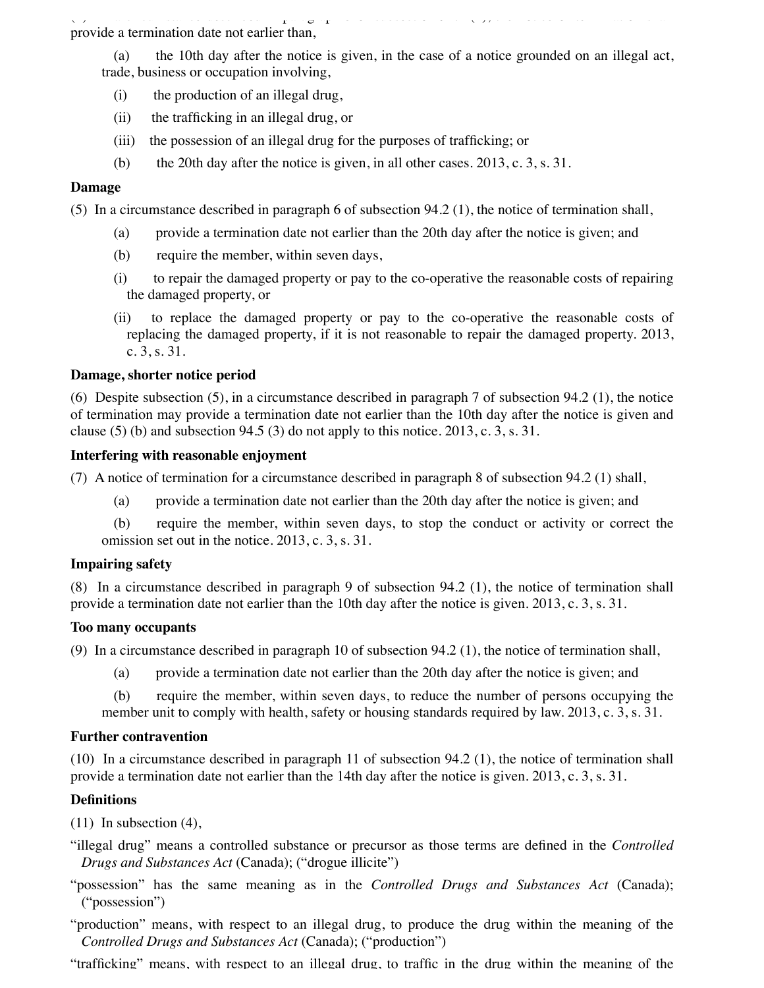provide a termination date not earlier than,

(a) the 10th day after the notice is given, in the case of a notice grounded on an illegal act, trade, business or occupation involving,

(4) In a circumstance described in paragraph 5 of subsection 94.2 (1), the notice of termination shall

- (i) the production of an illegal drug,
- (ii) the trafficking in an illegal drug, or
- (iii) the possession of an illegal drug for the purposes of trafficking; or
- (b) the 20th day after the notice is given, in all other cases. 2013, c. 3, s. 31.

## **Damage**

(5) In a circumstance described in paragraph 6 of subsection 94.2 (1), the notice of termination shall,

- (a) provide a termination date not earlier than the 20th day after the notice is given; and
- (b) require the member, within seven days,
- (i) to repair the damaged property or pay to the co-operative the reasonable costs of repairing the damaged property, or
- (ii) to replace the damaged property or pay to the co-operative the reasonable costs of replacing the damaged property, if it is not reasonable to repair the damaged property. 2013, c. 3, s. 31.

## **Damage, shorter notice period**

(6) Despite subsection (5), in a circumstance described in paragraph 7 of subsection 94.2 (1), the notice of termination may provide a termination date not earlier than the 10th day after the notice is given and clause (5) (b) and subsection  $94.5$  (3) do not apply to this notice. 2013, c. 3, s. 31.

#### **Interfering with reasonable enjoyment**

(7) A notice of termination for a circumstance described in paragraph 8 of subsection 94.2 (1) shall,

(a) provide a termination date not earlier than the 20th day after the notice is given; and

(b) require the member, within seven days, to stop the conduct or activity or correct the omission set out in the notice. 2013, c. 3, s. 31.

#### **Impairing safety**

(8) In a circumstance described in paragraph 9 of subsection 94.2 (1), the notice of termination shall provide a termination date not earlier than the 10th day after the notice is given. 2013, c. 3, s. 31.

#### **Too many occupants**

(9) In a circumstance described in paragraph 10 of subsection 94.2 (1), the notice of termination shall,

(a) provide a termination date not earlier than the 20th day after the notice is given; and

(b) require the member, within seven days, to reduce the number of persons occupying the member unit to comply with health, safety or housing standards required by law. 2013, c. 3, s. 31.

#### **Further contravention**

(10) In a circumstance described in paragraph 11 of subsection 94.2 (1), the notice of termination shall provide a termination date not earlier than the 14th day after the notice is given. 2013, c. 3, s. 31.

## **Definitions**

(11) In subsection (4),

"illegal drug" means a controlled substance or precursor as those terms are defined in the *Controlled Drugs and Substances Act* (Canada); ("drogue illicite")

"possession" has the same meaning as in the *Controlled Drugs and Substances Act* (Canada); ("possession")

"production" means, with respect to an illegal drug, to produce the drug within the meaning of the *Controlled Drugs and Substances Act* (Canada); ("production")

"trafficking" means, with respect to an illegal drug, to traffic in the drug within the meaning of the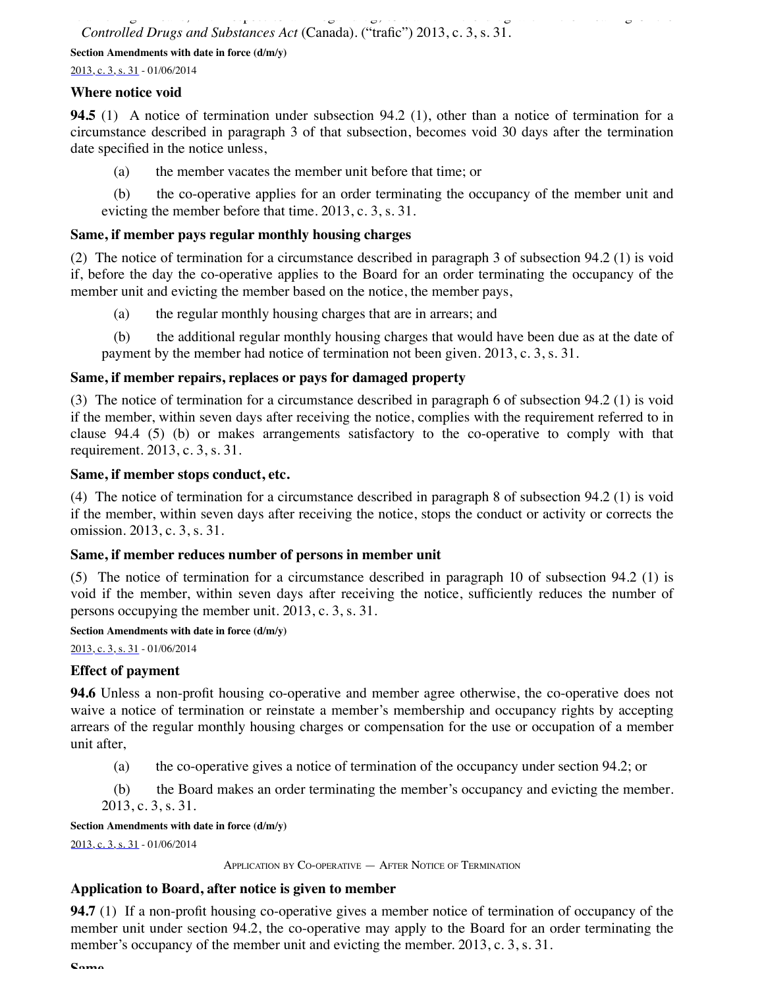#### trafficking" means, with respect to an inegal drug, to drug drop drug within the meaning of the *Controlled Drugs and Substances Act* (Canada). ("trafic") 2013, c. 3, s. 31.

**Section Amendments with date in force (d/m/y)**

2013, c. 3, s. 31 - 01/06/2014

#### **Where notice void**

**94.5** (1) A notice of termination under subsection 94.2 (1), other than a notice of termination for a circumstance described in paragraph 3 of that subsection, becomes void 30 days after the termination date specified in the notice unless,

(a) the member vacates the member unit before that time; or

(b) the co-operative applies for an order terminating the occupancy of the member unit and evicting the member before that time. 2013, c. 3, s. 31.

#### **Same, if member pays regular monthly housing charges**

(2) The notice of termination for a circumstance described in paragraph 3 of subsection 94.2 (1) is void if, before the day the co-operative applies to the Board for an order terminating the occupancy of the member unit and evicting the member based on the notice, the member pays,

(a) the regular monthly housing charges that are in arrears; and

(b) the additional regular monthly housing charges that would have been due as at the date of payment by the member had notice of termination not been given. 2013, c. 3, s. 31.

## **Same, if member repairs, replaces or pays for damaged property**

(3) The notice of termination for a circumstance described in paragraph 6 of subsection 94.2 (1) is void if the member, within seven days after receiving the notice, complies with the requirement referred to in clause 94.4 (5) (b) or makes arrangements satisfactory to the co-operative to comply with that requirement. 2013, c. 3, s. 31.

#### **Same, if member stops conduct, etc.**

(4) The notice of termination for a circumstance described in paragraph 8 of subsection 94.2 (1) is void if the member, within seven days after receiving the notice, stops the conduct or activity or corrects the omission. 2013, c. 3, s. 31.

#### **Same, if member reduces number of persons in member unit**

(5) The notice of termination for a circumstance described in paragraph 10 of subsection 94.2 (1) is void if the member, within seven days after receiving the notice, sufficiently reduces the number of persons occupying the member unit. 2013, c. 3, s. 31.

**Section Amendments with date in force (d/m/y)**

2013, c. 3, s. 31 - 01/06/2014

#### **Effect of payment**

**94.6** Unless a non-profit housing co-operative and member agree otherwise, the co-operative does not waive a notice of termination or reinstate a member's membership and occupancy rights by accepting arrears of the regular monthly housing charges or compensation for the use or occupation of a member unit after,

- (a) the co-operative gives a notice of termination of the occupancy under section 94.2; or
- (b) the Board makes an order terminating the member's occupancy and evicting the member. 2013, c. 3, s. 31.

**Section Amendments with date in force (d/m/y)**

2013, c. 3, s. 31 - 01/06/2014

APPLICATION BY CO-OPERATIVE — AFTER NOTICE OF TERMINATION

## **Application to Board, after notice is given to member**

**94.7** (1) If a non-profit housing co-operative gives a member notice of termination of occupancy of the member unit under section 94.2, the co-operative may apply to the Board for an order terminating the member's occupancy of the member unit and evicting the member. 2013, c. 3, s. 31.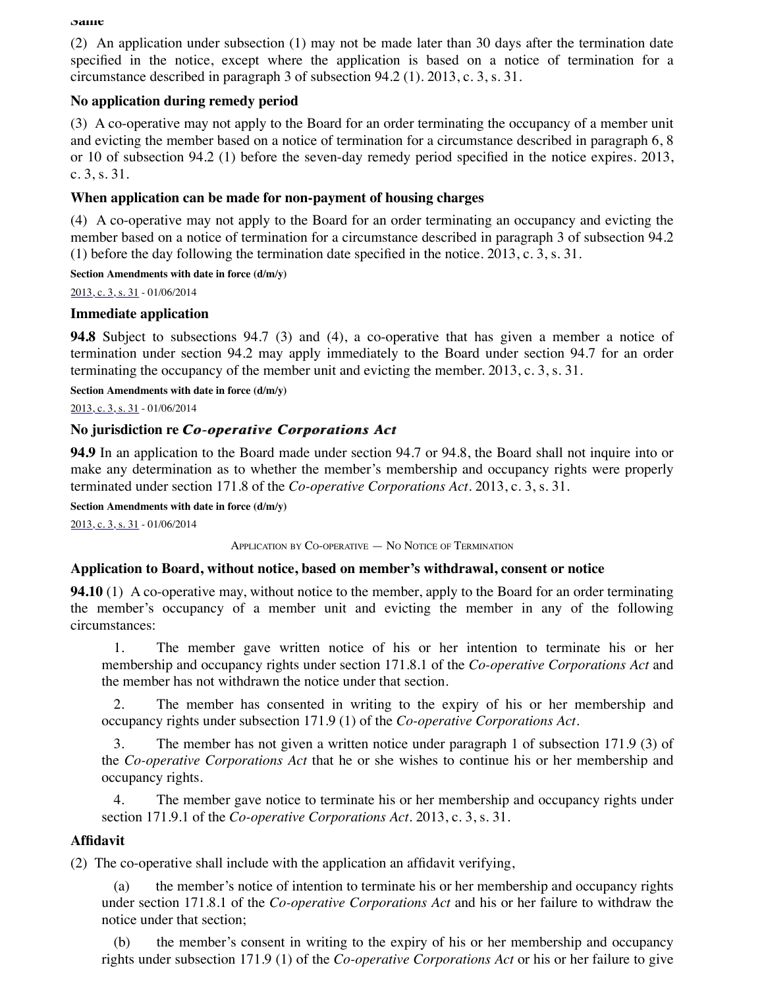#### **Same**

(2) An application under subsection (1) may not be made later than 30 days after the termination date specified in the notice, except where the application is based on a notice of termination for a circumstance described in paragraph 3 of subsection 94.2 (1). 2013, c. 3, s. 31.

### **No application during remedy period**

(3) A co-operative may not apply to the Board for an order terminating the occupancy of a member unit and evicting the member based on a notice of termination for a circumstance described in paragraph 6, 8 or 10 of subsection 94.2 (1) before the seven-day remedy period specified in the notice expires. 2013, c. 3, s. 31.

## **When application can be made for non-payment of housing charges**

(4) A co-operative may not apply to the Board for an order terminating an occupancy and evicting the member based on a notice of termination for a circumstance described in paragraph 3 of subsection 94.2 (1) before the day following the termination date specified in the notice. 2013, c. 3, s. 31.

**Section Amendments with date in force (d/m/y)**

2013, c. 3, s. 31 - 01/06/2014

## **Immediate application**

**94.8** Subject to subsections 94.7 (3) and (4), a co-operative that has given a member a notice of termination under section 94.2 may apply immediately to the Board under section 94.7 for an order terminating the occupancy of the member unit and evicting the member. 2013, c. 3, s. 31.

**Section Amendments with date in force (d/m/y)**

2013, c. 3, s. 31 - 01/06/2014

## **No jurisdiction re** *Co-operative Corporations Act Co-operative Corporations Act*

**94.9** In an application to the Board made under section 94.7 or 94.8, the Board shall not inquire into or make any determination as to whether the member's membership and occupancy rights were properly terminated under section 171.8 of the *Co-operative Corporations Act*. 2013, c. 3, s. 31.

**Section Amendments with date in force (d/m/y)**

2013, c. 3, s. 31 - 01/06/2014

APPLICATION BY CO-OPERATIVE — NO NOTICE OF TERMINATION

#### **Application to Board, without notice, based on member's withdrawal, consent or notice**

**94.10** (1) A co-operative may, without notice to the member, apply to the Board for an order terminating the member's occupancy of a member unit and evicting the member in any of the following circumstances:

1. The member gave written notice of his or her intention to terminate his or her membership and occupancy rights under section 171.8.1 of the *Co-operative Corporations Act* and the member has not withdrawn the notice under that section.

2. The member has consented in writing to the expiry of his or her membership and occupancy rights under subsection 171.9 (1) of the *Co-operative Corporations Act*.

3. The member has not given a written notice under paragraph 1 of subsection 171.9 (3) of the *Co-operative Corporations Act* that he or she wishes to continue his or her membership and occupancy rights.

4. The member gave notice to terminate his or her membership and occupancy rights under section 171.9.1 of the *Co-operative Corporations Act*. 2013, c. 3, s. 31.

#### **Affidavit**

(2) The co-operative shall include with the application an affidavit verifying,

(a) the member's notice of intention to terminate his or her membership and occupancy rights under section 171.8.1 of the *Co-operative Corporations Act* and his or her failure to withdraw the notice under that section;

the member's consent in writing to the expiry of his or her membership and occupancy rights under subsection 171.9 (1) of the *Co-operative Corporations Act* or his or her failure to give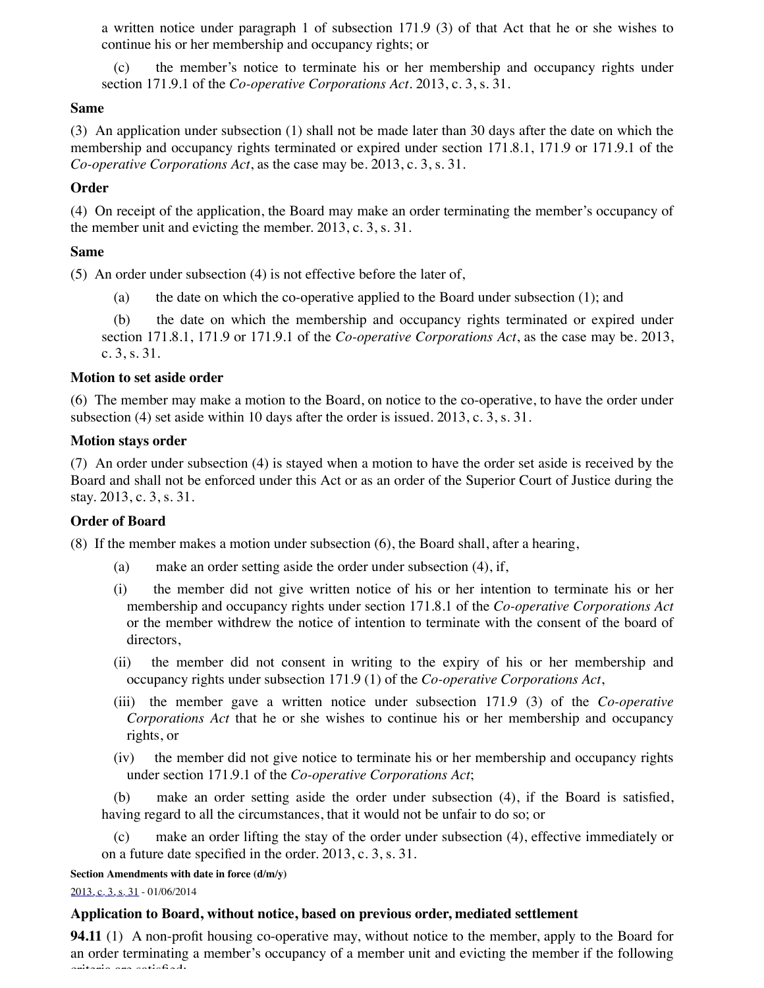a written notice under paragraph 1 of subsection 171.9 (3) of that Act that he or she wishes to continue his or her membership and occupancy rights; or

(c) the member's notice to terminate his or her membership and occupancy rights under section 171.9.1 of the *Co-operative Corporations Act*. 2013, c. 3, s. 31.

## **Same**

(3) An application under subsection (1) shall not be made later than 30 days after the date on which the membership and occupancy rights terminated or expired under section 171.8.1, 171.9 or 171.9.1 of the *Co-operative Corporations Act*, as the case may be. 2013, c. 3, s. 31.

## **Order**

(4) On receipt of the application, the Board may make an order terminating the member's occupancy of the member unit and evicting the member. 2013, c. 3, s. 31.

## **Same**

(5) An order under subsection (4) is not effective before the later of,

(a) the date on which the co-operative applied to the Board under subsection (1); and

(b) the date on which the membership and occupancy rights terminated or expired under section 171.8.1, 171.9 or 171.9.1 of the *Co-operative Corporations Act*, as the case may be. 2013, c. 3, s. 31.

## **Motion to set aside order**

(6) The member may make a motion to the Board, on notice to the co-operative, to have the order under subsection (4) set aside within 10 days after the order is issued. 2013, c. 3, s. 31.

## **Motion stays order**

(7) An order under subsection (4) is stayed when a motion to have the order set aside is received by the Board and shall not be enforced under this Act or as an order of the Superior Court of Justice during the stay. 2013, c. 3, s. 31.

## **Order of Board**

(8) If the member makes a motion under subsection (6), the Board shall, after a hearing,

- (a) make an order setting aside the order under subsection (4), if,
- (i) the member did not give written notice of his or her intention to terminate his or her membership and occupancy rights under section 171.8.1 of the *Co-operative Corporations Act* or the member withdrew the notice of intention to terminate with the consent of the board of directors,
- (ii) the member did not consent in writing to the expiry of his or her membership and occupancy rights under subsection 171.9 (1) of the *Co-operative Corporations Act*,
- (iii) the member gave a written notice under subsection 171.9 (3) of the *Co-operative Corporations Act* that he or she wishes to continue his or her membership and occupancy rights, or
- (iv) the member did not give notice to terminate his or her membership and occupancy rights under section 171.9.1 of the *Co-operative Corporations Act*;

(b) make an order setting aside the order under subsection (4), if the Board is satisfied, having regard to all the circumstances, that it would not be unfair to do so; or

(c) make an order lifting the stay of the order under subsection (4), effective immediately or on a future date specified in the order. 2013, c. 3, s. 31.

#### **Section Amendments with date in force (d/m/y)**

2013, c. 3, s. 31 - 01/06/2014

#### **Application to Board, without notice, based on previous order, mediated settlement**

**94.11** (1) A non-profit housing co-operative may, without notice to the member, apply to the Board for an order terminating a member's occupancy of a member unit and evicting the member if the following criteria are satisfied: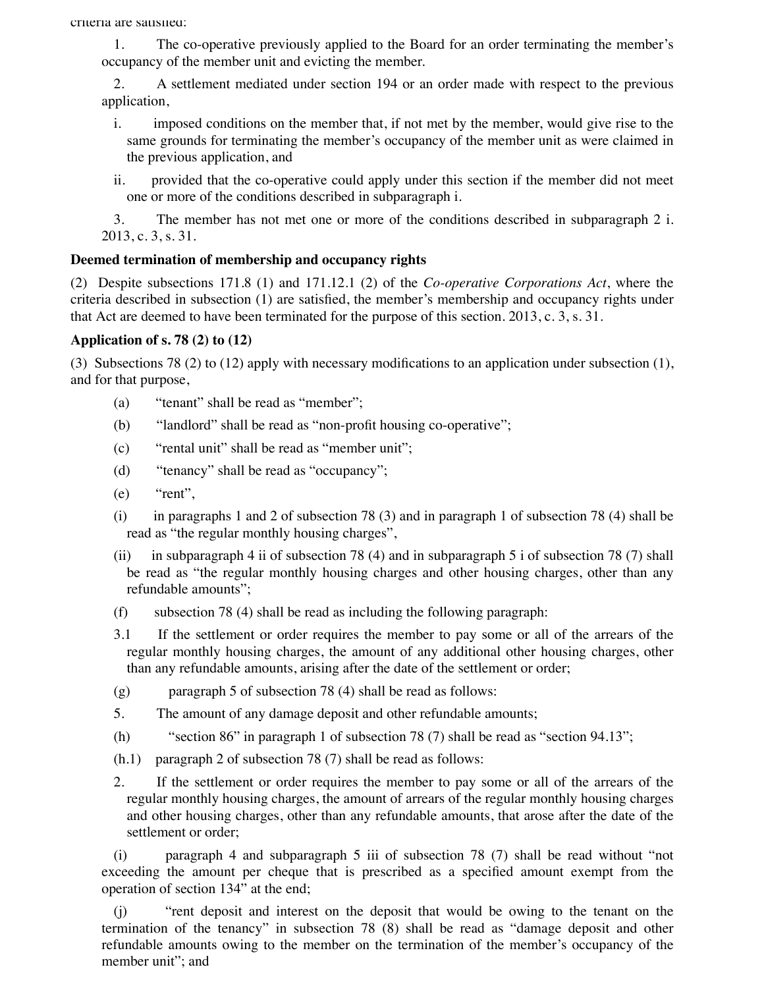#### criteria are satisfied:

1. The co-operative previously applied to the Board for an order terminating the member's occupancy of the member unit and evicting the member.

2. A settlement mediated under section 194 or an order made with respect to the previous application,

- i. imposed conditions on the member that, if not met by the member, would give rise to the same grounds for terminating the member's occupancy of the member unit as were claimed in the previous application, and
- ii. provided that the co-operative could apply under this section if the member did not meet one or more of the conditions described in subparagraph i.

3. The member has not met one or more of the conditions described in subparagraph 2 i. 2013, c. 3, s. 31.

## **Deemed termination of membership and occupancy rights**

(2) Despite subsections 171.8 (1) and 171.12.1 (2) of the *Co-operative Corporations Act*, where the criteria described in subsection (1) are satisfied, the member's membership and occupancy rights under that Act are deemed to have been terminated for the purpose of this section. 2013, c. 3, s. 31.

## **Application of s. 78 (2) to (12)**

(3) Subsections 78 (2) to (12) apply with necessary modifications to an application under subsection (1), and for that purpose,

- (a) "tenant" shall be read as "member";
- (b) "landlord" shall be read as "non-profit housing co-operative";
- (c) "rental unit" shall be read as "member unit";
- (d) "tenancy" shall be read as "occupancy";
- $(e)$  "rent",
- (i) in paragraphs 1 and 2 of subsection 78 (3) and in paragraph 1 of subsection 78 (4) shall be read as "the regular monthly housing charges",
- (ii) in subparagraph 4 ii of subsection 78 (4) and in subparagraph 5 i of subsection 78 (7) shall be read as "the regular monthly housing charges and other housing charges, other than any refundable amounts";
- (f) subsection 78 (4) shall be read as including the following paragraph:
- 3.1 If the settlement or order requires the member to pay some or all of the arrears of the regular monthly housing charges, the amount of any additional other housing charges, other than any refundable amounts, arising after the date of the settlement or order;
- (g) paragraph 5 of subsection 78 (4) shall be read as follows:
- 5. The amount of any damage deposit and other refundable amounts;
- (h) "section 86" in paragraph 1 of subsection 78 (7) shall be read as "section 94.13";
- (h.1) paragraph 2 of subsection 78 (7) shall be read as follows:
- 2. If the settlement or order requires the member to pay some or all of the arrears of the regular monthly housing charges, the amount of arrears of the regular monthly housing charges and other housing charges, other than any refundable amounts, that arose after the date of the settlement or order;

(i) paragraph 4 and subparagraph 5 iii of subsection 78 (7) shall be read without "not exceeding the amount per cheque that is prescribed as a specified amount exempt from the operation of section 134" at the end;

"rent deposit and interest on the deposit that would be owing to the tenant on the termination of the tenancy" in subsection 78 (8) shall be read as "damage deposit and other refundable amounts owing to the member on the termination of the member's occupancy of the member unit"; and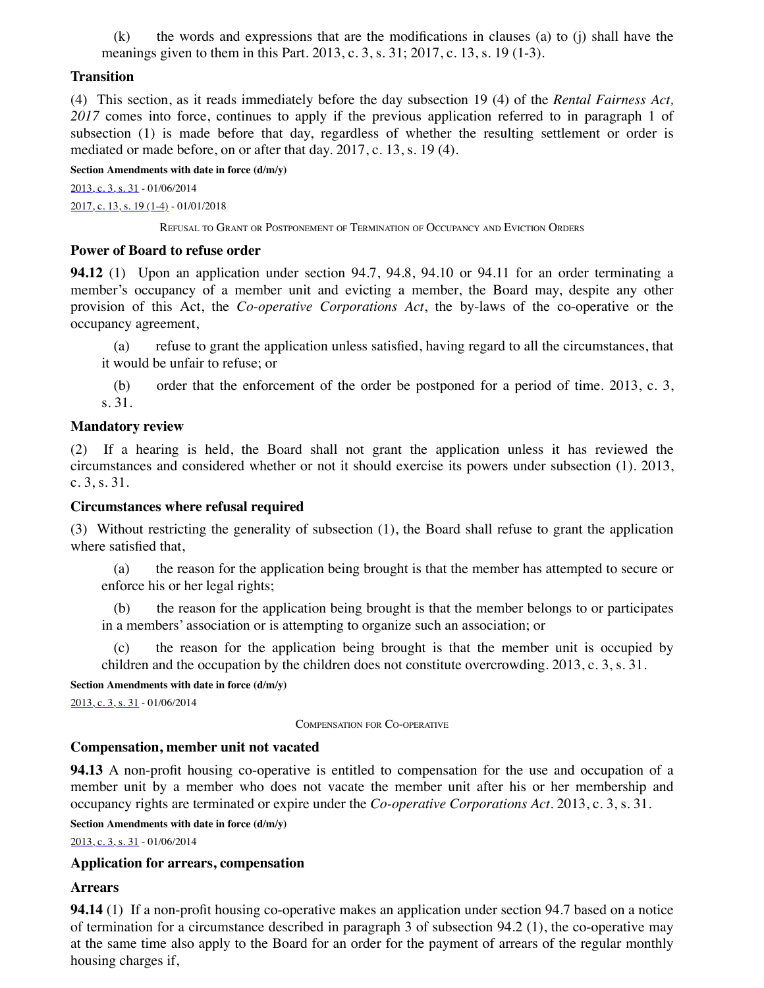(k) the words and expressions that are the modifications in clauses (a) to (j) shall have the meanings given to them in this Part. 2013, c. 3, s. 31; 2017, c. 13, s. 19 (1-3).

#### **Transition**

(4) This section, as it reads immediately before the day subsection 19 (4) of the *Rental Fairness Act, 2017* comes into force, continues to apply if the previous application referred to in paragraph 1 of subsection (1) is made before that day, regardless of whether the resulting settlement or order is mediated or made before, on or after that day. 2017, c. 13, s. 19 (4).

**Section Amendments with date in force (d/m/y)**

2013, c. 3, s. 31 - 01/06/2014 2017, c. 13, s. 19 (1-4) - 01/01/2018

REFUSAL TO GRANT OR POSTPONEMENT OF TERMINATION OF OCCUPANCY AND EVICTION ORDERS

## **Power of Board to refuse order**

**94.12** (1) Upon an application under section 94.7, 94.8, 94.10 or 94.11 for an order terminating a member's occupancy of a member unit and evicting a member, the Board may, despite any other provision of this Act, the *Co-operative Corporations Act*, the by-laws of the co-operative or the occupancy agreement,

(a) refuse to grant the application unless satisfied, having regard to all the circumstances, that it would be unfair to refuse; or

(b) order that the enforcement of the order be postponed for a period of time. 2013, c. 3, s. 31.

## **Mandatory review**

(2) If a hearing is held, the Board shall not grant the application unless it has reviewed the circumstances and considered whether or not it should exercise its powers under subsection (1). 2013, c. 3, s. 31.

#### **Circumstances where refusal required**

(3) Without restricting the generality of subsection (1), the Board shall refuse to grant the application where satisfied that,

(a) the reason for the application being brought is that the member has attempted to secure or enforce his or her legal rights;

(b) the reason for the application being brought is that the member belongs to or participates in a members' association or is attempting to organize such an association; or

the reason for the application being brought is that the member unit is occupied by children and the occupation by the children does not constitute overcrowding. 2013, c. 3, s. 31.

**Section Amendments with date in force (d/m/y)** 2013, c. 3, s. 31 - 01/06/2014

COMPENSATION FOR CO-OPERATIVE

# **Compensation, member unit not vacated**

**94.13** A non-profit housing co-operative is entitled to compensation for the use and occupation of a member unit by a member who does not vacate the member unit after his or her membership and occupancy rights are terminated or expire under the *Co-operative Corporations Act*. 2013, c. 3, s. 31.

**Section Amendments with date in force (d/m/y)**

2013, c. 3, s. 31 - 01/06/2014

# **Application for arrears, compensation**

# **Arrears**

**94.14** (1) If a non-profit housing co-operative makes an application under section 94.7 based on a notice of termination for a circumstance described in paragraph 3 of subsection 94.2 (1), the co-operative may at the same time also apply to the Board for an order for the payment of arrears of the regular monthly housing charges if,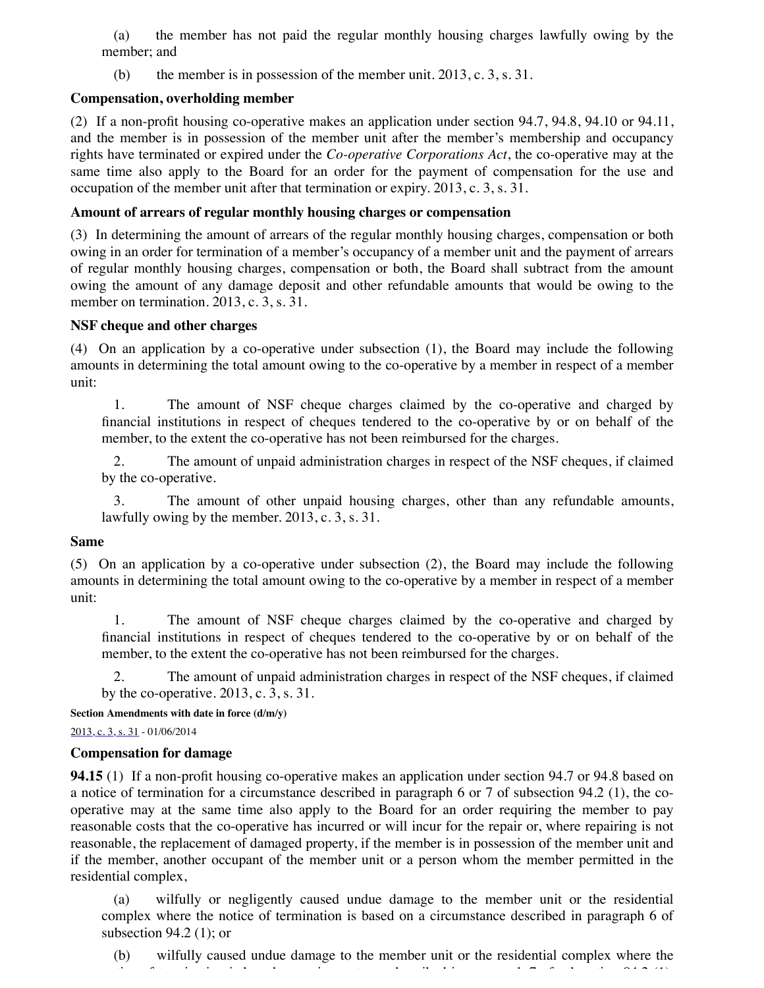(a) the member has not paid the regular monthly housing charges lawfully owing by the member; and

(b) the member is in possession of the member unit.  $2013$ , c. 3, s. 31.

## **Compensation, overholding member**

(2) If a non-profit housing co-operative makes an application under section 94.7, 94.8, 94.10 or 94.11, and the member is in possession of the member unit after the member's membership and occupancy rights have terminated or expired under the *Co-operative Corporations Act*, the co-operative may at the same time also apply to the Board for an order for the payment of compensation for the use and occupation of the member unit after that termination or expiry. 2013, c. 3, s. 31.

# **Amount of arrears of regular monthly housing charges or compensation**

(3) In determining the amount of arrears of the regular monthly housing charges, compensation or both owing in an order for termination of a member's occupancy of a member unit and the payment of arrears of regular monthly housing charges, compensation or both, the Board shall subtract from the amount owing the amount of any damage deposit and other refundable amounts that would be owing to the member on termination. 2013, c. 3, s. 31.

# **NSF cheque and other charges**

(4) On an application by a co-operative under subsection (1), the Board may include the following amounts in determining the total amount owing to the co-operative by a member in respect of a member unit:

1. The amount of NSF cheque charges claimed by the co-operative and charged by financial institutions in respect of cheques tendered to the co-operative by or on behalf of the member, to the extent the co-operative has not been reimbursed for the charges.

2. The amount of unpaid administration charges in respect of the NSF cheques, if claimed by the co-operative.

3. The amount of other unpaid housing charges, other than any refundable amounts, lawfully owing by the member. 2013, c. 3, s. 31.

## **Same**

(5) On an application by a co-operative under subsection (2), the Board may include the following amounts in determining the total amount owing to the co-operative by a member in respect of a member unit:

1. The amount of NSF cheque charges claimed by the co-operative and charged by financial institutions in respect of cheques tendered to the co-operative by or on behalf of the member, to the extent the co-operative has not been reimbursed for the charges.

2. The amount of unpaid administration charges in respect of the NSF cheques, if claimed by the co-operative. 2013, c. 3, s. 31.

**Section Amendments with date in force (d/m/y)** 2013, c. 3, s. 31 - 01/06/2014

## **Compensation for damage**

**94.15** (1) If a non-profit housing co-operative makes an application under section 94.7 or 94.8 based on a notice of termination for a circumstance described in paragraph 6 or 7 of subsection 94.2 (1), the cooperative may at the same time also apply to the Board for an order requiring the member to pay reasonable costs that the co-operative has incurred or will incur for the repair or, where repairing is not reasonable, the replacement of damaged property, if the member is in possession of the member unit and if the member, another occupant of the member unit or a person whom the member permitted in the residential complex,

(a) wilfully or negligently caused undue damage to the member unit or the residential complex where the notice of termination is based on a circumstance described in paragraph 6 of subsection  $94.2$  (1); or

(b) wilfully caused undue damage to the member unit or the residential complex where the notice of termination is based on a circumstance described in paragraph 7 of subsection 94.2 (1).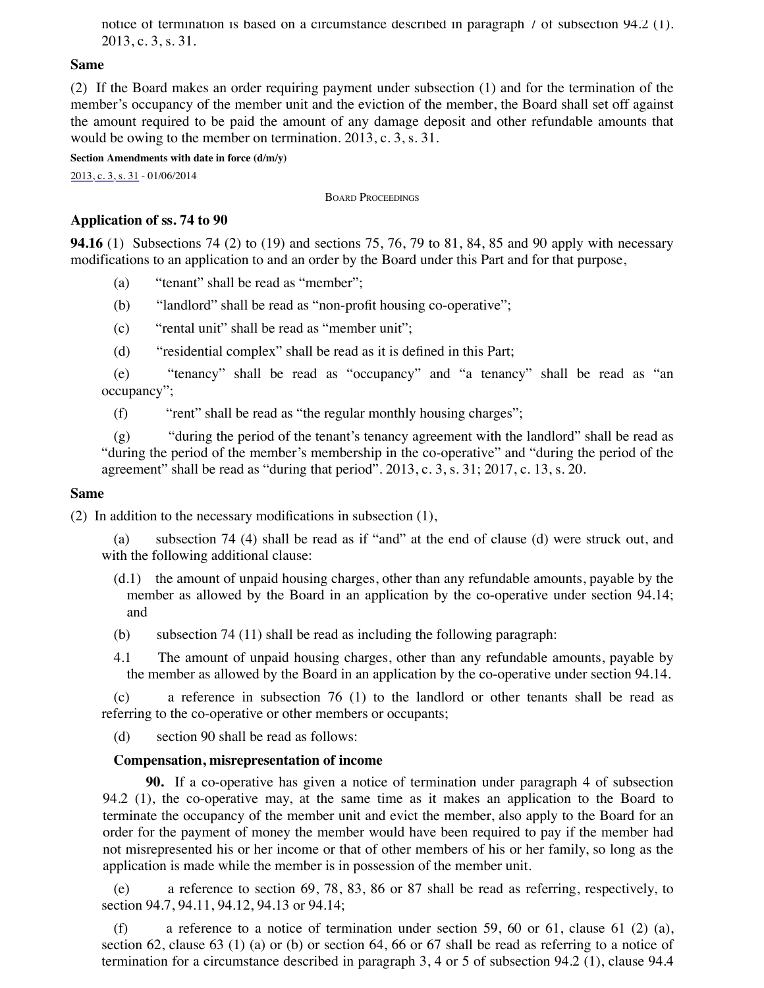notice of termination is based on a circumstance described in paragraph 7 of subsection 94.2 (1). 2013, c. 3, s. 31.

#### **Same**

(2) If the Board makes an order requiring payment under subsection (1) and for the termination of the member's occupancy of the member unit and the eviction of the member, the Board shall set off against the amount required to be paid the amount of any damage deposit and other refundable amounts that would be owing to the member on termination. 2013, c. 3, s. 31.

**Section Amendments with date in force (d/m/y)** 2013, c. 3, s. 31 - 01/06/2014

BOARD PROCEEDINGS

## **Application of ss. 74 to 90**

**94.16** (1) Subsections 74 (2) to (19) and sections 75, 76, 79 to 81, 84, 85 and 90 apply with necessary modifications to an application to and an order by the Board under this Part and for that purpose,

(a) "tenant" shall be read as "member";

(b) "landlord" shall be read as "non-profit housing co-operative";

(c) "rental unit" shall be read as "member unit";

(d) "residential complex" shall be read as it is defined in this Part;

(e) "tenancy" shall be read as "occupancy" and "a tenancy" shall be read as "an occupancy";

(f) "rent" shall be read as "the regular monthly housing charges";

(g) "during the period of the tenant's tenancy agreement with the landlord" shall be read as "during the period of the member's membership in the co-operative" and "during the period of the agreement" shall be read as "during that period".  $2013$ , c.  $3$ , s.  $31$ ;  $2017$ , c.  $13$ , s.  $20$ .

#### **Same**

(2) In addition to the necessary modifications in subsection (1),

(a) subsection 74 (4) shall be read as if "and" at the end of clause (d) were struck out, and with the following additional clause:

- (d.1) the amount of unpaid housing charges, other than any refundable amounts, payable by the member as allowed by the Board in an application by the co-operative under section 94.14; and
- (b) subsection 74 (11) shall be read as including the following paragraph:
- 4.1 The amount of unpaid housing charges, other than any refundable amounts, payable by the member as allowed by the Board in an application by the co-operative under section 94.14.

(c) a reference in subsection 76 (1) to the landlord or other tenants shall be read as referring to the co-operative or other members or occupants;

(d) section 90 shall be read as follows:

#### **Compensation, misrepresentation of income**

**90.** If a co-operative has given a notice of termination under paragraph 4 of subsection 94.2 (1), the co-operative may, at the same time as it makes an application to the Board to terminate the occupancy of the member unit and evict the member, also apply to the Board for an order for the payment of money the member would have been required to pay if the member had not misrepresented his or her income or that of other members of his or her family, so long as the application is made while the member is in possession of the member unit.

(e) a reference to section 69, 78, 83, 86 or 87 shall be read as referring, respectively, to section 94.7, 94.11, 94.12, 94.13 or 94.14;

(f) a reference to a notice of termination under section 59, 60 or 61, clause 61  $(2)$  (a), section 62, clause 63 (1) (a) or (b) or section 64, 66 or 67 shall be read as referring to a notice of termination for a circumstance described in paragraph 3, 4 or 5 of subsection 94.2 (1), clause 94.4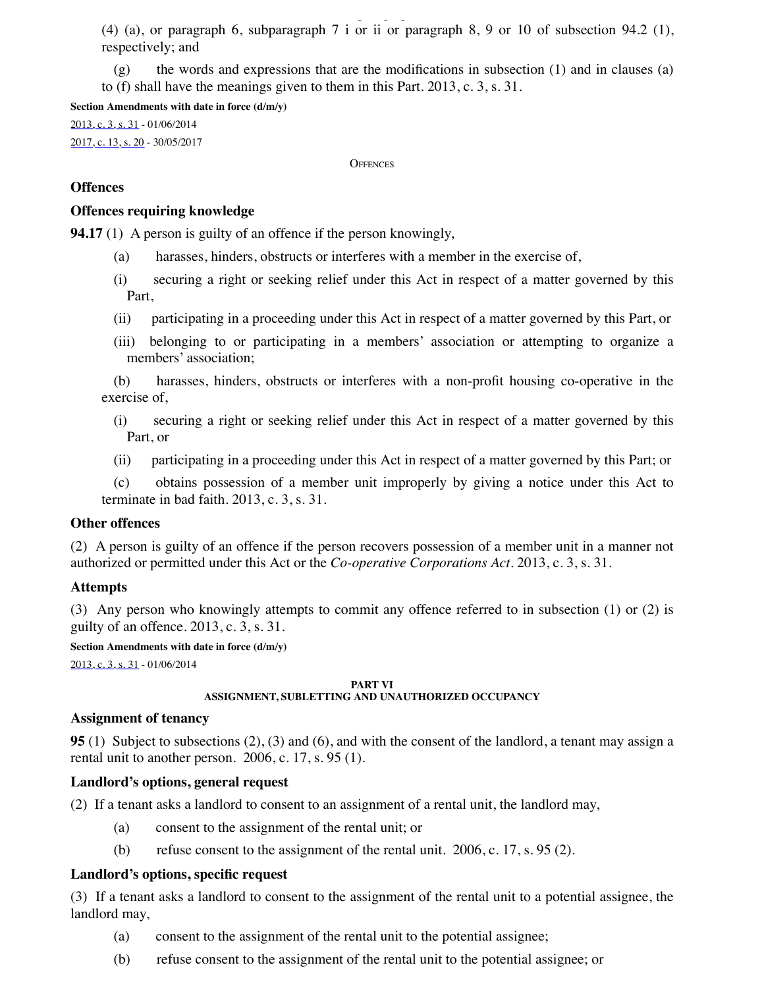termination for a circumstance described in paragraph  $3$  or  $\frac{1}{2}$ ,  $\frac{1}{2}$ , clause 94.4 (1), clause 94.4 (1), clause 94.4 (1), clause 94.4 (1), clause 94.4 (1), clause 94.4 (1), clause 94.4 (1), clause 94.4 (1), cl (4) (a), or paragraph 6, subparagraph 7 i or ii or paragraph 8, 9 or 10 of subsection 94.2 (1), respectively; and

 $(g)$  the words and expressions that are the modifications in subsection (1) and in clauses (a) to (f) shall have the meanings given to them in this Part. 2013, c. 3, s. 31.

**Section Amendments with date in force (d/m/y)**

2013, c. 3, s. 31 - 01/06/2014 2017, c. 13, s. 20 - 30/05/2017

**OFFENCES** 

## **Offences**

#### **Offences requiring knowledge**

**94.17** (1) A person is guilty of an offence if the person knowingly,

- (a) harasses, hinders, obstructs or interferes with a member in the exercise of,
- (i) securing a right or seeking relief under this Act in respect of a matter governed by this Part,
- (ii) participating in a proceeding under this Act in respect of a matter governed by this Part, or
- (iii) belonging to or participating in a members' association or attempting to organize a members' association;

(b) harasses, hinders, obstructs or interferes with a non-profit housing co-operative in the exercise of,

- (i) securing a right or seeking relief under this Act in respect of a matter governed by this Part, or
- (ii) participating in a proceeding under this Act in respect of a matter governed by this Part; or

(c) obtains possession of a member unit improperly by giving a notice under this Act to terminate in bad faith. 2013, c. 3, s. 31.

#### **Other offences**

(2) A person is guilty of an offence if the person recovers possession of a member unit in a manner not authorized or permitted under this Act or the *Co-operative Corporations Act*. 2013, c. 3, s. 31.

#### **Attempts**

(3) Any person who knowingly attempts to commit any offence referred to in subsection (1) or (2) is guilty of an offence. 2013, c. 3, s. 31.

**Section Amendments with date in force (d/m/y)**

2013, c. 3, s. 31 - 01/06/2014

#### **PART VI ASSIGNMENT, SUBLETTING AND UNAUTHORIZED OCCUPANCY**

## **Assignment of tenancy**

**95** (1) Subject to subsections (2), (3) and (6), and with the consent of the landlord, a tenant may assign a rental unit to another person. 2006, c. 17, s. 95 (1).

## **Landlord's options, general request**

- (2) If a tenant asks a landlord to consent to an assignment of a rental unit, the landlord may,
	- (a) consent to the assignment of the rental unit; or
	- (b) refuse consent to the assignment of the rental unit.  $2006$ , c. 17, s. 95 (2).

## **Landlord's options, specific request**

(3) If a tenant asks a landlord to consent to the assignment of the rental unit to a potential assignee, the landlord may,

- (a) consent to the assignment of the rental unit to the potential assignee;
- (b) refuse consent to the assignment of the rental unit to the potential assignee; or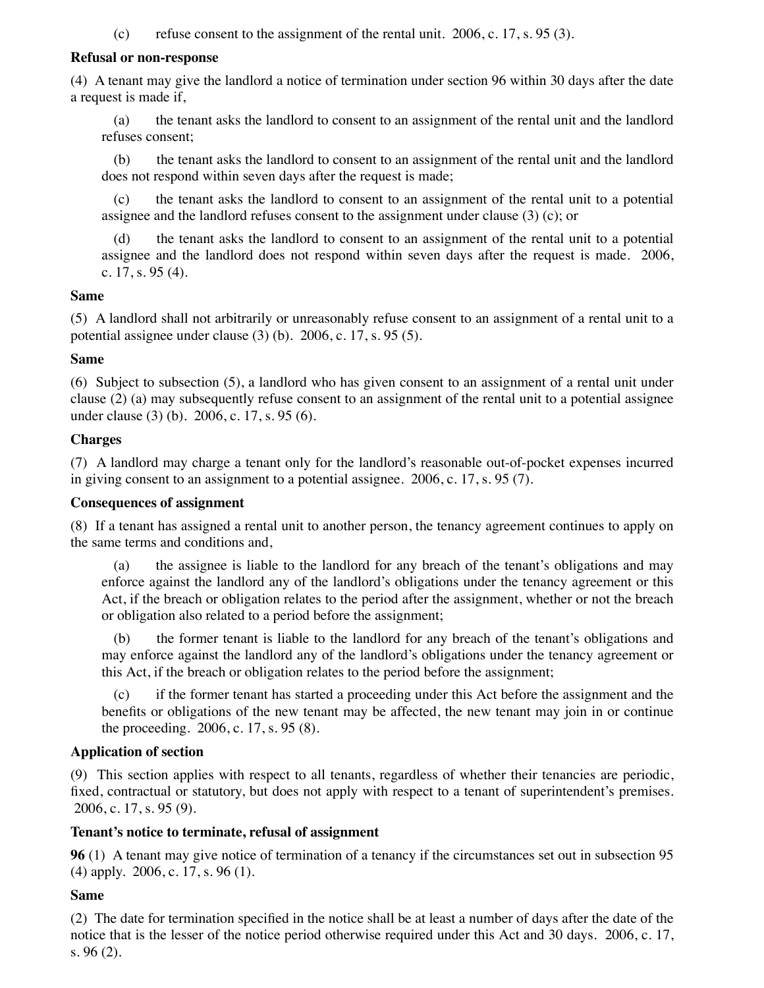(c) refuse consent to the assignment of the rental unit.  $2006$ , c. 17, s. 95 (3).

## **Refusal or non-response**

(4) A tenant may give the landlord a notice of termination under section 96 within 30 days after the date a request is made if,

(a) the tenant asks the landlord to consent to an assignment of the rental unit and the landlord refuses consent;

(b) the tenant asks the landlord to consent to an assignment of the rental unit and the landlord does not respond within seven days after the request is made;

(c) the tenant asks the landlord to consent to an assignment of the rental unit to a potential assignee and the landlord refuses consent to the assignment under clause (3) (c); or

(d) the tenant asks the landlord to consent to an assignment of the rental unit to a potential assignee and the landlord does not respond within seven days after the request is made. 2006, c. 17, s. 95 (4).

## **Same**

(5) A landlord shall not arbitrarily or unreasonably refuse consent to an assignment of a rental unit to a potential assignee under clause (3) (b). 2006, c. 17, s. 95 (5).

## **Same**

(6) Subject to subsection (5), a landlord who has given consent to an assignment of a rental unit under clause (2) (a) may subsequently refuse consent to an assignment of the rental unit to a potential assignee under clause (3) (b). 2006, c. 17, s. 95 (6).

## **Charges**

(7) A landlord may charge a tenant only for the landlord's reasonable out-of-pocket expenses incurred in giving consent to an assignment to a potential assignee. 2006, c. 17, s. 95 (7).

#### **Consequences of assignment**

(8) If a tenant has assigned a rental unit to another person, the tenancy agreement continues to apply on the same terms and conditions and,

(a) the assignee is liable to the landlord for any breach of the tenant's obligations and may enforce against the landlord any of the landlord's obligations under the tenancy agreement or this Act, if the breach or obligation relates to the period after the assignment, whether or not the breach or obligation also related to a period before the assignment;

(b) the former tenant is liable to the landlord for any breach of the tenant's obligations and may enforce against the landlord any of the landlord's obligations under the tenancy agreement or this Act, if the breach or obligation relates to the period before the assignment;

(c) if the former tenant has started a proceeding under this Act before the assignment and the benefits or obligations of the new tenant may be affected, the new tenant may join in or continue the proceeding. 2006, c. 17, s. 95 (8).

## **Application of section**

(9) This section applies with respect to all tenants, regardless of whether their tenancies are periodic, fixed, contractual or statutory, but does not apply with respect to a tenant of superintendent's premises. 2006, c. 17, s. 95 (9).

## **Tenant's notice to terminate, refusal of assignment**

**96** (1) A tenant may give notice of termination of a tenancy if the circumstances set out in subsection 95 (4) apply. 2006, c. 17, s. 96 (1).

## **Same**

(2) The date for termination specified in the notice shall be at least a number of days after the date of the notice that is the lesser of the notice period otherwise required under this Act and 30 days. 2006, c. 17, s. 96 (2).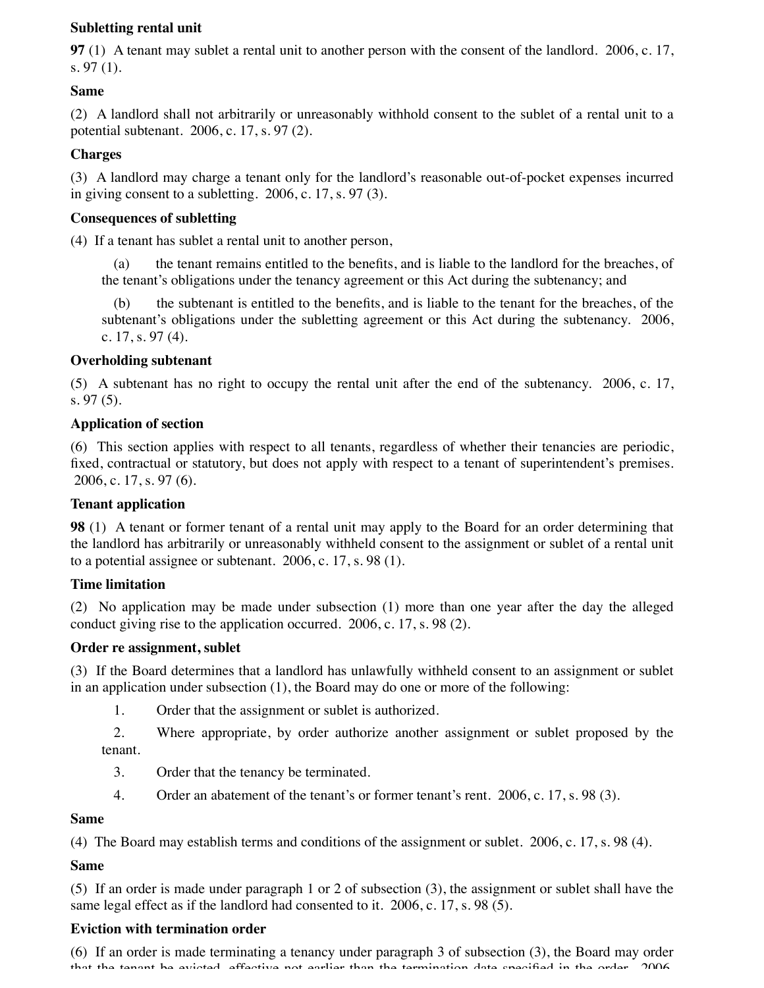## **Subletting rental unit**

**97** (1) A tenant may sublet a rental unit to another person with the consent of the landlord. 2006, c. 17, s. 97 (1).

## **Same**

(2) A landlord shall not arbitrarily or unreasonably withhold consent to the sublet of a rental unit to a potential subtenant. 2006, c. 17, s. 97 (2).

# **Charges**

(3) A landlord may charge a tenant only for the landlord's reasonable out-of-pocket expenses incurred in giving consent to a subletting. 2006, c. 17, s. 97 (3).

## **Consequences of subletting**

(4) If a tenant has sublet a rental unit to another person,

(a) the tenant remains entitled to the benefits, and is liable to the landlord for the breaches, of the tenant's obligations under the tenancy agreement or this Act during the subtenancy; and

(b) the subtenant is entitled to the benefits, and is liable to the tenant for the breaches, of the subtenant's obligations under the subletting agreement or this Act during the subtenancy. 2006, c. 17, s. 97 (4).

## **Overholding subtenant**

(5) A subtenant has no right to occupy the rental unit after the end of the subtenancy. 2006, c. 17, s. 97 (5).

## **Application of section**

(6) This section applies with respect to all tenants, regardless of whether their tenancies are periodic, fixed, contractual or statutory, but does not apply with respect to a tenant of superintendent's premises. 2006, c. 17, s. 97 (6).

## **Tenant application**

**98** (1) A tenant or former tenant of a rental unit may apply to the Board for an order determining that the landlord has arbitrarily or unreasonably withheld consent to the assignment or sublet of a rental unit to a potential assignee or subtenant. 2006, c. 17, s. 98 (1).

#### **Time limitation**

(2) No application may be made under subsection (1) more than one year after the day the alleged conduct giving rise to the application occurred. 2006, c. 17, s. 98 (2).

## **Order re assignment, sublet**

(3) If the Board determines that a landlord has unlawfully withheld consent to an assignment or sublet in an application under subsection (1), the Board may do one or more of the following:

1. Order that the assignment or sublet is authorized.

2. Where appropriate, by order authorize another assignment or sublet proposed by the tenant.

- 3. Order that the tenancy be terminated.
- 4. Order an abatement of the tenant's or former tenant's rent. 2006, c. 17, s. 98 (3).

#### **Same**

(4) The Board may establish terms and conditions of the assignment or sublet. 2006, c. 17, s. 98 (4).

#### **Same**

(5) If an order is made under paragraph 1 or 2 of subsection (3), the assignment or sublet shall have the same legal effect as if the landlord had consented to it. 2006, c. 17, s. 98 (5).

### **Eviction with termination order**

(6) If an order is made terminating a tenancy under paragraph 3 of subsection (3), the Board may order that the tenant be evicted, effective not earlier than the termination date specified in the order. 2006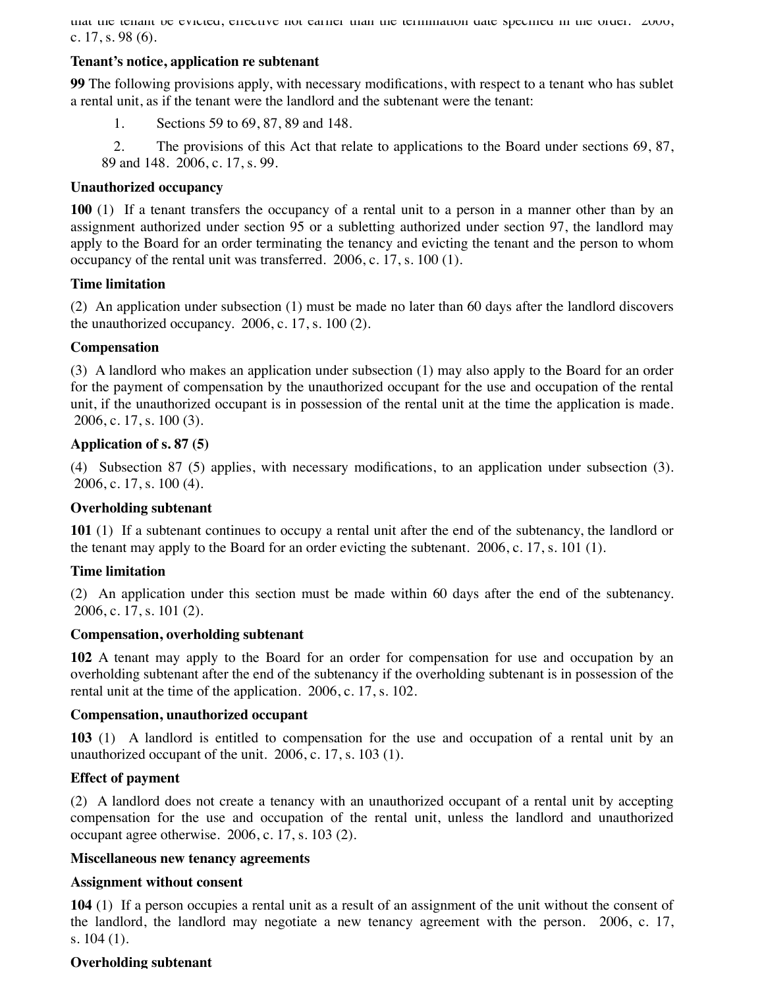that the tenant be evicted, effective not earlier than the termination date specified in the order. 2000, c. 17, s. 98 (6).

### **Tenant's notice, application re subtenant**

**99** The following provisions apply, with necessary modifications, with respect to a tenant who has sublet a rental unit, as if the tenant were the landlord and the subtenant were the tenant:

1. Sections 59 to 69, 87, 89 and 148.

2. The provisions of this Act that relate to applications to the Board under sections 69, 87, 89 and 148. 2006, c. 17, s. 99.

## **Unauthorized occupancy**

**100** (1) If a tenant transfers the occupancy of a rental unit to a person in a manner other than by an assignment authorized under section 95 or a subletting authorized under section 97, the landlord may apply to the Board for an order terminating the tenancy and evicting the tenant and the person to whom occupancy of the rental unit was transferred. 2006, c. 17, s. 100 (1).

## **Time limitation**

(2) An application under subsection (1) must be made no later than 60 days after the landlord discovers the unauthorized occupancy.  $2006$ , c. 17, s. 100 (2).

## **Compensation**

(3) A landlord who makes an application under subsection (1) may also apply to the Board for an order for the payment of compensation by the unauthorized occupant for the use and occupation of the rental unit, if the unauthorized occupant is in possession of the rental unit at the time the application is made. 2006, c. 17, s. 100 (3).

## **Application of s. 87 (5)**

(4) Subsection 87 (5) applies, with necessary modifications, to an application under subsection (3). 2006, c. 17, s. 100 (4).

## **Overholding subtenant**

**101** (1) If a subtenant continues to occupy a rental unit after the end of the subtenancy, the landlord or the tenant may apply to the Board for an order evicting the subtenant. 2006, c. 17, s. 101 (1).

#### **Time limitation**

(2) An application under this section must be made within 60 days after the end of the subtenancy. 2006, c. 17, s. 101 (2).

#### **Compensation, overholding subtenant**

**102** A tenant may apply to the Board for an order for compensation for use and occupation by an overholding subtenant after the end of the subtenancy if the overholding subtenant is in possession of the rental unit at the time of the application. 2006, c. 17, s. 102.

#### **Compensation, unauthorized occupant**

**103** (1) A landlord is entitled to compensation for the use and occupation of a rental unit by an unauthorized occupant of the unit. 2006, c. 17, s. 103 (1).

## **Effect of payment**

(2) A landlord does not create a tenancy with an unauthorized occupant of a rental unit by accepting compensation for the use and occupation of the rental unit, unless the landlord and unauthorized occupant agree otherwise. 2006, c. 17, s. 103 (2).

#### **Miscellaneous new tenancy agreements**

#### **Assignment without consent**

**104** (1) If a person occupies a rental unit as a result of an assignment of the unit without the consent of the landlord, the landlord may negotiate a new tenancy agreement with the person. 2006, c. 17, s. 104 (1).

## **Overholding subtenant**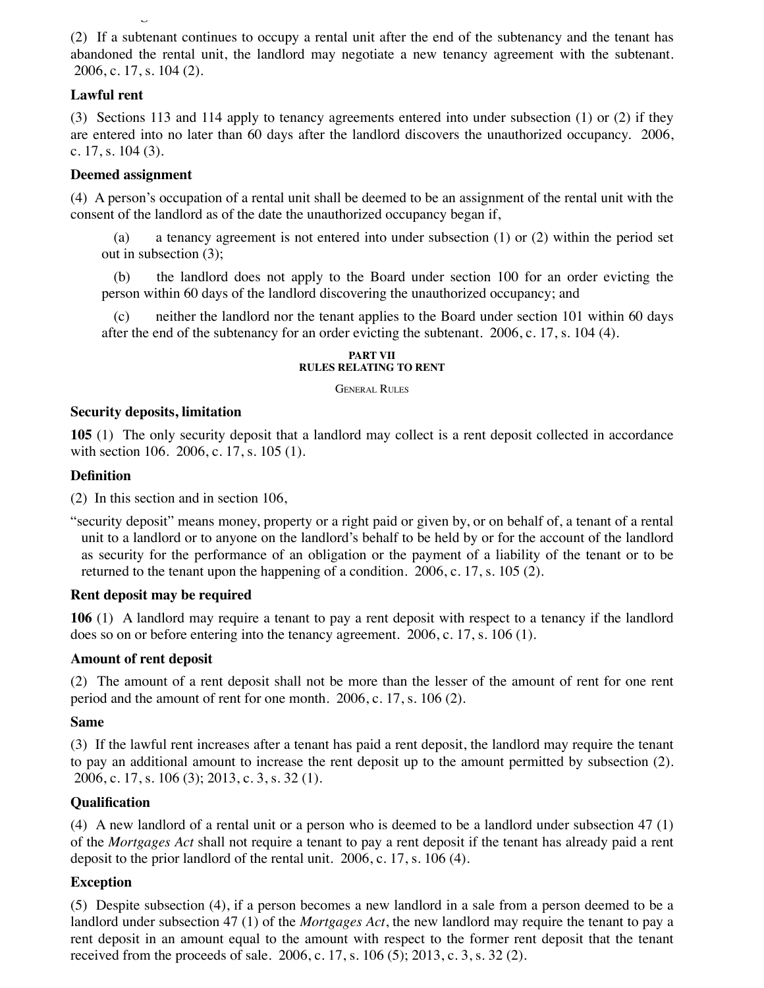(2) If a subtenant continues to occupy a rental unit after the end of the subtenancy and the tenant has abandoned the rental unit, the landlord may negotiate a new tenancy agreement with the subtenant. 2006, c. 17, s. 104 (2).

## **Lawful rent**

(3) Sections 113 and 114 apply to tenancy agreements entered into under subsection (1) or (2) if they are entered into no later than 60 days after the landlord discovers the unauthorized occupancy. 2006, c. 17, s. 104 (3).

## **Deemed assignment**

**Overholding subtenant**

(4) A person's occupation of a rental unit shall be deemed to be an assignment of the rental unit with the consent of the landlord as of the date the unauthorized occupancy began if,

(a) a tenancy agreement is not entered into under subsection (1) or (2) within the period set out in subsection (3);

(b) the landlord does not apply to the Board under section 100 for an order evicting the person within 60 days of the landlord discovering the unauthorized occupancy; and

(c) neither the landlord nor the tenant applies to the Board under section 101 within 60 days after the end of the subtenancy for an order evicting the subtenant. 2006, c. 17, s. 104 (4).

#### **PART VII RULES RELATING TO RENT**

GENERAL RULES

#### **Security deposits, limitation**

**105** (1) The only security deposit that a landlord may collect is a rent deposit collected in accordance with section 106. 2006, c. 17, s. 105 (1).

#### **Definition**

(2) In this section and in section 106,

"security deposit" means money, property or a right paid or given by, or on behalf of, a tenant of a rental unit to a landlord or to anyone on the landlord's behalf to be held by or for the account of the landlord as security for the performance of an obligation or the payment of a liability of the tenant or to be returned to the tenant upon the happening of a condition. 2006, c. 17, s. 105 (2).

#### **Rent deposit may be required**

**106** (1) A landlord may require a tenant to pay a rent deposit with respect to a tenancy if the landlord does so on or before entering into the tenancy agreement. 2006, c. 17, s. 106 (1).

#### **Amount of rent deposit**

(2) The amount of a rent deposit shall not be more than the lesser of the amount of rent for one rent period and the amount of rent for one month. 2006, c. 17, s. 106 (2).

#### **Same**

(3) If the lawful rent increases after a tenant has paid a rent deposit, the landlord may require the tenant to pay an additional amount to increase the rent deposit up to the amount permitted by subsection (2). 2006, c. 17, s. 106 (3); 2013, c. 3, s. 32 (1).

## **Qualification**

(4) A new landlord of a rental unit or a person who is deemed to be a landlord under subsection 47 (1) of the *Mortgages Act* shall not require a tenant to pay a rent deposit if the tenant has already paid a rent deposit to the prior landlord of the rental unit. 2006, c. 17, s. 106 (4).

## **Exception**

(5) Despite subsection (4), if a person becomes a new landlord in a sale from a person deemed to be a landlord under subsection 47 (1) of the *Mortgages Act*, the new landlord may require the tenant to pay a rent deposit in an amount equal to the amount with respect to the former rent deposit that the tenant received from the proceeds of sale.  $2006$ , c. 17, s.  $106(5)$ ;  $2013$ , c. 3, s.  $32(2)$ .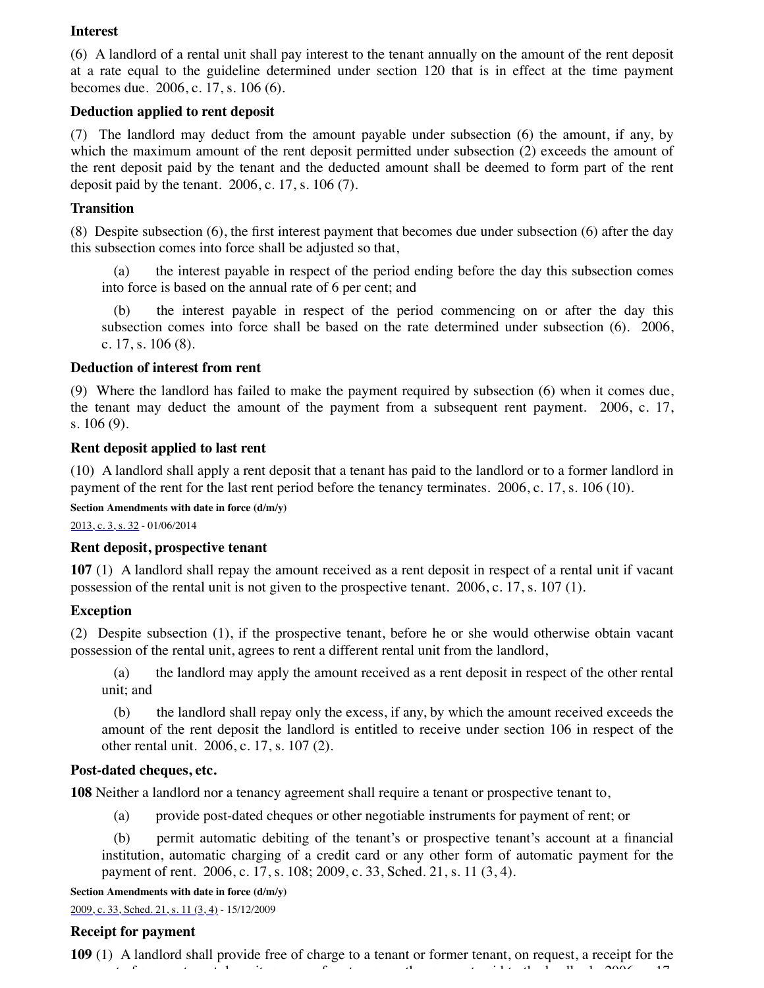## **Interest**

(6) A landlord of a rental unit shall pay interest to the tenant annually on the amount of the rent deposit at a rate equal to the guideline determined under section 120 that is in effect at the time payment becomes due. 2006, c. 17, s. 106 (6).

## **Deduction applied to rent deposit**

(7) The landlord may deduct from the amount payable under subsection (6) the amount, if any, by which the maximum amount of the rent deposit permitted under subsection (2) exceeds the amount of the rent deposit paid by the tenant and the deducted amount shall be deemed to form part of the rent deposit paid by the tenant.  $2006$ , c. 17, s. 106 (7).

## **Transition**

(8) Despite subsection (6), the first interest payment that becomes due under subsection (6) after the day this subsection comes into force shall be adjusted so that,

(a) the interest payable in respect of the period ending before the day this subsection comes into force is based on the annual rate of 6 per cent; and

(b) the interest payable in respect of the period commencing on or after the day this subsection comes into force shall be based on the rate determined under subsection (6). 2006, c. 17, s. 106 (8).

## **Deduction of interest from rent**

(9) Where the landlord has failed to make the payment required by subsection (6) when it comes due, the tenant may deduct the amount of the payment from a subsequent rent payment. 2006, c. 17, s. 106 (9).

## **Rent deposit applied to last rent**

(10) A landlord shall apply a rent deposit that a tenant has paid to the landlord or to a former landlord in payment of the rent for the last rent period before the tenancy terminates. 2006, c. 17, s. 106 (10).

**Section Amendments with date in force (d/m/y)**

2013, c. 3, s. 32 - 01/06/2014

#### **Rent deposit, prospective tenant**

**107** (1) A landlord shall repay the amount received as a rent deposit in respect of a rental unit if vacant possession of the rental unit is not given to the prospective tenant. 2006, c. 17, s. 107 (1).

## **Exception**

(2) Despite subsection (1), if the prospective tenant, before he or she would otherwise obtain vacant possession of the rental unit, agrees to rent a different rental unit from the landlord,

(a) the landlord may apply the amount received as a rent deposit in respect of the other rental unit; and

(b) the landlord shall repay only the excess, if any, by which the amount received exceeds the amount of the rent deposit the landlord is entitled to receive under section 106 in respect of the other rental unit. 2006, c. 17, s. 107 (2).

#### **Post-dated cheques, etc.**

**108** Neither a landlord nor a tenancy agreement shall require a tenant or prospective tenant to,

(a) provide post-dated cheques or other negotiable instruments for payment of rent; or

(b) permit automatic debiting of the tenant's or prospective tenant's account at a financial institution, automatic charging of a credit card or any other form of automatic payment for the payment of rent. 2006, c. 17, s. 108; 2009, c. 33, Sched. 21, s. 11 (3, 4).

**Section Amendments with date in force (d/m/y)**

2009, c. 33, Sched. 21, s. 11 (3, 4) - 15/12/2009

#### **Receipt for payment**

**109** (1) A landlord shall provide free of charge to a tenant or former tenant, on request, a receipt for the payment of any rent, rent deposit, arrears of rent or any other amount paid to the landlord. 2006, c. 17,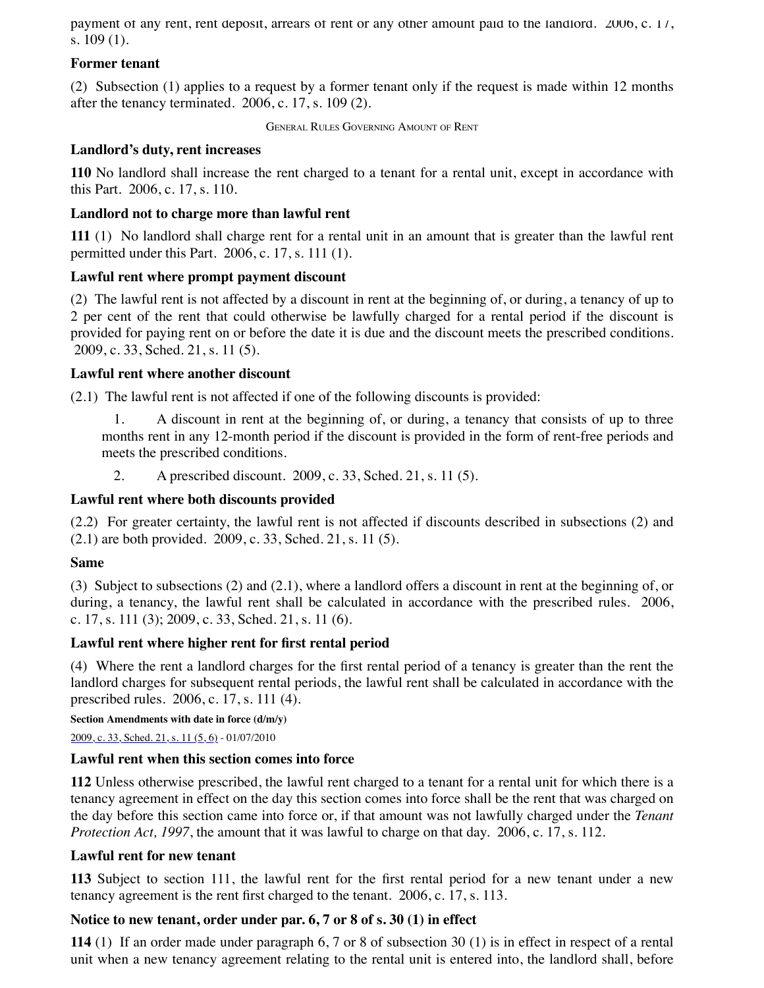payment of any rent, rent deposit, arrears of rent or any other amount paid to the landlord. 2006, c. 17, s. 109 (1).

### **Former tenant**

(2) Subsection (1) applies to a request by a former tenant only if the request is made within 12 months after the tenancy terminated. 2006, c. 17, s. 109 (2).

GENERAL RULES GOVERNING AMOUNT OF RENT

### **Landlord's duty, rent increases**

**110** No landlord shall increase the rent charged to a tenant for a rental unit, except in accordance with this Part. 2006, c. 17, s. 110.

### **Landlord not to charge more than lawful rent**

**111** (1) No landlord shall charge rent for a rental unit in an amount that is greater than the lawful rent permitted under this Part. 2006, c. 17, s. 111 (1).

### **Lawful rent where prompt payment discount**

(2) The lawful rent is not affected by a discount in rent at the beginning of, or during, a tenancy of up to 2 per cent of the rent that could otherwise be lawfully charged for a rental period if the discount is provided for paying rent on or before the date it is due and the discount meets the prescribed conditions. 2009, c. 33, Sched. 21, s. 11 (5).

### **Lawful rent where another discount**

(2.1) The lawful rent is not affected if one of the following discounts is provided:

1. A discount in rent at the beginning of, or during, a tenancy that consists of up to three months rent in any 12-month period if the discount is provided in the form of rent-free periods and meets the prescribed conditions.

2. A prescribed discount. 2009, c. 33, Sched. 21, s. 11 (5).

### **Lawful rent where both discounts provided**

(2.2) For greater certainty, the lawful rent is not affected if discounts described in subsections (2) and (2.1) are both provided. 2009, c. 33, Sched. 21, s. 11 (5).

### **Same**

(3) Subject to subsections (2) and (2.1), where a landlord offers a discount in rent at the beginning of, or during, a tenancy, the lawful rent shall be calculated in accordance with the prescribed rules. 2006, c. 17, s. 111 (3); 2009, c. 33, Sched. 21, s. 11 (6).

### **Lawful rent where higher rent for first rental period**

(4) Where the rent a landlord charges for the first rental period of a tenancy is greater than the rent the landlord charges for subsequent rental periods, the lawful rent shall be calculated in accordance with the prescribed rules. 2006, c. 17, s. 111 (4).

**Section Amendments with date in force (d/m/y)**

2009, c. 33, Sched. 21, s. 11 (5, 6) - 01/07/2010

### **Lawful rent when this section comes into force**

**112** Unless otherwise prescribed, the lawful rent charged to a tenant for a rental unit for which there is a tenancy agreement in effect on the day this section comes into force shall be the rent that was charged on the day before this section came into force or, if that amount was not lawfully charged under the *Tenant Protection Act, 1997*, the amount that it was lawful to charge on that day. 2006, c. 17, s. 112.

## **Lawful rent for new tenant**

**113** Subject to section 111, the lawful rent for the first rental period for a new tenant under a new tenancy agreement is the rent first charged to the tenant. 2006, c. 17, s. 113.

## **Notice to new tenant, order under par. 6, 7 or 8 of s. 30 (1) in effect**

**114** (1) If an order made under paragraph 6, 7 or 8 of subsection 30 (1) is in effect in respect of a rental unit when a new tenancy agreement relating to the rental unit is entered into, the landlord shall, before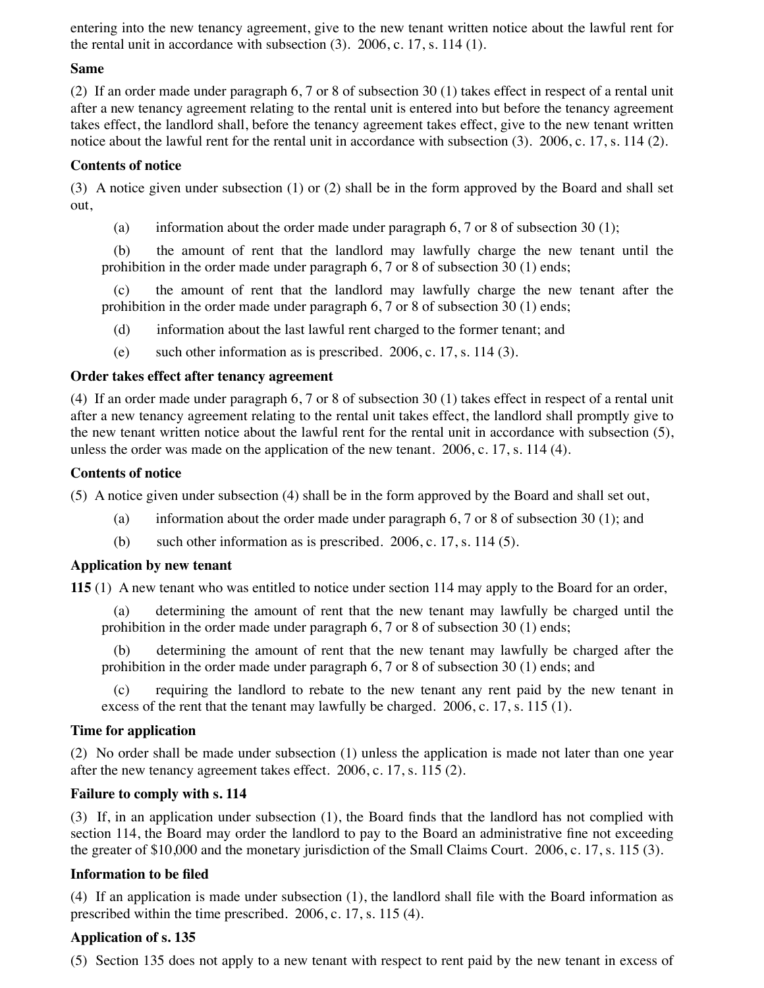entering into the new tenancy agreement, give to the new tenant written notice about the lawful rent for the rental unit in accordance with subsection  $(3)$ . 2006, c. 17, s. 114  $(1)$ .

### **Same**

(2) If an order made under paragraph 6, 7 or 8 of subsection 30 (1) takes effect in respect of a rental unit after a new tenancy agreement relating to the rental unit is entered into but before the tenancy agreement takes effect, the landlord shall, before the tenancy agreement takes effect, give to the new tenant written notice about the lawful rent for the rental unit in accordance with subsection (3). 2006, c. 17, s. 114 (2).

### **Contents of notice**

(3) A notice given under subsection (1) or (2) shall be in the form approved by the Board and shall set out,

(a) information about the order made under paragraph  $6, 7$  or  $8$  of subsection  $30$  (1);

(b) the amount of rent that the landlord may lawfully charge the new tenant until the prohibition in the order made under paragraph 6, 7 or 8 of subsection 30 (1) ends;

(c) the amount of rent that the landlord may lawfully charge the new tenant after the prohibition in the order made under paragraph 6, 7 or 8 of subsection 30 (1) ends;

- (d) information about the last lawful rent charged to the former tenant; and
- (e) such other information as is prescribed.  $2006$ , c. 17, s. 114 (3).

### **Order takes effect after tenancy agreement**

(4) If an order made under paragraph 6, 7 or 8 of subsection 30 (1) takes effect in respect of a rental unit after a new tenancy agreement relating to the rental unit takes effect, the landlord shall promptly give to the new tenant written notice about the lawful rent for the rental unit in accordance with subsection (5), unless the order was made on the application of the new tenant. 2006, c. 17, s. 114 (4).

### **Contents of notice**

(5) A notice given under subsection (4) shall be in the form approved by the Board and shall set out,

- (a) information about the order made under paragraph 6, 7 or 8 of subsection 30 (1); and
- (b) such other information as is prescribed.  $2006$ , c. 17, s. 114 (5).

### **Application by new tenant**

**115** (1) A new tenant who was entitled to notice under section 114 may apply to the Board for an order,

(a) determining the amount of rent that the new tenant may lawfully be charged until the prohibition in the order made under paragraph 6, 7 or 8 of subsection 30 (1) ends;

(b) determining the amount of rent that the new tenant may lawfully be charged after the prohibition in the order made under paragraph 6, 7 or 8 of subsection 30 (1) ends; and

(c) requiring the landlord to rebate to the new tenant any rent paid by the new tenant in excess of the rent that the tenant may lawfully be charged. 2006, c. 17, s. 115 (1).

### **Time for application**

(2) No order shall be made under subsection (1) unless the application is made not later than one year after the new tenancy agreement takes effect. 2006, c. 17, s. 115 (2).

### **Failure to comply with s. 114**

(3) If, in an application under subsection (1), the Board finds that the landlord has not complied with section 114, the Board may order the landlord to pay to the Board an administrative fine not exceeding the greater of \$10,000 and the monetary jurisdiction of the Small Claims Court. 2006, c. 17, s. 115 (3).

### **Information to be filed**

(4) If an application is made under subsection (1), the landlord shall file with the Board information as prescribed within the time prescribed. 2006, c. 17, s. 115 (4).

### **Application of s. 135**

(5) Section 135 does not apply to a new tenant with respect to rent paid by the new tenant in excess of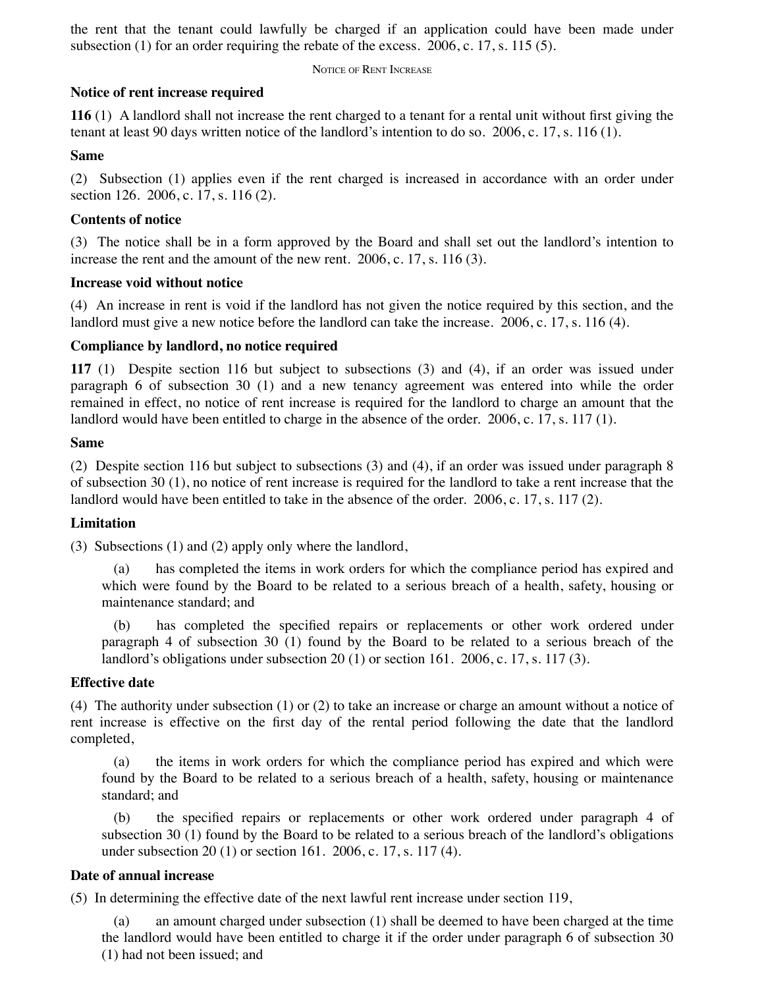the rent that the tenant could lawfully be charged if an application could have been made under subsection (1) for an order requiring the rebate of the excess.  $2006$ , c. 17, s. 115 (5).

### NOTICE OF RENT INCREASE

### **Notice of rent increase required**

**116** (1) A landlord shall not increase the rent charged to a tenant for a rental unit without first giving the tenant at least 90 days written notice of the landlord's intention to do so. 2006, c. 17, s. 116 (1).

### **Same**

(2) Subsection (1) applies even if the rent charged is increased in accordance with an order under section 126. 2006, c. 17, s. 116 (2).

### **Contents of notice**

(3) The notice shall be in a form approved by the Board and shall set out the landlord's intention to increase the rent and the amount of the new rent. 2006, c. 17, s. 116 (3).

### **Increase void without notice**

(4) An increase in rent is void if the landlord has not given the notice required by this section, and the landlord must give a new notice before the landlord can take the increase. 2006, c. 17, s. 116 (4).

### **Compliance by landlord, no notice required**

**117** (1) Despite section 116 but subject to subsections (3) and (4), if an order was issued under paragraph 6 of subsection 30 (1) and a new tenancy agreement was entered into while the order remained in effect, no notice of rent increase is required for the landlord to charge an amount that the landlord would have been entitled to charge in the absence of the order. 2006, c. 17, s. 117 (1).

### **Same**

(2) Despite section 116 but subject to subsections (3) and (4), if an order was issued under paragraph 8 of subsection 30 (1), no notice of rent increase is required for the landlord to take a rent increase that the landlord would have been entitled to take in the absence of the order. 2006, c. 17, s. 117 (2).

### **Limitation**

(3) Subsections (1) and (2) apply only where the landlord,

(a) has completed the items in work orders for which the compliance period has expired and which were found by the Board to be related to a serious breach of a health, safety, housing or maintenance standard; and

(b) has completed the specified repairs or replacements or other work ordered under paragraph 4 of subsection 30 (1) found by the Board to be related to a serious breach of the landlord's obligations under subsection 20 (1) or section 161. 2006, c. 17, s. 117 (3).

### **Effective date**

(4) The authority under subsection (1) or (2) to take an increase or charge an amount without a notice of rent increase is effective on the first day of the rental period following the date that the landlord completed,

(a) the items in work orders for which the compliance period has expired and which were found by the Board to be related to a serious breach of a health, safety, housing or maintenance standard; and

(b) the specified repairs or replacements or other work ordered under paragraph 4 of subsection 30 (1) found by the Board to be related to a serious breach of the landlord's obligations under subsection 20 (1) or section 161. 2006, c. 17, s. 117 (4).

### **Date of annual increase**

(5) In determining the effective date of the next lawful rent increase under section 119,

(a) an amount charged under subsection (1) shall be deemed to have been charged at the time the landlord would have been entitled to charge it if the order under paragraph 6 of subsection 30 (1) had not been issued; and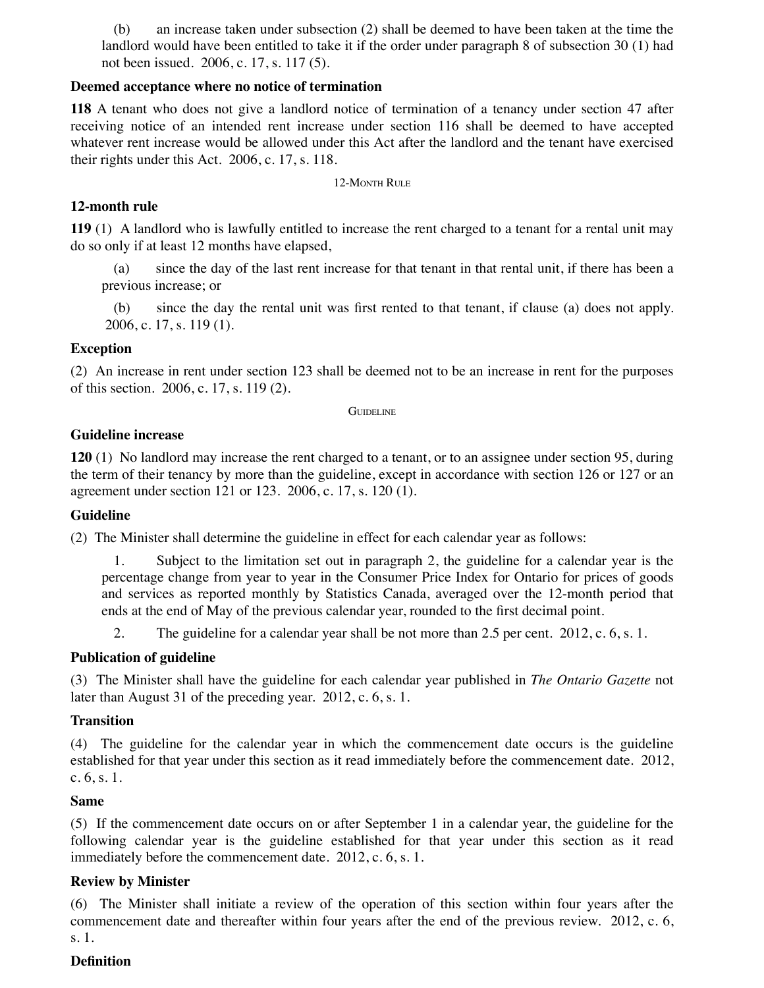(b) an increase taken under subsection (2) shall be deemed to have been taken at the time the landlord would have been entitled to take it if the order under paragraph 8 of subsection 30 (1) had not been issued. 2006, c. 17, s. 117 (5).

### **Deemed acceptance where no notice of termination**

**118** A tenant who does not give a landlord notice of termination of a tenancy under section 47 after receiving notice of an intended rent increase under section 116 shall be deemed to have accepted whatever rent increase would be allowed under this Act after the landlord and the tenant have exercised their rights under this Act. 2006, c. 17, s. 118.

12-MONTH RULE

### **12-month rule**

**119** (1) A landlord who is lawfully entitled to increase the rent charged to a tenant for a rental unit may do so only if at least 12 months have elapsed,

(a) since the day of the last rent increase for that tenant in that rental unit, if there has been a previous increase; or

(b) since the day the rental unit was first rented to that tenant, if clause (a) does not apply. 2006, c. 17, s. 119 (1).

### **Exception**

(2) An increase in rent under section 123 shall be deemed not to be an increase in rent for the purposes of this section. 2006, c. 17, s. 119 (2).

**GUIDELINE** 

### **Guideline increase**

**120** (1) No landlord may increase the rent charged to a tenant, or to an assignee under section 95, during the term of their tenancy by more than the guideline, except in accordance with section 126 or 127 or an agreement under section 121 or 123. 2006, c. 17, s. 120 (1).

### **Guideline**

(2) The Minister shall determine the guideline in effect for each calendar year as follows:

1. Subject to the limitation set out in paragraph 2, the guideline for a calendar year is the percentage change from year to year in the Consumer Price Index for Ontario for prices of goods and services as reported monthly by Statistics Canada, averaged over the 12-month period that ends at the end of May of the previous calendar year, rounded to the first decimal point.

2. The guideline for a calendar year shall be not more than 2.5 per cent. 2012, c. 6, s. 1.

### **Publication of guideline**

(3) The Minister shall have the guideline for each calendar year published in *The Ontario Gazette* not later than August 31 of the preceding year. 2012, c. 6, s. 1.

### **Transition**

(4) The guideline for the calendar year in which the commencement date occurs is the guideline established for that year under this section as it read immediately before the commencement date. 2012, c. 6, s. 1.

### **Same**

(5) If the commencement date occurs on or after September 1 in a calendar year, the guideline for the following calendar year is the guideline established for that year under this section as it read immediately before the commencement date. 2012, c. 6, s. 1.

### **Review by Minister**

(6) The Minister shall initiate a review of the operation of this section within four years after the commencement date and thereafter within four years after the end of the previous review. 2012, c. 6, s. 1.

### **Definition**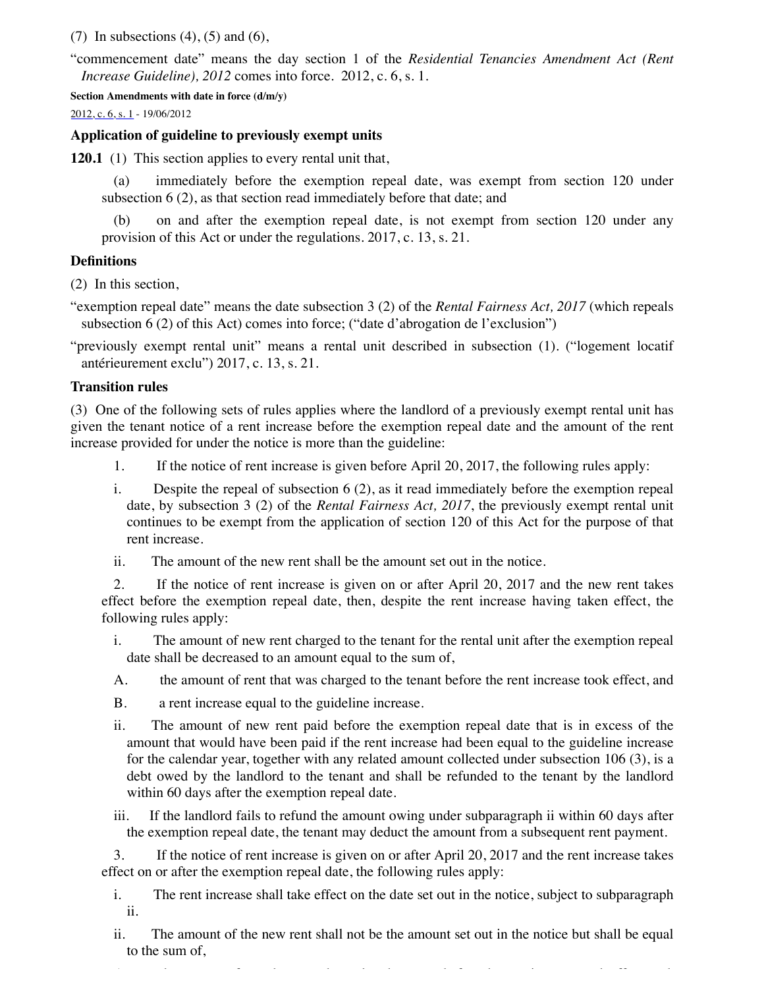### (7) In subsections  $(4)$ ,  $(5)$  and  $(6)$ ,

"commencement date" means the day section 1 of the *Residential Tenancies Amendment Act (Rent Increase Guideline), 2012* comes into force. 2012, c. 6, s. 1.

**Section Amendments with date in force (d/m/y)**

2012, c. 6, s. 1 - 19/06/2012

### **Application of guideline to previously exempt units**

**120.1** (1) This section applies to every rental unit that,

(a) immediately before the exemption repeal date, was exempt from section 120 under subsection 6 (2), as that section read immediately before that date; and

(b) on and after the exemption repeal date, is not exempt from section 120 under any provision of this Act or under the regulations. 2017, c. 13, s. 21.

### **Definitions**

(2) In this section,

"exemption repeal date" means the date subsection 3 (2) of the *Rental Fairness Act, 2017* (which repeals subsection 6 (2) of this Act) comes into force; ("date d'abrogation de l'exclusion")

"previously exempt rental unit" means a rental unit described in subsection (1). ("logement locatif antérieurement exclu") 2017, c. 13, s. 21.

### **Transition rules**

(3) One of the following sets of rules applies where the landlord of a previously exempt rental unit has given the tenant notice of a rent increase before the exemption repeal date and the amount of the rent increase provided for under the notice is more than the guideline:

- 1. If the notice of rent increase is given before April 20, 2017, the following rules apply:
- i. Despite the repeal of subsection 6 (2), as it read immediately before the exemption repeal date, by subsection 3 (2) of the *Rental Fairness Act, 2017*, the previously exempt rental unit continues to be exempt from the application of section 120 of this Act for the purpose of that rent increase.
- ii. The amount of the new rent shall be the amount set out in the notice.

2. If the notice of rent increase is given on or after April 20, 2017 and the new rent takes effect before the exemption repeal date, then, despite the rent increase having taken effect, the following rules apply:

- i. The amount of new rent charged to the tenant for the rental unit after the exemption repeal date shall be decreased to an amount equal to the sum of,
- A. the amount of rent that was charged to the tenant before the rent increase took effect, and
- B. a rent increase equal to the guideline increase.
- ii. The amount of new rent paid before the exemption repeal date that is in excess of the amount that would have been paid if the rent increase had been equal to the guideline increase for the calendar year, together with any related amount collected under subsection 106 (3), is a debt owed by the landlord to the tenant and shall be refunded to the tenant by the landlord within 60 days after the exemption repeal date.
- iii. If the landlord fails to refund the amount owing under subparagraph ii within 60 days after the exemption repeal date, the tenant may deduct the amount from a subsequent rent payment.

3. If the notice of rent increase is given on or after April 20, 2017 and the rent increase takes effect on or after the exemption repeal date, the following rules apply:

i. The rent increase shall take effect on the date set out in the notice, subject to subparagraph ii.

ii. The amount of the new rent shall not be the amount set out in the notice but shall be equal to the sum of,

A. the amount of rent that was charged to the tenant before the rent increase took effect, and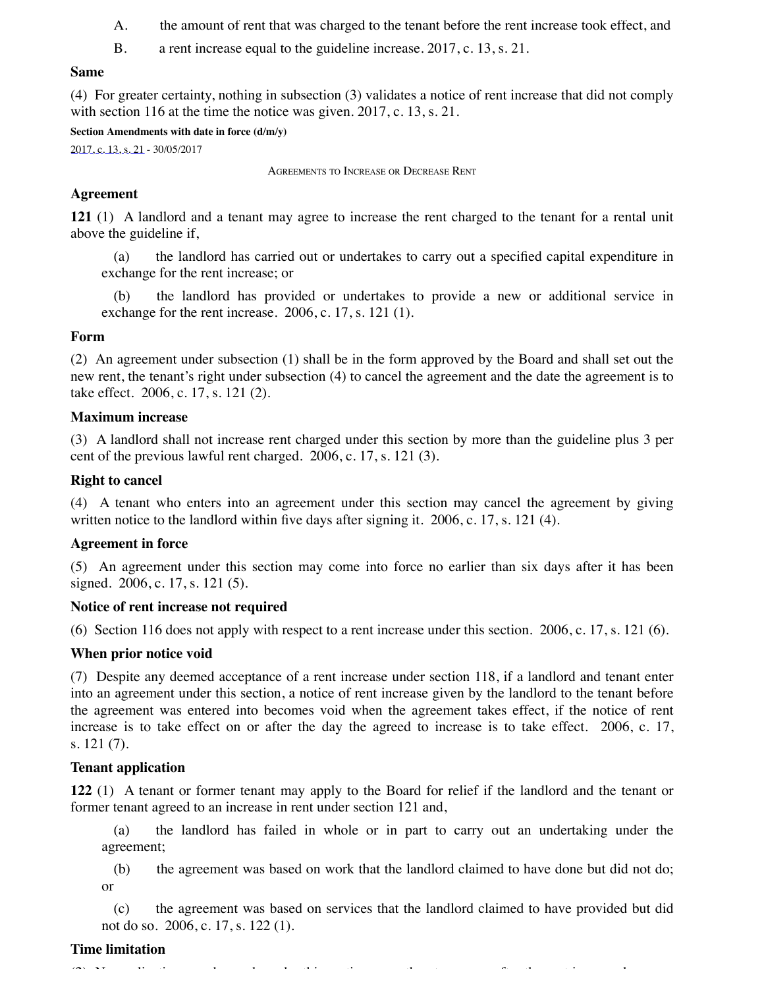- A. the amount of rent that was charged to the tenant before the rent increase took effect, and
- B. a rent increase equal to the guideline increase. 2017, c. 13, s. 21.

#### **Same**

(4) For greater certainty, nothing in subsection (3) validates a notice of rent increase that did not comply with section 116 at the time the notice was given. 2017, c. 13, s. 21.

**Section Amendments with date in force (d/m/y)**

2017, c. 13, s. 21 - 30/05/2017

AGREEMENTS TO INCREASE OR DECREASE RENT

### **Agreement**

**121** (1) A landlord and a tenant may agree to increase the rent charged to the tenant for a rental unit above the guideline if,

(a) the landlord has carried out or undertakes to carry out a specified capital expenditure in exchange for the rent increase; or

(b) the landlord has provided or undertakes to provide a new or additional service in exchange for the rent increase.  $2006$ , c. 17, s. 121 (1).

### **Form**

(2) An agreement under subsection (1) shall be in the form approved by the Board and shall set out the new rent, the tenant's right under subsection (4) to cancel the agreement and the date the agreement is to take effect. 2006, c. 17, s. 121 (2).

#### **Maximum increase**

(3) A landlord shall not increase rent charged under this section by more than the guideline plus 3 per cent of the previous lawful rent charged. 2006, c. 17, s. 121 (3).

### **Right to cancel**

(4) A tenant who enters into an agreement under this section may cancel the agreement by giving written notice to the landlord within five days after signing it. 2006, c. 17, s. 121 (4).

### **Agreement in force**

(5) An agreement under this section may come into force no earlier than six days after it has been signed. 2006, c. 17, s. 121 (5).

### **Notice of rent increase not required**

(6) Section 116 does not apply with respect to a rent increase under this section. 2006, c. 17, s. 121 (6).

### **When prior notice void**

(7) Despite any deemed acceptance of a rent increase under section 118, if a landlord and tenant enter into an agreement under this section, a notice of rent increase given by the landlord to the tenant before the agreement was entered into becomes void when the agreement takes effect, if the notice of rent increase is to take effect on or after the day the agreed to increase is to take effect. 2006, c. 17, s. 121 (7).

### **Tenant application**

**122** (1) A tenant or former tenant may apply to the Board for relief if the landlord and the tenant or former tenant agreed to an increase in rent under section 121 and,

(a) the landlord has failed in whole or in part to carry out an undertaking under the agreement;

(b) the agreement was based on work that the landlord claimed to have done but did not do; or

(c) the agreement was based on services that the landlord claimed to have provided but did not do so. 2006, c. 17, s. 122 (1).

### **Time limitation**

 $(2)$  No application may be made under this section more than two years after the rent increase becomes becomes becomes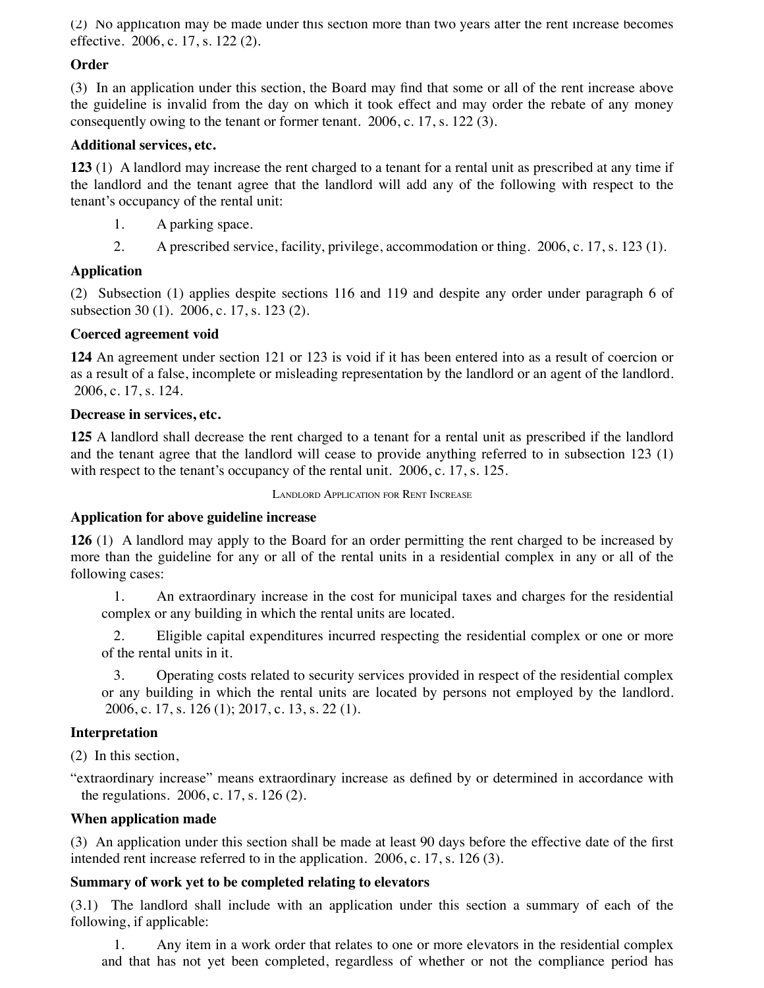(2) No application may be made under this section more than two years after the rent increase becomes effective. 2006, c. 17, s. 122 (2).

### **Order**

(3) In an application under this section, the Board may find that some or all of the rent increase above the guideline is invalid from the day on which it took effect and may order the rebate of any money consequently owing to the tenant or former tenant. 2006, c. 17, s. 122 (3).

### **Additional services, etc.**

**123** (1) A landlord may increase the rent charged to a tenant for a rental unit as prescribed at any time if the landlord and the tenant agree that the landlord will add any of the following with respect to the tenant's occupancy of the rental unit:

- 1. A parking space.
- 2. A prescribed service, facility, privilege, accommodation or thing. 2006, c. 17, s. 123 (1).

## **Application**

(2) Subsection (1) applies despite sections 116 and 119 and despite any order under paragraph 6 of subsection 30 (1). 2006, c. 17, s. 123 (2).

### **Coerced agreement void**

**124** An agreement under section 121 or 123 is void if it has been entered into as a result of coercion or as a result of a false, incomplete or misleading representation by the landlord or an agent of the landlord. 2006, c. 17, s. 124.

### **Decrease in services, etc.**

**125** A landlord shall decrease the rent charged to a tenant for a rental unit as prescribed if the landlord and the tenant agree that the landlord will cease to provide anything referred to in subsection 123 (1) with respect to the tenant's occupancy of the rental unit. 2006, c. 17, s. 125.

LANDLORD APPLICATION FOR RENT INCREASE

## **Application for above guideline increase**

**126** (1) A landlord may apply to the Board for an order permitting the rent charged to be increased by more than the guideline for any or all of the rental units in a residential complex in any or all of the following cases:

1. An extraordinary increase in the cost for municipal taxes and charges for the residential complex or any building in which the rental units are located.

2. Eligible capital expenditures incurred respecting the residential complex or one or more of the rental units in it.

3. Operating costs related to security services provided in respect of the residential complex or any building in which the rental units are located by persons not employed by the landlord. 2006, c. 17, s. 126 (1); 2017, c. 13, s. 22 (1).

### **Interpretation**

(2) In this section,

"extraordinary increase" means extraordinary increase as defined by or determined in accordance with the regulations. 2006, c. 17, s. 126 (2).

### **When application made**

(3) An application under this section shall be made at least 90 days before the effective date of the first intended rent increase referred to in the application. 2006, c. 17, s. 126 (3).

### **Summary of work yet to be completed relating to elevators**

(3.1) The landlord shall include with an application under this section a summary of each of the following, if applicable:

1. Any item in a work order that relates to one or more elevators in the residential complex and that has not yet been completed, regardless of whether or not the compliance period has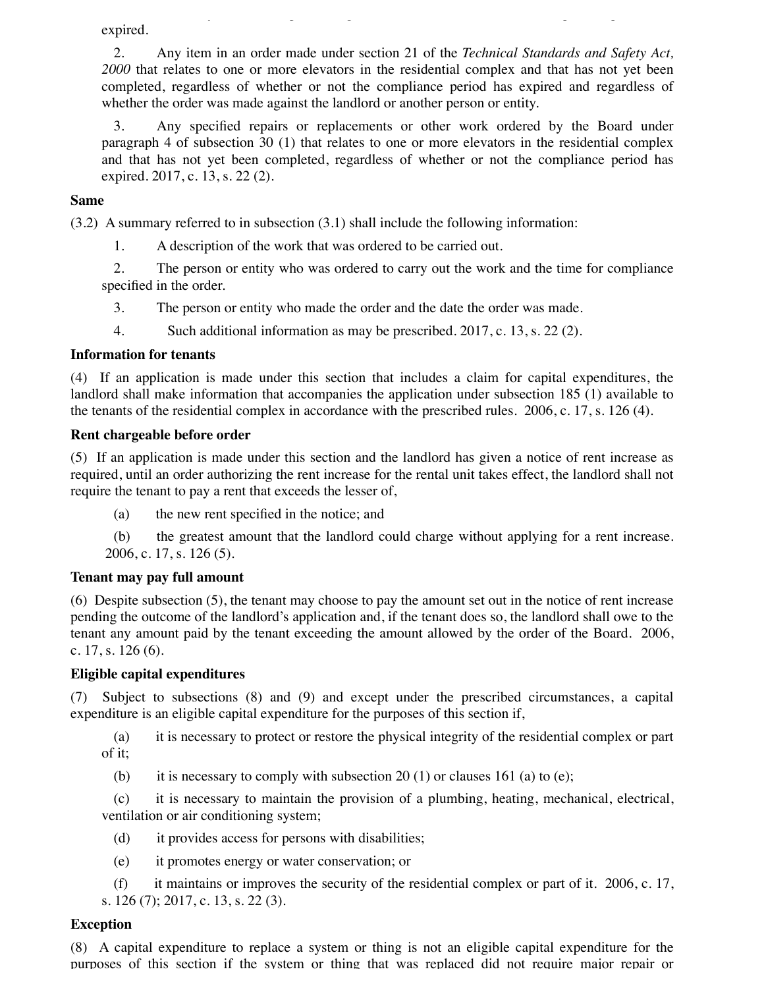expired.

2. Any item in an order made under section 21 of the *Technical Standards and Safety Act, 2000* that relates to one or more elevators in the residential complex and that has not yet been completed, regardless of whether or not the compliance period has expired and regardless of whether the order was made against the landlord or another person or entity.

and that has not yet been completed, regardless of whether or not the compliance period has

3. Any specified repairs or replacements or other work ordered by the Board under paragraph 4 of subsection 30 (1) that relates to one or more elevators in the residential complex and that has not yet been completed, regardless of whether or not the compliance period has expired. 2017, c. 13, s. 22 (2).

### **Same**

(3.2) A summary referred to in subsection (3.1) shall include the following information:

1. A description of the work that was ordered to be carried out.

2. The person or entity who was ordered to carry out the work and the time for compliance specified in the order.

3. The person or entity who made the order and the date the order was made.

4. Such additional information as may be prescribed. 2017, c. 13, s. 22 (2).

### **Information for tenants**

(4) If an application is made under this section that includes a claim for capital expenditures, the landlord shall make information that accompanies the application under subsection 185 (1) available to the tenants of the residential complex in accordance with the prescribed rules. 2006, c. 17, s. 126 (4).

### **Rent chargeable before order**

(5) If an application is made under this section and the landlord has given a notice of rent increase as required, until an order authorizing the rent increase for the rental unit takes effect, the landlord shall not require the tenant to pay a rent that exceeds the lesser of,

(a) the new rent specified in the notice; and

(b) the greatest amount that the landlord could charge without applying for a rent increase. 2006, c. 17, s. 126 (5).

### **Tenant may pay full amount**

(6) Despite subsection (5), the tenant may choose to pay the amount set out in the notice of rent increase pending the outcome of the landlord's application and, if the tenant does so, the landlord shall owe to the tenant any amount paid by the tenant exceeding the amount allowed by the order of the Board. 2006, c. 17, s. 126 (6).

### **Eligible capital expenditures**

(7) Subject to subsections (8) and (9) and except under the prescribed circumstances, a capital expenditure is an eligible capital expenditure for the purposes of this section if,

(a) it is necessary to protect or restore the physical integrity of the residential complex or part of it;

(b) it is necessary to comply with subsection 20 (1) or clauses 161 (a) to (e);

(c) it is necessary to maintain the provision of a plumbing, heating, mechanical, electrical, ventilation or air conditioning system;

(d) it provides access for persons with disabilities;

(e) it promotes energy or water conservation; or

(f) it maintains or improves the security of the residential complex or part of it. 2006, c. 17, s. 126 (7); 2017, c. 13, s. 22 (3).

### **Exception**

(8) A capital expenditure to replace a system or thing is not an eligible capital expenditure for the purposes of this section if the system or thing that was replaced did not require major repair or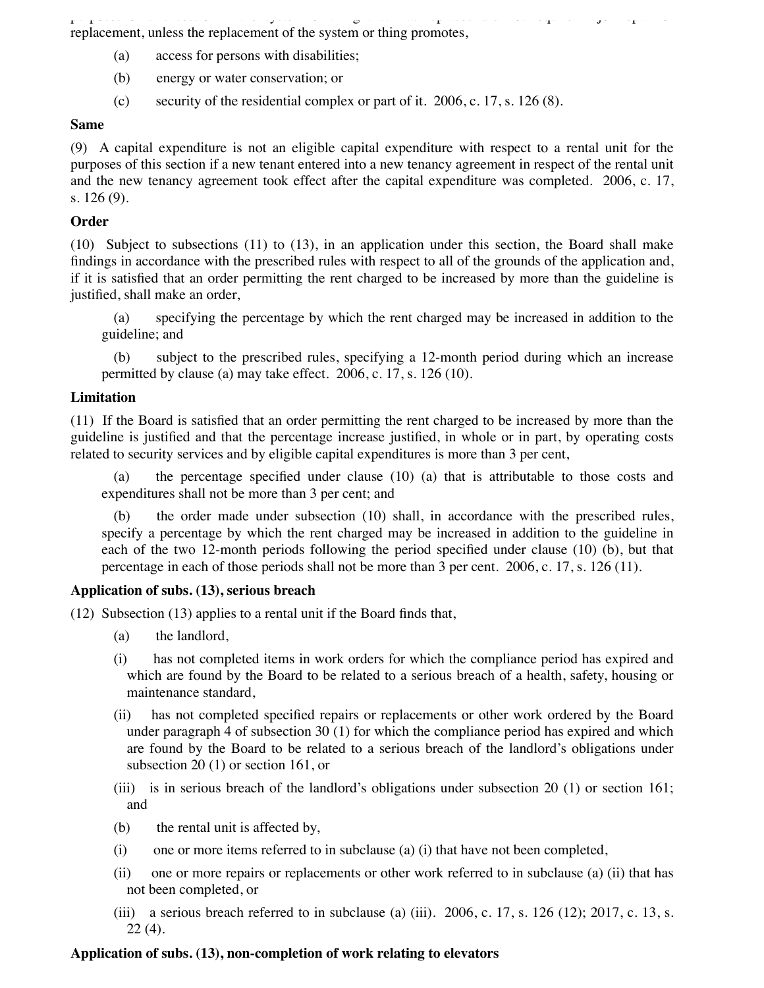purposes of this section if the system or thing that was replaced did not require major repair or replacement, unless the replacement of the system or thing promotes,

- (a) access for persons with disabilities;
- (b) energy or water conservation; or
- (c) security of the residential complex or part of it.  $2006$ , c. 17, s. 126 (8).

### **Same**

(9) A capital expenditure is not an eligible capital expenditure with respect to a rental unit for the purposes of this section if a new tenant entered into a new tenancy agreement in respect of the rental unit and the new tenancy agreement took effect after the capital expenditure was completed. 2006, c. 17, s. 126 (9).

### **Order**

(10) Subject to subsections (11) to (13), in an application under this section, the Board shall make findings in accordance with the prescribed rules with respect to all of the grounds of the application and, if it is satisfied that an order permitting the rent charged to be increased by more than the guideline is justified, shall make an order,

(a) specifying the percentage by which the rent charged may be increased in addition to the guideline; and

(b) subject to the prescribed rules, specifying a 12-month period during which an increase permitted by clause (a) may take effect. 2006, c. 17, s. 126 (10).

### **Limitation**

(11) If the Board is satisfied that an order permitting the rent charged to be increased by more than the guideline is justified and that the percentage increase justified, in whole or in part, by operating costs related to security services and by eligible capital expenditures is more than 3 per cent,

(a) the percentage specified under clause (10) (a) that is attributable to those costs and expenditures shall not be more than 3 per cent; and

the order made under subsection  $(10)$  shall, in accordance with the prescribed rules, specify a percentage by which the rent charged may be increased in addition to the guideline in each of the two 12-month periods following the period specified under clause (10) (b), but that percentage in each of those periods shall not be more than 3 per cent. 2006, c. 17, s. 126 (11).

### **Application of subs. (13), serious breach**

(12) Subsection (13) applies to a rental unit if the Board finds that,

- (a) the landlord,
- (i) has not completed items in work orders for which the compliance period has expired and which are found by the Board to be related to a serious breach of a health, safety, housing or maintenance standard,
- (ii) has not completed specified repairs or replacements or other work ordered by the Board under paragraph 4 of subsection 30 (1) for which the compliance period has expired and which are found by the Board to be related to a serious breach of the landlord's obligations under subsection 20 (1) or section 161, or
- (iii) is in serious breach of the landlord's obligations under subsection 20 (1) or section 161; and
- (b) the rental unit is affected by,
- (i) one or more items referred to in subclause (a) (i) that have not been completed,
- (ii) one or more repairs or replacements or other work referred to in subclause (a) (ii) that has not been completed, or
- (iii) a serious breach referred to in subclause (a) (iii).  $2006$ , c. 17, s. 126 (12); 2017, c. 13, s. 22 (4).

### **Application of subs. (13), non-completion of work relating to elevators**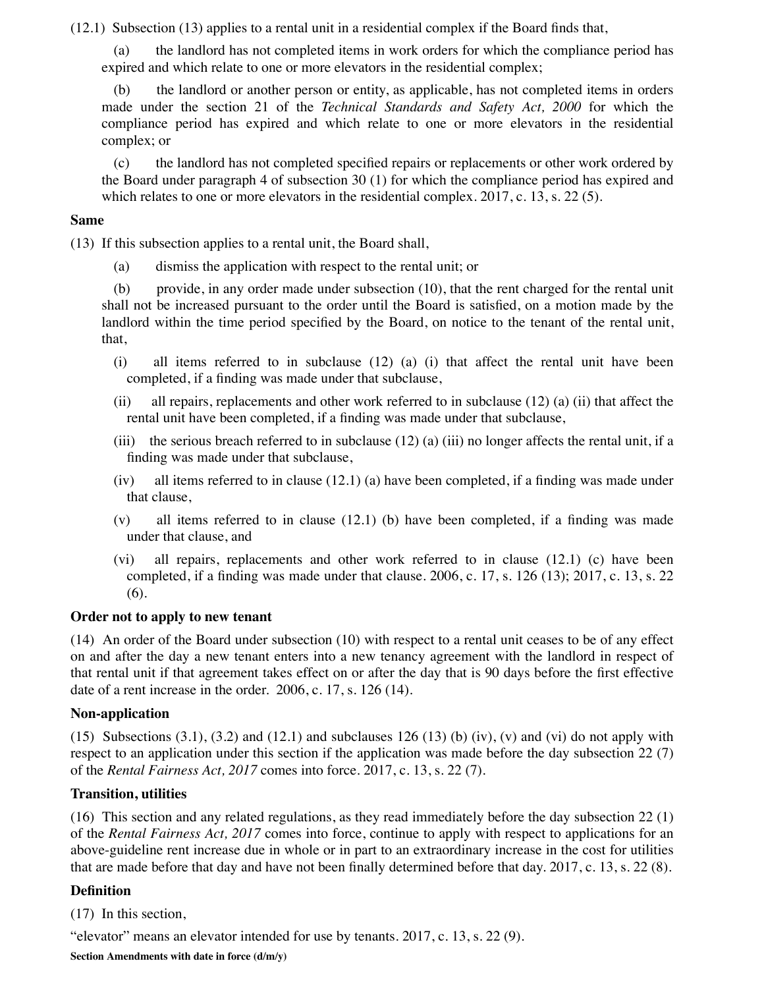(12.1) Subsection (13) applies to a rental unit in a residential complex if the Board finds that,

(a) the landlord has not completed items in work orders for which the compliance period has expired and which relate to one or more elevators in the residential complex;

(b) the landlord or another person or entity, as applicable, has not completed items in orders made under the section 21 of the *Technical Standards and Safety Act, 2000* for which the compliance period has expired and which relate to one or more elevators in the residential complex; or

(c) the landlord has not completed specified repairs or replacements or other work ordered by the Board under paragraph 4 of subsection 30 (1) for which the compliance period has expired and which relates to one or more elevators in the residential complex. 2017, c. 13, s. 22 (5).

#### **Same**

(13) If this subsection applies to a rental unit, the Board shall,

(a) dismiss the application with respect to the rental unit; or

(b) provide, in any order made under subsection (10), that the rent charged for the rental unit shall not be increased pursuant to the order until the Board is satisfied, on a motion made by the landlord within the time period specified by the Board, on notice to the tenant of the rental unit, that,

- (i) all items referred to in subclause (12) (a) (i) that affect the rental unit have been completed, if a finding was made under that subclause,
- (ii) all repairs, replacements and other work referred to in subclause (12) (a) (ii) that affect the rental unit have been completed, if a finding was made under that subclause,
- (iii) the serious breach referred to in subclause (12) (a) (iii) no longer affects the rental unit, if a finding was made under that subclause,
- (iv) all items referred to in clause (12.1) (a) have been completed, if a finding was made under that clause,
- (v) all items referred to in clause (12.1) (b) have been completed, if a finding was made under that clause, and
- (vi) all repairs, replacements and other work referred to in clause (12.1) (c) have been completed, if a finding was made under that clause. 2006, c. 17, s. 126 (13); 2017, c. 13, s. 22 (6).

### **Order not to apply to new tenant**

(14) An order of the Board under subsection (10) with respect to a rental unit ceases to be of any effect on and after the day a new tenant enters into a new tenancy agreement with the landlord in respect of that rental unit if that agreement takes effect on or after the day that is 90 days before the first effective date of a rent increase in the order. 2006, c. 17, s. 126 (14).

### **Non-application**

(15) Subsections  $(3.1)$ ,  $(3.2)$  and  $(12.1)$  and subclauses 126  $(13)$  (b)  $(iv)$ ,  $(v)$  and  $(vi)$  do not apply with respect to an application under this section if the application was made before the day subsection 22 (7) of the *Rental Fairness Act, 2017* comes into force. 2017, c. 13, s. 22 (7).

### **Transition, utilities**

(16) This section and any related regulations, as they read immediately before the day subsection 22 (1) of the *Rental Fairness Act, 2017* comes into force, continue to apply with respect to applications for an above-guideline rent increase due in whole or in part to an extraordinary increase in the cost for utilities that are made before that day and have not been finally determined before that day. 2017, c. 13, s. 22 (8).

### **Definition**

(17) In this section,

"elevator" means an elevator intended for use by tenants. 2017, c. 13, s. 22 (9).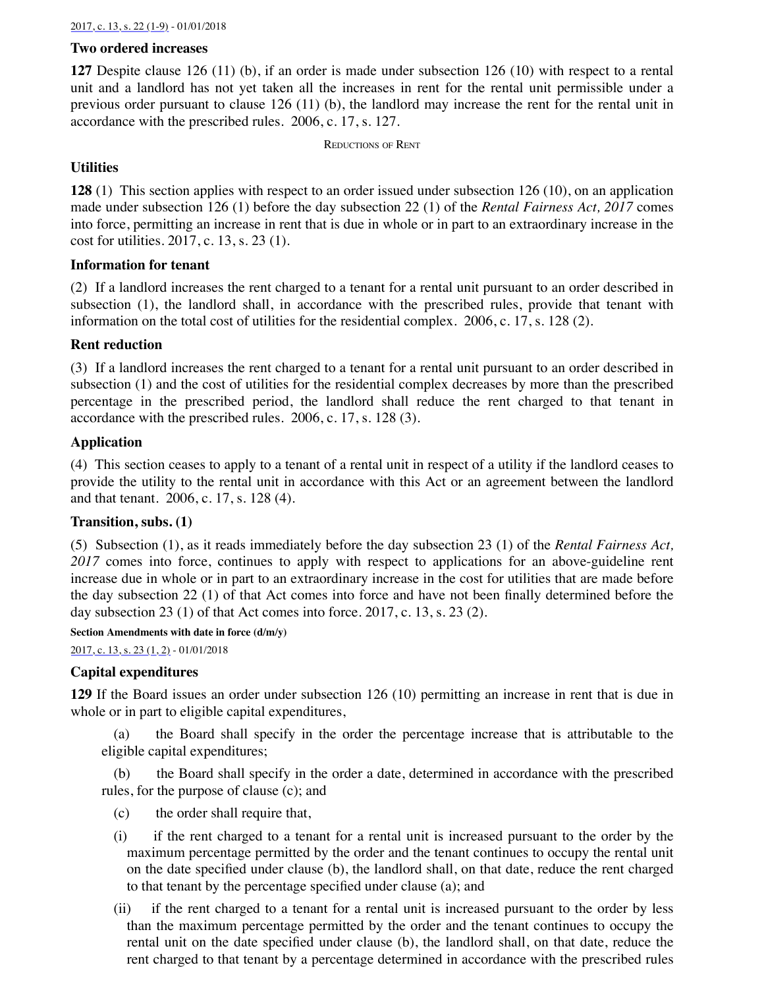### **Two ordered increases**

**127** Despite clause 126 (11) (b), if an order is made under subsection 126 (10) with respect to a rental unit and a landlord has not yet taken all the increases in rent for the rental unit permissible under a previous order pursuant to clause 126 (11) (b), the landlord may increase the rent for the rental unit in accordance with the prescribed rules. 2006, c. 17, s. 127.

REDUCTIONS OF RENT

### **Utilities**

**128** (1) This section applies with respect to an order issued under subsection 126 (10), on an application made under subsection 126 (1) before the day subsection 22 (1) of the *Rental Fairness Act, 2017* comes into force, permitting an increase in rent that is due in whole or in part to an extraordinary increase in the cost for utilities. 2017, c. 13, s. 23 (1).

### **Information for tenant**

(2) If a landlord increases the rent charged to a tenant for a rental unit pursuant to an order described in subsection (1), the landlord shall, in accordance with the prescribed rules, provide that tenant with information on the total cost of utilities for the residential complex. 2006, c. 17, s. 128 (2).

### **Rent reduction**

(3) If a landlord increases the rent charged to a tenant for a rental unit pursuant to an order described in subsection (1) and the cost of utilities for the residential complex decreases by more than the prescribed percentage in the prescribed period, the landlord shall reduce the rent charged to that tenant in accordance with the prescribed rules. 2006, c. 17, s. 128 (3).

### **Application**

(4) This section ceases to apply to a tenant of a rental unit in respect of a utility if the landlord ceases to provide the utility to the rental unit in accordance with this Act or an agreement between the landlord and that tenant. 2006, c. 17, s. 128 (4).

### **Transition, subs. (1)**

(5) Subsection (1), as it reads immediately before the day subsection 23 (1) of the *Rental Fairness Act, 2017* comes into force, continues to apply with respect to applications for an above-guideline rent increase due in whole or in part to an extraordinary increase in the cost for utilities that are made before the day subsection 22 (1) of that Act comes into force and have not been finally determined before the day subsection  $23(1)$  of that Act comes into force.  $2017$ , c. 13, s.  $23(2)$ .

**Section Amendments with date in force (d/m/y)**

2017, c. 13, s. 23 (1, 2) - 01/01/2018

### **Capital expenditures**

**129** If the Board issues an order under subsection 126 (10) permitting an increase in rent that is due in whole or in part to eligible capital expenditures,

(a) the Board shall specify in the order the percentage increase that is attributable to the eligible capital expenditures;

(b) the Board shall specify in the order a date, determined in accordance with the prescribed rules, for the purpose of clause (c); and

- (c) the order shall require that,
- (i) if the rent charged to a tenant for a rental unit is increased pursuant to the order by the maximum percentage permitted by the order and the tenant continues to occupy the rental unit on the date specified under clause (b), the landlord shall, on that date, reduce the rent charged to that tenant by the percentage specified under clause (a); and
- (ii) if the rent charged to a tenant for a rental unit is increased pursuant to the order by less than the maximum percentage permitted by the order and the tenant continues to occupy the rental unit on the date specified under clause (b), the landlord shall, on that date, reduce the rent charged to that tenant by a percentage determined in accordance with the prescribed rules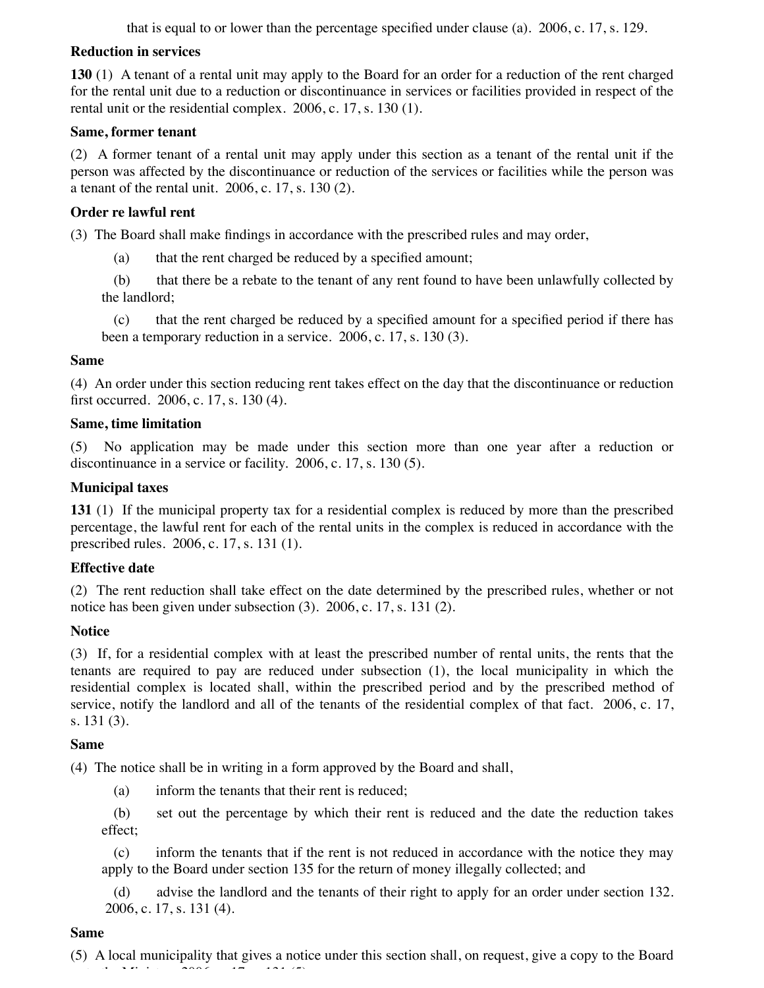that is equal to or lower than the percentage specified under clause (a). 2006, c. 17, s. 129.

### **Reduction in services**

**130** (1) A tenant of a rental unit may apply to the Board for an order for a reduction of the rent charged for the rental unit due to a reduction or discontinuance in services or facilities provided in respect of the rental unit or the residential complex. 2006, c. 17, s. 130 (1).

### **Same, former tenant**

(2) A former tenant of a rental unit may apply under this section as a tenant of the rental unit if the person was affected by the discontinuance or reduction of the services or facilities while the person was a tenant of the rental unit. 2006, c. 17, s. 130 (2).

### **Order re lawful rent**

(3) The Board shall make findings in accordance with the prescribed rules and may order,

(a) that the rent charged be reduced by a specified amount;

(b) that there be a rebate to the tenant of any rent found to have been unlawfully collected by the landlord;

(c) that the rent charged be reduced by a specified amount for a specified period if there has been a temporary reduction in a service. 2006, c. 17, s. 130 (3).

### **Same**

(4) An order under this section reducing rent takes effect on the day that the discontinuance or reduction first occurred. 2006, c. 17, s. 130 (4).

### **Same, time limitation**

(5) No application may be made under this section more than one year after a reduction or discontinuance in a service or facility. 2006, c. 17, s. 130 (5).

### **Municipal taxes**

**131** (1) If the municipal property tax for a residential complex is reduced by more than the prescribed percentage, the lawful rent for each of the rental units in the complex is reduced in accordance with the prescribed rules. 2006, c. 17, s. 131 (1).

### **Effective date**

(2) The rent reduction shall take effect on the date determined by the prescribed rules, whether or not notice has been given under subsection (3). 2006, c. 17, s. 131 (2).

### **Notice**

(3) If, for a residential complex with at least the prescribed number of rental units, the rents that the tenants are required to pay are reduced under subsection (1), the local municipality in which the residential complex is located shall, within the prescribed period and by the prescribed method of service, notify the landlord and all of the tenants of the residential complex of that fact. 2006, c. 17, s. 131 (3).

### **Same**

(4) The notice shall be in writing in a form approved by the Board and shall,

(a) inform the tenants that their rent is reduced;

(b) set out the percentage by which their rent is reduced and the date the reduction takes effect;

(c) inform the tenants that if the rent is not reduced in accordance with the notice they may apply to the Board under section 135 for the return of money illegally collected; and

(d) advise the landlord and the tenants of their right to apply for an order under section 132. 2006, c. 17, s. 131 (4).

### **Same**

(5) A local municipality that gives a notice under this section shall, on request, give a copy to the Board  $\sim$  to the Ministry. 2006, c. 17, s. 131 (5).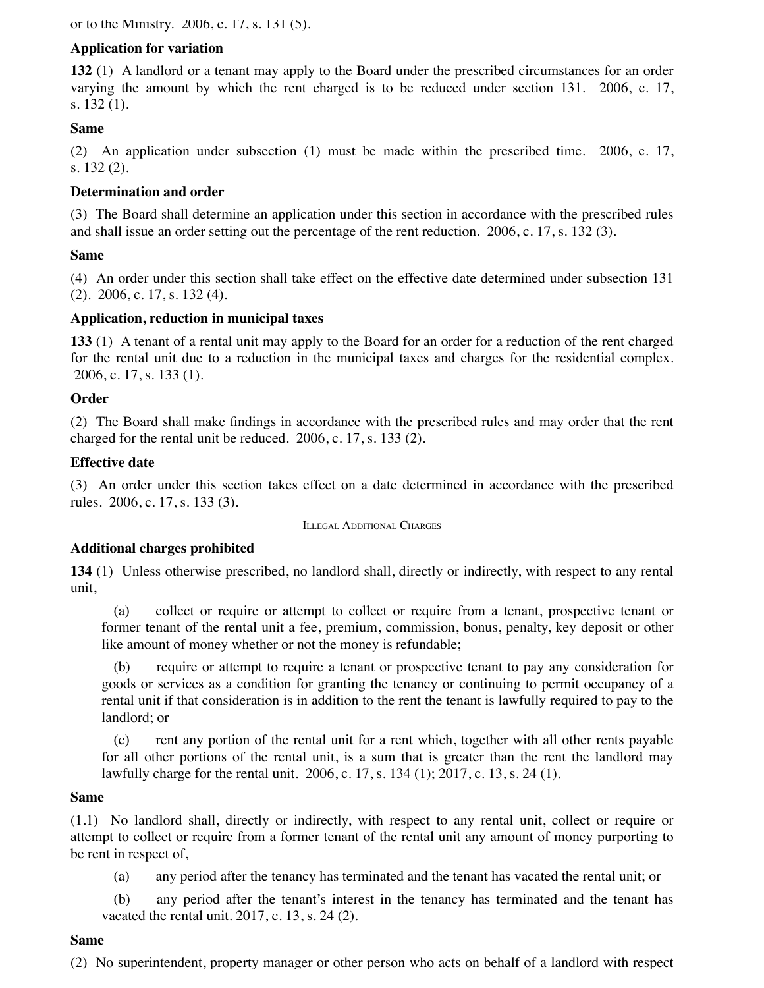or to the Ministry. 2006, c. 17, s. 131 (5).

### **Application for variation**

**132** (1) A landlord or a tenant may apply to the Board under the prescribed circumstances for an order varying the amount by which the rent charged is to be reduced under section 131. 2006, c. 17, s. 132 (1).

### **Same**

(2) An application under subsection (1) must be made within the prescribed time. 2006, c. 17, s. 132 (2).

### **Determination and order**

(3) The Board shall determine an application under this section in accordance with the prescribed rules and shall issue an order setting out the percentage of the rent reduction. 2006, c. 17, s. 132 (3).

### **Same**

(4) An order under this section shall take effect on the effective date determined under subsection 131 (2). 2006, c. 17, s. 132 (4).

### **Application, reduction in municipal taxes**

**133** (1) A tenant of a rental unit may apply to the Board for an order for a reduction of the rent charged for the rental unit due to a reduction in the municipal taxes and charges for the residential complex. 2006, c. 17, s. 133 (1).

### **Order**

(2) The Board shall make findings in accordance with the prescribed rules and may order that the rent charged for the rental unit be reduced. 2006, c. 17, s. 133 (2).

### **Effective date**

(3) An order under this section takes effect on a date determined in accordance with the prescribed rules. 2006, c. 17, s. 133 (3).

ILLEGAL ADDITIONAL CHARGES

## **Additional charges prohibited**

**134** (1) Unless otherwise prescribed, no landlord shall, directly or indirectly, with respect to any rental unit,

(a) collect or require or attempt to collect or require from a tenant, prospective tenant or former tenant of the rental unit a fee, premium, commission, bonus, penalty, key deposit or other like amount of money whether or not the money is refundable;

(b) require or attempt to require a tenant or prospective tenant to pay any consideration for goods or services as a condition for granting the tenancy or continuing to permit occupancy of a rental unit if that consideration is in addition to the rent the tenant is lawfully required to pay to the landlord; or

(c) rent any portion of the rental unit for a rent which, together with all other rents payable for all other portions of the rental unit, is a sum that is greater than the rent the landlord may lawfully charge for the rental unit. 2006, c. 17, s. 134 (1); 2017, c. 13, s. 24 (1).

### **Same**

(1.1) No landlord shall, directly or indirectly, with respect to any rental unit, collect or require or attempt to collect or require from a former tenant of the rental unit any amount of money purporting to be rent in respect of,

(a) any period after the tenancy has terminated and the tenant has vacated the rental unit; or

(b) any period after the tenant's interest in the tenancy has terminated and the tenant has vacated the rental unit. 2017, c. 13, s. 24 (2).

### **Same**

(2) No superintendent, property manager or other person who acts on behalf of a landlord with respect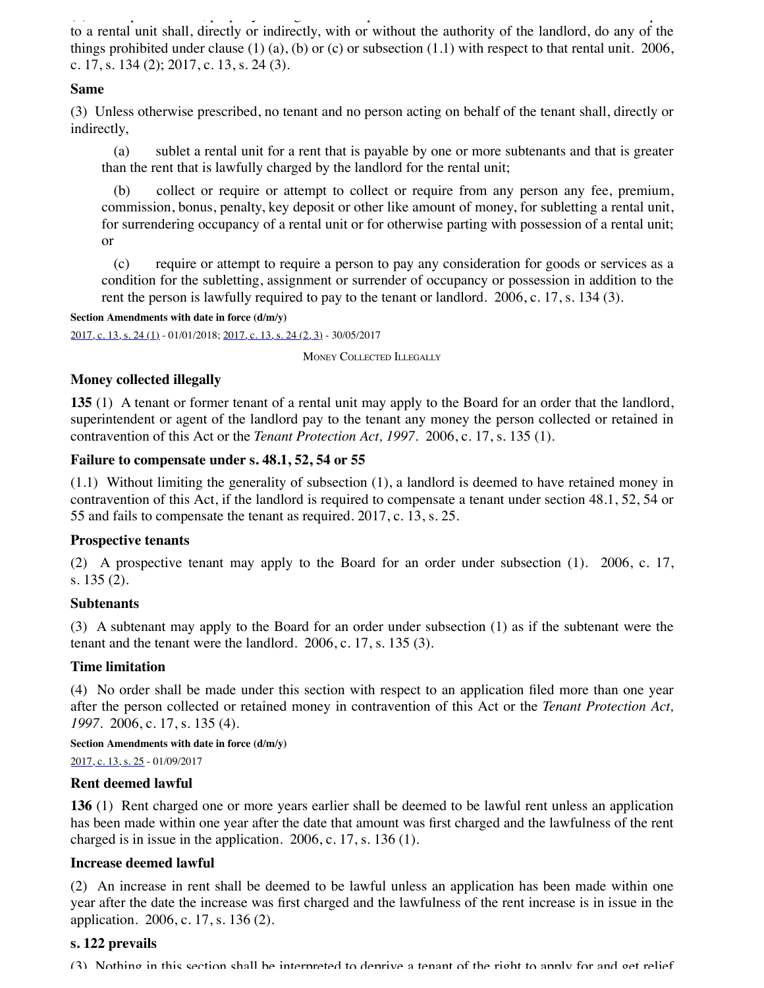(2) No superintendent, property manager or other person with respect to a landlord with respect to a landlord with respect to a landlord with respect to a landlord with respect to a landlord with respect to a landlord wit to a rental unit shall, directly or indirectly, with or without the authority of the landlord, do any of the things prohibited under clause  $(1)$   $(a)$ ,  $(b)$  or  $(c)$  or subsection  $(1.1)$  with respect to that rental unit. 2006, c. 17, s. 134 (2); 2017, c. 13, s. 24 (3).

### **Same**

(3) Unless otherwise prescribed, no tenant and no person acting on behalf of the tenant shall, directly or indirectly,

(a) sublet a rental unit for a rent that is payable by one or more subtenants and that is greater than the rent that is lawfully charged by the landlord for the rental unit;

(b) collect or require or attempt to collect or require from any person any fee, premium, commission, bonus, penalty, key deposit or other like amount of money, for subletting a rental unit, for surrendering occupancy of a rental unit or for otherwise parting with possession of a rental unit; or

(c) require or attempt to require a person to pay any consideration for goods or services as a condition for the subletting, assignment or surrender of occupancy or possession in addition to the rent the person is lawfully required to pay to the tenant or landlord. 2006, c. 17, s. 134 (3).

**Section Amendments with date in force (d/m/y)**

2017, c. 13, s. 24 (1) - 01/01/2018; 2017, c. 13, s. 24 (2, 3) - 30/05/2017

MONEY COLLECTED ILLEGALLY

### **Money collected illegally**

**135** (1) A tenant or former tenant of a rental unit may apply to the Board for an order that the landlord, superintendent or agent of the landlord pay to the tenant any money the person collected or retained in contravention of this Act or the *Tenant Protection Act, 1997*. 2006, c. 17, s. 135 (1).

### **Failure to compensate under s. 48.1, 52, 54 or 55**

(1.1) Without limiting the generality of subsection (1), a landlord is deemed to have retained money in contravention of this Act, if the landlord is required to compensate a tenant under section 48.1, 52, 54 or 55 and fails to compensate the tenant as required. 2017, c. 13, s. 25.

### **Prospective tenants**

(2) A prospective tenant may apply to the Board for an order under subsection (1). 2006, c. 17, s. 135 (2).

### **Subtenants**

(3) A subtenant may apply to the Board for an order under subsection (1) as if the subtenant were the tenant and the tenant were the landlord. 2006, c. 17, s. 135 (3).

### **Time limitation**

(4) No order shall be made under this section with respect to an application filed more than one year after the person collected or retained money in contravention of this Act or the *Tenant Protection Act, 1997*. 2006, c. 17, s. 135 (4).

**Section Amendments with date in force (d/m/y)** 2017, c. 13, s. 25 - 01/09/2017

### **Rent deemed lawful**

**136** (1) Rent charged one or more years earlier shall be deemed to be lawful rent unless an application has been made within one year after the date that amount was first charged and the lawfulness of the rent charged is in issue in the application. 2006, c. 17, s. 136 (1).

### **Increase deemed lawful**

(2) An increase in rent shall be deemed to be lawful unless an application has been made within one year after the date the increase was first charged and the lawfulness of the rent increase is in issue in the application. 2006, c. 17, s. 136 (2).

### **s. 122 prevails**

(3) Nothing in this section shall be interpreted to deprive a tenant of the right to apply for and get relief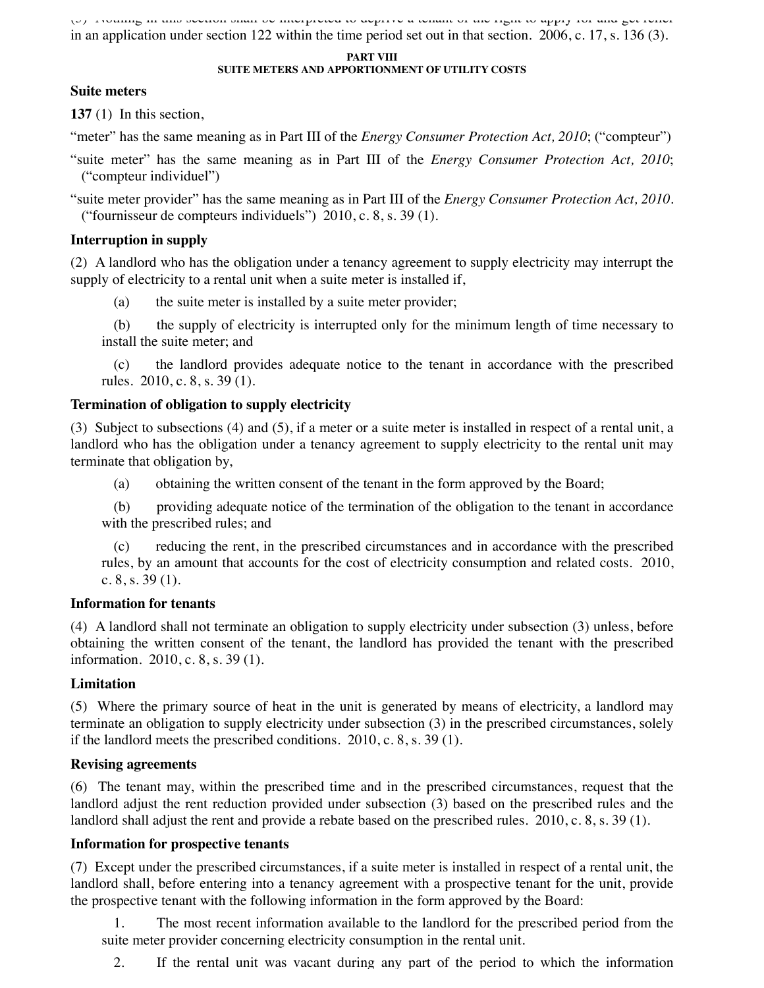$\sigma$   $\sigma$  in this section shall be interpreted to deprive a tenant of the right to apply for and get relief in an application under section 122 within the time period set out in that section. 2006, c. 17, s. 136 (3).

#### **PART VIII SUITE METERS AND APPORTIONMENT OF UTILITY COSTS**

### **Suite meters**

**137** (1) In this section,

"meter" has the same meaning as in Part III of the *Energy Consumer Protection Act, 2010*; ("compteur")

"suite meter" has the same meaning as in Part III of the *Energy Consumer Protection Act, 2010*; ("compteur individuel")

"suite meter provider" has the same meaning as in Part III of the *Energy Consumer Protection Act, 2010*. ("fournisseur de compteurs individuels") 2010, c. 8, s. 39 (1).

### **Interruption in supply**

(2) A landlord who has the obligation under a tenancy agreement to supply electricity may interrupt the supply of electricity to a rental unit when a suite meter is installed if,

(a) the suite meter is installed by a suite meter provider;

(b) the supply of electricity is interrupted only for the minimum length of time necessary to install the suite meter; and

(c) the landlord provides adequate notice to the tenant in accordance with the prescribed rules. 2010, c. 8, s. 39 (1).

### **Termination of obligation to supply electricity**

(3) Subject to subsections (4) and (5), if a meter or a suite meter is installed in respect of a rental unit, a landlord who has the obligation under a tenancy agreement to supply electricity to the rental unit may terminate that obligation by,

(a) obtaining the written consent of the tenant in the form approved by the Board;

(b) providing adequate notice of the termination of the obligation to the tenant in accordance with the prescribed rules; and

reducing the rent, in the prescribed circumstances and in accordance with the prescribed rules, by an amount that accounts for the cost of electricity consumption and related costs. 2010, c. 8, s. 39 (1).

### **Information for tenants**

(4) A landlord shall not terminate an obligation to supply electricity under subsection (3) unless, before obtaining the written consent of the tenant, the landlord has provided the tenant with the prescribed information. 2010, c. 8, s. 39 (1).

### **Limitation**

(5) Where the primary source of heat in the unit is generated by means of electricity, a landlord may terminate an obligation to supply electricity under subsection (3) in the prescribed circumstances, solely if the landlord meets the prescribed conditions. 2010, c. 8, s. 39 (1).

### **Revising agreements**

(6) The tenant may, within the prescribed time and in the prescribed circumstances, request that the landlord adjust the rent reduction provided under subsection (3) based on the prescribed rules and the landlord shall adjust the rent and provide a rebate based on the prescribed rules. 2010, c. 8, s. 39 (1).

### **Information for prospective tenants**

(7) Except under the prescribed circumstances, if a suite meter is installed in respect of a rental unit, the landlord shall, before entering into a tenancy agreement with a prospective tenant for the unit, provide the prospective tenant with the following information in the form approved by the Board:

1. The most recent information available to the landlord for the prescribed period from the suite meter provider concerning electricity consumption in the rental unit.

2. If the rental unit was vacant during any part of the period to which the information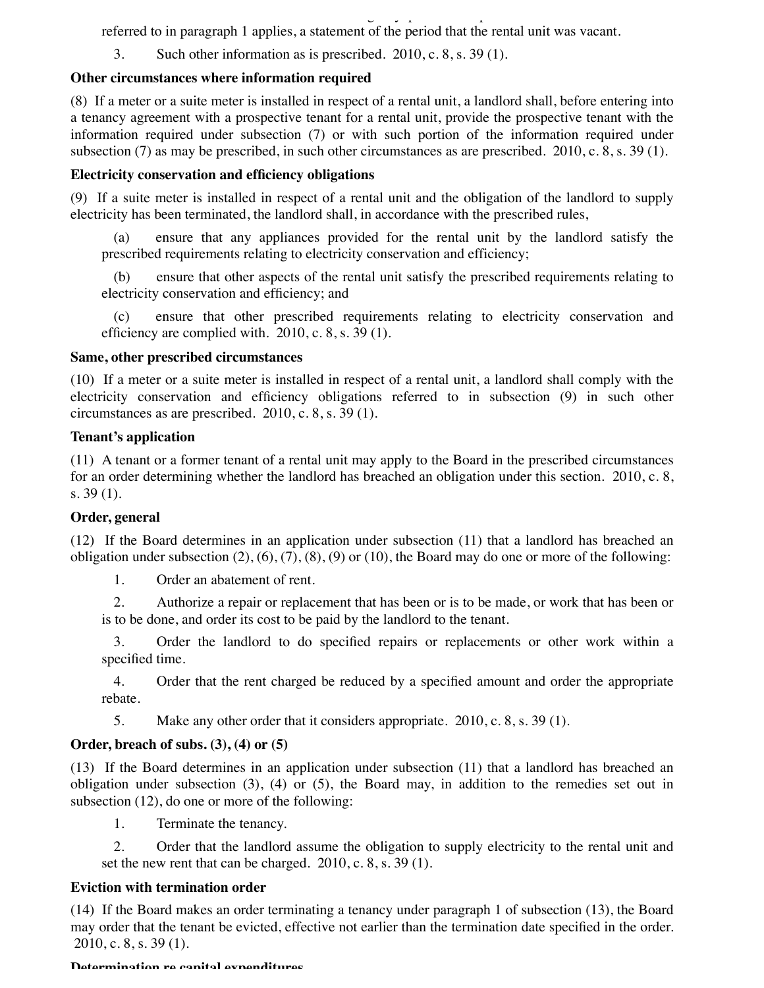$2.$  If the rental unit was vacant during any part of the period to which the period to which the information  $\alpha$ 

referred to in paragraph 1 applies, a statement of the period that the rental unit was vacant.

3. Such other information as is prescribed. 2010, c. 8, s. 39 (1).

### **Other circumstances where information required**

(8) If a meter or a suite meter is installed in respect of a rental unit, a landlord shall, before entering into a tenancy agreement with a prospective tenant for a rental unit, provide the prospective tenant with the information required under subsection (7) or with such portion of the information required under subsection (7) as may be prescribed, in such other circumstances as are prescribed. 2010, c. 8, s. 39 (1).

### **Electricity conservation and efficiency obligations**

(9) If a suite meter is installed in respect of a rental unit and the obligation of the landlord to supply electricity has been terminated, the landlord shall, in accordance with the prescribed rules,

(a) ensure that any appliances provided for the rental unit by the landlord satisfy the prescribed requirements relating to electricity conservation and efficiency;

(b) ensure that other aspects of the rental unit satisfy the prescribed requirements relating to electricity conservation and efficiency; and

(c) ensure that other prescribed requirements relating to electricity conservation and efficiency are complied with.  $2010$ , c. 8, s. 39 (1).

### **Same, other prescribed circumstances**

(10) If a meter or a suite meter is installed in respect of a rental unit, a landlord shall comply with the electricity conservation and efficiency obligations referred to in subsection (9) in such other circumstances as are prescribed. 2010, c. 8, s. 39 (1).

### **Tenant's application**

(11) A tenant or a former tenant of a rental unit may apply to the Board in the prescribed circumstances for an order determining whether the landlord has breached an obligation under this section. 2010, c. 8, s. 39 (1).

### **Order, general**

(12) If the Board determines in an application under subsection (11) that a landlord has breached an obligation under subsection  $(2)$ ,  $(6)$ ,  $(7)$ ,  $(8)$ ,  $(9)$  or  $(10)$ , the Board may do one or more of the following:

1. Order an abatement of rent.

2. Authorize a repair or replacement that has been or is to be made, or work that has been or is to be done, and order its cost to be paid by the landlord to the tenant.

3. Order the landlord to do specified repairs or replacements or other work within a specified time.

4. Order that the rent charged be reduced by a specified amount and order the appropriate rebate.

5. Make any other order that it considers appropriate. 2010, c. 8, s. 39 (1).

### **Order, breach of subs. (3), (4) or (5)**

(13) If the Board determines in an application under subsection (11) that a landlord has breached an obligation under subsection (3), (4) or (5), the Board may, in addition to the remedies set out in subsection (12), do one or more of the following:

1. Terminate the tenancy.

2. Order that the landlord assume the obligation to supply electricity to the rental unit and set the new rent that can be charged. 2010, c. 8, s. 39 (1).

### **Eviction with termination order**

(14) If the Board makes an order terminating a tenancy under paragraph 1 of subsection (13), the Board may order that the tenant be evicted, effective not earlier than the termination date specified in the order. 2010, c. 8, s. 39 (1).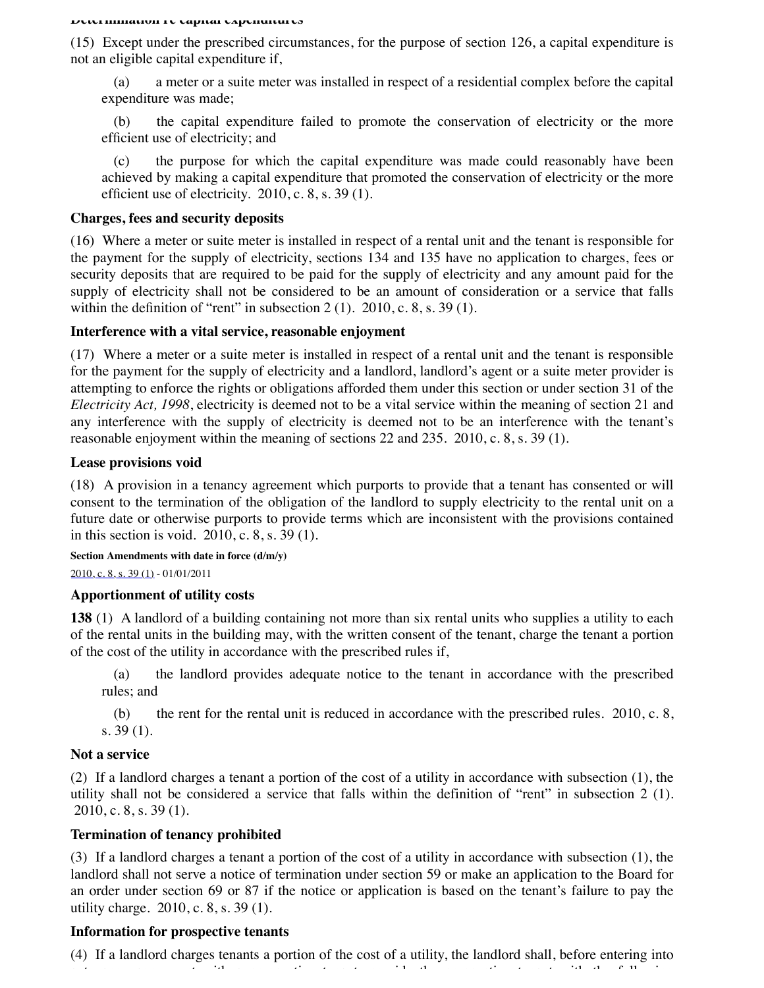#### **Determination re capital expenditures**

(15) Except under the prescribed circumstances, for the purpose of section 126, a capital expenditure is not an eligible capital expenditure if,

(a) a meter or a suite meter was installed in respect of a residential complex before the capital expenditure was made;

(b) the capital expenditure failed to promote the conservation of electricity or the more efficient use of electricity; and

(c) the purpose for which the capital expenditure was made could reasonably have been achieved by making a capital expenditure that promoted the conservation of electricity or the more efficient use of electricity.  $2010$ , c. 8, s. 39 (1).

### **Charges, fees and security deposits**

(16) Where a meter or suite meter is installed in respect of a rental unit and the tenant is responsible for the payment for the supply of electricity, sections 134 and 135 have no application to charges, fees or security deposits that are required to be paid for the supply of electricity and any amount paid for the supply of electricity shall not be considered to be an amount of consideration or a service that falls within the definition of "rent" in subsection  $2(1)$ .  $2010$ , c. 8, s. 39 (1).

### **Interference with a vital service, reasonable enjoyment**

(17) Where a meter or a suite meter is installed in respect of a rental unit and the tenant is responsible for the payment for the supply of electricity and a landlord, landlord's agent or a suite meter provider is attempting to enforce the rights or obligations afforded them under this section or under section 31 of the *Electricity Act, 1998*, electricity is deemed not to be a vital service within the meaning of section 21 and any interference with the supply of electricity is deemed not to be an interference with the tenant's reasonable enjoyment within the meaning of sections 22 and 235. 2010, c. 8, s. 39 (1).

### **Lease provisions void**

(18) A provision in a tenancy agreement which purports to provide that a tenant has consented or will consent to the termination of the obligation of the landlord to supply electricity to the rental unit on a future date or otherwise purports to provide terms which are inconsistent with the provisions contained in this section is void. 2010, c. 8, s. 39 (1).

**Section Amendments with date in force (d/m/y)**

2010, c. 8, s. 39 (1) - 01/01/2011

### **Apportionment of utility costs**

**138** (1) A landlord of a building containing not more than six rental units who supplies a utility to each of the rental units in the building may, with the written consent of the tenant, charge the tenant a portion of the cost of the utility in accordance with the prescribed rules if,

(a) the landlord provides adequate notice to the tenant in accordance with the prescribed rules; and

(b) the rent for the rental unit is reduced in accordance with the prescribed rules. 2010, c. 8, s. 39 (1).

### **Not a service**

(2) If a landlord charges a tenant a portion of the cost of a utility in accordance with subsection (1), the utility shall not be considered a service that falls within the definition of "rent" in subsection 2 (1). 2010, c. 8, s. 39 (1).

### **Termination of tenancy prohibited**

(3) If a landlord charges a tenant a portion of the cost of a utility in accordance with subsection (1), the landlord shall not serve a notice of termination under section 59 or make an application to the Board for an order under section 69 or 87 if the notice or application is based on the tenant's failure to pay the utility charge. 2010, c. 8, s. 39 (1).

### **Information for prospective tenants**

(4) If a landlord charges tenants a portion of the cost of a utility, the landlord shall, before entering into a tensor agreement with a prospective tensor and provide tensor provide tensor provide tensor with the following tensor  $\mathbf{r}_i$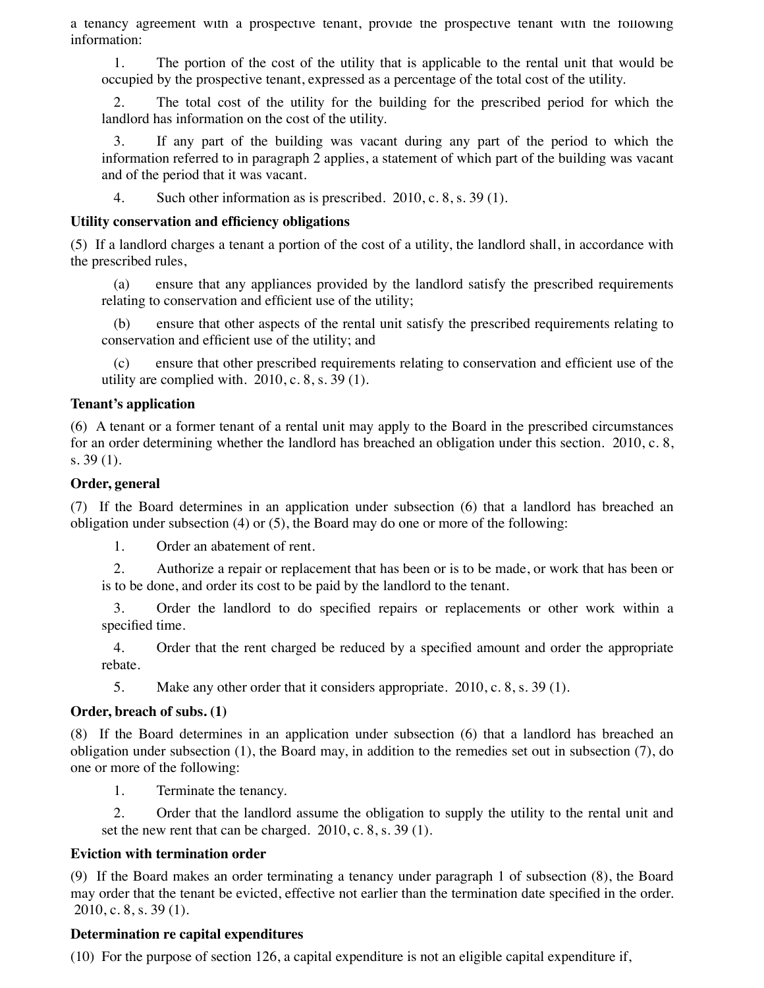a tenancy agreement with a prospective tenant, provide the prospective tenant with the following information:

1. The portion of the cost of the utility that is applicable to the rental unit that would be occupied by the prospective tenant, expressed as a percentage of the total cost of the utility.

2. The total cost of the utility for the building for the prescribed period for which the landlord has information on the cost of the utility.

3. If any part of the building was vacant during any part of the period to which the information referred to in paragraph 2 applies, a statement of which part of the building was vacant and of the period that it was vacant.

4. Such other information as is prescribed. 2010, c. 8, s. 39 (1).

### **Utility conservation and efficiency obligations**

(5) If a landlord charges a tenant a portion of the cost of a utility, the landlord shall, in accordance with the prescribed rules,

(a) ensure that any appliances provided by the landlord satisfy the prescribed requirements relating to conservation and efficient use of the utility;

(b) ensure that other aspects of the rental unit satisfy the prescribed requirements relating to conservation and efficient use of the utility; and

(c) ensure that other prescribed requirements relating to conservation and efficient use of the utility are complied with.  $2010$ , c. 8, s. 39 (1).

### **Tenant's application**

(6) A tenant or a former tenant of a rental unit may apply to the Board in the prescribed circumstances for an order determining whether the landlord has breached an obligation under this section. 2010, c. 8, s. 39 (1).

### **Order, general**

(7) If the Board determines in an application under subsection (6) that a landlord has breached an obligation under subsection  $(4)$  or  $(5)$ , the Board may do one or more of the following:

1. Order an abatement of rent.

2. Authorize a repair or replacement that has been or is to be made, or work that has been or is to be done, and order its cost to be paid by the landlord to the tenant.

3. Order the landlord to do specified repairs or replacements or other work within a specified time.

4. Order that the rent charged be reduced by a specified amount and order the appropriate rebate.

5. Make any other order that it considers appropriate. 2010, c. 8, s. 39 (1).

### **Order, breach of subs. (1)**

(8) If the Board determines in an application under subsection (6) that a landlord has breached an obligation under subsection (1), the Board may, in addition to the remedies set out in subsection (7), do one or more of the following:

1. Terminate the tenancy.

2. Order that the landlord assume the obligation to supply the utility to the rental unit and set the new rent that can be charged. 2010, c. 8, s. 39 (1).

### **Eviction with termination order**

(9) If the Board makes an order terminating a tenancy under paragraph 1 of subsection (8), the Board may order that the tenant be evicted, effective not earlier than the termination date specified in the order. 2010, c. 8, s. 39 (1).

### **Determination re capital expenditures**

(10) For the purpose of section 126, a capital expenditure is not an eligible capital expenditure if,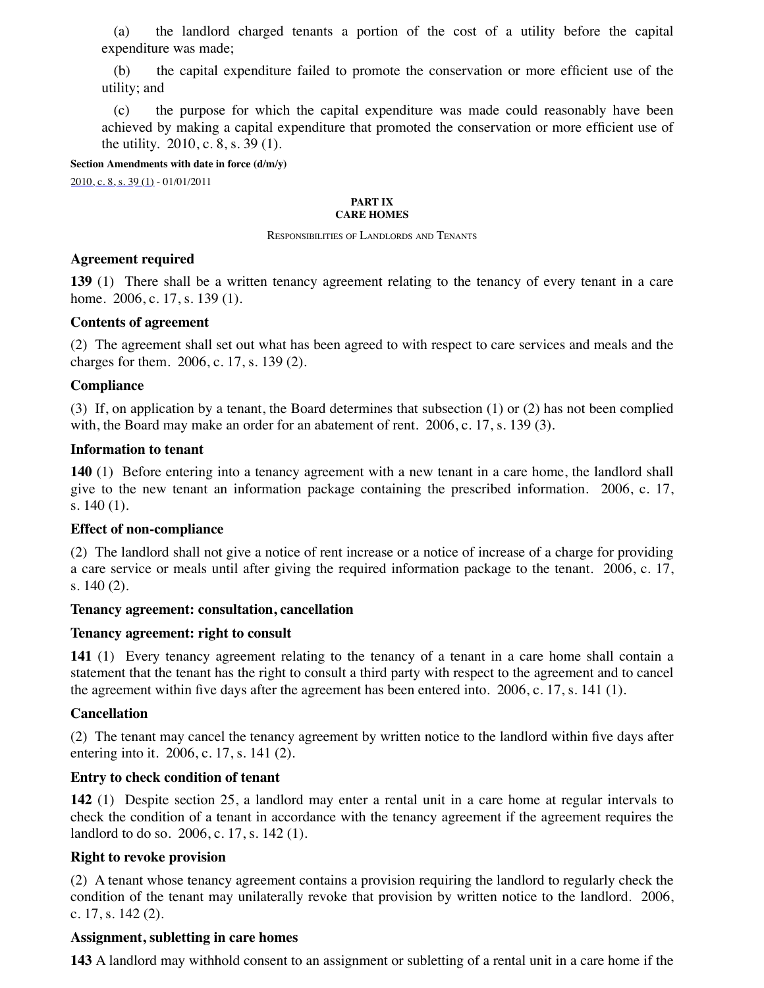(a) the landlord charged tenants a portion of the cost of a utility before the capital expenditure was made;

(b) the capital expenditure failed to promote the conservation or more efficient use of the utility; and

(c) the purpose for which the capital expenditure was made could reasonably have been achieved by making a capital expenditure that promoted the conservation or more efficient use of the utility. 2010, c. 8, s. 39 (1).

**Section Amendments with date in force (d/m/y)**

2010, c. 8, s. 39 (1) - 01/01/2011

#### **PART IX CARE HOMES**

#### RESPONSIBILITIES OF LANDLORDS AND TENANTS

### **Agreement required**

**139** (1) There shall be a written tenancy agreement relating to the tenancy of every tenant in a care home. 2006, c. 17, s. 139 (1).

### **Contents of agreement**

(2) The agreement shall set out what has been agreed to with respect to care services and meals and the charges for them. 2006, c. 17, s. 139 (2).

### **Compliance**

(3) If, on application by a tenant, the Board determines that subsection (1) or (2) has not been complied with, the Board may make an order for an abatement of rent. 2006, c. 17, s. 139 (3).

### **Information to tenant**

**140** (1) Before entering into a tenancy agreement with a new tenant in a care home, the landlord shall give to the new tenant an information package containing the prescribed information. 2006, c. 17, s. 140 (1).

### **Effect of non-compliance**

(2) The landlord shall not give a notice of rent increase or a notice of increase of a charge for providing a care service or meals until after giving the required information package to the tenant. 2006, c. 17, s. 140 (2).

### **Tenancy agreement: consultation, cancellation**

### **Tenancy agreement: right to consult**

**141** (1) Every tenancy agreement relating to the tenancy of a tenant in a care home shall contain a statement that the tenant has the right to consult a third party with respect to the agreement and to cancel the agreement within five days after the agreement has been entered into. 2006, c. 17, s. 141 (1).

### **Cancellation**

(2) The tenant may cancel the tenancy agreement by written notice to the landlord within five days after entering into it. 2006, c. 17, s. 141 (2).

### **Entry to check condition of tenant**

**142** (1) Despite section 25, a landlord may enter a rental unit in a care home at regular intervals to check the condition of a tenant in accordance with the tenancy agreement if the agreement requires the landlord to do so. 2006, c. 17, s. 142 (1).

### **Right to revoke provision**

(2) A tenant whose tenancy agreement contains a provision requiring the landlord to regularly check the condition of the tenant may unilaterally revoke that provision by written notice to the landlord. 2006, c. 17, s. 142 (2).

### **Assignment, subletting in care homes**

**143** A landlord may withhold consent to an assignment or subletting of a rental unit in a care home if the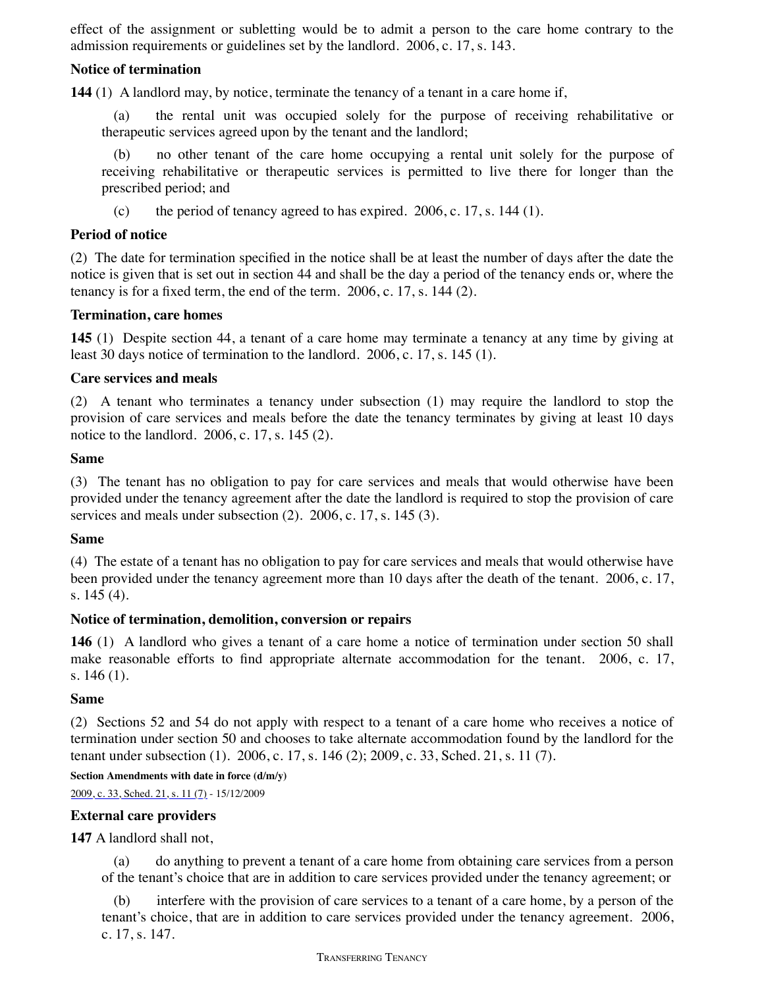effect of the assignment or subletting would be to admit a person to the care home contrary to the admission requirements or guidelines set by the landlord. 2006, c. 17, s. 143.

### **Notice of termination**

**144** (1) A landlord may, by notice, terminate the tenancy of a tenant in a care home if,

(a) the rental unit was occupied solely for the purpose of receiving rehabilitative or therapeutic services agreed upon by the tenant and the landlord;

(b) no other tenant of the care home occupying a rental unit solely for the purpose of receiving rehabilitative or therapeutic services is permitted to live there for longer than the prescribed period; and

(c) the period of tenancy agreed to has expired.  $2006$ , c. 17, s. 144 (1).

### **Period of notice**

(2) The date for termination specified in the notice shall be at least the number of days after the date the notice is given that is set out in section 44 and shall be the day a period of the tenancy ends or, where the tenancy is for a fixed term, the end of the term. 2006, c. 17, s. 144 (2).

### **Termination, care homes**

**145** (1) Despite section 44, a tenant of a care home may terminate a tenancy at any time by giving at least 30 days notice of termination to the landlord. 2006, c. 17, s. 145 (1).

### **Care services and meals**

(2) A tenant who terminates a tenancy under subsection (1) may require the landlord to stop the provision of care services and meals before the date the tenancy terminates by giving at least 10 days notice to the landlord. 2006, c. 17, s. 145 (2).

### **Same**

(3) The tenant has no obligation to pay for care services and meals that would otherwise have been provided under the tenancy agreement after the date the landlord is required to stop the provision of care services and meals under subsection (2). 2006, c. 17, s. 145 (3).

### **Same**

(4) The estate of a tenant has no obligation to pay for care services and meals that would otherwise have been provided under the tenancy agreement more than 10 days after the death of the tenant. 2006, c. 17, s. 145 (4).

### **Notice of termination, demolition, conversion or repairs**

**146** (1) A landlord who gives a tenant of a care home a notice of termination under section 50 shall make reasonable efforts to find appropriate alternate accommodation for the tenant. 2006, c. 17, s. 146 (1).

### **Same**

(2) Sections 52 and 54 do not apply with respect to a tenant of a care home who receives a notice of termination under section 50 and chooses to take alternate accommodation found by the landlord for the tenant under subsection (1). 2006, c. 17, s. 146 (2); 2009, c. 33, Sched. 21, s. 11 (7).

**Section Amendments with date in force (d/m/y)**

2009, c. 33, Sched. 21, s. 11 (7) - 15/12/2009

### **External care providers**

**147** A landlord shall not,

(a) do anything to prevent a tenant of a care home from obtaining care services from a person of the tenant's choice that are in addition to care services provided under the tenancy agreement; or

(b) interfere with the provision of care services to a tenant of a care home, by a person of the tenant's choice, that are in addition to care services provided under the tenancy agreement. 2006, c. 17, s. 147.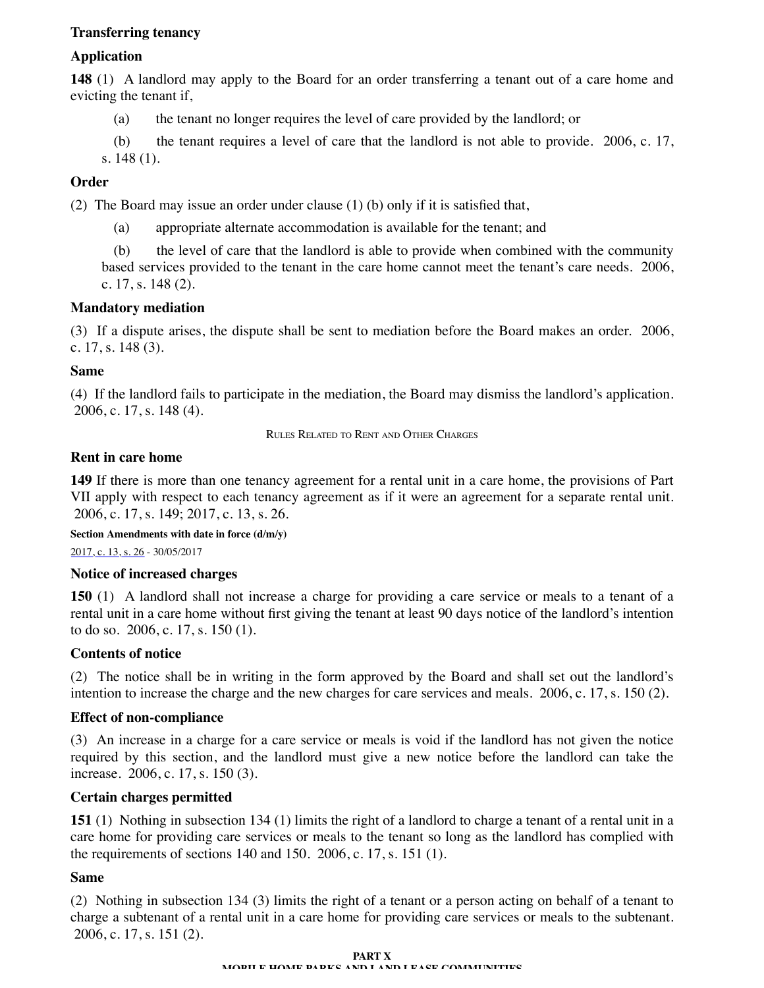### **Transferring tenancy**

### **Application**

**148** (1) A landlord may apply to the Board for an order transferring a tenant out of a care home and evicting the tenant if,

(a) the tenant no longer requires the level of care provided by the landlord; or

(b) the tenant requires a level of care that the landlord is not able to provide. 2006, c. 17,

s. 148 (1).

### **Order**

(2) The Board may issue an order under clause (1) (b) only if it is satisfied that,

(a) appropriate alternate accommodation is available for the tenant; and

(b) the level of care that the landlord is able to provide when combined with the community based services provided to the tenant in the care home cannot meet the tenant's care needs. 2006, c. 17, s. 148 (2).

### **Mandatory mediation**

(3) If a dispute arises, the dispute shall be sent to mediation before the Board makes an order. 2006, c. 17, s. 148 (3).

### **Same**

(4) If the landlord fails to participate in the mediation, the Board may dismiss the landlord's application. 2006, c. 17, s. 148 (4).

RULES RELATED TO RENT AND OTHER CHARGES

### **Rent in care home**

**149** If there is more than one tenancy agreement for a rental unit in a care home, the provisions of Part VII apply with respect to each tenancy agreement as if it were an agreement for a separate rental unit. 2006, c. 17, s. 149; 2017, c. 13, s. 26.

**Section Amendments with date in force (d/m/y)** 2017, c. 13, s. 26 - 30/05/2017

### **Notice of increased charges**

**150** (1) A landlord shall not increase a charge for providing a care service or meals to a tenant of a rental unit in a care home without first giving the tenant at least 90 days notice of the landlord's intention to do so. 2006, c. 17, s. 150 (1).

### **Contents of notice**

(2) The notice shall be in writing in the form approved by the Board and shall set out the landlord's intention to increase the charge and the new charges for care services and meals. 2006, c. 17, s. 150 (2).

### **Effect of non-compliance**

(3) An increase in a charge for a care service or meals is void if the landlord has not given the notice required by this section, and the landlord must give a new notice before the landlord can take the increase. 2006, c. 17, s. 150 (3).

### **Certain charges permitted**

**151** (1) Nothing in subsection 134 (1) limits the right of a landlord to charge a tenant of a rental unit in a care home for providing care services or meals to the tenant so long as the landlord has complied with the requirements of sections 140 and 150. 2006, c. 17, s. 151 (1).

### **Same**

(2) Nothing in subsection 134 (3) limits the right of a tenant or a person acting on behalf of a tenant to charge a subtenant of a rental unit in a care home for providing care services or meals to the subtenant. 2006, c. 17, s. 151 (2).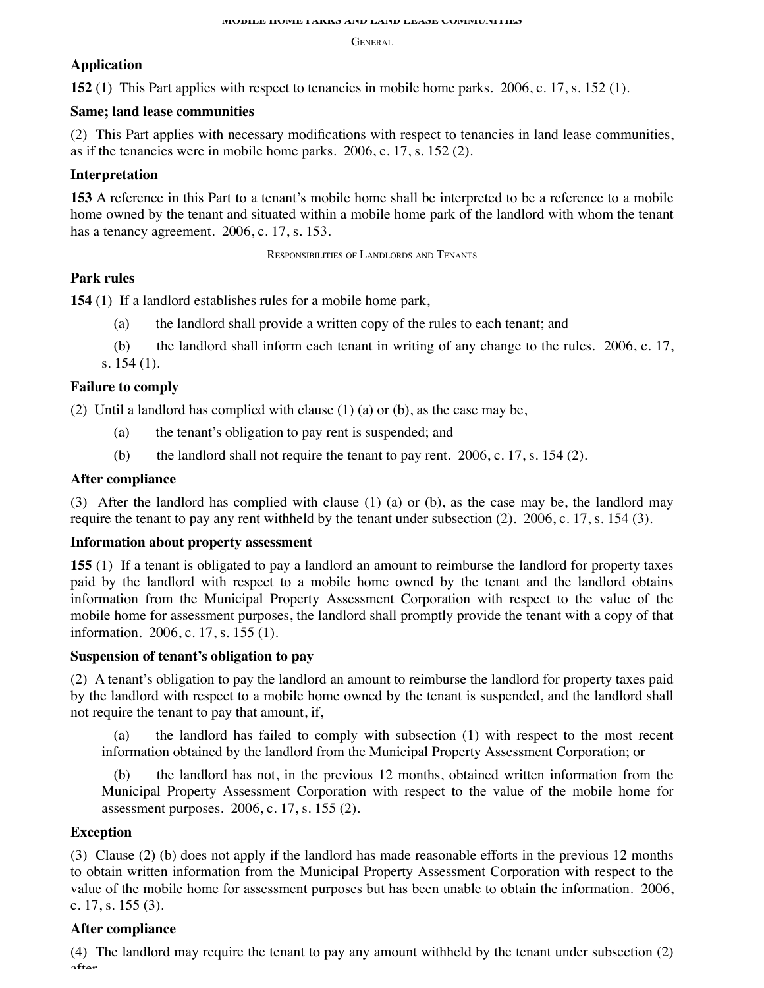GENERAL

## **Application**

**152** (1) This Part applies with respect to tenancies in mobile home parks. 2006, c. 17, s. 152 (1).

### **Same; land lease communities**

(2) This Part applies with necessary modifications with respect to tenancies in land lease communities, as if the tenancies were in mobile home parks. 2006, c. 17, s. 152 (2).

## **Interpretation**

**153** A reference in this Part to a tenant's mobile home shall be interpreted to be a reference to a mobile home owned by the tenant and situated within a mobile home park of the landlord with whom the tenant has a tenancy agreement. 2006, c. 17, s. 153.

RESPONSIBILITIES OF LANDLORDS AND TENANTS

## **Park rules**

**154** (1) If a landlord establishes rules for a mobile home park,

- (a) the landlord shall provide a written copy of the rules to each tenant; and
- (b) the landlord shall inform each tenant in writing of any change to the rules. 2006, c. 17, s. 154 (1).

## **Failure to comply**

(2) Until a landlord has complied with clause (1) (a) or (b), as the case may be,

- (a) the tenant's obligation to pay rent is suspended; and
- (b) the landlord shall not require the tenant to pay rent.  $2006$ , c. 17, s. 154 (2).

## **After compliance**

(3) After the landlord has complied with clause (1) (a) or (b), as the case may be, the landlord may require the tenant to pay any rent withheld by the tenant under subsection (2). 2006, c. 17, s. 154 (3).

## **Information about property assessment**

**155** (1) If a tenant is obligated to pay a landlord an amount to reimburse the landlord for property taxes paid by the landlord with respect to a mobile home owned by the tenant and the landlord obtains information from the Municipal Property Assessment Corporation with respect to the value of the mobile home for assessment purposes, the landlord shall promptly provide the tenant with a copy of that information. 2006, c. 17, s. 155 (1).

## **Suspension of tenant's obligation to pay**

(2) A tenant's obligation to pay the landlord an amount to reimburse the landlord for property taxes paid by the landlord with respect to a mobile home owned by the tenant is suspended, and the landlord shall not require the tenant to pay that amount, if,

(a) the landlord has failed to comply with subsection (1) with respect to the most recent information obtained by the landlord from the Municipal Property Assessment Corporation; or

(b) the landlord has not, in the previous 12 months, obtained written information from the Municipal Property Assessment Corporation with respect to the value of the mobile home for assessment purposes. 2006, c. 17, s. 155 (2).

# **Exception**

(3) Clause (2) (b) does not apply if the landlord has made reasonable efforts in the previous 12 months to obtain written information from the Municipal Property Assessment Corporation with respect to the value of the mobile home for assessment purposes but has been unable to obtain the information. 2006, c. 17, s. 155 (3).

## **After compliance**

(4) The landlord may require the tenant to pay any amount withheld by the tenant under subsection (2)  $a$ ftar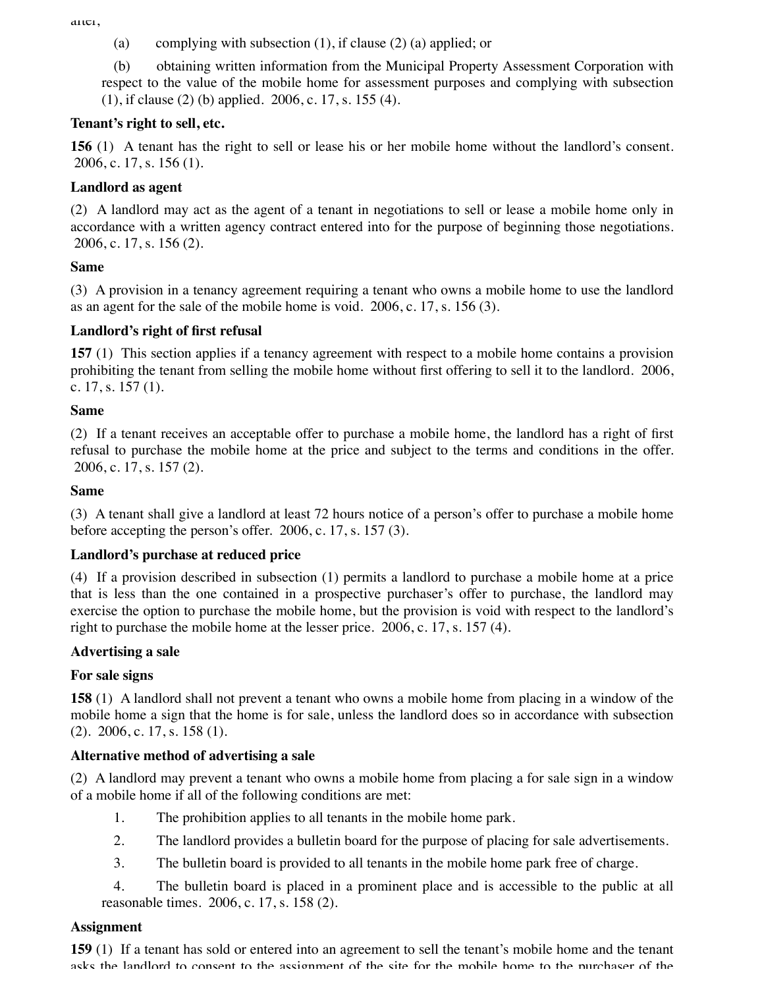anci,

(a) complying with subsection  $(1)$ , if clause  $(2)$  (a) applied; or

(b) obtaining written information from the Municipal Property Assessment Corporation with respect to the value of the mobile home for assessment purposes and complying with subsection (1), if clause (2) (b) applied. 2006, c. 17, s. 155 (4).

### **Tenant's right to sell, etc.**

**156** (1) A tenant has the right to sell or lease his or her mobile home without the landlord's consent. 2006, c. 17, s. 156 (1).

### **Landlord as agent**

(2) A landlord may act as the agent of a tenant in negotiations to sell or lease a mobile home only in accordance with a written agency contract entered into for the purpose of beginning those negotiations. 2006, c. 17, s. 156 (2).

### **Same**

(3) A provision in a tenancy agreement requiring a tenant who owns a mobile home to use the landlord as an agent for the sale of the mobile home is void. 2006, c. 17, s. 156 (3).

### **Landlord's right of first refusal**

**157** (1) This section applies if a tenancy agreement with respect to a mobile home contains a provision prohibiting the tenant from selling the mobile home without first offering to sell it to the landlord. 2006, c. 17, s. 157 (1).

### **Same**

(2) If a tenant receives an acceptable offer to purchase a mobile home, the landlord has a right of first refusal to purchase the mobile home at the price and subject to the terms and conditions in the offer. 2006, c. 17, s. 157 (2).

### **Same**

(3) A tenant shall give a landlord at least 72 hours notice of a person's offer to purchase a mobile home before accepting the person's offer. 2006, c. 17, s. 157 (3).

## **Landlord's purchase at reduced price**

(4) If a provision described in subsection (1) permits a landlord to purchase a mobile home at a price that is less than the one contained in a prospective purchaser's offer to purchase, the landlord may exercise the option to purchase the mobile home, but the provision is void with respect to the landlord's right to purchase the mobile home at the lesser price. 2006, c. 17, s. 157 (4).

### **Advertising a sale**

## **For sale signs**

**158** (1) A landlord shall not prevent a tenant who owns a mobile home from placing in a window of the mobile home a sign that the home is for sale, unless the landlord does so in accordance with subsection (2). 2006, c. 17, s. 158 (1).

## **Alternative method of advertising a sale**

(2) A landlord may prevent a tenant who owns a mobile home from placing a for sale sign in a window of a mobile home if all of the following conditions are met:

- 1. The prohibition applies to all tenants in the mobile home park.
- 2. The landlord provides a bulletin board for the purpose of placing for sale advertisements.
- 3. The bulletin board is provided to all tenants in the mobile home park free of charge.

4. The bulletin board is placed in a prominent place and is accessible to the public at all reasonable times. 2006, c. 17, s. 158 (2).

### **Assignment**

**159** (1) If a tenant has sold or entered into an agreement to sell the tenant's mobile home and the tenant asks the landlord to consent to the assignment of the site for the mobile home to the purchaser of the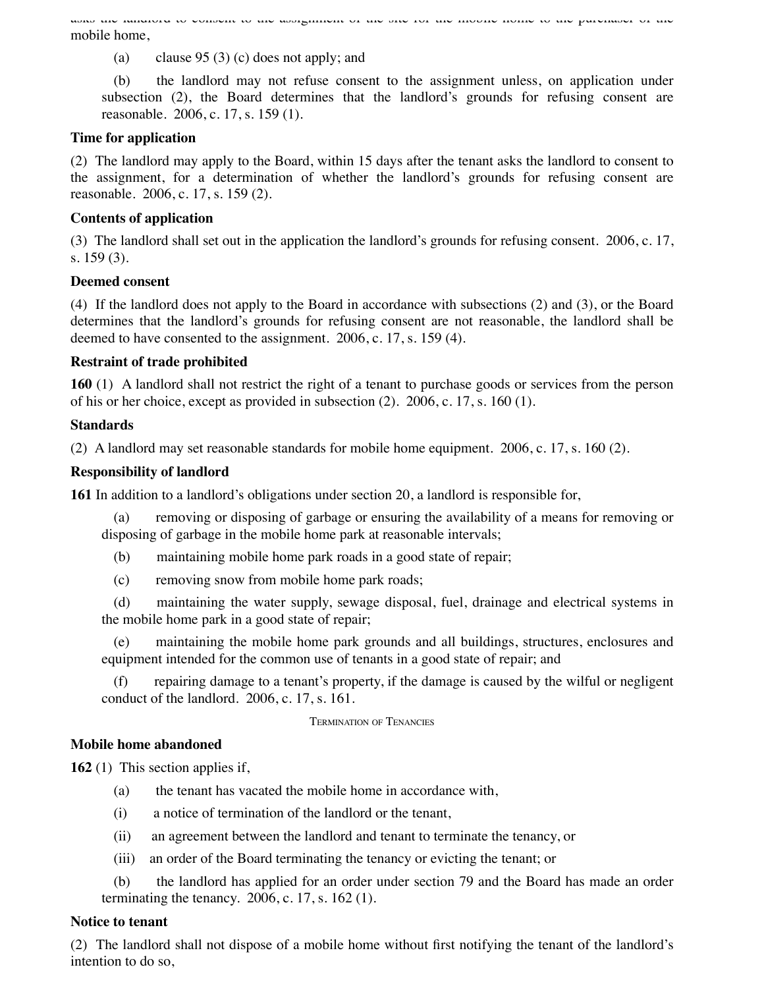asks the landlord to consent to the assignment of the site for the mobile home to the purchaser of the mobile home,

(a) clause 95 (3) (c) does not apply; and

(b) the landlord may not refuse consent to the assignment unless, on application under subsection (2), the Board determines that the landlord's grounds for refusing consent are reasonable. 2006, c. 17, s. 159 (1).

### **Time for application**

(2) The landlord may apply to the Board, within 15 days after the tenant asks the landlord to consent to the assignment, for a determination of whether the landlord's grounds for refusing consent are reasonable. 2006, c. 17, s. 159 (2).

### **Contents of application**

(3) The landlord shall set out in the application the landlord's grounds for refusing consent. 2006, c. 17, s. 159 (3).

### **Deemed consent**

(4) If the landlord does not apply to the Board in accordance with subsections (2) and (3), or the Board determines that the landlord's grounds for refusing consent are not reasonable, the landlord shall be deemed to have consented to the assignment. 2006, c. 17, s. 159 (4).

### **Restraint of trade prohibited**

**160** (1) A landlord shall not restrict the right of a tenant to purchase goods or services from the person of his or her choice, except as provided in subsection (2). 2006, c. 17, s. 160 (1).

### **Standards**

(2) A landlord may set reasonable standards for mobile home equipment. 2006, c. 17, s. 160 (2).

### **Responsibility of landlord**

**161** In addition to a landlord's obligations under section 20, a landlord is responsible for,

(a) removing or disposing of garbage or ensuring the availability of a means for removing or disposing of garbage in the mobile home park at reasonable intervals;

- (b) maintaining mobile home park roads in a good state of repair;
- (c) removing snow from mobile home park roads;

(d) maintaining the water supply, sewage disposal, fuel, drainage and electrical systems in the mobile home park in a good state of repair;

(e) maintaining the mobile home park grounds and all buildings, structures, enclosures and equipment intended for the common use of tenants in a good state of repair; and

(f) repairing damage to a tenant's property, if the damage is caused by the wilful or negligent conduct of the landlord. 2006, c. 17, s. 161.

TERMINATION OF TENANCIES

### **Mobile home abandoned**

**162** (1) This section applies if,

- (a) the tenant has vacated the mobile home in accordance with,
- (i) a notice of termination of the landlord or the tenant,
- (ii) an agreement between the landlord and tenant to terminate the tenancy, or
- (iii) an order of the Board terminating the tenancy or evicting the tenant; or

(b) the landlord has applied for an order under section 79 and the Board has made an order terminating the tenancy.  $2006$ , c. 17, s. 162 (1).

### **Notice to tenant**

(2) The landlord shall not dispose of a mobile home without first notifying the tenant of the landlord's intention to do so,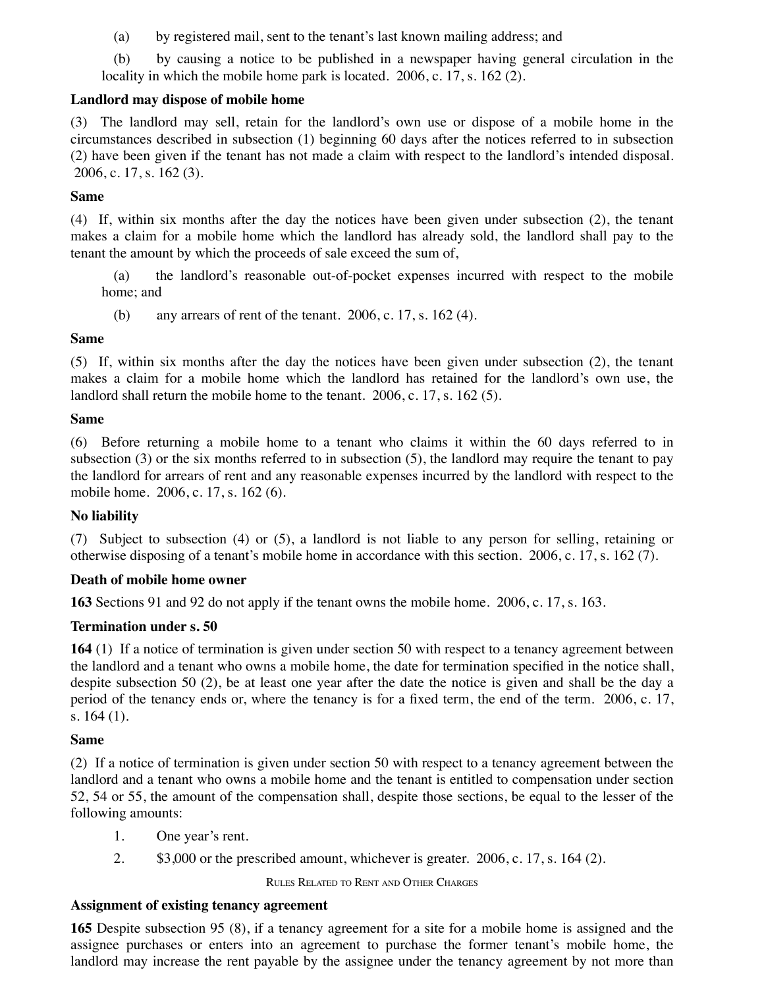(a) by registered mail, sent to the tenant's last known mailing address; and

(b) by causing a notice to be published in a newspaper having general circulation in the locality in which the mobile home park is located. 2006, c. 17, s. 162 (2).

### **Landlord may dispose of mobile home**

(3) The landlord may sell, retain for the landlord's own use or dispose of a mobile home in the circumstances described in subsection (1) beginning 60 days after the notices referred to in subsection (2) have been given if the tenant has not made a claim with respect to the landlord's intended disposal. 2006, c. 17, s. 162 (3).

### **Same**

(4) If, within six months after the day the notices have been given under subsection (2), the tenant makes a claim for a mobile home which the landlord has already sold, the landlord shall pay to the tenant the amount by which the proceeds of sale exceed the sum of,

(a) the landlord's reasonable out-of-pocket expenses incurred with respect to the mobile home; and

(b) any arrears of rent of the tenant.  $2006$ , c. 17, s. 162 (4).

### **Same**

(5) If, within six months after the day the notices have been given under subsection (2), the tenant makes a claim for a mobile home which the landlord has retained for the landlord's own use, the landlord shall return the mobile home to the tenant. 2006, c. 17, s. 162 (5).

### **Same**

(6) Before returning a mobile home to a tenant who claims it within the 60 days referred to in subsection (3) or the six months referred to in subsection (5), the landlord may require the tenant to pay the landlord for arrears of rent and any reasonable expenses incurred by the landlord with respect to the mobile home. 2006, c. 17, s. 162 (6).

### **No liability**

(7) Subject to subsection (4) or (5), a landlord is not liable to any person for selling, retaining or otherwise disposing of a tenant's mobile home in accordance with this section. 2006, c. 17, s. 162 (7).

### **Death of mobile home owner**

**163** Sections 91 and 92 do not apply if the tenant owns the mobile home. 2006, c. 17, s. 163.

### **Termination under s. 50**

**164** (1) If a notice of termination is given under section 50 with respect to a tenancy agreement between the landlord and a tenant who owns a mobile home, the date for termination specified in the notice shall, despite subsection 50 (2), be at least one year after the date the notice is given and shall be the day a period of the tenancy ends or, where the tenancy is for a fixed term, the end of the term. 2006, c. 17, s. 164 (1).

### **Same**

(2) If a notice of termination is given under section 50 with respect to a tenancy agreement between the landlord and a tenant who owns a mobile home and the tenant is entitled to compensation under section 52, 54 or 55, the amount of the compensation shall, despite those sections, be equal to the lesser of the following amounts:

- 1. One year's rent.
- 2.  $$3,000$  or the prescribed amount, whichever is greater. 2006, c. 17, s. 164 (2).

RULES RELATED TO RENT AND OTHER CHARGES

## **Assignment of existing tenancy agreement**

**165** Despite subsection 95 (8), if a tenancy agreement for a site for a mobile home is assigned and the assignee purchases or enters into an agreement to purchase the former tenant's mobile home, the landlord may increase the rent payable by the assignee under the tenancy agreement by not more than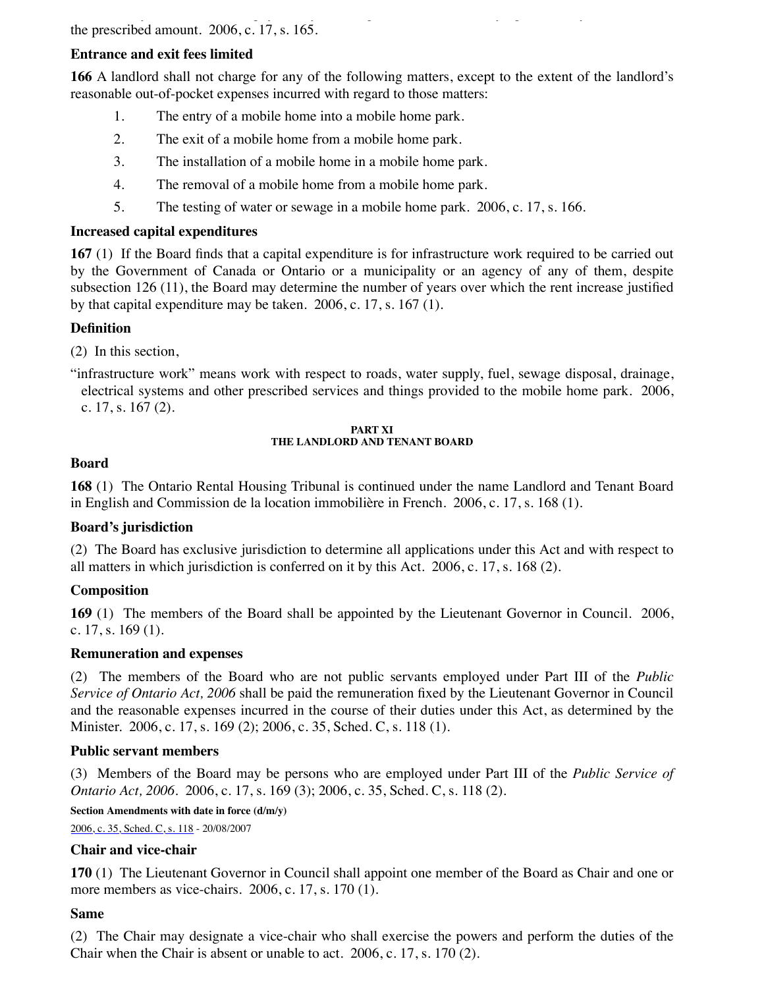landlord may increase the rent payable by the assignee under the tenancy agreement by not more than the prescribed amount.  $2006$ , c.  $17$ , s.  $165$ .

### **Entrance and exit fees limited**

**166** A landlord shall not charge for any of the following matters, except to the extent of the landlord's reasonable out-of-pocket expenses incurred with regard to those matters:

- 1. The entry of a mobile home into a mobile home park.
- 2. The exit of a mobile home from a mobile home park.
- 3. The installation of a mobile home in a mobile home park.
- 4. The removal of a mobile home from a mobile home park.
- 5. The testing of water or sewage in a mobile home park. 2006, c. 17, s. 166.

### **Increased capital expenditures**

**167** (1) If the Board finds that a capital expenditure is for infrastructure work required to be carried out by the Government of Canada or Ontario or a municipality or an agency of any of them, despite subsection 126 (11), the Board may determine the number of years over which the rent increase justified by that capital expenditure may be taken. 2006, c. 17, s. 167 (1).

### **Definition**

(2) In this section,

"infrastructure work" means work with respect to roads, water supply, fuel, sewage disposal, drainage, electrical systems and other prescribed services and things provided to the mobile home park. 2006, c. 17, s. 167 (2).

#### **PART XI THE LANDLORD AND TENANT BOARD**

### **Board**

**168** (1) The Ontario Rental Housing Tribunal is continued under the name Landlord and Tenant Board in English and Commission de la location immobilière in French. 2006, c. 17, s. 168 (1).

### **Board's jurisdiction**

(2) The Board has exclusive jurisdiction to determine all applications under this Act and with respect to all matters in which jurisdiction is conferred on it by this Act. 2006, c. 17, s. 168 (2).

### **Composition**

**169** (1) The members of the Board shall be appointed by the Lieutenant Governor in Council. 2006, c.  $17$ , s.  $169(1)$ .

### **Remuneration and expenses**

(2) The members of the Board who are not public servants employed under Part III of the *Public Service of Ontario Act, 2006* shall be paid the remuneration fixed by the Lieutenant Governor in Council and the reasonable expenses incurred in the course of their duties under this Act, as determined by the Minister. 2006, c. 17, s. 169 (2); 2006, c. 35, Sched. C, s. 118 (1).

### **Public servant members**

(3) Members of the Board may be persons who are employed under Part III of the *Public Service of Ontario Act, 2006*. 2006, c. 17, s. 169 (3); 2006, c. 35, Sched. C, s. 118 (2).

**Section Amendments with date in force (d/m/y)**

2006, c. 35, Sched. C, s. 118 - 20/08/2007

### **Chair and vice-chair**

**170** (1) The Lieutenant Governor in Council shall appoint one member of the Board as Chair and one or more members as vice-chairs. 2006, c. 17, s. 170 (1).

### **Same**

(2) The Chair may designate a vice-chair who shall exercise the powers and perform the duties of the Chair when the Chair is absent or unable to act. 2006, c. 17, s. 170 (2).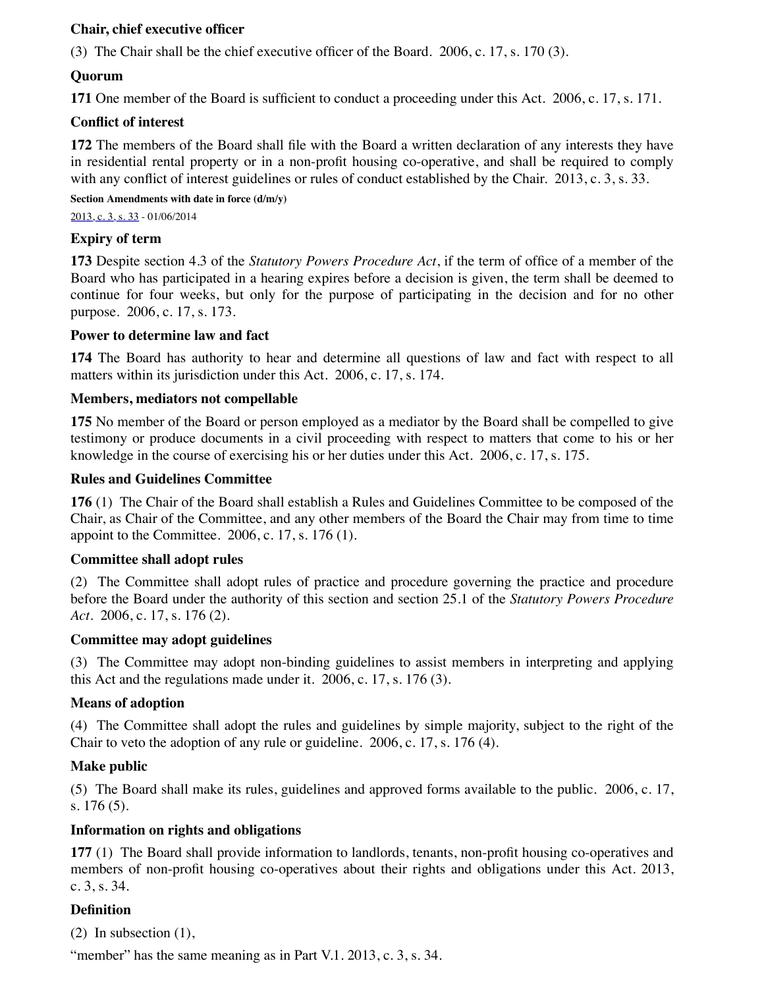### **Chair, chief executive officer**

(3) The Chair shall be the chief executive officer of the Board. 2006, c. 17, s. 170 (3).

### **Quorum**

**171** One member of the Board is sufficient to conduct a proceeding under this Act. 2006, c. 17, s. 171.

### **Conflict of interest**

**172** The members of the Board shall file with the Board a written declaration of any interests they have in residential rental property or in a non-profit housing co-operative, and shall be required to comply with any conflict of interest guidelines or rules of conduct established by the Chair. 2013, c. 3, s. 33.

**Section Amendments with date in force (d/m/y)**

2013, c. 3, s. 33 - 01/06/2014

### **Expiry of term**

**173** Despite section 4.3 of the *Statutory Powers Procedure Act*, if the term of office of a member of the Board who has participated in a hearing expires before a decision is given, the term shall be deemed to continue for four weeks, but only for the purpose of participating in the decision and for no other purpose. 2006, c. 17, s. 173.

### **Power to determine law and fact**

**174** The Board has authority to hear and determine all questions of law and fact with respect to all matters within its jurisdiction under this Act. 2006, c. 17, s. 174.

### **Members, mediators not compellable**

**175** No member of the Board or person employed as a mediator by the Board shall be compelled to give testimony or produce documents in a civil proceeding with respect to matters that come to his or her knowledge in the course of exercising his or her duties under this Act. 2006, c. 17, s. 175.

### **Rules and Guidelines Committee**

**176** (1) The Chair of the Board shall establish a Rules and Guidelines Committee to be composed of the Chair, as Chair of the Committee, and any other members of the Board the Chair may from time to time appoint to the Committee.  $2006$ , c. 17, s. 176 (1).

### **Committee shall adopt rules**

(2) The Committee shall adopt rules of practice and procedure governing the practice and procedure before the Board under the authority of this section and section 25.1 of the *Statutory Powers Procedure Act*. 2006, c. 17, s. 176 (2).

### **Committee may adopt guidelines**

(3) The Committee may adopt non-binding guidelines to assist members in interpreting and applying this Act and the regulations made under it. 2006, c. 17, s. 176 (3).

### **Means of adoption**

(4) The Committee shall adopt the rules and guidelines by simple majority, subject to the right of the Chair to veto the adoption of any rule or guideline. 2006, c. 17, s. 176 (4).

## **Make public**

(5) The Board shall make its rules, guidelines and approved forms available to the public. 2006, c. 17, s. 176 (5).

## **Information on rights and obligations**

**177** (1) The Board shall provide information to landlords, tenants, non-profit housing co-operatives and members of non-profit housing co-operatives about their rights and obligations under this Act. 2013, c. 3, s. 34.

## **Definition**

(2) In subsection (1),

"member" has the same meaning as in Part V.1. 2013, c. 3, s. 34.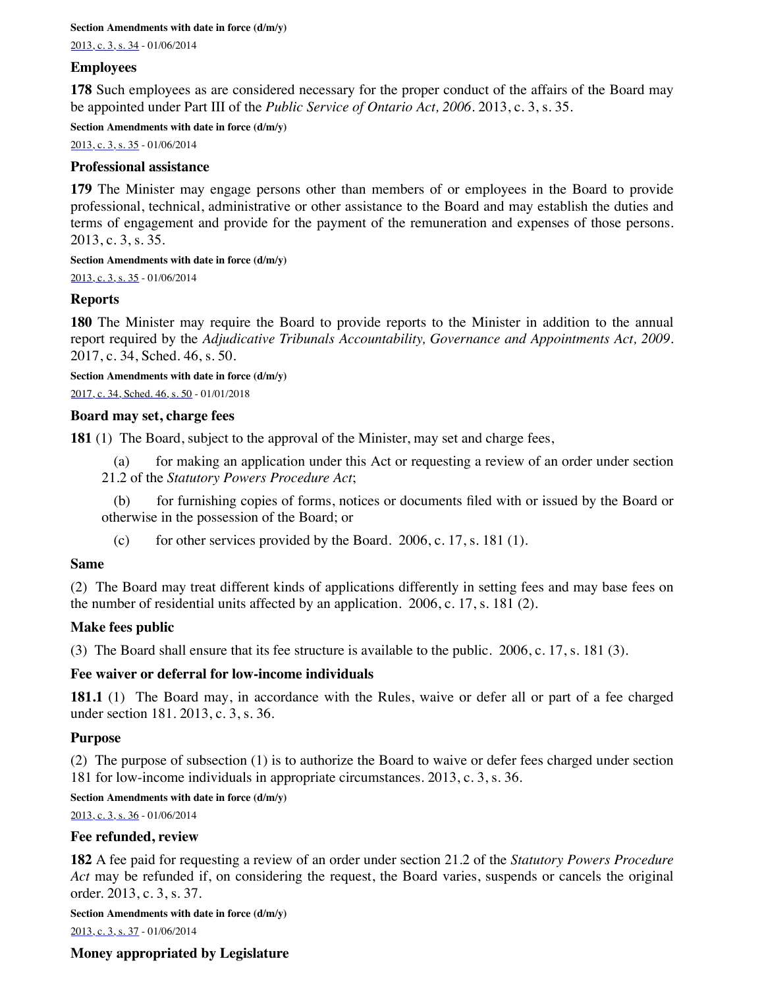#### **Section Amendments with date in force (d/m/y)**

2013, c. 3, s. 34 - 01/06/2014

#### **Employees**

**178** Such employees as are considered necessary for the proper conduct of the affairs of the Board may be appointed under Part III of the *Public Service of Ontario Act, 2006*. 2013, c. 3, s. 35.

**Section Amendments with date in force (d/m/y)**

2013, c. 3, s. 35 - 01/06/2014

### **Professional assistance**

**179** The Minister may engage persons other than members of or employees in the Board to provide professional, technical, administrative or other assistance to the Board and may establish the duties and terms of engagement and provide for the payment of the remuneration and expenses of those persons. 2013, c. 3, s. 35.

#### **Section Amendments with date in force (d/m/y)**

2013, c. 3, s. 35 - 01/06/2014

### **Reports**

**180** The Minister may require the Board to provide reports to the Minister in addition to the annual report required by the *Adjudicative Tribunals Accountability, Governance and Appointments Act, 2009*. 2017, c. 34, Sched. 46, s. 50.

**Section Amendments with date in force (d/m/y)** 2017, c. 34, Sched. 46, s. 50 - 01/01/2018

### **Board may set, charge fees**

**181** (1) The Board, subject to the approval of the Minister, may set and charge fees,

(a) for making an application under this Act or requesting a review of an order under section 21.2 of the *Statutory Powers Procedure Act*;

(b) for furnishing copies of forms, notices or documents filed with or issued by the Board or otherwise in the possession of the Board; or

(c) for other services provided by the Board.  $2006$ , c. 17, s. 181 (1).

### **Same**

(2) The Board may treat different kinds of applications differently in setting fees and may base fees on the number of residential units affected by an application. 2006, c. 17, s. 181 (2).

### **Make fees public**

(3) The Board shall ensure that its fee structure is available to the public. 2006, c. 17, s. 181 (3).

### **Fee waiver or deferral for low-income individuals**

**181.1** (1) The Board may, in accordance with the Rules, waive or defer all or part of a fee charged under section 181. 2013, c. 3, s. 36.

### **Purpose**

(2) The purpose of subsection (1) is to authorize the Board to waive or defer fees charged under section 181 for low-income individuals in appropriate circumstances. 2013, c. 3, s. 36.

### **Section Amendments with date in force (d/m/y)**

2013, c. 3, s. 36 - 01/06/2014

### **Fee refunded, review**

**182** A fee paid for requesting a review of an order under section 21.2 of the *Statutory Powers Procedure Act* may be refunded if, on considering the request, the Board varies, suspends or cancels the original order. 2013, c. 3, s. 37.

**Section Amendments with date in force (d/m/y)** 2013, c. 3, s. 37 - 01/06/2014

### **Money appropriated by Legislature**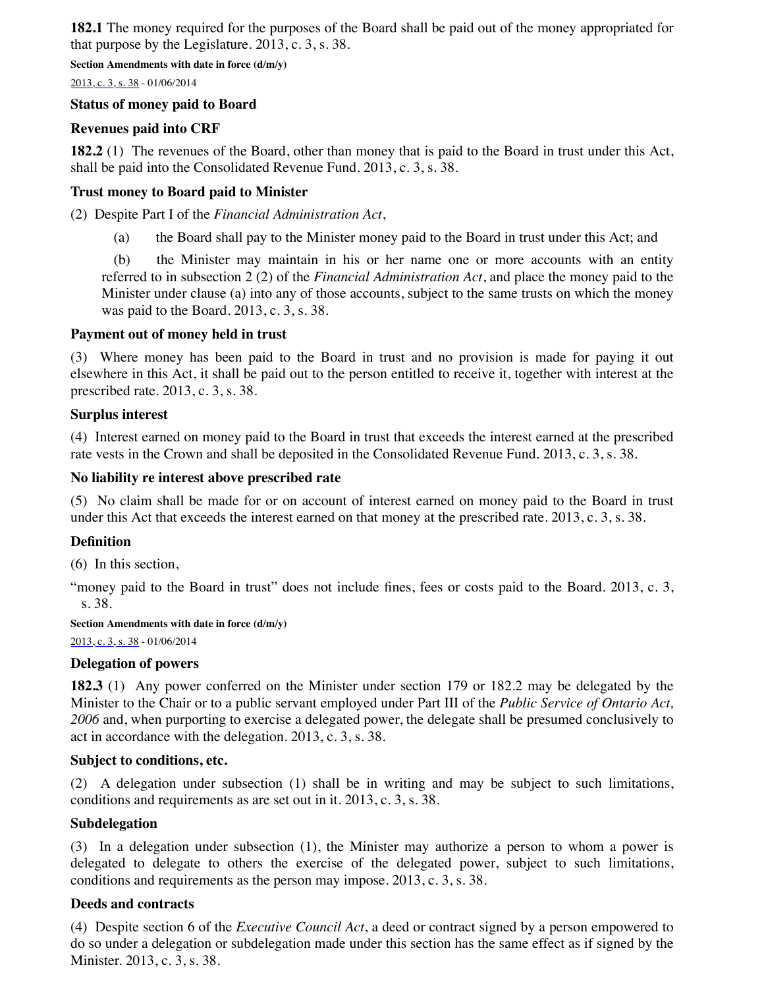**182.1** The money required for the purposes of the Board shall be paid out of the money appropriated for that purpose by the Legislature. 2013, c. 3, s. 38.

**Section Amendments with date in force (d/m/y)**

2013, c. 3, s. 38 - 01/06/2014

### **Status of money paid to Board**

### **Revenues paid into CRF**

**182.2** (1) The revenues of the Board, other than money that is paid to the Board in trust under this Act, shall be paid into the Consolidated Revenue Fund. 2013, c. 3, s. 38.

### **Trust money to Board paid to Minister**

(2) Despite Part I of the *Financial Administration Act*,

(a) the Board shall pay to the Minister money paid to the Board in trust under this Act; and

(b) the Minister may maintain in his or her name one or more accounts with an entity referred to in subsection 2 (2) of the *Financial Administration Act*, and place the money paid to the Minister under clause (a) into any of those accounts, subject to the same trusts on which the money was paid to the Board. 2013, c. 3, s. 38.

### **Payment out of money held in trust**

(3) Where money has been paid to the Board in trust and no provision is made for paying it out elsewhere in this Act, it shall be paid out to the person entitled to receive it, together with interest at the prescribed rate. 2013, c. 3, s. 38.

### **Surplus interest**

(4) Interest earned on money paid to the Board in trust that exceeds the interest earned at the prescribed rate vests in the Crown and shall be deposited in the Consolidated Revenue Fund. 2013, c. 3, s. 38.

### **No liability re interest above prescribed rate**

(5) No claim shall be made for or on account of interest earned on money paid to the Board in trust under this Act that exceeds the interest earned on that money at the prescribed rate. 2013, c. 3, s. 38.

### **Definition**

(6) In this section,

"money paid to the Board in trust" does not include fines, fees or costs paid to the Board. 2013, c. 3, s. 38.

**Section Amendments with date in force (d/m/y)**

2013, c. 3, s. 38 - 01/06/2014

### **Delegation of powers**

**182.3** (1) Any power conferred on the Minister under section 179 or 182.2 may be delegated by the Minister to the Chair or to a public servant employed under Part III of the *Public Service of Ontario Act, 2006* and, when purporting to exercise a delegated power, the delegate shall be presumed conclusively to act in accordance with the delegation. 2013, c. 3, s. 38.

### **Subject to conditions, etc.**

(2) A delegation under subsection (1) shall be in writing and may be subject to such limitations, conditions and requirements as are set out in it. 2013, c. 3, s. 38.

### **Subdelegation**

(3) In a delegation under subsection (1), the Minister may authorize a person to whom a power is delegated to delegate to others the exercise of the delegated power, subject to such limitations, conditions and requirements as the person may impose. 2013, c. 3, s. 38.

### **Deeds and contracts**

(4) Despite section 6 of the *Executive Council Act*, a deed or contract signed by a person empowered to do so under a delegation or subdelegation made under this section has the same effect as if signed by the Minister. 2013, c. 3, s. 38.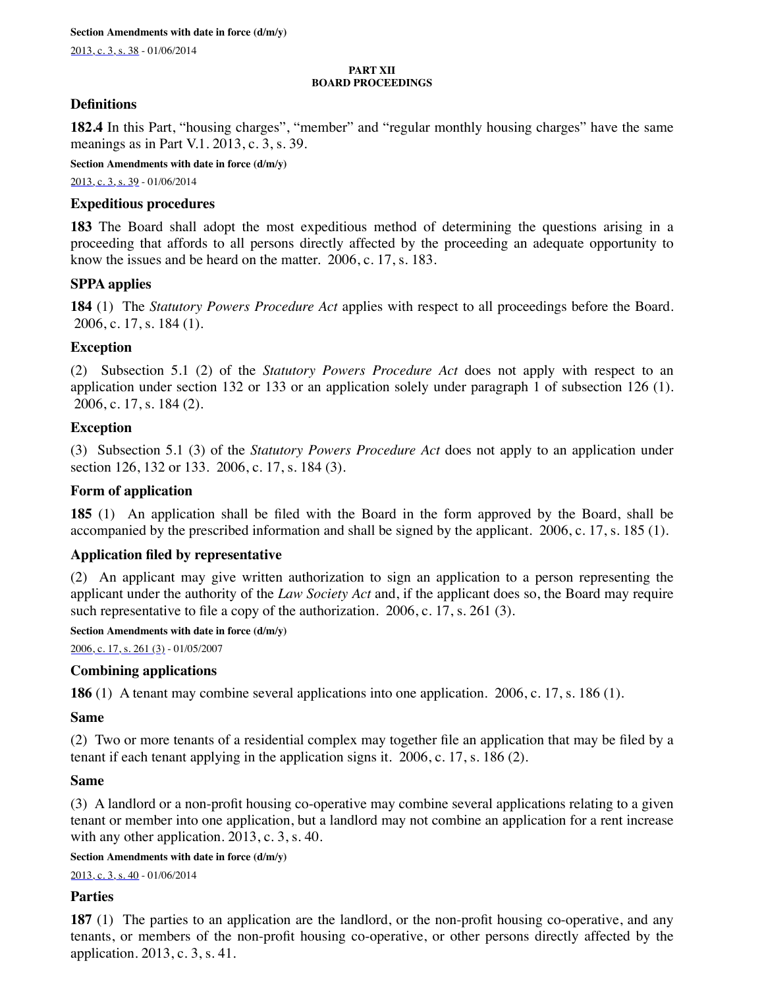#### **PART XII BOARD PROCEEDINGS**

### **Definitions**

**182.4** In this Part, "housing charges", "member" and "regular monthly housing charges" have the same meanings as in Part V.1. 2013, c. 3, s. 39.

**Section Amendments with date in force (d/m/y)**

2013, c. 3, s. 39 - 01/06/2014

### **Expeditious procedures**

**183** The Board shall adopt the most expeditious method of determining the questions arising in a proceeding that affords to all persons directly affected by the proceeding an adequate opportunity to know the issues and be heard on the matter. 2006, c. 17, s. 183.

### **SPPA applies**

**184** (1) The *Statutory Powers Procedure Act* applies with respect to all proceedings before the Board. 2006, c. 17, s. 184 (1).

### **Exception**

(2) Subsection 5.1 (2) of the *Statutory Powers Procedure Act* does not apply with respect to an application under section 132 or 133 or an application solely under paragraph 1 of subsection 126 (1). 2006, c. 17, s. 184 (2).

### **Exception**

(3) Subsection 5.1 (3) of the *Statutory Powers Procedure Act* does not apply to an application under section 126, 132 or 133. 2006, c. 17, s. 184 (3).

### **Form of application**

**185** (1) An application shall be filed with the Board in the form approved by the Board, shall be accompanied by the prescribed information and shall be signed by the applicant. 2006, c. 17, s. 185 (1).

### **Application filed by representative**

(2) An applicant may give written authorization to sign an application to a person representing the applicant under the authority of the *Law Society Act* and, if the applicant does so, the Board may require such representative to file a copy of the authorization. 2006, c. 17, s. 261 (3).

**Section Amendments with date in force (d/m/y)**

2006, c. 17, s. 261 (3) - 01/05/2007

### **Combining applications**

**186** (1) A tenant may combine several applications into one application. 2006, c. 17, s. 186 (1).

### **Same**

(2) Two or more tenants of a residential complex may together file an application that may be filed by a tenant if each tenant applying in the application signs it. 2006, c. 17, s. 186 (2).

### **Same**

(3) A landlord or a non-profit housing co-operative may combine several applications relating to a given tenant or member into one application, but a landlord may not combine an application for a rent increase with any other application. 2013, c. 3, s. 40.

**Section Amendments with date in force (d/m/y)**

2013, c. 3, s. 40 - 01/06/2014

### **Parties**

**187** (1) The parties to an application are the landlord, or the non-profit housing co-operative, and any tenants, or members of the non-profit housing co-operative, or other persons directly affected by the application. 2013, c. 3, s. 41.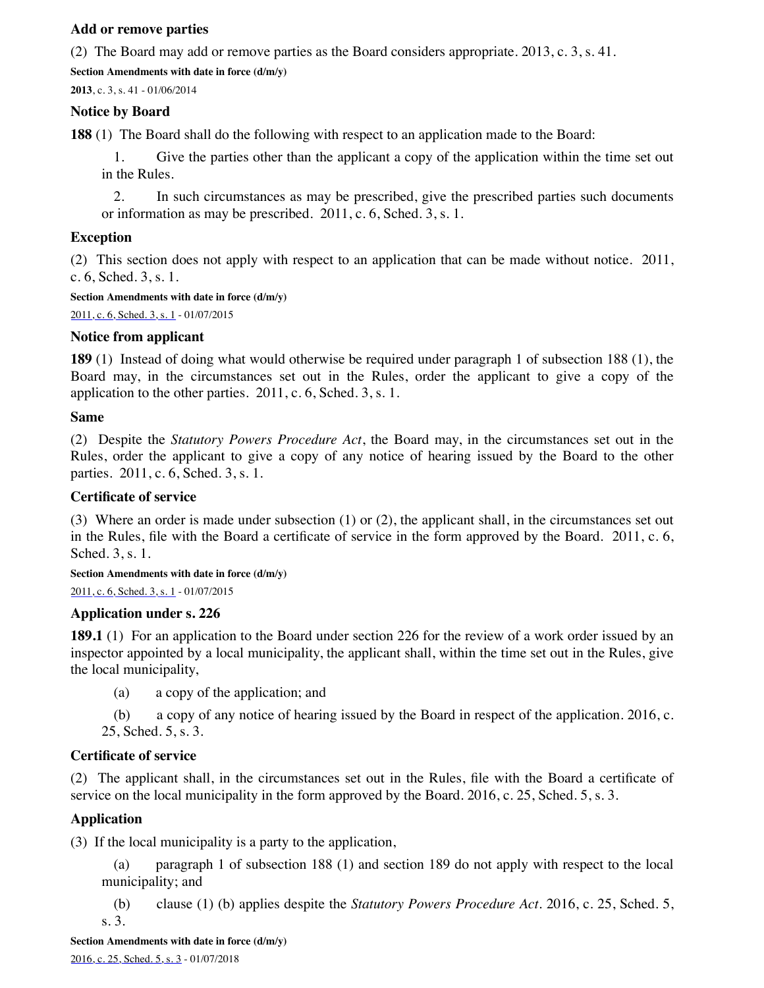### **Add or remove parties**

(2) The Board may add or remove parties as the Board considers appropriate. 2013, c. 3, s. 41.

**Section Amendments with date in force (d/m/y)**

**2013**, c. 3, s. 41 - 01/06/2014

### **Notice by Board**

**188** (1) The Board shall do the following with respect to an application made to the Board:

1. Give the parties other than the applicant a copy of the application within the time set out in the Rules.

2. In such circumstances as may be prescribed, give the prescribed parties such documents or information as may be prescribed. 2011, c. 6, Sched. 3, s. 1.

### **Exception**

(2) This section does not apply with respect to an application that can be made without notice. 2011, c. 6, Sched. 3, s. 1.

**Section Amendments with date in force (d/m/y)**

2011, c. 6, Sched. 3, s. 1 - 01/07/2015

### **Notice from applicant**

**189** (1) Instead of doing what would otherwise be required under paragraph 1 of subsection 188 (1), the Board may, in the circumstances set out in the Rules, order the applicant to give a copy of the application to the other parties. 2011, c. 6, Sched. 3, s. 1.

### **Same**

(2) Despite the *Statutory Powers Procedure Act*, the Board may, in the circumstances set out in the Rules, order the applicant to give a copy of any notice of hearing issued by the Board to the other parties. 2011, c. 6, Sched. 3, s. 1.

### **Certificate of service**

(3) Where an order is made under subsection (1) or (2), the applicant shall, in the circumstances set out in the Rules, file with the Board a certificate of service in the form approved by the Board. 2011, c. 6, Sched. 3, s. 1.

**Section Amendments with date in force (d/m/y)**

2011, c. 6, Sched. 3, s. 1 - 01/07/2015

### **Application under s. 226**

**189.1** (1) For an application to the Board under section 226 for the review of a work order issued by an inspector appointed by a local municipality, the applicant shall, within the time set out in the Rules, give the local municipality,

(a) a copy of the application; and

(b) a copy of any notice of hearing issued by the Board in respect of the application. 2016, c. 25, Sched. 5, s. 3.

### **Certificate of service**

(2) The applicant shall, in the circumstances set out in the Rules, file with the Board a certificate of service on the local municipality in the form approved by the Board. 2016, c. 25, Sched. 5, s. 3.

### **Application**

(3) If the local municipality is a party to the application,

(a) paragraph 1 of subsection 188 (1) and section 189 do not apply with respect to the local municipality; and

(b) clause (1) (b) applies despite the *Statutory Powers Procedure Act*. 2016, c. 25, Sched. 5, s. 3.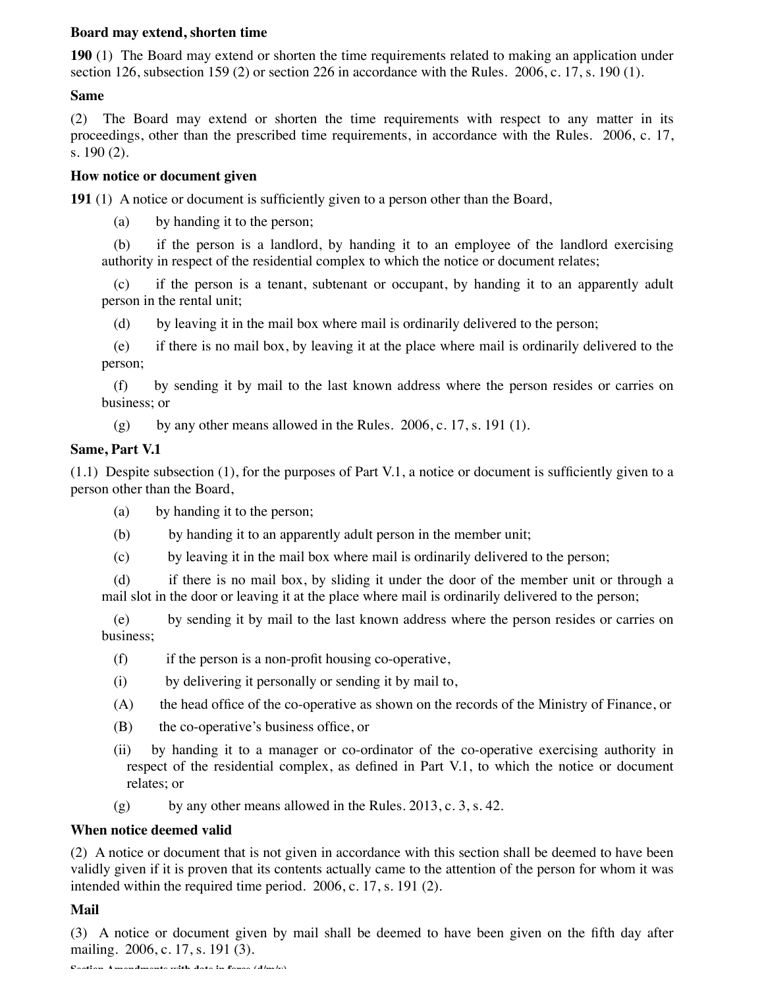### **Board may extend, shorten time**

**190** (1) The Board may extend or shorten the time requirements related to making an application under section 126, subsection 159 (2) or section 226 in accordance with the Rules. 2006, c. 17, s. 190 (1).

### **Same**

(2) The Board may extend or shorten the time requirements with respect to any matter in its proceedings, other than the prescribed time requirements, in accordance with the Rules. 2006, c. 17, s. 190 (2).

### **How notice or document given**

**191** (1) A notice or document is sufficiently given to a person other than the Board,

(a) by handing it to the person;

(b) if the person is a landlord, by handing it to an employee of the landlord exercising authority in respect of the residential complex to which the notice or document relates;

(c) if the person is a tenant, subtenant or occupant, by handing it to an apparently adult person in the rental unit;

(d) by leaving it in the mail box where mail is ordinarily delivered to the person;

(e) if there is no mail box, by leaving it at the place where mail is ordinarily delivered to the person;

(f) by sending it by mail to the last known address where the person resides or carries on business; or

(g) by any other means allowed in the Rules.  $2006$ , c. 17, s. 191 (1).

### **Same, Part V.1**

(1.1) Despite subsection (1), for the purposes of Part V.1, a notice or document is sufficiently given to a person other than the Board,

- (a) by handing it to the person;
- (b) by handing it to an apparently adult person in the member unit;
- (c) by leaving it in the mail box where mail is ordinarily delivered to the person;

(d) if there is no mail box, by sliding it under the door of the member unit or through a mail slot in the door or leaving it at the place where mail is ordinarily delivered to the person;

(e) by sending it by mail to the last known address where the person resides or carries on business;

- (f) if the person is a non-profit housing co-operative,
- (i) by delivering it personally or sending it by mail to,
- (A) the head office of the co-operative as shown on the records of the Ministry of Finance, or
- (B) the co-operative's business office, or
- (ii) by handing it to a manager or co-ordinator of the co-operative exercising authority in respect of the residential complex, as defined in Part V.1, to which the notice or document relates; or
- (g) by any other means allowed in the Rules.  $2013$ , c. 3, s. 42.

### **When notice deemed valid**

(2) A notice or document that is not given in accordance with this section shall be deemed to have been validly given if it is proven that its contents actually came to the attention of the person for whom it was intended within the required time period. 2006, c. 17, s. 191 (2).

### **Mail**

(3) A notice or document given by mail shall be deemed to have been given on the fifth day after mailing. 2006, c. 17, s. 191 (3).

**Section Amendments with date in force (d/m/y)**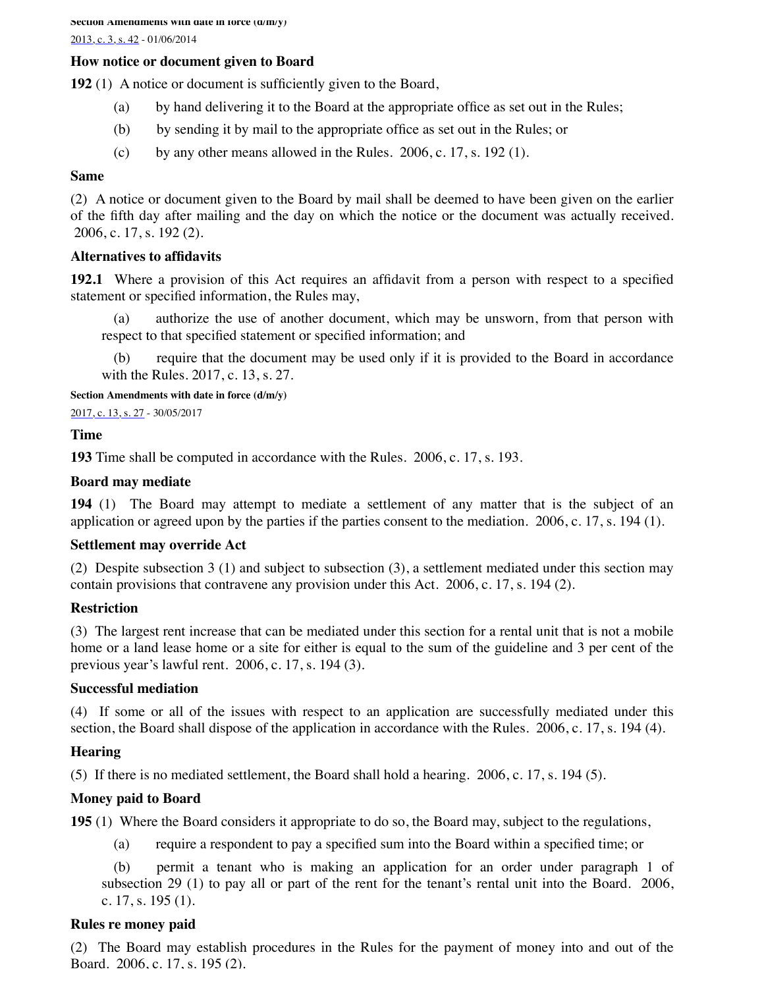2013, c. 3, s. 42 - 01/06/2014

### **How notice or document given to Board**

**192** (1) A notice or document is sufficiently given to the Board,

- (a) by hand delivering it to the Board at the appropriate office as set out in the Rules;
- (b) by sending it by mail to the appropriate office as set out in the Rules; or
- (c) by any other means allowed in the Rules.  $2006$ , c. 17, s. 192 (1).

### **Same**

(2) A notice or document given to the Board by mail shall be deemed to have been given on the earlier of the fifth day after mailing and the day on which the notice or the document was actually received. 2006, c. 17, s. 192 (2).

### **Alternatives to affidavits**

**192.1** Where a provision of this Act requires an affidavit from a person with respect to a specified statement or specified information, the Rules may,

(a) authorize the use of another document, which may be unsworn, from that person with respect to that specified statement or specified information; and

require that the document may be used only if it is provided to the Board in accordance with the Rules. 2017, c. 13, s. 27.

**Section Amendments with date in force (d/m/y)**

```
2017, c. 13, s. 27 - 30/05/2017
```
### **Time**

**193** Time shall be computed in accordance with the Rules. 2006, c. 17, s. 193.

### **Board may mediate**

**194** (1) The Board may attempt to mediate a settlement of any matter that is the subject of an application or agreed upon by the parties if the parties consent to the mediation. 2006, c. 17, s. 194 (1).

### **Settlement may override Act**

(2) Despite subsection 3 (1) and subject to subsection (3), a settlement mediated under this section may contain provisions that contravene any provision under this Act. 2006, c. 17, s. 194 (2).

### **Restriction**

(3) The largest rent increase that can be mediated under this section for a rental unit that is not a mobile home or a land lease home or a site for either is equal to the sum of the guideline and 3 per cent of the previous year's lawful rent. 2006, c. 17, s. 194 (3).

### **Successful mediation**

(4) If some or all of the issues with respect to an application are successfully mediated under this section, the Board shall dispose of the application in accordance with the Rules. 2006, c. 17, s. 194 (4).

### **Hearing**

(5) If there is no mediated settlement, the Board shall hold a hearing. 2006, c. 17, s. 194 (5).

### **Money paid to Board**

**195** (1) Where the Board considers it appropriate to do so, the Board may, subject to the regulations,

(a) require a respondent to pay a specified sum into the Board within a specified time; or

(b) permit a tenant who is making an application for an order under paragraph 1 of subsection 29 (1) to pay all or part of the rent for the tenant's rental unit into the Board. 2006, c. 17, s. 195 (1).

### **Rules re money paid**

(2) The Board may establish procedures in the Rules for the payment of money into and out of the Board. 2006, c. 17, s. 195 (2).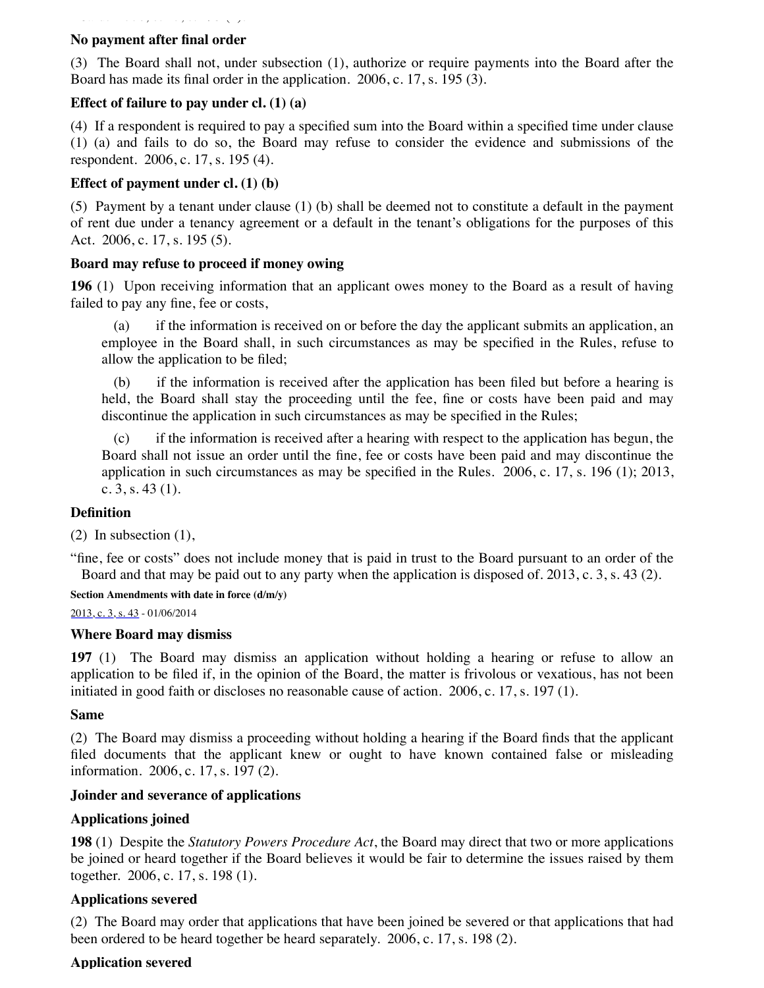## **No payment after final order**

(3) The Board shall not, under subsection (1), authorize or require payments into the Board after the Board has made its final order in the application. 2006, c. 17, s. 195 (3).

# **Effect of failure to pay under cl. (1) (a)**

(4) If a respondent is required to pay a specified sum into the Board within a specified time under clause (1) (a) and fails to do so, the Board may refuse to consider the evidence and submissions of the respondent. 2006, c. 17, s. 195 (4).

# **Effect of payment under cl. (1) (b)**

(5) Payment by a tenant under clause (1) (b) shall be deemed not to constitute a default in the payment of rent due under a tenancy agreement or a default in the tenant's obligations for the purposes of this Act. 2006, c. 17, s. 195 (5).

# **Board may refuse to proceed if money owing**

**196** (1) Upon receiving information that an applicant owes money to the Board as a result of having failed to pay any fine, fee or costs,

(a) if the information is received on or before the day the applicant submits an application, an employee in the Board shall, in such circumstances as may be specified in the Rules, refuse to allow the application to be filed;

(b) if the information is received after the application has been filed but before a hearing is held, the Board shall stay the proceeding until the fee, fine or costs have been paid and may discontinue the application in such circumstances as may be specified in the Rules;

(c) if the information is received after a hearing with respect to the application has begun, the Board shall not issue an order until the fine, fee or costs have been paid and may discontinue the application in such circumstances as may be specified in the Rules. 2006, c. 17, s. 196 (1); 2013,  $c. 3, s. 43 (1).$ 

# **Definition**

(2) In subsection (1),

"fine, fee or costs" does not include money that is paid in trust to the Board pursuant to an order of the Board and that may be paid out to any party when the application is disposed of. 2013, c. 3, s. 43 (2).

**Section Amendments with date in force (d/m/y)**

2013, c. 3, s. 43 - 01/06/2014

# **Where Board may dismiss**

**197** (1) The Board may dismiss an application without holding a hearing or refuse to allow an application to be filed if, in the opinion of the Board, the matter is frivolous or vexatious, has not been initiated in good faith or discloses no reasonable cause of action. 2006, c. 17, s. 197 (1).

# **Same**

(2) The Board may dismiss a proceeding without holding a hearing if the Board finds that the applicant filed documents that the applicant knew or ought to have known contained false or misleading information. 2006, c. 17, s. 197 (2).

# **Joinder and severance of applications**

# **Applications joined**

**198** (1) Despite the *Statutory Powers Procedure Act*, the Board may direct that two or more applications be joined or heard together if the Board believes it would be fair to determine the issues raised by them together. 2006, c. 17, s. 198 (1).

# **Applications severed**

(2) The Board may order that applications that have been joined be severed or that applications that had been ordered to be heard together be heard separately. 2006, c. 17, s. 198 (2).

# **Application severed**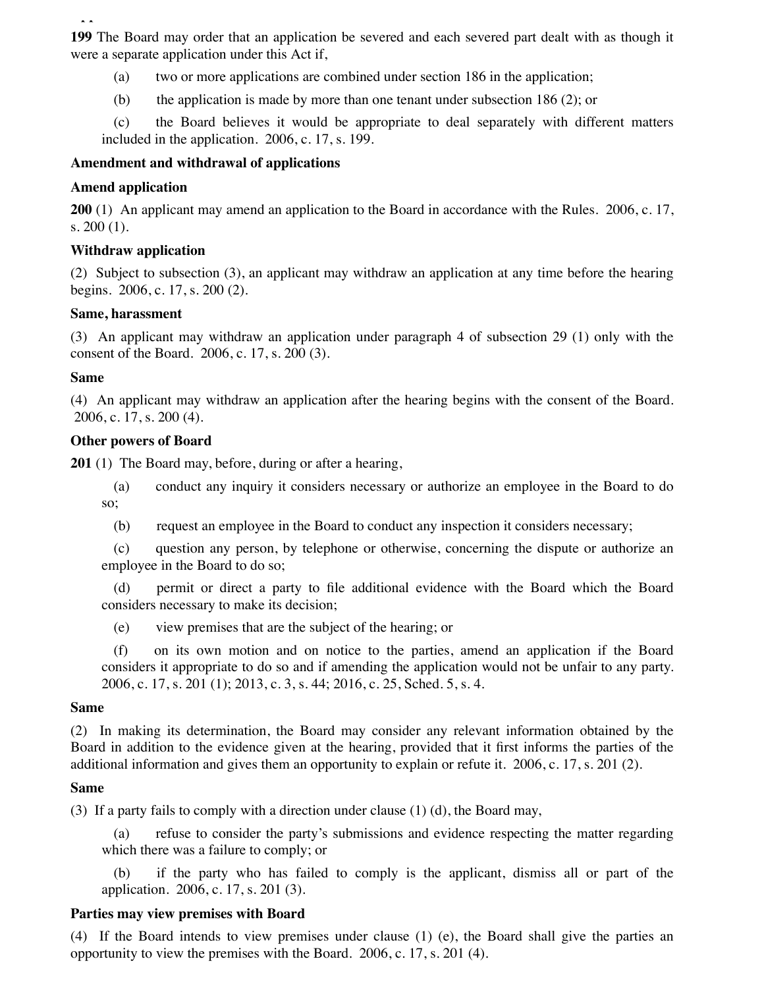**Application severed**

**199** The Board may order that an application be severed and each severed part dealt with as though it were a separate application under this Act if,

(a) two or more applications are combined under section 186 in the application;

(b) the application is made by more than one tenant under subsection 186 (2); or

(c) the Board believes it would be appropriate to deal separately with different matters included in the application. 2006, c. 17, s. 199.

### **Amendment and withdrawal of applications**

### **Amend application**

**200** (1) An applicant may amend an application to the Board in accordance with the Rules. 2006, c. 17, s. 200 (1).

### **Withdraw application**

(2) Subject to subsection (3), an applicant may withdraw an application at any time before the hearing begins. 2006, c. 17, s. 200 (2).

### **Same, harassment**

(3) An applicant may withdraw an application under paragraph 4 of subsection 29 (1) only with the consent of the Board. 2006, c. 17, s. 200 (3).

### **Same**

(4) An applicant may withdraw an application after the hearing begins with the consent of the Board. 2006, c. 17, s. 200 (4).

### **Other powers of Board**

**201** (1) The Board may, before, during or after a hearing,

(a) conduct any inquiry it considers necessary or authorize an employee in the Board to do so;

(b) request an employee in the Board to conduct any inspection it considers necessary;

(c) question any person, by telephone or otherwise, concerning the dispute or authorize an employee in the Board to do so;

(d) permit or direct a party to file additional evidence with the Board which the Board considers necessary to make its decision;

(e) view premises that are the subject of the hearing; or

(f) on its own motion and on notice to the parties, amend an application if the Board considers it appropriate to do so and if amending the application would not be unfair to any party. 2006, c. 17, s. 201 (1); 2013, c. 3, s. 44; 2016, c. 25, Sched. 5, s. 4.

### **Same**

(2) In making its determination, the Board may consider any relevant information obtained by the Board in addition to the evidence given at the hearing, provided that it first informs the parties of the additional information and gives them an opportunity to explain or refute it. 2006, c. 17, s. 201 (2).

### **Same**

(3) If a party fails to comply with a direction under clause (1) (d), the Board may,

(a) refuse to consider the party's submissions and evidence respecting the matter regarding which there was a failure to comply; or

(b) if the party who has failed to comply is the applicant, dismiss all or part of the application. 2006, c. 17, s. 201 (3).

## **Parties may view premises with Board**

(4) If the Board intends to view premises under clause (1) (e), the Board shall give the parties an opportunity to view the premises with the Board. 2006, c. 17, s. 201 (4).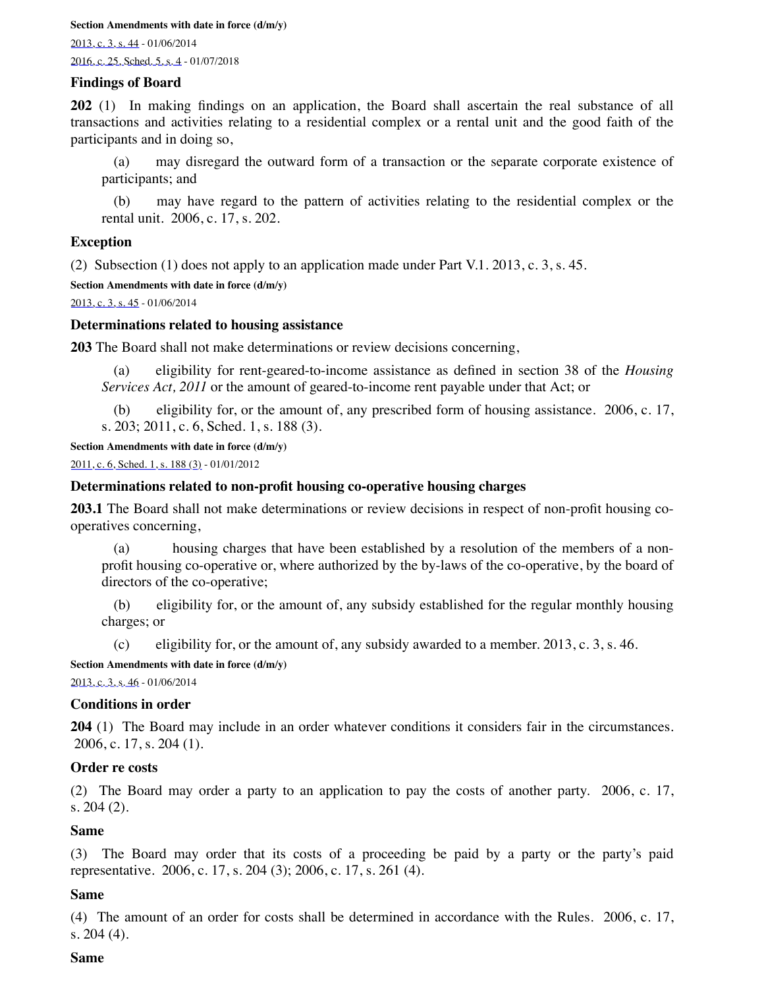**Section Amendments with date in force (d/m/y)** 2013, c. 3, s. 44 - 01/06/2014 2016, c. 25, Sched. 5, s. 4 - 01/07/2018

### **Findings of Board**

**202** (1) In making findings on an application, the Board shall ascertain the real substance of all transactions and activities relating to a residential complex or a rental unit and the good faith of the participants and in doing so,

(a) may disregard the outward form of a transaction or the separate corporate existence of participants; and

(b) may have regard to the pattern of activities relating to the residential complex or the rental unit. 2006, c. 17, s. 202.

### **Exception**

(2) Subsection (1) does not apply to an application made under Part V.1. 2013, c. 3, s. 45.

**Section Amendments with date in force (d/m/y)**

2013, c. 3, s. 45 - 01/06/2014

### **Determinations related to housing assistance**

**203** The Board shall not make determinations or review decisions concerning,

(a) eligibility for rent-geared-to-income assistance as defined in section 38 of the *Housing Services Act, 2011* or the amount of geared-to-income rent payable under that Act; or

(b) eligibility for, or the amount of, any prescribed form of housing assistance. 2006, c. 17, s. 203; 2011, c. 6, Sched. 1, s. 188 (3).

#### **Section Amendments with date in force (d/m/y)**

2011, c. 6, Sched. 1, s. 188 (3) - 01/01/2012

### **Determinations related to non-profit housing co-operative housing charges**

**203.1** The Board shall not make determinations or review decisions in respect of non-profit housing cooperatives concerning,

(a) housing charges that have been established by a resolution of the members of a nonprofit housing co-operative or, where authorized by the by-laws of the co-operative, by the board of directors of the co-operative;

(b) eligibility for, or the amount of, any subsidy established for the regular monthly housing charges; or

(c) eligibility for, or the amount of, any subsidy awarded to a member. 2013, c. 3, s. 46.

**Section Amendments with date in force (d/m/y)**

2013, c. 3, s. 46 - 01/06/2014

### **Conditions in order**

**204** (1) The Board may include in an order whatever conditions it considers fair in the circumstances. 2006, c. 17, s. 204 (1).

### **Order re costs**

(2) The Board may order a party to an application to pay the costs of another party. 2006, c. 17, s. 204 (2).

### **Same**

(3) The Board may order that its costs of a proceeding be paid by a party or the party's paid representative. 2006, c. 17, s. 204 (3); 2006, c. 17, s. 261 (4).

### **Same**

(4) The amount of an order for costs shall be determined in accordance with the Rules. 2006, c. 17, s. 204 (4).

### **Same**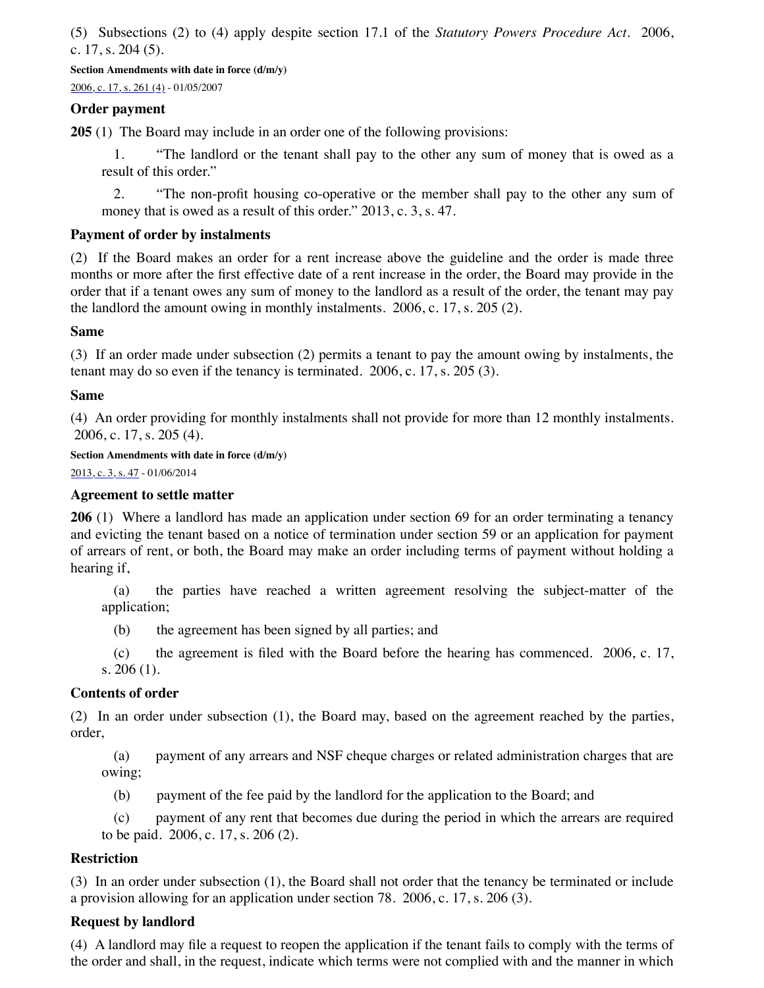(5) Subsections (2) to (4) apply despite section 17.1 of the *Statutory Powers Procedure Act*. 2006, c. 17, s. 204 (5).

**Section Amendments with date in force (d/m/y)**

2006, c. 17, s. 261 (4) - 01/05/2007

### **Order payment**

**205** (1) The Board may include in an order one of the following provisions:

1. "The landlord or the tenant shall pay to the other any sum of money that is owed as a result of this order."

2. "The non-profit housing co-operative or the member shall pay to the other any sum of money that is owed as a result of this order." 2013, c. 3, s. 47.

### **Payment of order by instalments**

(2) If the Board makes an order for a rent increase above the guideline and the order is made three months or more after the first effective date of a rent increase in the order, the Board may provide in the order that if a tenant owes any sum of money to the landlord as a result of the order, the tenant may pay the landlord the amount owing in monthly instalments. 2006, c. 17, s. 205 (2).

### **Same**

(3) If an order made under subsection (2) permits a tenant to pay the amount owing by instalments, the tenant may do so even if the tenancy is terminated. 2006, c. 17, s. 205 (3).

### **Same**

(4) An order providing for monthly instalments shall not provide for more than 12 monthly instalments. 2006, c. 17, s. 205 (4).

**Section Amendments with date in force (d/m/y)**

2013, c. 3, s. 47 - 01/06/2014

### **Agreement to settle matter**

**206** (1) Where a landlord has made an application under section 69 for an order terminating a tenancy and evicting the tenant based on a notice of termination under section 59 or an application for payment of arrears of rent, or both, the Board may make an order including terms of payment without holding a hearing if,

(a) the parties have reached a written agreement resolving the subject-matter of the application;

(b) the agreement has been signed by all parties; and

(c) the agreement is filed with the Board before the hearing has commenced. 2006, c. 17, s. 206 (1).

## **Contents of order**

(2) In an order under subsection (1), the Board may, based on the agreement reached by the parties, order,

(a) payment of any arrears and NSF cheque charges or related administration charges that are owing;

(b) payment of the fee paid by the landlord for the application to the Board; and

(c) payment of any rent that becomes due during the period in which the arrears are required to be paid. 2006, c. 17, s. 206 (2).

### **Restriction**

(3) In an order under subsection (1), the Board shall not order that the tenancy be terminated or include a provision allowing for an application under section 78. 2006, c. 17, s. 206 (3).

### **Request by landlord**

(4) A landlord may file a request to reopen the application if the tenant fails to comply with the terms of the order and shall, in the request, indicate which terms were not complied with and the manner in which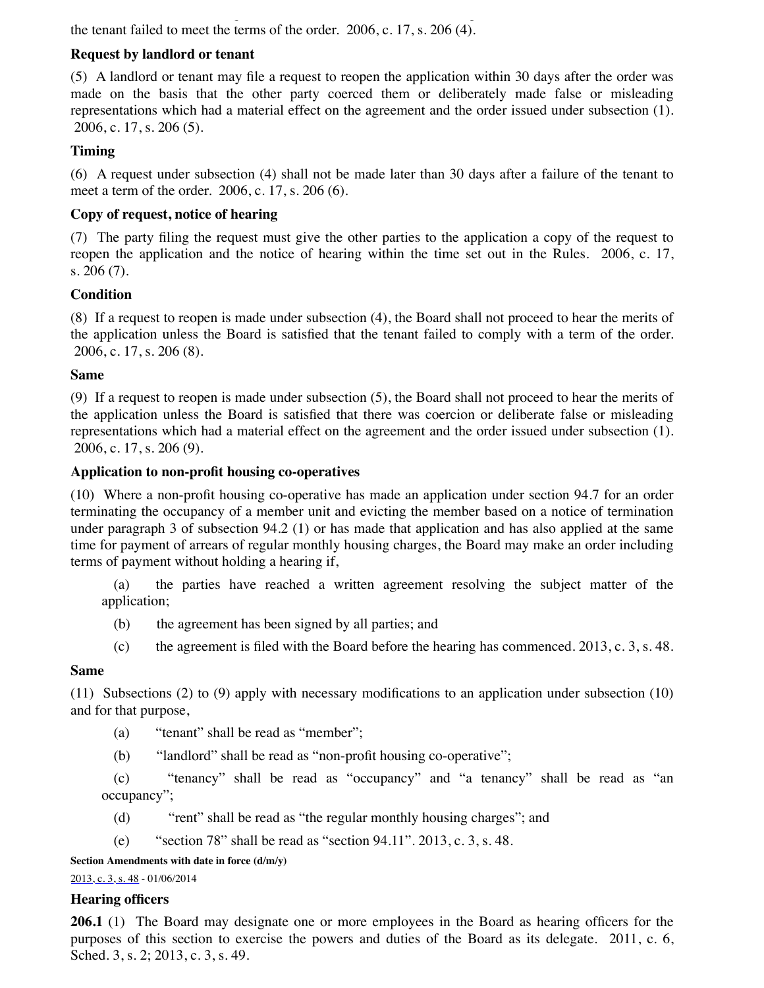the order and shall, in the request, indicate which terms were not complied with and the manner in  $\alpha$ the tenant failed to meet the terms of the order. 2006, c. 17, s. 206 (4).

# **Request by landlord or tenant**

(5) A landlord or tenant may file a request to reopen the application within 30 days after the order was made on the basis that the other party coerced them or deliberately made false or misleading representations which had a material effect on the agreement and the order issued under subsection (1). 2006, c. 17, s. 206 (5).

# **Timing**

(6) A request under subsection (4) shall not be made later than 30 days after a failure of the tenant to meet a term of the order. 2006, c. 17, s. 206 (6).

# **Copy of request, notice of hearing**

(7) The party filing the request must give the other parties to the application a copy of the request to reopen the application and the notice of hearing within the time set out in the Rules. 2006, c. 17, s. 206 (7).

# **Condition**

(8) If a request to reopen is made under subsection (4), the Board shall not proceed to hear the merits of the application unless the Board is satisfied that the tenant failed to comply with a term of the order. 2006, c. 17, s. 206 (8).

# **Same**

(9) If a request to reopen is made under subsection (5), the Board shall not proceed to hear the merits of the application unless the Board is satisfied that there was coercion or deliberate false or misleading representations which had a material effect on the agreement and the order issued under subsection (1). 2006, c. 17, s. 206 (9).

## **Application to non-profit housing co-operatives**

(10) Where a non-profit housing co-operative has made an application under section 94.7 for an order terminating the occupancy of a member unit and evicting the member based on a notice of termination under paragraph 3 of subsection 94.2 (1) or has made that application and has also applied at the same time for payment of arrears of regular monthly housing charges, the Board may make an order including terms of payment without holding a hearing if,

(a) the parties have reached a written agreement resolving the subject matter of the application;

- (b) the agreement has been signed by all parties; and
- (c) the agreement is filed with the Board before the hearing has commenced. 2013, c. 3, s. 48.

# **Same**

(11) Subsections (2) to (9) apply with necessary modifications to an application under subsection (10) and for that purpose,

- (a) "tenant" shall be read as "member";
- (b) "landlord" shall be read as "non-profit housing co-operative";

(c) "tenancy" shall be read as "occupancy" and "a tenancy" shall be read as "an occupancy";

- (d) "rent" shall be read as "the regular monthly housing charges"; and
- (e) "section 78" shall be read as "section  $94.11$ ".  $2013$ , c. 3, s. 48.

**Section Amendments with date in force (d/m/y)**

# 2013, c. 3, s. 48 - 01/06/2014

# **Hearing officers**

**206.1** (1) The Board may designate one or more employees in the Board as hearing officers for the purposes of this section to exercise the powers and duties of the Board as its delegate. 2011, c. 6, Sched. 3, s. 2; 2013, c. 3, s. 49.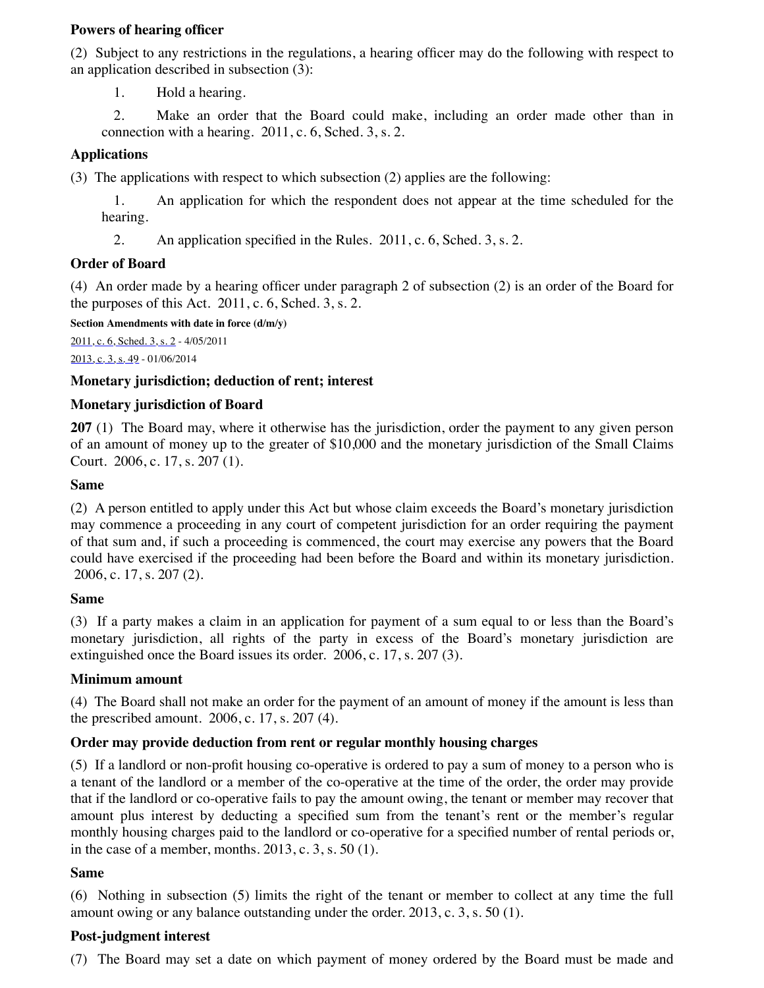## **Powers of hearing officer**

(2) Subject to any restrictions in the regulations, a hearing officer may do the following with respect to an application described in subsection (3):

1. Hold a hearing.

2. Make an order that the Board could make, including an order made other than in connection with a hearing. 2011, c. 6, Sched. 3, s. 2.

## **Applications**

(3) The applications with respect to which subsection (2) applies are the following:

1. An application for which the respondent does not appear at the time scheduled for the hearing.

2. An application specified in the Rules. 2011, c. 6, Sched. 3, s. 2.

# **Order of Board**

(4) An order made by a hearing officer under paragraph 2 of subsection (2) is an order of the Board for the purposes of this Act. 2011, c. 6, Sched. 3, s. 2.

**Section Amendments with date in force (d/m/y)**

2011, c. 6, Sched. 3, s. 2 - 4/05/2011 2013, c. 3, s. 49 - 01/06/2014

## **Monetary jurisdiction; deduction of rent; interest**

## **Monetary jurisdiction of Board**

**207** (1) The Board may, where it otherwise has the jurisdiction, order the payment to any given person of an amount of money up to the greater of \$10,000 and the monetary jurisdiction of the Small Claims Court. 2006, c. 17, s. 207 (1).

## **Same**

(2) A person entitled to apply under this Act but whose claim exceeds the Board's monetary jurisdiction may commence a proceeding in any court of competent jurisdiction for an order requiring the payment of that sum and, if such a proceeding is commenced, the court may exercise any powers that the Board could have exercised if the proceeding had been before the Board and within its monetary jurisdiction. 2006, c. 17, s. 207 (2).

## **Same**

(3) If a party makes a claim in an application for payment of a sum equal to or less than the Board's monetary jurisdiction, all rights of the party in excess of the Board's monetary jurisdiction are extinguished once the Board issues its order. 2006, c. 17, s. 207 (3).

## **Minimum amount**

(4) The Board shall not make an order for the payment of an amount of money if the amount is less than the prescribed amount. 2006, c. 17, s. 207 (4).

## **Order may provide deduction from rent or regular monthly housing charges**

(5) If a landlord or non-profit housing co-operative is ordered to pay a sum of money to a person who is a tenant of the landlord or a member of the co-operative at the time of the order, the order may provide that if the landlord or co-operative fails to pay the amount owing, the tenant or member may recover that amount plus interest by deducting a specified sum from the tenant's rent or the member's regular monthly housing charges paid to the landlord or co-operative for a specified number of rental periods or, in the case of a member, months.  $2013$ , c. 3, s.  $50$  (1).

## **Same**

(6) Nothing in subsection (5) limits the right of the tenant or member to collect at any time the full amount owing or any balance outstanding under the order. 2013, c. 3, s. 50 (1).

## **Post-judgment interest**

(7) The Board may set a date on which payment of money ordered by the Board must be made and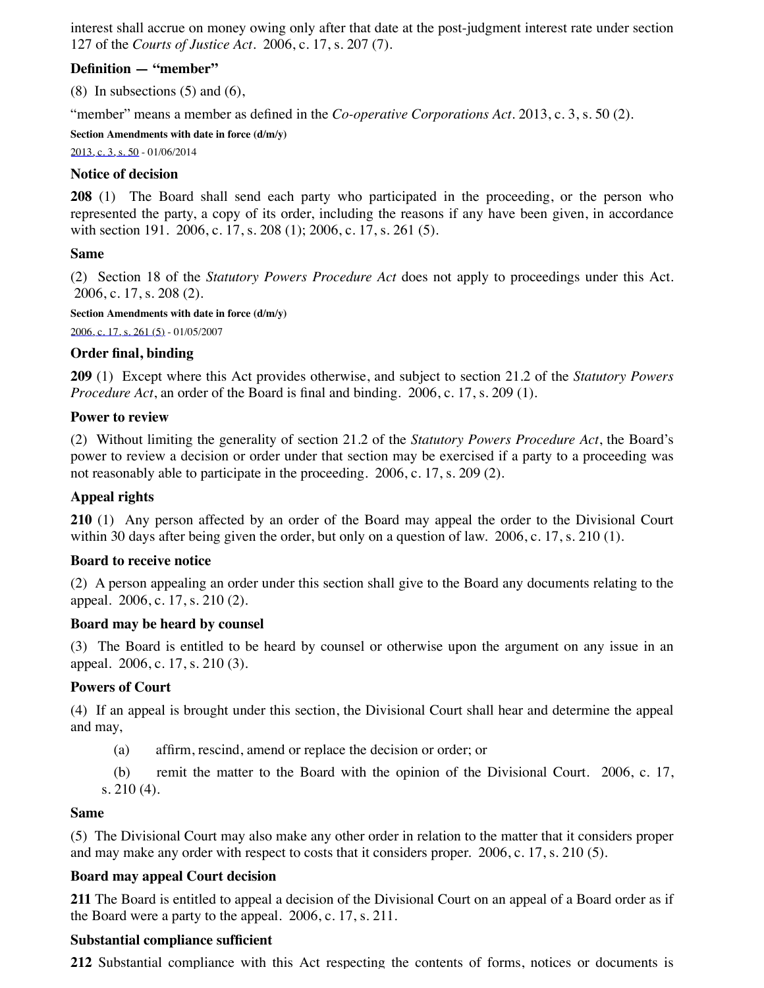interest shall accrue on money owing only after that date at the post-judgment interest rate under section 127 of the *Courts of Justice Act*. 2006, c. 17, s. 207 (7).

## **Definition — "member"**

 $(8)$  In subsections  $(5)$  and  $(6)$ ,

"member" means a member as defined in the *Co-operative Corporations Act*. 2013, c. 3, s. 50 (2).

**Section Amendments with date in force (d/m/y)**

2013, c. 3, s. 50 - 01/06/2014

## **Notice of decision**

**208** (1) The Board shall send each party who participated in the proceeding, or the person who represented the party, a copy of its order, including the reasons if any have been given, in accordance with section 191. 2006, c. 17, s. 208 (1); 2006, c. 17, s. 261 (5).

# **Same**

(2) Section 18 of the *Statutory Powers Procedure Act* does not apply to proceedings under this Act. 2006, c. 17, s. 208 (2).

**Section Amendments with date in force (d/m/y)** 2006, c. 17, s. 261 (5) - 01/05/2007

# **Order final, binding**

**209** (1) Except where this Act provides otherwise, and subject to section 21.2 of the *Statutory Powers Procedure Act*, an order of the Board is final and binding. 2006, c. 17, s. 209 (1).

## **Power to review**

(2) Without limiting the generality of section 21.2 of the *Statutory Powers Procedure Act*, the Board's power to review a decision or order under that section may be exercised if a party to a proceeding was not reasonably able to participate in the proceeding. 2006, c. 17, s. 209 (2).

## **Appeal rights**

**210** (1) Any person affected by an order of the Board may appeal the order to the Divisional Court within 30 days after being given the order, but only on a question of law. 2006, c. 17, s. 210 (1).

## **Board to receive notice**

(2) A person appealing an order under this section shall give to the Board any documents relating to the appeal. 2006, c. 17, s. 210 (2).

## **Board may be heard by counsel**

(3) The Board is entitled to be heard by counsel or otherwise upon the argument on any issue in an appeal. 2006, c. 17, s. 210 (3).

# **Powers of Court**

(4) If an appeal is brought under this section, the Divisional Court shall hear and determine the appeal and may,

- (a) affirm, rescind, amend or replace the decision or order; or
- (b) remit the matter to the Board with the opinion of the Divisional Court. 2006, c. 17, s. 210 (4).

## **Same**

(5) The Divisional Court may also make any other order in relation to the matter that it considers proper and may make any order with respect to costs that it considers proper. 2006, c. 17, s. 210 (5).

# **Board may appeal Court decision**

**211** The Board is entitled to appeal a decision of the Divisional Court on an appeal of a Board order as if the Board were a party to the appeal. 2006, c. 17, s. 211.

## **Substantial compliance sufficient**

**212** Substantial compliance with this Act respecting the contents of forms, notices or documents is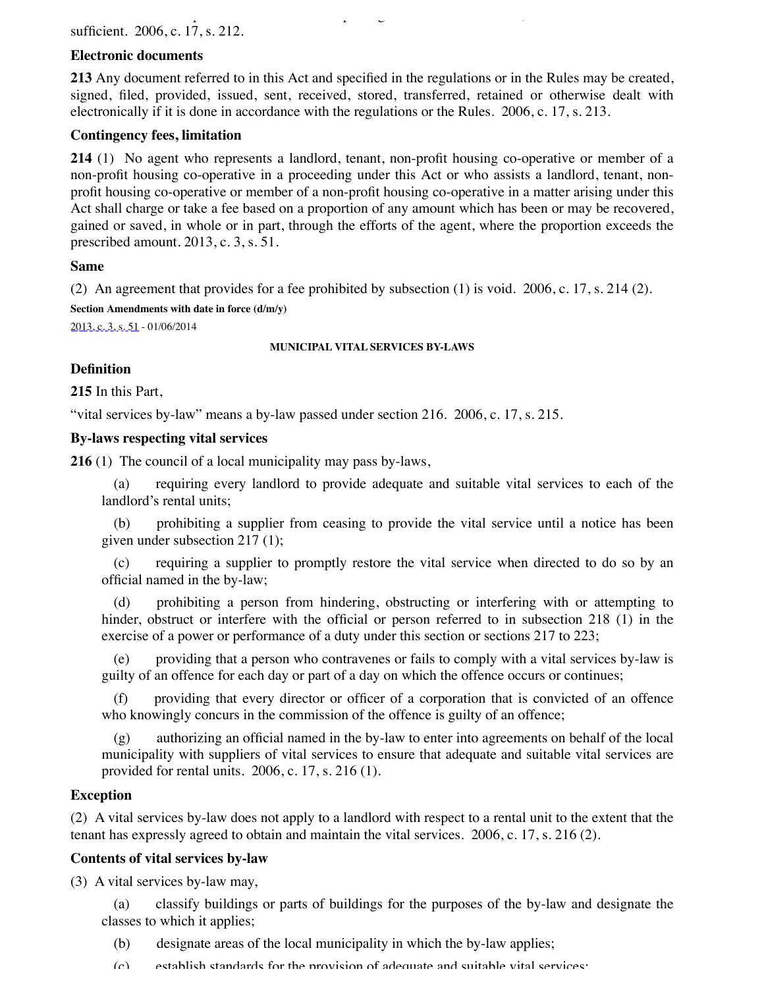sufficient. 2006, c. 17, s. 212.

#### **Electronic documents**

**213** Any document referred to in this Act and specified in the regulations or in the Rules may be created, signed, filed, provided, issued, sent, received, stored, transferred, retained or otherwise dealt with electronically if it is done in accordance with the regulations or the Rules. 2006, c. 17, s. 213.

**212** Substantial compliance with this Act respecting the contents of forms, notices or documents is

#### **Contingency fees, limitation**

**214** (1) No agent who represents a landlord, tenant, non-profit housing co-operative or member of a non-profit housing co-operative in a proceeding under this Act or who assists a landlord, tenant, nonprofit housing co-operative or member of a non-profit housing co-operative in a matter arising under this Act shall charge or take a fee based on a proportion of any amount which has been or may be recovered, gained or saved, in whole or in part, through the efforts of the agent, where the proportion exceeds the prescribed amount. 2013, c. 3, s. 51.

#### **Same**

(2) An agreement that provides for a fee prohibited by subsection (1) is void. 2006, c. 17, s. 214 (2). **Section Amendments with date in force (d/m/y)** 2013, c. 3, s. 51 - 01/06/2014

#### **MUNICIPAL VITAL SERVICES BY-LAWS**

#### **Definition**

**215** In this Part,

"vital services by-law" means a by-law passed under section 216. 2006, c. 17, s. 215.

### **By-laws respecting vital services**

**216** (1) The council of a local municipality may pass by-laws,

(a) requiring every landlord to provide adequate and suitable vital services to each of the landlord's rental units;

(b) prohibiting a supplier from ceasing to provide the vital service until a notice has been given under subsection 217 (1);

(c) requiring a supplier to promptly restore the vital service when directed to do so by an official named in the by-law;

(d) prohibiting a person from hindering, obstructing or interfering with or attempting to hinder, obstruct or interfere with the official or person referred to in subsection 218 (1) in the exercise of a power or performance of a duty under this section or sections 217 to 223;

(e) providing that a person who contravenes or fails to comply with a vital services by-law is guilty of an offence for each day or part of a day on which the offence occurs or continues;

(f) providing that every director or officer of a corporation that is convicted of an offence who knowingly concurs in the commission of the offence is guilty of an offence;

(g) authorizing an official named in the by-law to enter into agreements on behalf of the local municipality with suppliers of vital services to ensure that adequate and suitable vital services are provided for rental units. 2006, c. 17, s. 216 (1).

### **Exception**

(2) A vital services by-law does not apply to a landlord with respect to a rental unit to the extent that the tenant has expressly agreed to obtain and maintain the vital services. 2006, c. 17, s. 216 (2).

### **Contents of vital services by-law**

(3) A vital services by-law may,

(a) classify buildings or parts of buildings for the purposes of the by-law and designate the classes to which it applies;

- (b) designate areas of the local municipality in which the by-law applies;
- $(c)$  establish standards for the provision of adequate and suitable vital services;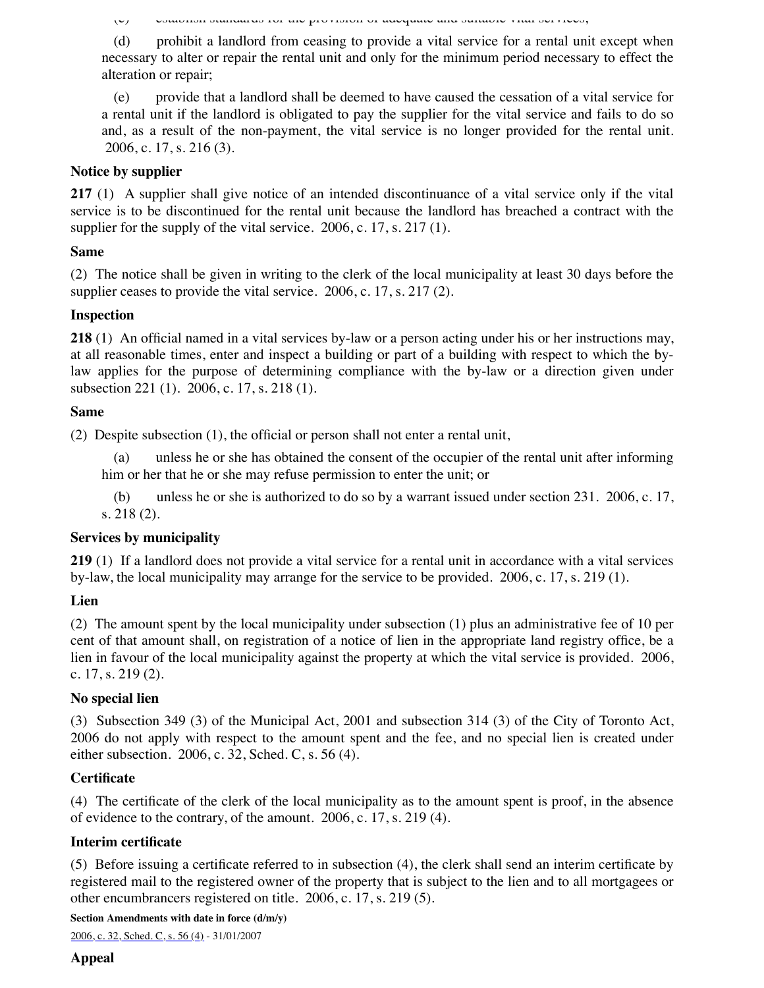(c) establish standards for the provision of adequate and suitable vital services;

(d) prohibit a landlord from ceasing to provide a vital service for a rental unit except when necessary to alter or repair the rental unit and only for the minimum period necessary to effect the alteration or repair;

(e) provide that a landlord shall be deemed to have caused the cessation of a vital service for a rental unit if the landlord is obligated to pay the supplier for the vital service and fails to do so and, as a result of the non-payment, the vital service is no longer provided for the rental unit. 2006, c. 17, s. 216 (3).

## **Notice by supplier**

**217** (1) A supplier shall give notice of an intended discontinuance of a vital service only if the vital service is to be discontinued for the rental unit because the landlord has breached a contract with the supplier for the supply of the vital service.  $2006$ , c. 17, s.  $217$  (1).

## **Same**

(2) The notice shall be given in writing to the clerk of the local municipality at least 30 days before the supplier ceases to provide the vital service. 2006, c. 17, s. 217 (2).

# **Inspection**

**218** (1) An official named in a vital services by-law or a person acting under his or her instructions may, at all reasonable times, enter and inspect a building or part of a building with respect to which the bylaw applies for the purpose of determining compliance with the by-law or a direction given under subsection 221 (1). 2006, c. 17, s. 218 (1).

## **Same**

(2) Despite subsection (1), the official or person shall not enter a rental unit,

(a) unless he or she has obtained the consent of the occupier of the rental unit after informing him or her that he or she may refuse permission to enter the unit; or

(b) unless he or she is authorized to do so by a warrant issued under section 231. 2006, c. 17, s. 218 (2).

## **Services by municipality**

**219** (1) If a landlord does not provide a vital service for a rental unit in accordance with a vital services by-law, the local municipality may arrange for the service to be provided. 2006, c. 17, s. 219 (1).

# **Lien**

(2) The amount spent by the local municipality under subsection (1) plus an administrative fee of 10 per cent of that amount shall, on registration of a notice of lien in the appropriate land registry office, be a lien in favour of the local municipality against the property at which the vital service is provided. 2006, c. 17, s. 219 (2).

## **No special lien**

(3) Subsection 349 (3) of the Municipal Act, 2001 and subsection 314 (3) of the City of Toronto Act, 2006 do not apply with respect to the amount spent and the fee, and no special lien is created under either subsection. 2006, c. 32, Sched. C, s. 56 (4).

# **Certificate**

(4) The certificate of the clerk of the local municipality as to the amount spent is proof, in the absence of evidence to the contrary, of the amount. 2006, c. 17, s. 219 (4).

## **Interim certificate**

(5) Before issuing a certificate referred to in subsection (4), the clerk shall send an interim certificate by registered mail to the registered owner of the property that is subject to the lien and to all mortgagees or other encumbrancers registered on title. 2006, c. 17, s. 219 (5).

**Section Amendments with date in force (d/m/y)**

2006, c. 32, Sched. C, s. 56 (4) - 31/01/2007

# **Appeal**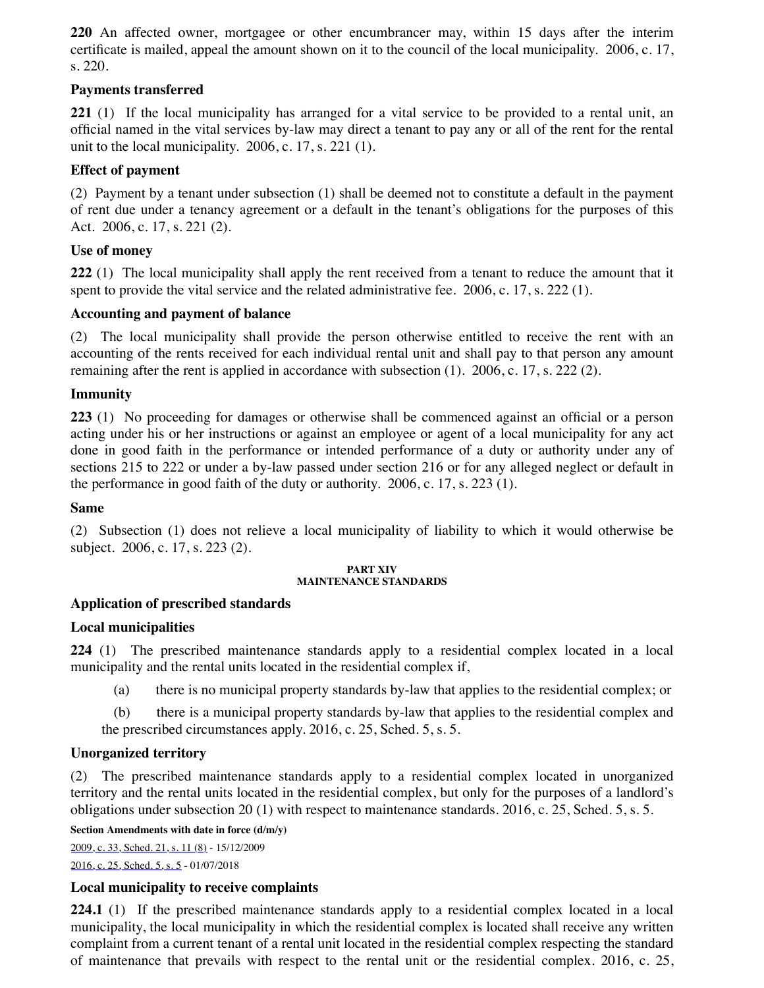**220** An affected owner, mortgagee or other encumbrancer may, within 15 days after the interim certificate is mailed, appeal the amount shown on it to the council of the local municipality. 2006, c. 17, s. 220.

## **Payments transferred**

**221** (1) If the local municipality has arranged for a vital service to be provided to a rental unit, an official named in the vital services by-law may direct a tenant to pay any or all of the rent for the rental unit to the local municipality. 2006, c. 17, s. 221 (1).

## **Effect of payment**

(2) Payment by a tenant under subsection (1) shall be deemed not to constitute a default in the payment of rent due under a tenancy agreement or a default in the tenant's obligations for the purposes of this Act. 2006, c. 17, s. 221 (2).

## **Use of money**

**222** (1) The local municipality shall apply the rent received from a tenant to reduce the amount that it spent to provide the vital service and the related administrative fee. 2006, c. 17, s. 222 (1).

### **Accounting and payment of balance**

(2) The local municipality shall provide the person otherwise entitled to receive the rent with an accounting of the rents received for each individual rental unit and shall pay to that person any amount remaining after the rent is applied in accordance with subsection (1). 2006, c. 17, s. 222 (2).

### **Immunity**

**223** (1) No proceeding for damages or otherwise shall be commenced against an official or a person acting under his or her instructions or against an employee or agent of a local municipality for any act done in good faith in the performance or intended performance of a duty or authority under any of sections 215 to 222 or under a by-law passed under section 216 or for any alleged neglect or default in the performance in good faith of the duty or authority. 2006, c. 17, s. 223 (1).

### **Same**

(2) Subsection (1) does not relieve a local municipality of liability to which it would otherwise be subject. 2006, c. 17, s. 223 (2).

#### **PART XIV MAINTENANCE STANDARDS**

### **Application of prescribed standards**

### **Local municipalities**

**224** (1) The prescribed maintenance standards apply to a residential complex located in a local municipality and the rental units located in the residential complex if,

(a) there is no municipal property standards by-law that applies to the residential complex; or

(b) there is a municipal property standards by-law that applies to the residential complex and the prescribed circumstances apply. 2016, c. 25, Sched. 5, s. 5.

### **Unorganized territory**

(2) The prescribed maintenance standards apply to a residential complex located in unorganized territory and the rental units located in the residential complex, but only for the purposes of a landlord's obligations under subsection 20 (1) with respect to maintenance standards. 2016, c. 25, Sched. 5, s. 5.

**Section Amendments with date in force (d/m/y)**

2009, c. 33, Sched. 21, s. 11 (8) - 15/12/2009 2016, c. 25, Sched. 5, s. 5 - 01/07/2018

## **Local municipality to receive complaints**

**224.1** (1) If the prescribed maintenance standards apply to a residential complex located in a local municipality, the local municipality in which the residential complex is located shall receive any written complaint from a current tenant of a rental unit located in the residential complex respecting the standard of maintenance that prevails with respect to the rental unit or the residential complex. 2016, c. 25,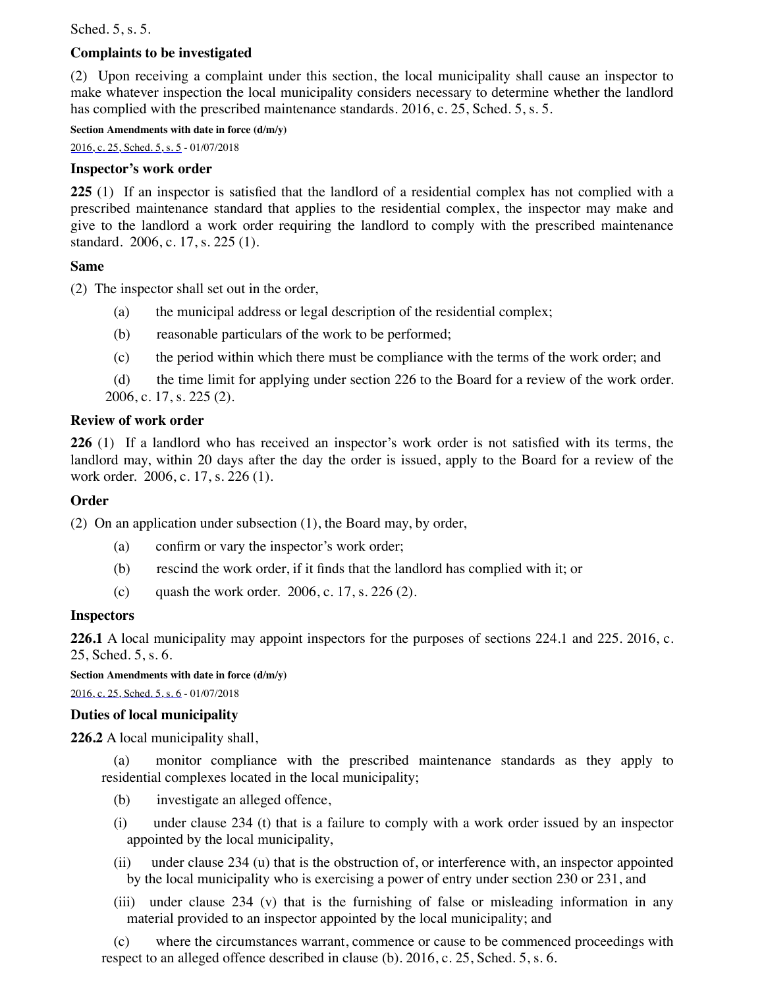Sched. 5, s. 5.

## **Complaints to be investigated**

(2) Upon receiving a complaint under this section, the local municipality shall cause an inspector to make whatever inspection the local municipality considers necessary to determine whether the landlord has complied with the prescribed maintenance standards. 2016, c. 25, Sched. 5, s. 5.

**Section Amendments with date in force (d/m/y)**

2016, c. 25, Sched. 5, s. 5 - 01/07/2018

## **Inspector's work order**

**225** (1) If an inspector is satisfied that the landlord of a residential complex has not complied with a prescribed maintenance standard that applies to the residential complex, the inspector may make and give to the landlord a work order requiring the landlord to comply with the prescribed maintenance standard. 2006, c. 17, s. 225 (1).

## **Same**

(2) The inspector shall set out in the order,

- (a) the municipal address or legal description of the residential complex;
- (b) reasonable particulars of the work to be performed;
- (c) the period within which there must be compliance with the terms of the work order; and

(d) the time limit for applying under section 226 to the Board for a review of the work order. 2006, c. 17, s. 225 (2).

### **Review of work order**

**226** (1) If a landlord who has received an inspector's work order is not satisfied with its terms, the landlord may, within 20 days after the day the order is issued, apply to the Board for a review of the work order. 2006, c. 17, s. 226 (1).

## **Order**

(2) On an application under subsection (1), the Board may, by order,

- (a) confirm or vary the inspector's work order;
- (b) rescind the work order, if it finds that the landlord has complied with it; or
- (c) quash the work order.  $2006$ , c. 17, s.  $226$  (2).

### **Inspectors**

**226.1** A local municipality may appoint inspectors for the purposes of sections 224.1 and 225. 2016, c. 25, Sched. 5, s. 6.

**Section Amendments with date in force (d/m/y)**

2016, c. 25, Sched. 5, s. 6 - 01/07/2018

### **Duties of local municipality**

**226.2** A local municipality shall,

(a) monitor compliance with the prescribed maintenance standards as they apply to residential complexes located in the local municipality;

- (b) investigate an alleged offence,
- (i) under clause 234 (t) that is a failure to comply with a work order issued by an inspector appointed by the local municipality,
- (ii) under clause 234 (u) that is the obstruction of, or interference with, an inspector appointed by the local municipality who is exercising a power of entry under section 230 or 231, and
- (iii) under clause 234 (v) that is the furnishing of false or misleading information in any material provided to an inspector appointed by the local municipality; and

(c) where the circumstances warrant, commence or cause to be commenced proceedings with respect to an alleged offence described in clause (b). 2016, c. 25, Sched. 5, s. 6.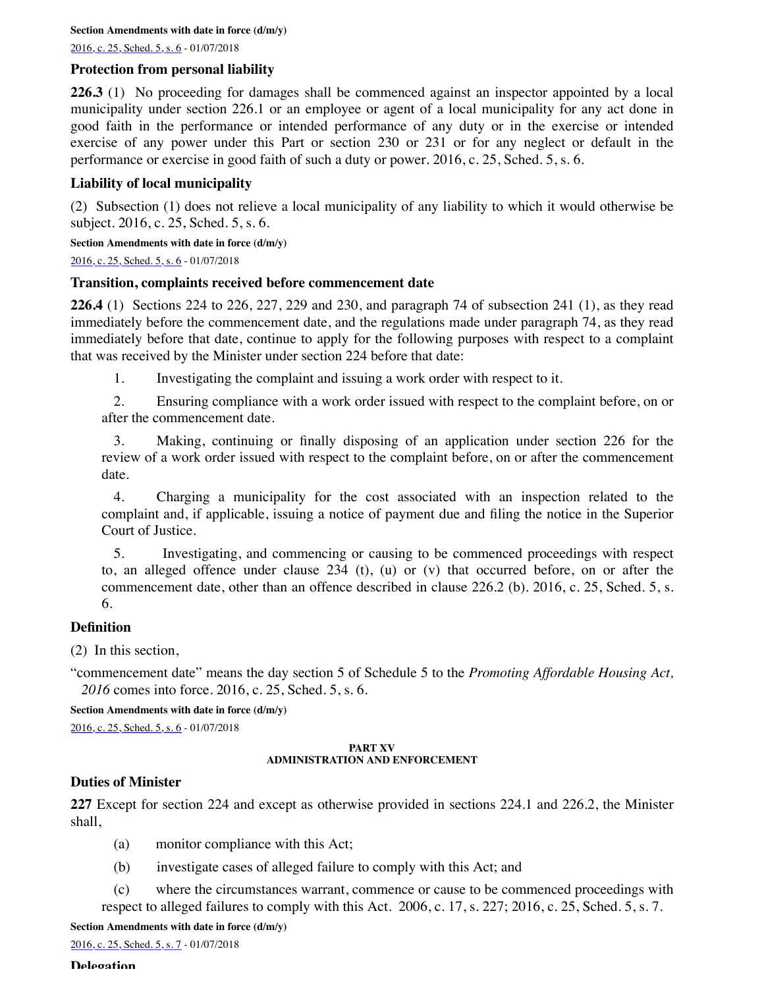### **Protection from personal liability**

**226.3** (1) No proceeding for damages shall be commenced against an inspector appointed by a local municipality under section 226.1 or an employee or agent of a local municipality for any act done in good faith in the performance or intended performance of any duty or in the exercise or intended exercise of any power under this Part or section 230 or 231 or for any neglect or default in the performance or exercise in good faith of such a duty or power. 2016, c. 25, Sched. 5, s. 6.

### **Liability of local municipality**

(2) Subsection (1) does not relieve a local municipality of any liability to which it would otherwise be subject. 2016, c. 25, Sched. 5, s. 6.

**Section Amendments with date in force (d/m/y)**

2016, c. 25, Sched. 5, s. 6 - 01/07/2018

### **Transition, complaints received before commencement date**

**226.4** (1) Sections 224 to 226, 227, 229 and 230, and paragraph 74 of subsection 241 (1), as they read immediately before the commencement date, and the regulations made under paragraph 74, as they read immediately before that date, continue to apply for the following purposes with respect to a complaint that was received by the Minister under section 224 before that date:

1. Investigating the complaint and issuing a work order with respect to it.

2. Ensuring compliance with a work order issued with respect to the complaint before, on or after the commencement date.

3. Making, continuing or finally disposing of an application under section 226 for the review of a work order issued with respect to the complaint before, on or after the commencement date.

4. Charging a municipality for the cost associated with an inspection related to the complaint and, if applicable, issuing a notice of payment due and filing the notice in the Superior Court of Justice.

5. Investigating, and commencing or causing to be commenced proceedings with respect to, an alleged offence under clause  $234$  (t), (u) or (v) that occurred before, on or after the commencement date, other than an offence described in clause 226.2 (b). 2016, c. 25, Sched. 5, s. 6.

## **Definition**

(2) In this section,

"commencement date" means the day section 5 of Schedule 5 to the *Promoting Affordable Housing Act, 2016* comes into force. 2016, c. 25, Sched. 5, s. 6.

**Section Amendments with date in force (d/m/y)**

2016, c. 25, Sched. 5, s. 6 - 01/07/2018

#### **PART XV ADMINISTRATION AND ENFORCEMENT**

## **Duties of Minister**

**227** Except for section 224 and except as otherwise provided in sections 224.1 and 226.2, the Minister shall,

- (a) monitor compliance with this Act;
- (b) investigate cases of alleged failure to comply with this Act; and
- (c) where the circumstances warrant, commence or cause to be commenced proceedings with respect to alleged failures to comply with this Act. 2006, c. 17, s. 227; 2016, c. 25, Sched. 5, s. 7.

**Section Amendments with date in force (d/m/y)**

2016, c. 25, Sched. 5, s. 7 - 01/07/2018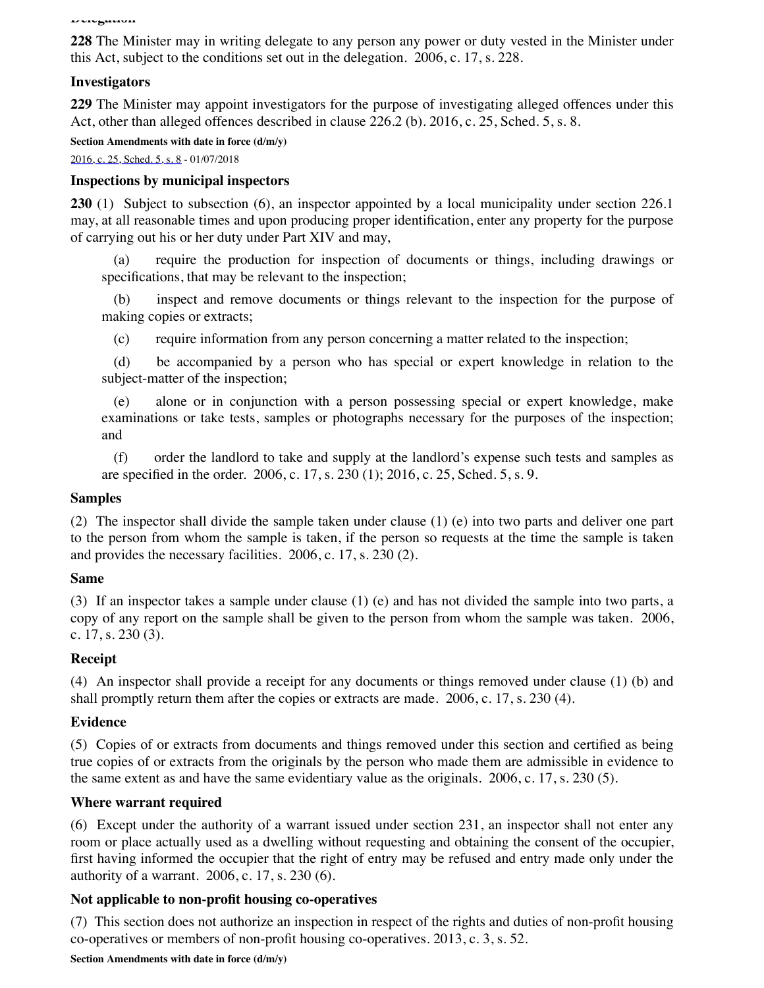#### **Delegation**

**228** The Minister may in writing delegate to any person any power or duty vested in the Minister under this Act, subject to the conditions set out in the delegation. 2006, c. 17, s. 228.

### **Investigators**

**229** The Minister may appoint investigators for the purpose of investigating alleged offences under this Act, other than alleged offences described in clause 226.2 (b). 2016, c. 25, Sched. 5, s. 8.

**Section Amendments with date in force (d/m/y)**

2016, c. 25, Sched. 5, s. 8 - 01/07/2018

### **Inspections by municipal inspectors**

**230** (1) Subject to subsection (6), an inspector appointed by a local municipality under section 226.1 may, at all reasonable times and upon producing proper identification, enter any property for the purpose of carrying out his or her duty under Part XIV and may,

require the production for inspection of documents or things, including drawings or specifications, that may be relevant to the inspection;

(b) inspect and remove documents or things relevant to the inspection for the purpose of making copies or extracts;

(c) require information from any person concerning a matter related to the inspection;

(d) be accompanied by a person who has special or expert knowledge in relation to the subject-matter of the inspection;

(e) alone or in conjunction with a person possessing special or expert knowledge, make examinations or take tests, samples or photographs necessary for the purposes of the inspection; and

(f) order the landlord to take and supply at the landlord's expense such tests and samples as are specified in the order. 2006, c. 17, s. 230 (1); 2016, c. 25, Sched. 5, s. 9.

### **Samples**

(2) The inspector shall divide the sample taken under clause (1) (e) into two parts and deliver one part to the person from whom the sample is taken, if the person so requests at the time the sample is taken and provides the necessary facilities. 2006, c. 17, s. 230 (2).

### **Same**

(3) If an inspector takes a sample under clause (1) (e) and has not divided the sample into two parts, a copy of any report on the sample shall be given to the person from whom the sample was taken. 2006, c. 17, s. 230 (3).

## **Receipt**

(4) An inspector shall provide a receipt for any documents or things removed under clause (1) (b) and shall promptly return them after the copies or extracts are made. 2006, c. 17, s. 230 (4).

### **Evidence**

(5) Copies of or extracts from documents and things removed under this section and certified as being true copies of or extracts from the originals by the person who made them are admissible in evidence to the same extent as and have the same evidentiary value as the originals. 2006, c. 17, s. 230 (5).

### **Where warrant required**

(6) Except under the authority of a warrant issued under section 231, an inspector shall not enter any room or place actually used as a dwelling without requesting and obtaining the consent of the occupier, first having informed the occupier that the right of entry may be refused and entry made only under the authority of a warrant. 2006, c. 17, s. 230 (6).

## **Not applicable to non-profit housing co-operatives**

(7) This section does not authorize an inspection in respect of the rights and duties of non-profit housing co-operatives or members of non-profit housing co-operatives. 2013, c. 3, s. 52.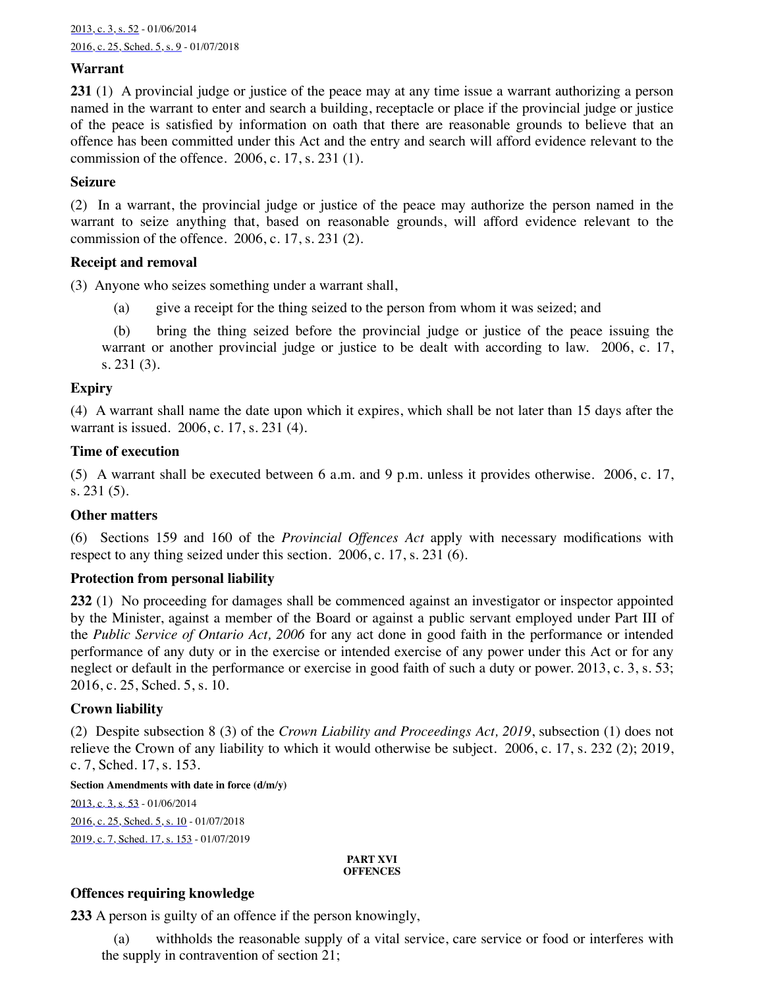## **Warrant**

**231** (1) A provincial judge or justice of the peace may at any time issue a warrant authorizing a person named in the warrant to enter and search a building, receptacle or place if the provincial judge or justice of the peace is satisfied by information on oath that there are reasonable grounds to believe that an offence has been committed under this Act and the entry and search will afford evidence relevant to the commission of the offence. 2006, c. 17, s. 231 (1).

### **Seizure**

(2) In a warrant, the provincial judge or justice of the peace may authorize the person named in the warrant to seize anything that, based on reasonable grounds, will afford evidence relevant to the commission of the offence. 2006, c. 17, s. 231 (2).

### **Receipt and removal**

(3) Anyone who seizes something under a warrant shall,

(a) give a receipt for the thing seized to the person from whom it was seized; and

(b) bring the thing seized before the provincial judge or justice of the peace issuing the warrant or another provincial judge or justice to be dealt with according to law. 2006, c. 17, s. 231 (3).

### **Expiry**

(4) A warrant shall name the date upon which it expires, which shall be not later than 15 days after the warrant is issued. 2006, c. 17, s. 231 (4).

### **Time of execution**

(5) A warrant shall be executed between 6 a.m. and 9 p.m. unless it provides otherwise. 2006, c. 17, s. 231 (5).

### **Other matters**

(6) Sections 159 and 160 of the *Provincial Offences Act* apply with necessary modifications with respect to any thing seized under this section. 2006, c. 17, s. 231 (6).

### **Protection from personal liability**

**232** (1) No proceeding for damages shall be commenced against an investigator or inspector appointed by the Minister, against a member of the Board or against a public servant employed under Part III of the *Public Service of Ontario Act, 2006* for any act done in good faith in the performance or intended performance of any duty or in the exercise or intended exercise of any power under this Act or for any neglect or default in the performance or exercise in good faith of such a duty or power. 2013, c. 3, s. 53; 2016, c. 25, Sched. 5, s. 10.

## **Crown liability**

(2) Despite subsection 8 (3) of the *Crown Liability and Proceedings Act, 2019*, subsection (1) does not relieve the Crown of any liability to which it would otherwise be subject. 2006, c. 17, s. 232 (2); 2019, c. 7, Sched. 17, s. 153.

**Section Amendments with date in force (d/m/y)**

2013, c. 3, s. 53 - 01/06/2014 2016, c. 25, Sched. 5, s. 10 - 01/07/2018 2019, c. 7, Sched. 17, s. 153 - 01/07/2019

#### **PART XVI OFFENCES**

## **Offences requiring knowledge**

**233** A person is guilty of an offence if the person knowingly,

withholds the reasonable supply of a vital service, care service or food or interferes with the supply in contravention of section 21;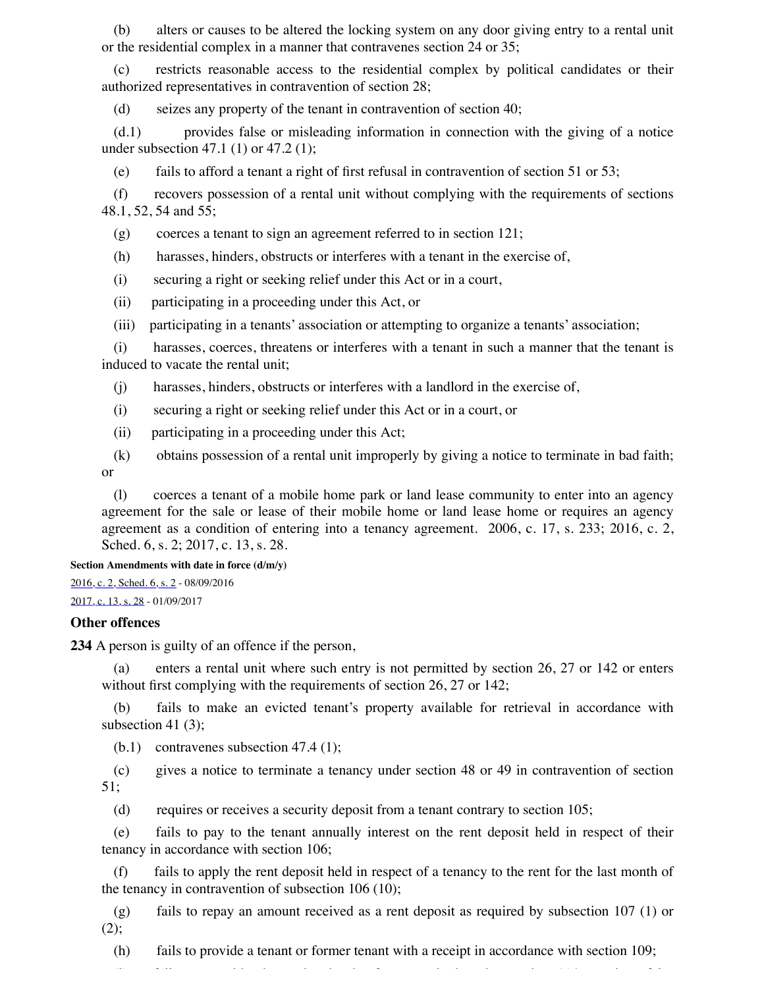(b) alters or causes to be altered the locking system on any door giving entry to a rental unit or the residential complex in a manner that contravenes section 24 or 35;

(c) restricts reasonable access to the residential complex by political candidates or their authorized representatives in contravention of section 28;

(d) seizes any property of the tenant in contravention of section 40;

(d.1) provides false or misleading information in connection with the giving of a notice under subsection 47.1 (1) or 47.2 (1);

(e) fails to afford a tenant a right of first refusal in contravention of section 51 or 53;

(f) recovers possession of a rental unit without complying with the requirements of sections 48.1, 52, 54 and 55;

(g) coerces a tenant to sign an agreement referred to in section 121;

(h) harasses, hinders, obstructs or interferes with a tenant in the exercise of,

(i) securing a right or seeking relief under this Act or in a court,

(ii) participating in a proceeding under this Act, or

(iii) participating in a tenants' association or attempting to organize a tenants' association;

(i) harasses, coerces, threatens or interferes with a tenant in such a manner that the tenant is induced to vacate the rental unit;

(j) harasses, hinders, obstructs or interferes with a landlord in the exercise of,

(i) securing a right or seeking relief under this Act or in a court, or

(ii) participating in a proceeding under this Act;

(k) obtains possession of a rental unit improperly by giving a notice to terminate in bad faith; or

(l) coerces a tenant of a mobile home park or land lease community to enter into an agency agreement for the sale or lease of their mobile home or land lease home or requires an agency agreement as a condition of entering into a tenancy agreement. 2006, c. 17, s. 233; 2016, c. 2, Sched. 6, s. 2; 2017, c. 13, s. 28.

**Section Amendments with date in force (d/m/y)**

2016, c. 2, Sched. 6, s. 2 - 08/09/2016 2017, c. 13, s. 28 - 01/09/2017

#### **Other offences**

**234** A person is guilty of an offence if the person,

(a) enters a rental unit where such entry is not permitted by section 26, 27 or 142 or enters without first complying with the requirements of section 26, 27 or 142;

(b) fails to make an evicted tenant's property available for retrieval in accordance with subsection 41 $(3)$ ;

(b.1) contravenes subsection 47.4 (1);

(c) gives a notice to terminate a tenancy under section 48 or 49 in contravention of section 51;

(d) requires or receives a security deposit from a tenant contrary to section 105;

(e) fails to pay to the tenant annually interest on the rent deposit held in respect of their tenancy in accordance with section 106;

(f) fails to apply the rent deposit held in respect of a tenancy to the rent for the last month of the tenancy in contravention of subsection 106 (10);

(g) fails to repay an amount received as a rent deposit as required by subsection 107 (1) or  $(2)$ ;

(h) fails to provide a tenant or former tenant with a receipt in accordance with section 109;

(i) fails to provide the notice in the form required under section 114 or gives false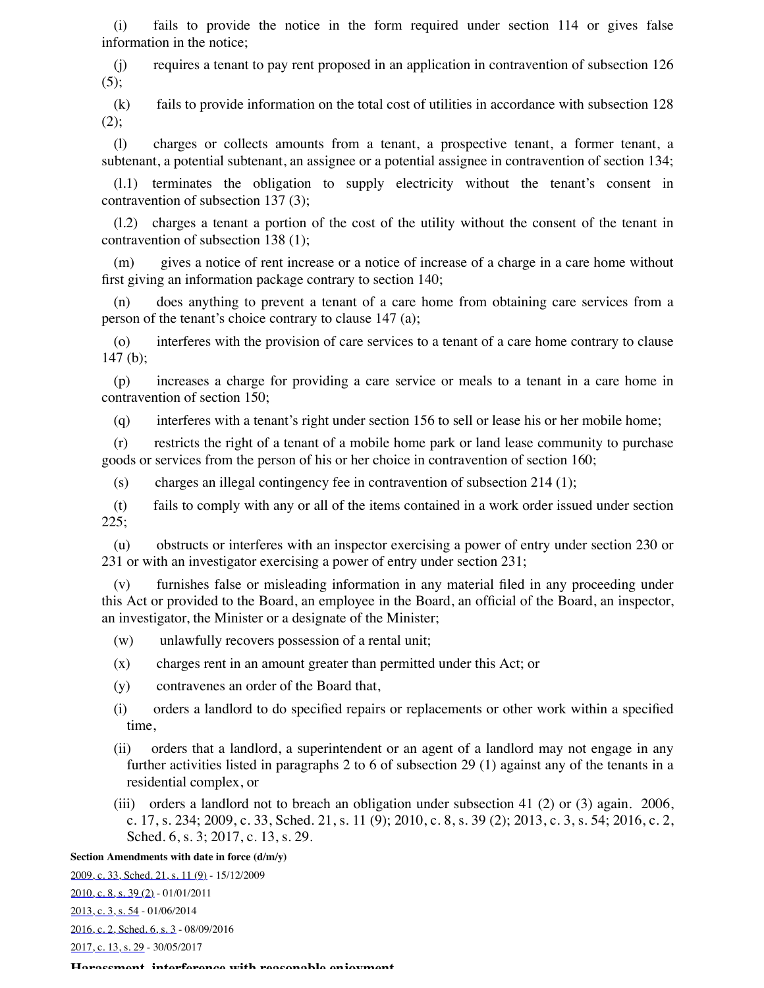(i) fails to provide the notice in the form required under section 114 or gives false information in the notice;

(j) requires a tenant to pay rent proposed in an application in contravention of subsection 126  $(5);$ 

(k) fails to provide information on the total cost of utilities in accordance with subsection 128  $(2);$ 

(l) charges or collects amounts from a tenant, a prospective tenant, a former tenant, a subtenant, a potential subtenant, an assignee or a potential assignee in contravention of section 134;

(l.1) terminates the obligation to supply electricity without the tenant's consent in contravention of subsection 137 (3);

(l.2) charges a tenant a portion of the cost of the utility without the consent of the tenant in contravention of subsection 138 (1);

(m) gives a notice of rent increase or a notice of increase of a charge in a care home without first giving an information package contrary to section 140;

(n) does anything to prevent a tenant of a care home from obtaining care services from a person of the tenant's choice contrary to clause 147 (a);

(o) interferes with the provision of care services to a tenant of a care home contrary to clause 147 (b);

(p) increases a charge for providing a care service or meals to a tenant in a care home in contravention of section 150;

(q) interferes with a tenant's right under section 156 to sell or lease his or her mobile home;

(r) restricts the right of a tenant of a mobile home park or land lease community to purchase goods or services from the person of his or her choice in contravention of section 160;

(s) charges an illegal contingency fee in contravention of subsection  $214$  (1);

(t) fails to comply with any or all of the items contained in a work order issued under section 225;

(u) obstructs or interferes with an inspector exercising a power of entry under section 230 or 231 or with an investigator exercising a power of entry under section 231;

(v) furnishes false or misleading information in any material filed in any proceeding under this Act or provided to the Board, an employee in the Board, an official of the Board, an inspector, an investigator, the Minister or a designate of the Minister;

- (w) unlawfully recovers possession of a rental unit;
- (x) charges rent in an amount greater than permitted under this Act; or
- (y) contravenes an order of the Board that,
- (i) orders a landlord to do specified repairs or replacements or other work within a specified time,
- (ii) orders that a landlord, a superintendent or an agent of a landlord may not engage in any further activities listed in paragraphs 2 to 6 of subsection 29 (1) against any of the tenants in a residential complex, or
- (iii) orders a landlord not to breach an obligation under subsection 41 (2) or (3) again. 2006, c. 17, s. 234; 2009, c. 33, Sched. 21, s. 11 (9); 2010, c. 8, s. 39 (2); 2013, c. 3, s. 54; 2016, c. 2, Sched. 6, s. 3; 2017, c. 13, s. 29.

**Section Amendments with date in force (d/m/y)**

2009, c. 33, Sched. 21, s. 11 (9) - 15/12/2009 2010, c. 8, s. 39 (2) - 01/01/2011 2013, c. 3, s. 54 - 01/06/2014 2016, c. 2, Sched. 6, s. 3 - 08/09/2016

2017, c. 13, s. 29 - 30/05/2017

**Harassment, interference with reasonable enjoyment**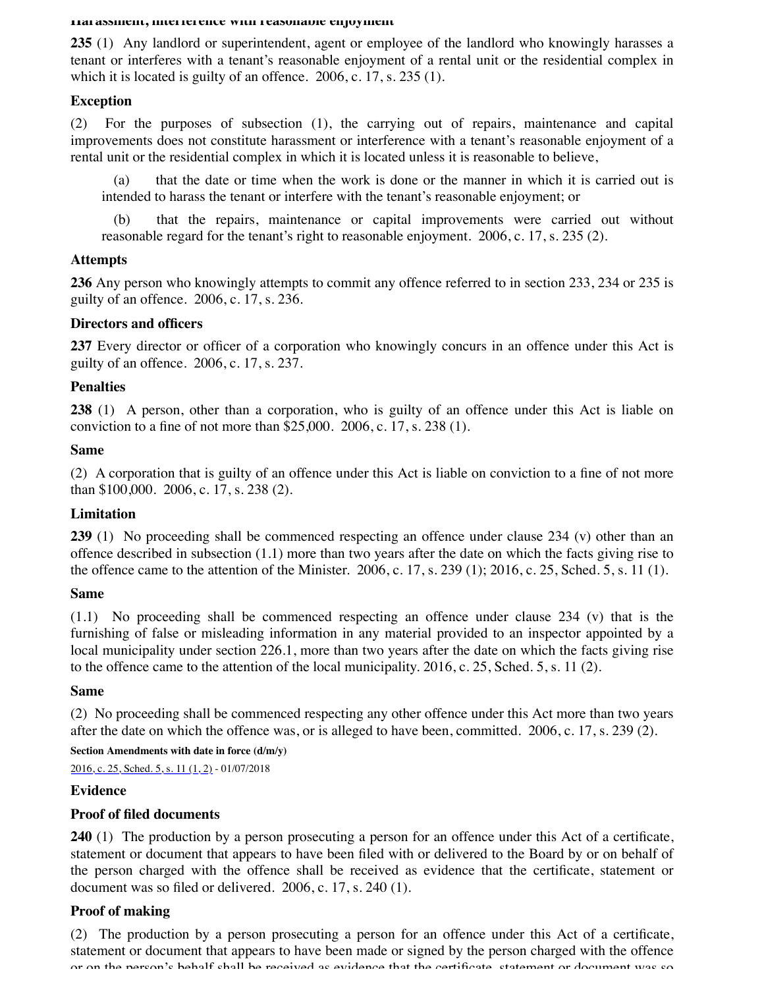#### **Harassment, interference with reasonable enjoyment**

**235** (1) Any landlord or superintendent, agent or employee of the landlord who knowingly harasses a tenant or interferes with a tenant's reasonable enjoyment of a rental unit or the residential complex in which it is located is guilty of an offence. 2006, c. 17, s. 235 (1).

### **Exception**

(2) For the purposes of subsection (1), the carrying out of repairs, maintenance and capital improvements does not constitute harassment or interference with a tenant's reasonable enjoyment of a rental unit or the residential complex in which it is located unless it is reasonable to believe,

(a) that the date or time when the work is done or the manner in which it is carried out is intended to harass the tenant or interfere with the tenant's reasonable enjoyment; or

(b) that the repairs, maintenance or capital improvements were carried out without reasonable regard for the tenant's right to reasonable enjoyment. 2006, c. 17, s. 235 (2).

### **Attempts**

**236** Any person who knowingly attempts to commit any offence referred to in section 233, 234 or 235 is guilty of an offence. 2006, c. 17, s. 236.

### **Directors and officers**

**237** Every director or officer of a corporation who knowingly concurs in an offence under this Act is guilty of an offence. 2006, c. 17, s. 237.

### **Penalties**

**238** (1) A person, other than a corporation, who is guilty of an offence under this Act is liable on conviction to a fine of not more than \$25,000. 2006, c. 17, s. 238 (1).

### **Same**

(2) A corporation that is guilty of an offence under this Act is liable on conviction to a fine of not more than \$100,000. 2006, c. 17, s. 238 (2).

### **Limitation**

**239** (1) No proceeding shall be commenced respecting an offence under clause 234 (v) other than an offence described in subsection (1.1) more than two years after the date on which the facts giving rise to the offence came to the attention of the Minister. 2006, c. 17, s. 239 (1); 2016, c. 25, Sched. 5, s. 11 (1).

### **Same**

(1.1) No proceeding shall be commenced respecting an offence under clause 234 (v) that is the furnishing of false or misleading information in any material provided to an inspector appointed by a local municipality under section 226.1, more than two years after the date on which the facts giving rise to the offence came to the attention of the local municipality. 2016, c. 25, Sched. 5, s. 11 (2).

### **Same**

(2) No proceeding shall be commenced respecting any other offence under this Act more than two years after the date on which the offence was, or is alleged to have been, committed. 2006, c. 17, s. 239 (2).

**Section Amendments with date in force (d/m/y)** 2016, c. 25, Sched. 5, s. 11 (1, 2) - 01/07/2018

## **Evidence**

### **Proof of filed documents**

**240** (1) The production by a person prosecuting a person for an offence under this Act of a certificate, statement or document that appears to have been filed with or delivered to the Board by or on behalf of the person charged with the offence shall be received as evidence that the certificate, statement or document was so filed or delivered. 2006, c. 17, s. 240 (1).

### **Proof of making**

(2) The production by a person prosecuting a person for an offence under this Act of a certificate, statement or document that appears to have been made or signed by the person charged with the offence or on the person's behalf shall be received as evidence that the certificate, statement or document was so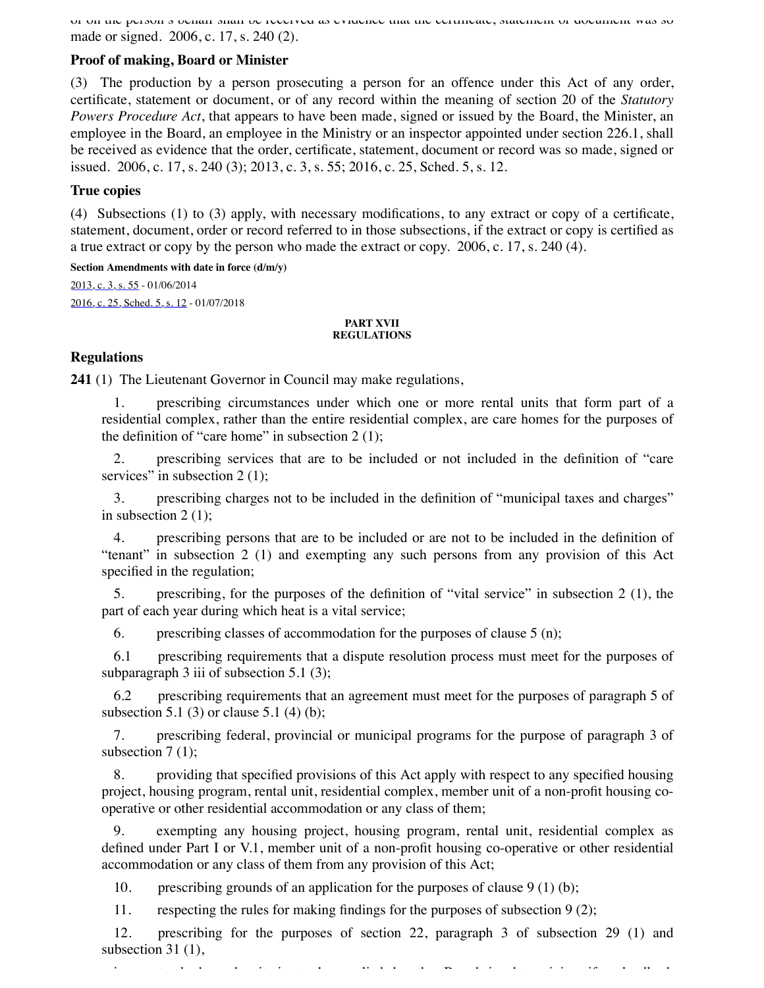or on the person's behalf shall be received as evidence that the certificate, statement or document was so made or signed. 2006, c. 17, s. 240 (2).

#### **Proof of making, Board or Minister**

(3) The production by a person prosecuting a person for an offence under this Act of any order, certificate, statement or document, or of any record within the meaning of section 20 of the *Statutory Powers Procedure Act*, that appears to have been made, signed or issued by the Board, the Minister, an employee in the Board, an employee in the Ministry or an inspector appointed under section 226.1, shall be received as evidence that the order, certificate, statement, document or record was so made, signed or issued. 2006, c. 17, s. 240 (3); 2013, c. 3, s. 55; 2016, c. 25, Sched. 5, s. 12.

#### **True copies**

(4) Subsections (1) to (3) apply, with necessary modifications, to any extract or copy of a certificate, statement, document, order or record referred to in those subsections, if the extract or copy is certified as a true extract or copy by the person who made the extract or copy. 2006, c. 17, s. 240 (4).

**Section Amendments with date in force (d/m/y)**

2013, c. 3, s. 55 - 01/06/2014 2016, c. 25, Sched. 5, s. 12 - 01/07/2018

#### **PART XVII REGULATIONS**

### **Regulations**

**241** (1) The Lieutenant Governor in Council may make regulations,

1. prescribing circumstances under which one or more rental units that form part of a residential complex, rather than the entire residential complex, are care homes for the purposes of the definition of "care home" in subsection  $2(1)$ ;

2. prescribing services that are to be included or not included in the definition of "care services" in subsection 2(1);

3. prescribing charges not to be included in the definition of "municipal taxes and charges" in subsection 2 (1);

4. prescribing persons that are to be included or are not to be included in the definition of "tenant" in subsection 2 (1) and exempting any such persons from any provision of this Act specified in the regulation;

5. prescribing, for the purposes of the definition of "vital service" in subsection 2 (1), the part of each year during which heat is a vital service;

6. prescribing classes of accommodation for the purposes of clause 5 (n);

6.1 prescribing requirements that a dispute resolution process must meet for the purposes of subparagraph  $3$  iii of subsection  $5.1$  (3);

6.2 prescribing requirements that an agreement must meet for the purposes of paragraph 5 of subsection 5.1 (3) or clause 5.1 (4) (b);

7. prescribing federal, provincial or municipal programs for the purpose of paragraph 3 of subsection  $7(1)$ ;

8. providing that specified provisions of this Act apply with respect to any specified housing project, housing program, rental unit, residential complex, member unit of a non-profit housing cooperative or other residential accommodation or any class of them;

9. exempting any housing project, housing program, rental unit, residential complex as defined under Part I or V.1, member unit of a non-profit housing co-operative or other residential accommodation or any class of them from any provision of this Act;

10. prescribing grounds of an application for the purposes of clause 9 (1) (b);

11. respecting the rules for making findings for the purposes of subsection 9 (2);

12. prescribing for the purposes of section 22, paragraph 3 of subsection 29 (1) and subsection 31(1),

i. standards and criteria to be applied by the Board in determining if a landlord,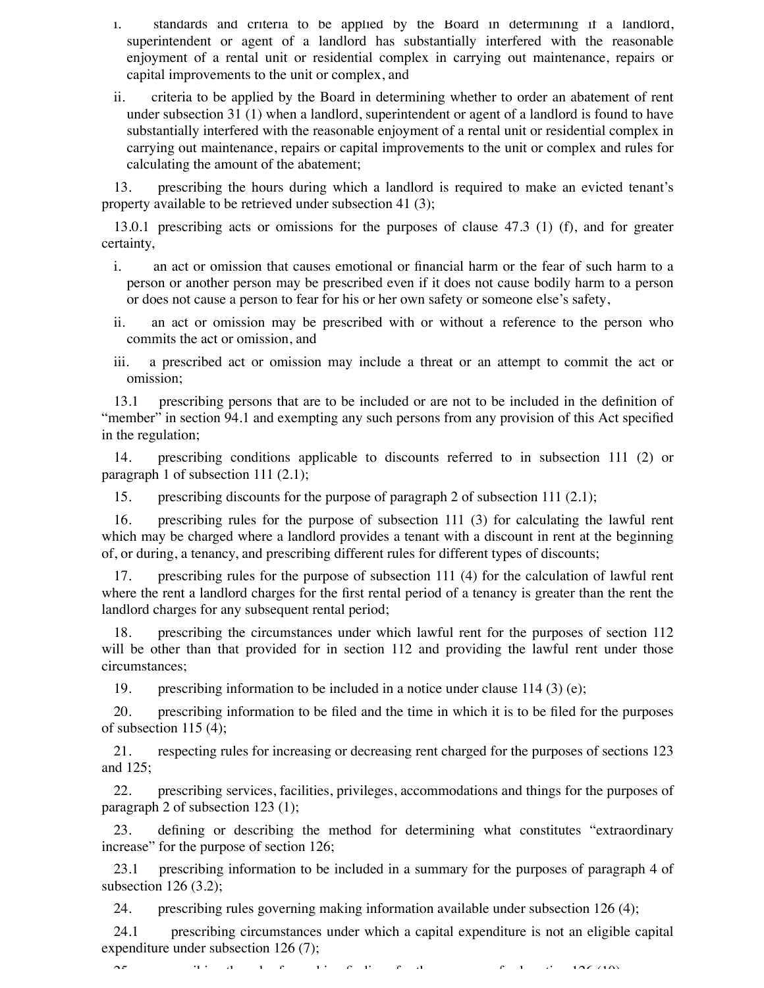- i. standards and criteria to be applied by the Board in determining if a landlord, superintendent or agent of a landlord has substantially interfered with the reasonable enjoyment of a rental unit or residential complex in carrying out maintenance, repairs or capital improvements to the unit or complex, and
- ii. criteria to be applied by the Board in determining whether to order an abatement of rent under subsection 31 (1) when a landlord, superintendent or agent of a landlord is found to have substantially interfered with the reasonable enjoyment of a rental unit or residential complex in carrying out maintenance, repairs or capital improvements to the unit or complex and rules for calculating the amount of the abatement;

13. prescribing the hours during which a landlord is required to make an evicted tenant's property available to be retrieved under subsection 41 (3);

13.0.1 prescribing acts or omissions for the purposes of clause 47.3 (1) (f), and for greater certainty,

- i. an act or omission that causes emotional or financial harm or the fear of such harm to a person or another person may be prescribed even if it does not cause bodily harm to a person or does not cause a person to fear for his or her own safety or someone else's safety,
- ii. an act or omission may be prescribed with or without a reference to the person who commits the act or omission, and
- iii. a prescribed act or omission may include a threat or an attempt to commit the act or omission;

13.1 prescribing persons that are to be included or are not to be included in the definition of "member" in section 94.1 and exempting any such persons from any provision of this Act specified in the regulation;

14. prescribing conditions applicable to discounts referred to in subsection 111 (2) or paragraph 1 of subsection 111 (2.1);

15. prescribing discounts for the purpose of paragraph 2 of subsection 111 (2.1);

16. prescribing rules for the purpose of subsection 111 (3) for calculating the lawful rent which may be charged where a landlord provides a tenant with a discount in rent at the beginning of, or during, a tenancy, and prescribing different rules for different types of discounts;

17. prescribing rules for the purpose of subsection 111 (4) for the calculation of lawful rent where the rent a landlord charges for the first rental period of a tenancy is greater than the rent the landlord charges for any subsequent rental period;

18. prescribing the circumstances under which lawful rent for the purposes of section 112 will be other than that provided for in section 112 and providing the lawful rent under those circumstances;

19. prescribing information to be included in a notice under clause  $114 (3) (e)$ ;

20. prescribing information to be filed and the time in which it is to be filed for the purposes of subsection 115 (4);

21. respecting rules for increasing or decreasing rent charged for the purposes of sections 123 and 125;

22. prescribing services, facilities, privileges, accommodations and things for the purposes of paragraph 2 of subsection 123 (1);

23. defining or describing the method for determining what constitutes "extraordinary increase" for the purpose of section 126;

23.1 prescribing information to be included in a summary for the purposes of paragraph 4 of subsection  $126(3.2)$ ;

24. prescribing rules governing making information available under subsection 126 (4);

24.1 prescribing circumstances under which a capital expenditure is not an eligible capital expenditure under subsection 126 (7);

25. prescribing the rules for making findings for the purposes of subsection 126 (10);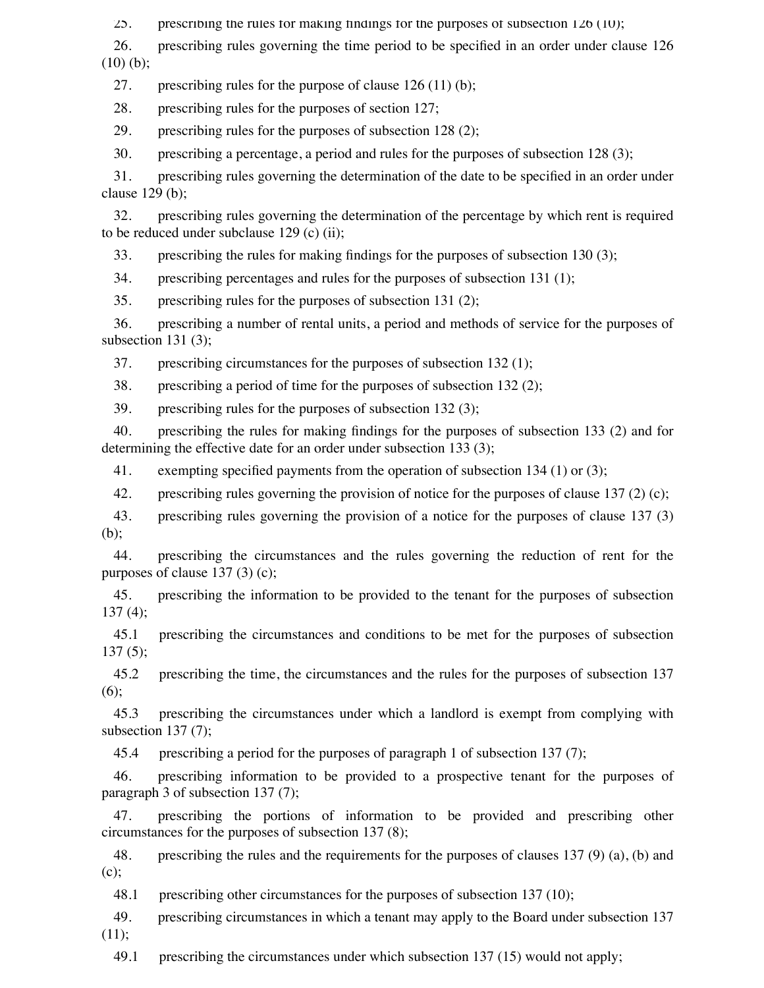25. prescribing the rules for making findings for the purposes of subsection 126 (10);

26. prescribing rules governing the time period to be specified in an order under clause 126  $(10)$  (b);

27. prescribing rules for the purpose of clause 126 (11) (b);

28. prescribing rules for the purposes of section 127;

29. prescribing rules for the purposes of subsection 128 (2);

30. prescribing a percentage, a period and rules for the purposes of subsection 128 (3);

31. prescribing rules governing the determination of the date to be specified in an order under clause 129 (b);

32. prescribing rules governing the determination of the percentage by which rent is required to be reduced under subclause 129 (c) (ii);

33. prescribing the rules for making findings for the purposes of subsection 130 (3);

34. prescribing percentages and rules for the purposes of subsection 131 (1);

35. prescribing rules for the purposes of subsection 131 (2);

36. prescribing a number of rental units, a period and methods of service for the purposes of subsection 131 (3);

37. prescribing circumstances for the purposes of subsection 132 (1);

38. prescribing a period of time for the purposes of subsection 132 (2);

39. prescribing rules for the purposes of subsection 132 (3);

40. prescribing the rules for making findings for the purposes of subsection 133 (2) and for determining the effective date for an order under subsection 133 (3);

41. exempting specified payments from the operation of subsection 134 (1) or (3);

42. prescribing rules governing the provision of notice for the purposes of clause 137 (2) (c);

43. prescribing rules governing the provision of a notice for the purposes of clause 137 (3) (b);

44. prescribing the circumstances and the rules governing the reduction of rent for the purposes of clause 137 (3) (c);

45. prescribing the information to be provided to the tenant for the purposes of subsection  $137(4)$ ;

45.1 prescribing the circumstances and conditions to be met for the purposes of subsection  $137(5);$ 

45.2 prescribing the time, the circumstances and the rules for the purposes of subsection 137 (6);

45.3 prescribing the circumstances under which a landlord is exempt from complying with subsection 137 (7);

45.4 prescribing a period for the purposes of paragraph 1 of subsection 137 (7);

46. prescribing information to be provided to a prospective tenant for the purposes of paragraph 3 of subsection 137 (7);

47. prescribing the portions of information to be provided and prescribing other circumstances for the purposes of subsection 137 (8);

48. prescribing the rules and the requirements for the purposes of clauses 137 (9) (a), (b) and  $(c)$ ;

48.1 prescribing other circumstances for the purposes of subsection 137 (10);

49. prescribing circumstances in which a tenant may apply to the Board under subsection 137  $(11)$ ;

49.1 prescribing the circumstances under which subsection 137 (15) would not apply;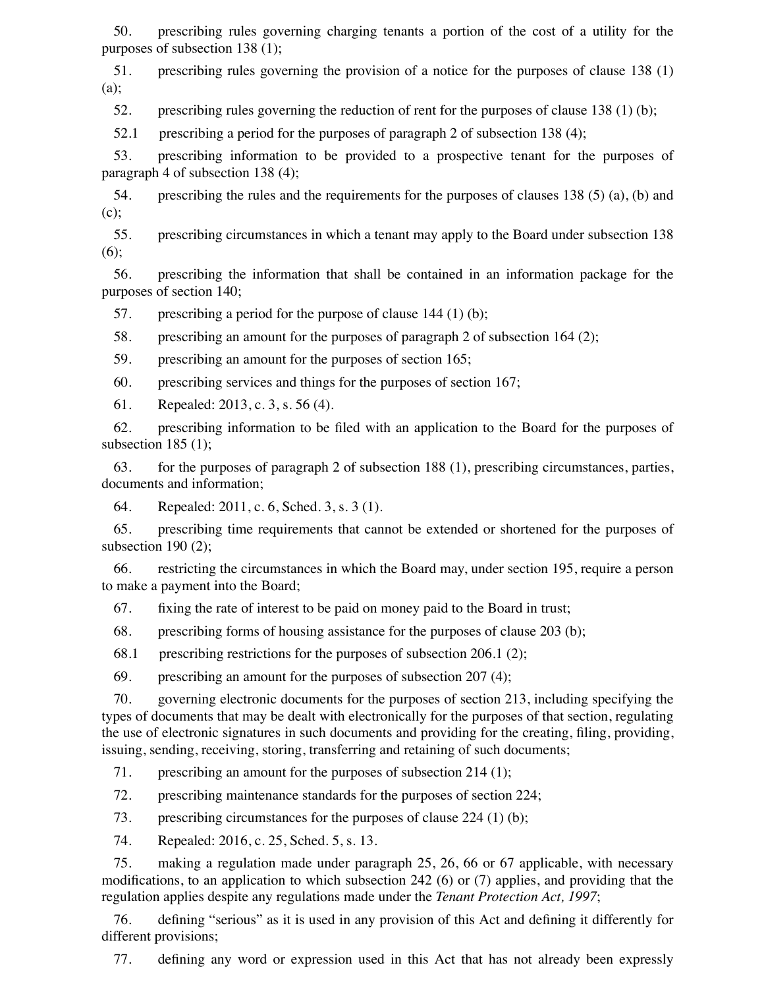50. prescribing rules governing charging tenants a portion of the cost of a utility for the purposes of subsection 138 (1);

51. prescribing rules governing the provision of a notice for the purposes of clause 138 (1) (a);

52. prescribing rules governing the reduction of rent for the purposes of clause 138 (1) (b);

52.1 prescribing a period for the purposes of paragraph 2 of subsection 138 (4);

53. prescribing information to be provided to a prospective tenant for the purposes of paragraph 4 of subsection 138 (4);

54. prescribing the rules and the requirements for the purposes of clauses 138 (5) (a), (b) and (c);

55. prescribing circumstances in which a tenant may apply to the Board under subsection 138  $(6)$ ;

56. prescribing the information that shall be contained in an information package for the purposes of section 140;

57. prescribing a period for the purpose of clause 144 (1) (b);

58. prescribing an amount for the purposes of paragraph 2 of subsection 164 (2);

59. prescribing an amount for the purposes of section 165;

60. prescribing services and things for the purposes of section 167;

61. Repealed: 2013, c. 3, s. 56 (4).

62. prescribing information to be filed with an application to the Board for the purposes of subsection  $185$  (1);

63. for the purposes of paragraph 2 of subsection 188 (1), prescribing circumstances, parties, documents and information;

64. Repealed: 2011, c. 6, Sched. 3, s. 3 (1).

65. prescribing time requirements that cannot be extended or shortened for the purposes of subsection 190 (2);

66. restricting the circumstances in which the Board may, under section 195, require a person to make a payment into the Board;

67. fixing the rate of interest to be paid on money paid to the Board in trust;

68. prescribing forms of housing assistance for the purposes of clause 203 (b);

68.1 prescribing restrictions for the purposes of subsection 206.1 (2);

69. prescribing an amount for the purposes of subsection 207 (4);

70. governing electronic documents for the purposes of section 213, including specifying the types of documents that may be dealt with electronically for the purposes of that section, regulating the use of electronic signatures in such documents and providing for the creating, filing, providing, issuing, sending, receiving, storing, transferring and retaining of such documents;

71. prescribing an amount for the purposes of subsection 214 (1);

72. prescribing maintenance standards for the purposes of section 224;

73. prescribing circumstances for the purposes of clause 224 (1) (b);

74. Repealed: 2016, c. 25, Sched. 5, s. 13.

75. making a regulation made under paragraph 25, 26, 66 or 67 applicable, with necessary modifications, to an application to which subsection 242 (6) or (7) applies, and providing that the regulation applies despite any regulations made under the *Tenant Protection Act, 1997*;

76. defining "serious" as it is used in any provision of this Act and defining it differently for different provisions;

77. defining any word or expression used in this Act that has not already been expressly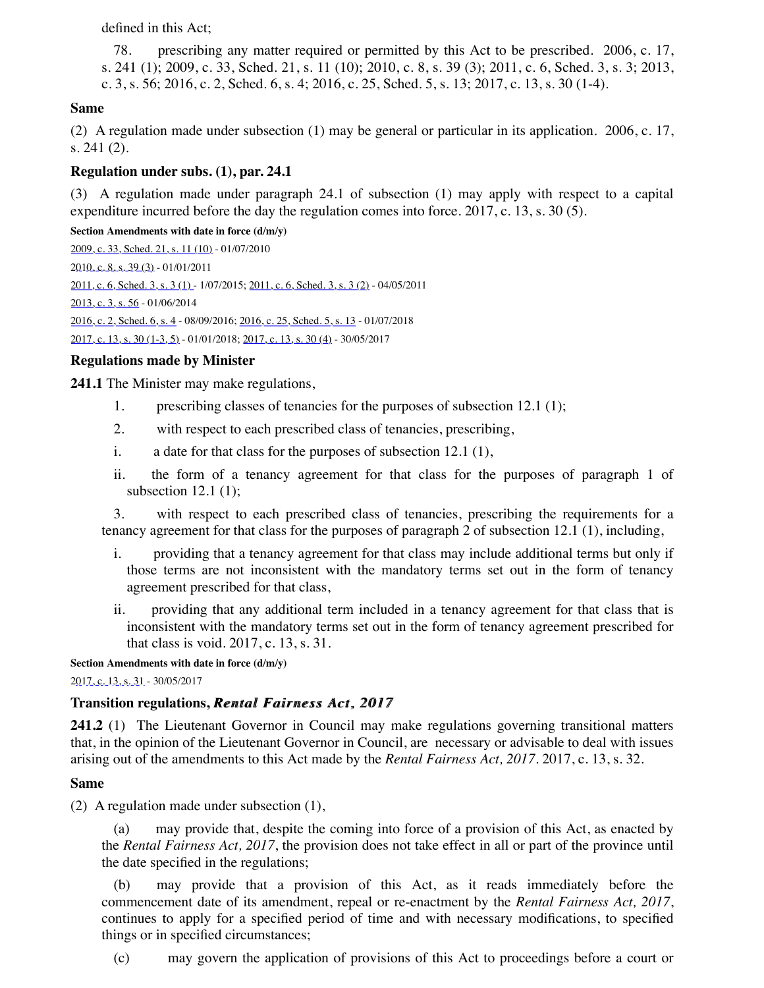defined in this Act;

78. prescribing any matter required or permitted by this Act to be prescribed. 2006, c. 17, s. 241 (1); 2009, c. 33, Sched. 21, s. 11 (10); 2010, c. 8, s. 39 (3); 2011, c. 6, Sched. 3, s. 3; 2013, c. 3, s. 56; 2016, c. 2, Sched. 6, s. 4; 2016, c. 25, Sched. 5, s. 13; 2017, c. 13, s. 30 (1-4).

### **Same**

(2) A regulation made under subsection (1) may be general or particular in its application. 2006, c. 17, s. 241 (2).

## **Regulation under subs. (1), par. 24.1**

(3) A regulation made under paragraph 24.1 of subsection (1) may apply with respect to a capital expenditure incurred before the day the regulation comes into force. 2017, c. 13, s. 30 (5).

**Section Amendments with date in force (d/m/y)** 2009, c. 33, Sched. 21, s. 11 (10) - 01/07/2010 2010, c. 8, s. 39 (3) - 01/01/2011 2011, c. 6, Sched. 3, s. 3 (1) - 1/07/2015; 2011, c. 6, Sched. 3, s. 3 (2) - 04/05/2011 2013, c. 3, s. 56 - 01/06/2014 2016, c. 2, Sched. 6, s. 4 - 08/09/2016; 2016, c. 25, Sched. 5, s. 13 - 01/07/2018 2017, c. 13, s. 30 (1-3, 5) - 01/01/2018; 2017, c. 13, s. 30 (4) - 30/05/2017

### **Regulations made by Minister**

**241.1** The Minister may make regulations,

- 1. prescribing classes of tenancies for the purposes of subsection 12.1 (1);
- 2. with respect to each prescribed class of tenancies, prescribing,
- i. a date for that class for the purposes of subsection 12.1 (1),
- ii. the form of a tenancy agreement for that class for the purposes of paragraph 1 of subsection  $12.1$  (1);

3. with respect to each prescribed class of tenancies, prescribing the requirements for a tenancy agreement for that class for the purposes of paragraph 2 of subsection 12.1 (1), including,

- i. providing that a tenancy agreement for that class may include additional terms but only if those terms are not inconsistent with the mandatory terms set out in the form of tenancy agreement prescribed for that class,
- ii. providing that any additional term included in a tenancy agreement for that class that is inconsistent with the mandatory terms set out in the form of tenancy agreement prescribed for that class is void. 2017, c. 13, s. 31.

**Section Amendments with date in force (d/m/y)** 2017, c. 13, s. 31 - 30/05/2017

## **Transition regulations,** *Rental Fairness Act, 2017*

**241.2** (1) The Lieutenant Governor in Council may make regulations governing transitional matters that, in the opinion of the Lieutenant Governor in Council, are necessary or advisable to deal with issues arising out of the amendments to this Act made by the *Rental Fairness Act, 2017.* 2017, c. 13, s. 32.

### **Same**

(2) A regulation made under subsection (1),

may provide that, despite the coming into force of a provision of this Act, as enacted by the *Rental Fairness Act, 2017*, the provision does not take effect in all or part of the province until the date specified in the regulations;

(b) may provide that a provision of this Act, as it reads immediately before the commencement date of its amendment, repeal or re-enactment by the *Rental Fairness Act, 2017*, continues to apply for a specified period of time and with necessary modifications, to specified things or in specified circumstances;

(c) may govern the application of provisions of this Act to proceedings before a court or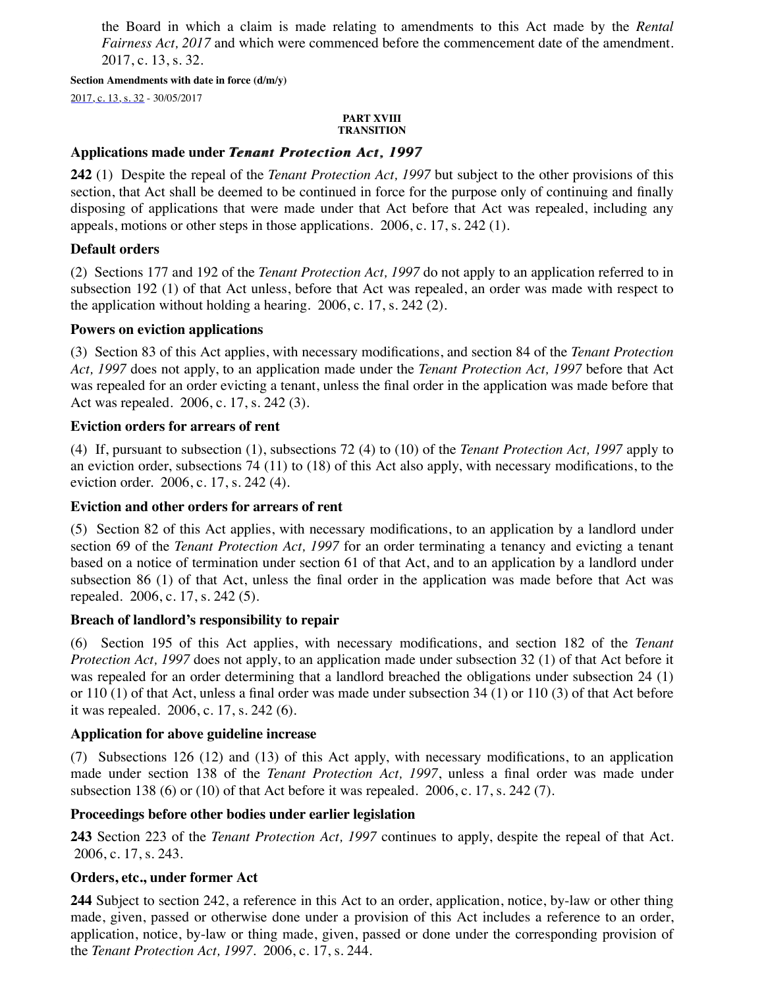the Board in which a claim is made relating to amendments to this Act made by the *Rental Fairness Act, 2017* and which were commenced before the commencement date of the amendment. 2017, c. 13, s. 32.

**Section Amendments with date in force (d/m/y)** 2017, c. 13, s. 32 - 30/05/2017

#### **PART XVIII TRANSITION**

### **Applications made under** *Tenant Protection Act, 1997 Tenant Protection Act, 1997*

**242** (1) Despite the repeal of the *Tenant Protection Act, 1997* but subject to the other provisions of this section, that Act shall be deemed to be continued in force for the purpose only of continuing and finally disposing of applications that were made under that Act before that Act was repealed, including any appeals, motions or other steps in those applications. 2006, c. 17, s. 242 (1).

### **Default orders**

(2) Sections 177 and 192 of the *Tenant Protection Act, 1997* do not apply to an application referred to in subsection 192 (1) of that Act unless, before that Act was repealed, an order was made with respect to the application without holding a hearing. 2006, c. 17, s. 242 (2).

### **Powers on eviction applications**

(3) Section 83 of this Act applies, with necessary modifications, and section 84 of the *Tenant Protection Act, 1997* does not apply, to an application made under the *Tenant Protection Act, 1997* before that Act was repealed for an order evicting a tenant, unless the final order in the application was made before that Act was repealed. 2006, c. 17, s. 242 (3).

### **Eviction orders for arrears of rent**

(4) If, pursuant to subsection (1), subsections 72 (4) to (10) of the *Tenant Protection Act, 1997* apply to an eviction order, subsections 74 (11) to (18) of this Act also apply, with necessary modifications, to the eviction order. 2006, c. 17, s. 242 (4).

## **Eviction and other orders for arrears of rent**

(5) Section 82 of this Act applies, with necessary modifications, to an application by a landlord under section 69 of the *Tenant Protection Act, 1997* for an order terminating a tenancy and evicting a tenant based on a notice of termination under section 61 of that Act, and to an application by a landlord under subsection 86 (1) of that Act, unless the final order in the application was made before that Act was repealed. 2006, c. 17, s. 242 (5).

### **Breach of landlord's responsibility to repair**

(6) Section 195 of this Act applies, with necessary modifications, and section 182 of the *Tenant Protection Act, 1997* does not apply, to an application made under subsection 32 (1) of that Act before it was repealed for an order determining that a landlord breached the obligations under subsection 24 (1) or 110 (1) of that Act, unless a final order was made under subsection 34 (1) or 110 (3) of that Act before it was repealed. 2006, c. 17, s. 242 (6).

## **Application for above guideline increase**

(7) Subsections 126 (12) and (13) of this Act apply, with necessary modifications, to an application made under section 138 of the *Tenant Protection Act, 1997*, unless a final order was made under subsection 138 (6) or (10) of that Act before it was repealed. 2006, c. 17, s. 242 (7).

## **Proceedings before other bodies under earlier legislation**

**243** Section 223 of the *Tenant Protection Act, 1997* continues to apply, despite the repeal of that Act. 2006, c. 17, s. 243.

### **Orders, etc., under former Act**

**244** Subject to section 242, a reference in this Act to an order, application, notice, by-law or other thing made, given, passed or otherwise done under a provision of this Act includes a reference to an order, application, notice, by-law or thing made, given, passed or done under the corresponding provision of the *Tenant Protection Act, 1997*. 2006, c. 17, s. 244.